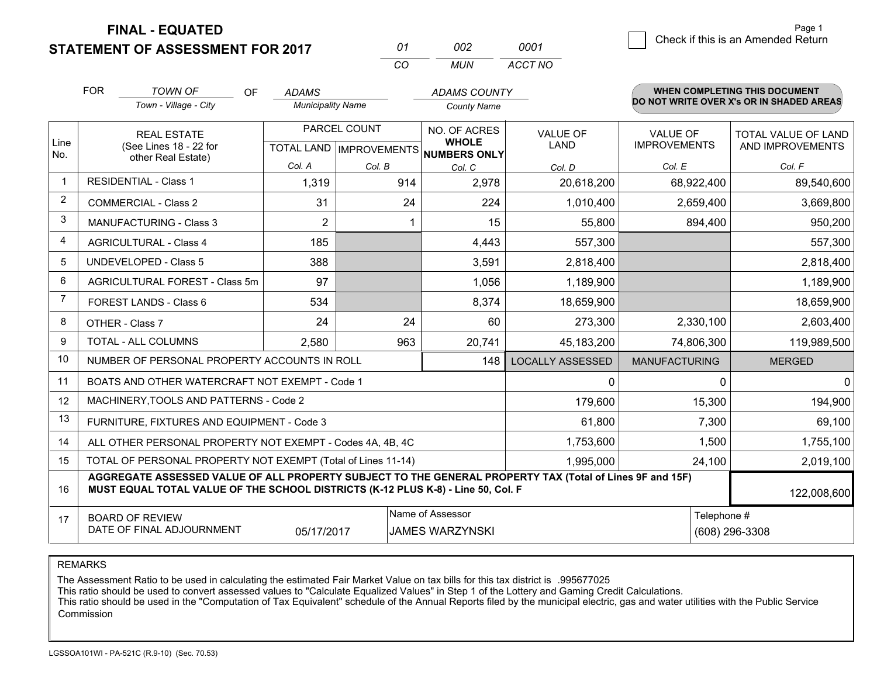**STATEMENT OF ASSESSMENT FOR 2017** 

| 01  | nnə | 0001    |
|-----|-----|---------|
| CO. | MUN | ACCT NO |

|                | <b>FOR</b>                                                                                                                                       | <b>TOWN OF</b><br>OF<br>Town - Village - City                                                                                                                                                | <b>ADAMS</b><br><b>Municipality Name</b> |                              | <b>ADAMS COUNTY</b><br><b>County Name</b> |                                        |                                         | WHEN COMPLETING THIS DOCUMENT<br>DO NOT WRITE OVER X's OR IN SHADED AREAS |
|----------------|--------------------------------------------------------------------------------------------------------------------------------------------------|----------------------------------------------------------------------------------------------------------------------------------------------------------------------------------------------|------------------------------------------|------------------------------|-------------------------------------------|----------------------------------------|-----------------------------------------|---------------------------------------------------------------------------|
| Line<br>No.    | PARCEL COUNT<br><b>REAL ESTATE</b><br>(See Lines 18 - 22 for<br>TOTAL LAND MPROVEMENTS NUMBERS ONLY<br>other Real Estate)                        |                                                                                                                                                                                              |                                          | NO. OF ACRES<br><b>WHOLE</b> | <b>VALUE OF</b><br><b>LAND</b>            | <b>VALUE OF</b><br><b>IMPROVEMENTS</b> | TOTAL VALUE OF LAND<br>AND IMPROVEMENTS |                                                                           |
| $\mathbf{1}$   |                                                                                                                                                  | <b>RESIDENTIAL - Class 1</b>                                                                                                                                                                 | Col. A<br>1,319                          | Col. B<br>914                | Col. C<br>2,978                           | Col. D<br>20,618,200                   | Col. E<br>68,922,400                    | Col. F<br>89,540,600                                                      |
| $\overline{2}$ |                                                                                                                                                  | <b>COMMERCIAL - Class 2</b>                                                                                                                                                                  | 31                                       | 24                           | 224                                       | 1,010,400                              | 2,659,400                               | 3,669,800                                                                 |
| 3              |                                                                                                                                                  | MANUFACTURING - Class 3                                                                                                                                                                      | $\overline{2}$                           |                              | 15                                        | 55,800                                 | 894,400                                 | 950,200                                                                   |
| 4              |                                                                                                                                                  | <b>AGRICULTURAL - Class 4</b>                                                                                                                                                                | 185                                      |                              | 4,443                                     | 557,300                                |                                         | 557,300                                                                   |
| 5              |                                                                                                                                                  | <b>UNDEVELOPED - Class 5</b>                                                                                                                                                                 |                                          |                              |                                           |                                        |                                         |                                                                           |
| 6              |                                                                                                                                                  | AGRICULTURAL FOREST - Class 5m                                                                                                                                                               | 388                                      |                              | 3,591                                     | 2,818,400                              |                                         | 2,818,400                                                                 |
| $\overline{7}$ |                                                                                                                                                  |                                                                                                                                                                                              | 97                                       |                              | 1,056                                     | 1,189,900                              |                                         | 1,189,900                                                                 |
|                |                                                                                                                                                  | FOREST LANDS - Class 6                                                                                                                                                                       | 534                                      |                              | 8,374                                     | 18,659,900                             |                                         | 18,659,900                                                                |
| 8              |                                                                                                                                                  | OTHER - Class 7                                                                                                                                                                              | 24                                       | 24                           | 60                                        | 273,300                                | 2,330,100                               | 2,603,400                                                                 |
| 9              |                                                                                                                                                  | TOTAL - ALL COLUMNS                                                                                                                                                                          | 2,580                                    | 963                          | 20,741                                    | 45,183,200                             | 74,806,300                              | 119,989,500                                                               |
| 10             |                                                                                                                                                  | NUMBER OF PERSONAL PROPERTY ACCOUNTS IN ROLL                                                                                                                                                 |                                          |                              | 148                                       | <b>LOCALLY ASSESSED</b>                | <b>MANUFACTURING</b>                    | <b>MERGED</b>                                                             |
| 11             |                                                                                                                                                  | BOATS AND OTHER WATERCRAFT NOT EXEMPT - Code 1                                                                                                                                               |                                          |                              |                                           | $\mathbf{0}$                           | $\Omega$                                | $\mathbf{0}$                                                              |
| 12             |                                                                                                                                                  | MACHINERY, TOOLS AND PATTERNS - Code 2                                                                                                                                                       |                                          |                              |                                           | 179,600                                | 15,300                                  | 194,900                                                                   |
| 13             |                                                                                                                                                  | FURNITURE, FIXTURES AND EQUIPMENT - Code 3                                                                                                                                                   |                                          |                              |                                           | 61,800                                 | 7,300                                   | 69,100                                                                    |
| 14             |                                                                                                                                                  | ALL OTHER PERSONAL PROPERTY NOT EXEMPT - Codes 4A, 4B, 4C                                                                                                                                    |                                          |                              |                                           | 1,753,600                              | 1,500                                   | 1,755,100                                                                 |
| 15             | TOTAL OF PERSONAL PROPERTY NOT EXEMPT (Total of Lines 11-14)<br>1,995,000                                                                        |                                                                                                                                                                                              |                                          |                              |                                           |                                        | 24,100                                  | 2,019,100                                                                 |
| 16             |                                                                                                                                                  | AGGREGATE ASSESSED VALUE OF ALL PROPERTY SUBJECT TO THE GENERAL PROPERTY TAX (Total of Lines 9F and 15F)<br>MUST EQUAL TOTAL VALUE OF THE SCHOOL DISTRICTS (K-12 PLUS K-8) - Line 50, Col. F |                                          |                              |                                           |                                        |                                         | 122,008,600                                                               |
| 17             | Name of Assessor<br>Telephone #<br><b>BOARD OF REVIEW</b><br>DATE OF FINAL ADJOURNMENT<br>05/17/2017<br><b>JAMES WARZYNSKI</b><br>(608) 296-3308 |                                                                                                                                                                                              |                                          |                              |                                           |                                        |                                         |                                                                           |

REMARKS

The Assessment Ratio to be used in calculating the estimated Fair Market Value on tax bills for this tax district is .995677025<br>This ratio should be used to convert assessed values to "Calculate Equalized Values" in Step 1 Commission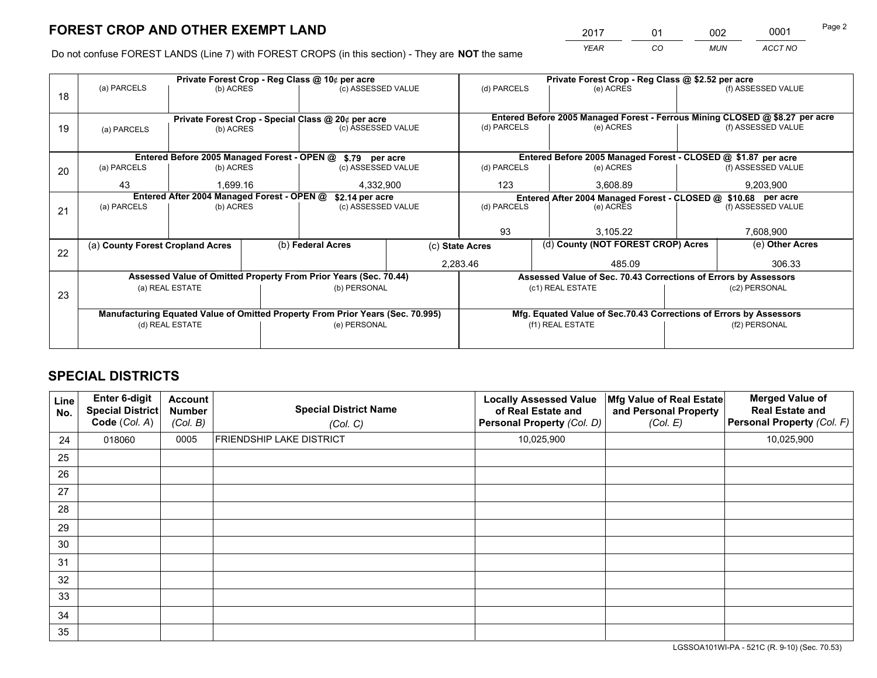*YEAR CO MUN ACCT NO* <sup>2017</sup> <sup>01</sup> <sup>002</sup> <sup>0001</sup>

Do not confuse FOREST LANDS (Line 7) with FOREST CROPS (in this section) - They are **NOT** the same

|    |                                                               |                 |  | Private Forest Crop - Reg Class @ 10¢ per acre                                 | Private Forest Crop - Reg Class @ \$2.52 per acre             |                                                                              |  |                    |  |
|----|---------------------------------------------------------------|-----------------|--|--------------------------------------------------------------------------------|---------------------------------------------------------------|------------------------------------------------------------------------------|--|--------------------|--|
| 18 | (a) PARCELS                                                   | (b) ACRES       |  | (c) ASSESSED VALUE                                                             | (d) PARCELS                                                   | (e) ACRES                                                                    |  | (f) ASSESSED VALUE |  |
|    |                                                               |                 |  |                                                                                |                                                               | Entered Before 2005 Managed Forest - Ferrous Mining CLOSED @ \$8.27 per acre |  |                    |  |
| 19 |                                                               | (b) ACRES       |  | Private Forest Crop - Special Class @ 20¢ per acre<br>(c) ASSESSED VALUE       | (d) PARCELS                                                   | (e) ACRES                                                                    |  | (f) ASSESSED VALUE |  |
|    | (a) PARCELS                                                   |                 |  |                                                                                |                                                               |                                                                              |  |                    |  |
|    |                                                               |                 |  |                                                                                |                                                               |                                                                              |  |                    |  |
|    |                                                               |                 |  | Entered Before 2005 Managed Forest - OPEN @ \$.79 per acre                     |                                                               | Entered Before 2005 Managed Forest - CLOSED @ \$1.87 per acre                |  |                    |  |
| 20 | (a) PARCELS                                                   | (b) ACRES       |  | (c) ASSESSED VALUE                                                             | (d) PARCELS                                                   | (e) ACRES                                                                    |  | (f) ASSESSED VALUE |  |
|    | 43                                                            | 1.699.16        |  | 4,332,900                                                                      | 123                                                           | 3.608.89                                                                     |  | 9,203,900          |  |
|    | Entered After 2004 Managed Forest - OPEN @<br>\$2.14 per acre |                 |  |                                                                                | Entered After 2004 Managed Forest - CLOSED @ \$10.68 per acre |                                                                              |  |                    |  |
| 21 | (a) PARCELS                                                   | (b) ACRES       |  | (c) ASSESSED VALUE                                                             | (d) PARCELS<br>(e) ACRES                                      |                                                                              |  | (f) ASSESSED VALUE |  |
|    |                                                               |                 |  |                                                                                |                                                               |                                                                              |  |                    |  |
|    |                                                               |                 |  |                                                                                | 93                                                            | 3.105.22                                                                     |  | 7,608,900          |  |
|    | (a) County Forest Cropland Acres                              |                 |  | (b) Federal Acres                                                              | (c) State Acres                                               | (d) County (NOT FOREST CROP) Acres                                           |  | (e) Other Acres    |  |
| 22 |                                                               |                 |  |                                                                                | 2,283.46                                                      | 485.09                                                                       |  | 306.33             |  |
|    |                                                               |                 |  |                                                                                |                                                               |                                                                              |  |                    |  |
|    |                                                               |                 |  | Assessed Value of Omitted Property From Prior Years (Sec. 70.44)               |                                                               | Assessed Value of Sec. 70.43 Corrections of Errors by Assessors              |  |                    |  |
| 23 |                                                               | (a) REAL ESTATE |  | (b) PERSONAL                                                                   | (c1) REAL ESTATE<br>(c2) PERSONAL                             |                                                                              |  |                    |  |
|    |                                                               |                 |  |                                                                                |                                                               |                                                                              |  |                    |  |
|    |                                                               |                 |  | Manufacturing Equated Value of Omitted Property From Prior Years (Sec. 70.995) |                                                               | Mfg. Equated Value of Sec.70.43 Corrections of Errors by Assessors           |  |                    |  |
|    |                                                               | (d) REAL ESTATE |  | (e) PERSONAL                                                                   |                                                               | (f1) REAL ESTATE                                                             |  | (f2) PERSONAL      |  |
|    |                                                               |                 |  |                                                                                |                                                               |                                                                              |  |                    |  |
|    |                                                               |                 |  |                                                                                |                                                               |                                                                              |  |                    |  |

## **SPECIAL DISTRICTS**

| Line<br>No. | <b>Enter 6-digit</b><br><b>Special District</b><br>Code (Col. A) | <b>Account</b><br><b>Number</b><br>(Col. B) | <b>Special District Name</b><br>(Col. C) | <b>Locally Assessed Value</b><br>of Real Estate and<br>Personal Property (Col. D) | Mfg Value of Real Estate<br>and Personal Property<br>(Col. E) | <b>Merged Value of</b><br><b>Real Estate and</b><br>Personal Property (Col. F) |
|-------------|------------------------------------------------------------------|---------------------------------------------|------------------------------------------|-----------------------------------------------------------------------------------|---------------------------------------------------------------|--------------------------------------------------------------------------------|
| 24          | 018060                                                           | 0005                                        | <b>FRIENDSHIP LAKE DISTRICT</b>          | 10,025,900                                                                        |                                                               | 10,025,900                                                                     |
| 25          |                                                                  |                                             |                                          |                                                                                   |                                                               |                                                                                |
| 26          |                                                                  |                                             |                                          |                                                                                   |                                                               |                                                                                |
| 27          |                                                                  |                                             |                                          |                                                                                   |                                                               |                                                                                |
| 28          |                                                                  |                                             |                                          |                                                                                   |                                                               |                                                                                |
| 29          |                                                                  |                                             |                                          |                                                                                   |                                                               |                                                                                |
| 30          |                                                                  |                                             |                                          |                                                                                   |                                                               |                                                                                |
| 31          |                                                                  |                                             |                                          |                                                                                   |                                                               |                                                                                |
| 32          |                                                                  |                                             |                                          |                                                                                   |                                                               |                                                                                |
| 33          |                                                                  |                                             |                                          |                                                                                   |                                                               |                                                                                |
| 34          |                                                                  |                                             |                                          |                                                                                   |                                                               |                                                                                |
| 35          |                                                                  |                                             |                                          |                                                                                   |                                                               |                                                                                |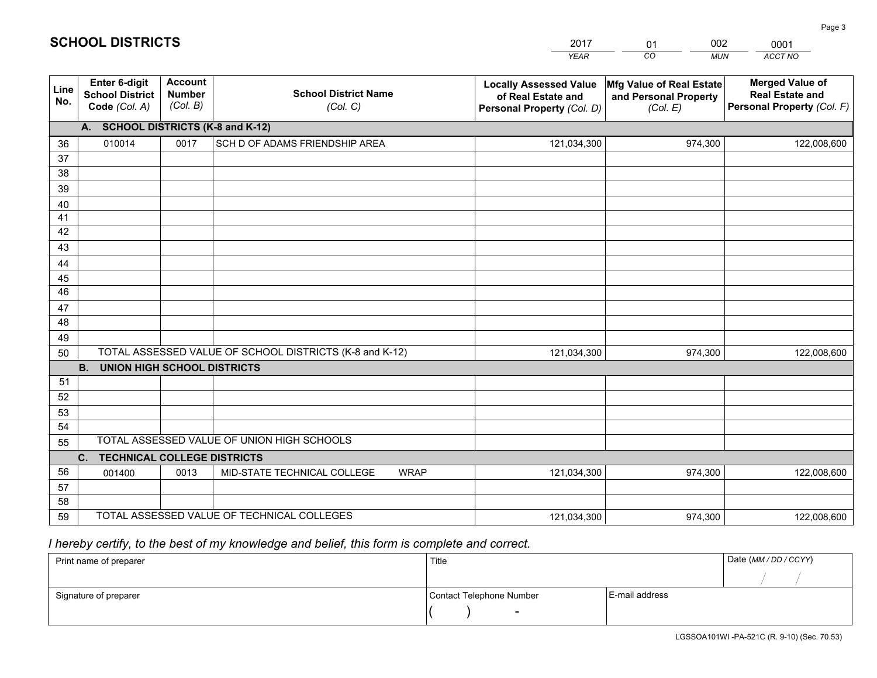|             |                                                                 |                                             |                                                         | <b>YEAR</b>                                                                       | CO<br><b>MUN</b>                                              | ACCT NO                                                                        |
|-------------|-----------------------------------------------------------------|---------------------------------------------|---------------------------------------------------------|-----------------------------------------------------------------------------------|---------------------------------------------------------------|--------------------------------------------------------------------------------|
| Line<br>No. | <b>Enter 6-digit</b><br><b>School District</b><br>Code (Col. A) | <b>Account</b><br><b>Number</b><br>(Col. B) | <b>School District Name</b><br>(Col. C)                 | <b>Locally Assessed Value</b><br>of Real Estate and<br>Personal Property (Col. D) | Mfg Value of Real Estate<br>and Personal Property<br>(Col. E) | <b>Merged Value of</b><br><b>Real Estate and</b><br>Personal Property (Col. F) |
|             | А.                                                              |                                             | <b>SCHOOL DISTRICTS (K-8 and K-12)</b>                  |                                                                                   |                                                               |                                                                                |
| 36          | 010014                                                          | 0017                                        | SCH D OF ADAMS FRIENDSHIP AREA                          | 121,034,300                                                                       | 974,300                                                       | 122,008,600                                                                    |
| 37          |                                                                 |                                             |                                                         |                                                                                   |                                                               |                                                                                |
| 38          |                                                                 |                                             |                                                         |                                                                                   |                                                               |                                                                                |
| 39          |                                                                 |                                             |                                                         |                                                                                   |                                                               |                                                                                |
| 40          |                                                                 |                                             |                                                         |                                                                                   |                                                               |                                                                                |
| 41<br>42    |                                                                 |                                             |                                                         |                                                                                   |                                                               |                                                                                |
| 43          |                                                                 |                                             |                                                         |                                                                                   |                                                               |                                                                                |
| 44          |                                                                 |                                             |                                                         |                                                                                   |                                                               |                                                                                |
| 45          |                                                                 |                                             |                                                         |                                                                                   |                                                               |                                                                                |
| 46          |                                                                 |                                             |                                                         |                                                                                   |                                                               |                                                                                |
| 47          |                                                                 |                                             |                                                         |                                                                                   |                                                               |                                                                                |
| 48          |                                                                 |                                             |                                                         |                                                                                   |                                                               |                                                                                |
| 49          |                                                                 |                                             |                                                         |                                                                                   |                                                               |                                                                                |
| 50          |                                                                 |                                             | TOTAL ASSESSED VALUE OF SCHOOL DISTRICTS (K-8 and K-12) | 121,034,300                                                                       | 974,300                                                       | 122,008,600                                                                    |
|             | <b>B.</b><br><b>UNION HIGH SCHOOL DISTRICTS</b>                 |                                             |                                                         |                                                                                   |                                                               |                                                                                |
| 51          |                                                                 |                                             |                                                         |                                                                                   |                                                               |                                                                                |
| 52          |                                                                 |                                             |                                                         |                                                                                   |                                                               |                                                                                |
| 53          |                                                                 |                                             |                                                         |                                                                                   |                                                               |                                                                                |
| 54          |                                                                 |                                             | TOTAL ASSESSED VALUE OF UNION HIGH SCHOOLS              |                                                                                   |                                                               |                                                                                |
| 55          | $C_{1}$<br><b>TECHNICAL COLLEGE DISTRICTS</b>                   |                                             |                                                         |                                                                                   |                                                               |                                                                                |
| 56          | 001400                                                          | 0013                                        | MID-STATE TECHNICAL COLLEGE<br><b>WRAP</b>              | 121,034,300                                                                       | 974,300                                                       | 122,008,600                                                                    |
| 57          |                                                                 |                                             |                                                         |                                                                                   |                                                               |                                                                                |
| 58          |                                                                 |                                             |                                                         |                                                                                   |                                                               |                                                                                |
| 59          |                                                                 |                                             | TOTAL ASSESSED VALUE OF TECHNICAL COLLEGES              | 121,034,300                                                                       | 974,300                                                       | 122,008,600                                                                    |

## *I hereby certify, to the best of my knowledge and belief, this form is complete and correct.*

**SCHOOL DISTRICTS**

| Print name of preparer | Title                    |                | Date (MM / DD / CCYY) |
|------------------------|--------------------------|----------------|-----------------------|
|                        |                          |                |                       |
| Signature of preparer  | Contact Telephone Number | E-mail address |                       |
|                        | $\sim$                   |                |                       |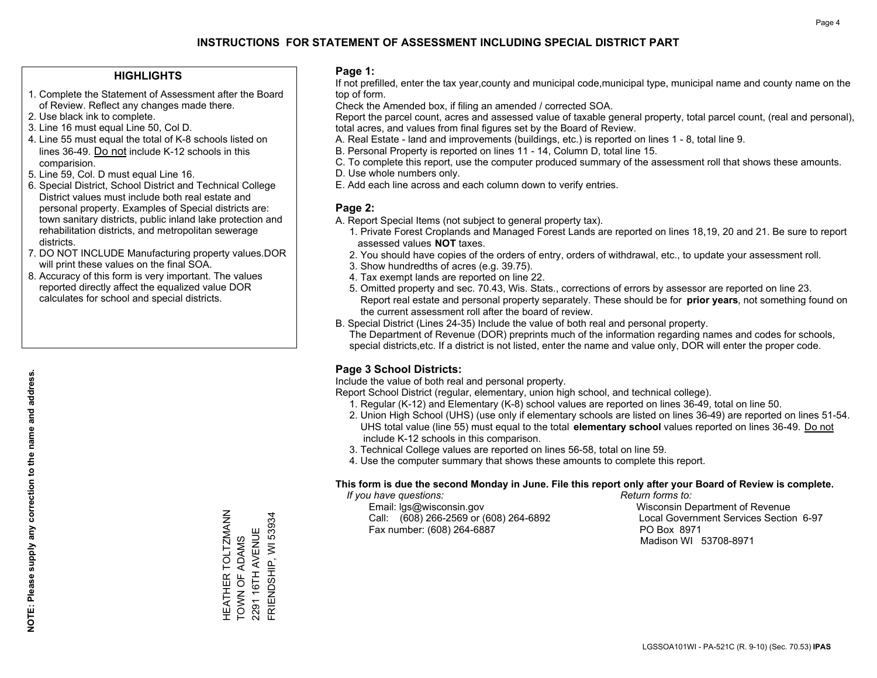#### **HIGHLIGHTS**

- 1. Complete the Statement of Assessment after the Board of Review. Reflect any changes made there.
- 2. Use black ink to complete.
- 3. Line 16 must equal Line 50, Col D.
- 4. Line 55 must equal the total of K-8 schools listed on lines 36-49. Do not include K-12 schools in this comparision.
- 5. Line 59, Col. D must equal Line 16.
- 6. Special District, School District and Technical College District values must include both real estate and personal property. Examples of Special districts are: town sanitary districts, public inland lake protection and rehabilitation districts, and metropolitan sewerage districts.
- 7. DO NOT INCLUDE Manufacturing property values.DOR will print these values on the final SOA.

HEATHER TOLTZMANN TOWN OF ADAMS 2291 16TH AVENUE FRIENDSHIP, WI 53934

HEATHER TOLTZMANN<br>TOWN OF ADAMS

FRIENDSHIP, WI 53934 2291 16TH AVENUE

 8. Accuracy of this form is very important. The values reported directly affect the equalized value DOR calculates for school and special districts.

#### **Page 1:**

 If not prefilled, enter the tax year,county and municipal code,municipal type, municipal name and county name on the top of form.

Check the Amended box, if filing an amended / corrected SOA.

 Report the parcel count, acres and assessed value of taxable general property, total parcel count, (real and personal), total acres, and values from final figures set by the Board of Review.

- A. Real Estate land and improvements (buildings, etc.) is reported on lines 1 8, total line 9.
- B. Personal Property is reported on lines 11 14, Column D, total line 15.
- C. To complete this report, use the computer produced summary of the assessment roll that shows these amounts.
- D. Use whole numbers only.
- E. Add each line across and each column down to verify entries.

#### **Page 2:**

- A. Report Special Items (not subject to general property tax).
- 1. Private Forest Croplands and Managed Forest Lands are reported on lines 18,19, 20 and 21. Be sure to report assessed values **NOT** taxes.
- 2. You should have copies of the orders of entry, orders of withdrawal, etc., to update your assessment roll.
	- 3. Show hundredths of acres (e.g. 39.75).
- 4. Tax exempt lands are reported on line 22.
- 5. Omitted property and sec. 70.43, Wis. Stats., corrections of errors by assessor are reported on line 23. Report real estate and personal property separately. These should be for **prior years**, not something found on the current assessment roll after the board of review.
- B. Special District (Lines 24-35) Include the value of both real and personal property.

 The Department of Revenue (DOR) preprints much of the information regarding names and codes for schools, special districts,etc. If a district is not listed, enter the name and value only, DOR will enter the proper code.

### **Page 3 School Districts:**

Include the value of both real and personal property.

Report School District (regular, elementary, union high school, and technical college).

- 1. Regular (K-12) and Elementary (K-8) school values are reported on lines 36-49, total on line 50.
- 2. Union High School (UHS) (use only if elementary schools are listed on lines 36-49) are reported on lines 51-54. UHS total value (line 55) must equal to the total **elementary school** values reported on lines 36-49. Do notinclude K-12 schools in this comparison.
- 3. Technical College values are reported on lines 56-58, total on line 59.
- 4. Use the computer summary that shows these amounts to complete this report.

#### **This form is due the second Monday in June. File this report only after your Board of Review is complete.**

 *If you have questions: Return forms to:*

 Email: lgs@wisconsin.gov Wisconsin Department of RevenueCall:  $(608)$  266-2569 or  $(608)$  264-6892 Fax number: (608) 264-6887 PO Box 8971

Local Government Services Section 6-97 Madison WI 53708-8971

LGSSOA101WI - PA-521C (R. 9-10) (Sec. 70.53) **IPAS**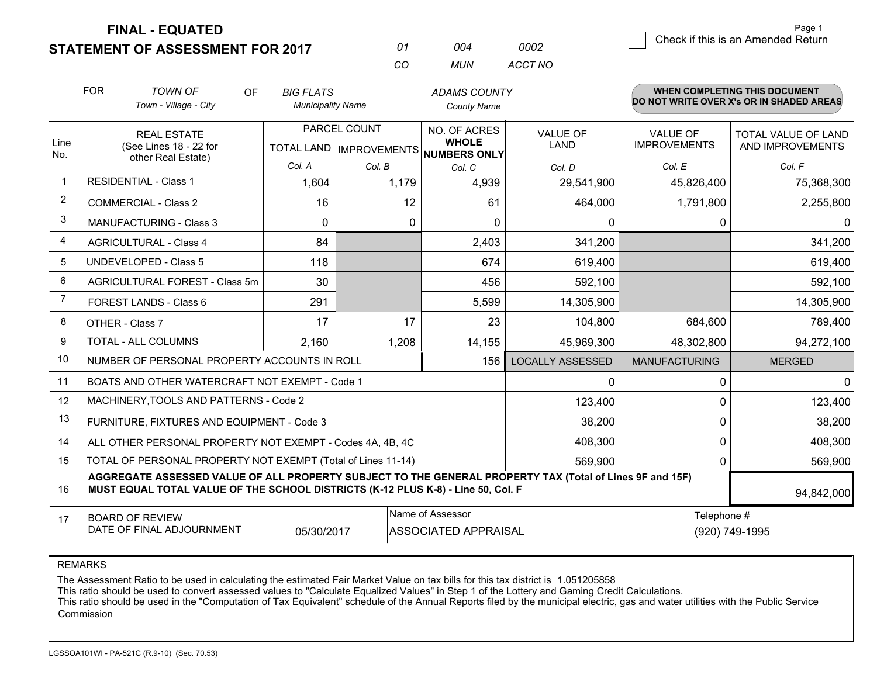## **STATEMENT OF ASSESSMENT FOR 2017**

| 01  | 004 | 0002    |
|-----|-----|---------|
| CO. | MUN | ACCT NO |

|                | <b>FOR</b>                                                                                                                                                                                   | <b>TOWN OF</b><br><b>OF</b>                    | <b>BIG FLATS</b>         |              | <b>ADAMS COUNTY</b>                                  |                         |                                          | <b>WHEN COMPLETING THIS DOCUMENT</b> |  |
|----------------|----------------------------------------------------------------------------------------------------------------------------------------------------------------------------------------------|------------------------------------------------|--------------------------|--------------|------------------------------------------------------|-------------------------|------------------------------------------|--------------------------------------|--|
|                | Town - Village - City                                                                                                                                                                        |                                                | <b>Municipality Name</b> |              | <b>County Name</b>                                   |                         | DO NOT WRITE OVER X's OR IN SHADED AREAS |                                      |  |
|                |                                                                                                                                                                                              | <b>REAL ESTATE</b>                             |                          | PARCEL COUNT | NO. OF ACRES                                         | <b>VALUE OF</b>         | <b>VALUE OF</b>                          | TOTAL VALUE OF LAND                  |  |
| Line<br>No.    |                                                                                                                                                                                              | (See Lines 18 - 22 for<br>other Real Estate)   |                          |              | <b>WHOLE</b><br>TOTAL LAND IMPROVEMENTS NUMBERS ONLY | LAND                    | <b>IMPROVEMENTS</b>                      | AND IMPROVEMENTS                     |  |
|                |                                                                                                                                                                                              |                                                | Col. A                   | Col. B       | Col. C                                               | Col. D                  | Col. E                                   | Col. F                               |  |
| $\mathbf{1}$   |                                                                                                                                                                                              | <b>RESIDENTIAL - Class 1</b>                   | 1,604                    | 1,179        | 4,939                                                | 29,541,900              | 45,826,400                               | 75,368,300                           |  |
| $\overline{2}$ |                                                                                                                                                                                              | <b>COMMERCIAL - Class 2</b>                    | 16                       | 12           | 61                                                   | 464,000                 | 1,791,800                                | 2,255,800                            |  |
| 3              |                                                                                                                                                                                              | <b>MANUFACTURING - Class 3</b>                 | $\Omega$                 | 0            | $\Omega$                                             | $\Omega$                | 0                                        | $\Omega$                             |  |
| 4              |                                                                                                                                                                                              | <b>AGRICULTURAL - Class 4</b>                  | 84                       |              | 2,403                                                | 341,200                 |                                          | 341,200                              |  |
| 5              |                                                                                                                                                                                              | <b>UNDEVELOPED - Class 5</b>                   | 118                      |              | 674                                                  | 619,400                 |                                          | 619,400                              |  |
| 6              | AGRICULTURAL FOREST - Class 5m                                                                                                                                                               |                                                | 30                       |              | 456                                                  | 592,100                 |                                          | 592,100                              |  |
| $\overline{7}$ | FOREST LANDS - Class 6                                                                                                                                                                       |                                                | 291                      |              | 5,599                                                | 14,305,900              |                                          | 14,305,900                           |  |
| 8              |                                                                                                                                                                                              | OTHER - Class 7                                | 17                       | 17           | 23                                                   | 104,800                 | 684,600                                  | 789,400                              |  |
| 9              |                                                                                                                                                                                              | TOTAL - ALL COLUMNS                            | 2,160                    | 1,208        | 14,155                                               | 45,969,300              | 48,302,800                               | 94,272,100                           |  |
| 10             |                                                                                                                                                                                              | NUMBER OF PERSONAL PROPERTY ACCOUNTS IN ROLL   |                          |              | 156                                                  | <b>LOCALLY ASSESSED</b> | <b>MANUFACTURING</b>                     | <b>MERGED</b>                        |  |
| 11             |                                                                                                                                                                                              | BOATS AND OTHER WATERCRAFT NOT EXEMPT - Code 1 |                          |              |                                                      | $\Omega$                | $\Omega$                                 | 0                                    |  |
| 12             |                                                                                                                                                                                              | MACHINERY, TOOLS AND PATTERNS - Code 2         |                          |              |                                                      | 123,400                 | 0                                        | 123,400                              |  |
| 13             |                                                                                                                                                                                              | FURNITURE, FIXTURES AND EQUIPMENT - Code 3     |                          |              |                                                      | 38,200                  | 0                                        | 38,200                               |  |
| 14             | 408,300<br>ALL OTHER PERSONAL PROPERTY NOT EXEMPT - Codes 4A, 4B, 4C                                                                                                                         |                                                |                          |              |                                                      | $\mathbf{0}$            | 408,300                                  |                                      |  |
| 15             | TOTAL OF PERSONAL PROPERTY NOT EXEMPT (Total of Lines 11-14)<br>569,900                                                                                                                      |                                                |                          |              |                                                      | $\mathbf{0}$            | 569,900                                  |                                      |  |
| 16             | AGGREGATE ASSESSED VALUE OF ALL PROPERTY SUBJECT TO THE GENERAL PROPERTY TAX (Total of Lines 9F and 15F)<br>MUST EQUAL TOTAL VALUE OF THE SCHOOL DISTRICTS (K-12 PLUS K-8) - Line 50, Col. F |                                                |                          |              |                                                      | 94,842,000              |                                          |                                      |  |
| 17             |                                                                                                                                                                                              | <b>BOARD OF REVIEW</b>                         |                          |              | Name of Assessor                                     |                         | Telephone #                              |                                      |  |
|                |                                                                                                                                                                                              | DATE OF FINAL ADJOURNMENT                      | 05/30/2017               |              | ASSOCIATED APPRAISAL                                 |                         |                                          | (920) 749-1995                       |  |

REMARKS

The Assessment Ratio to be used in calculating the estimated Fair Market Value on tax bills for this tax district is 1.051205858

This ratio should be used to convert assessed values to "Calculate Equalized Values" in Step 1 of the Lottery and Gaming Credit Calculations.

 This ratio should be used in the "Computation of Tax Equivalent" schedule of the Annual Reports filed by the municipal electric, gas and water utilities with the Public Service Commission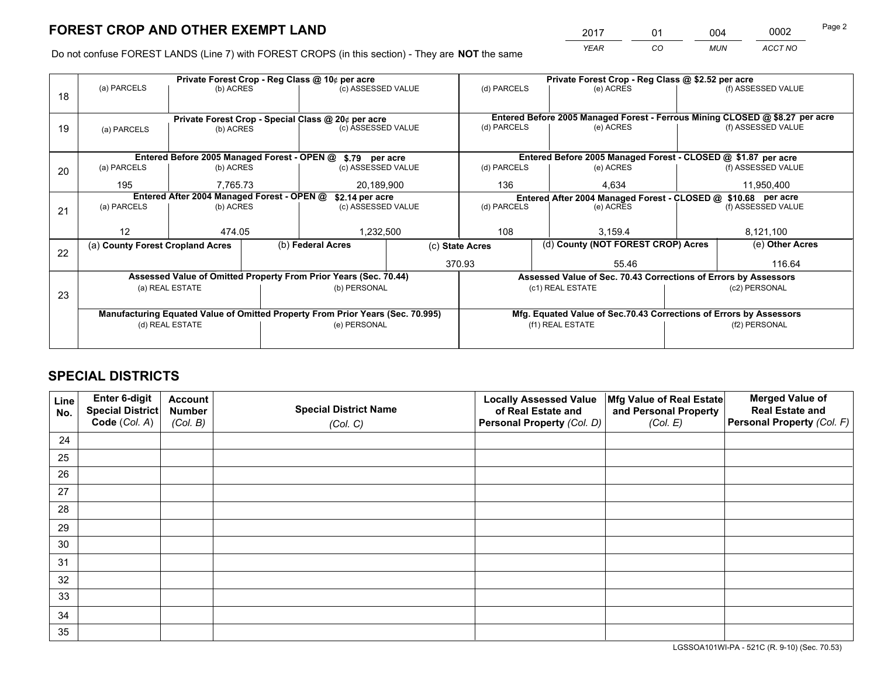*YEAR CO MUN ACCT NO* 2017 01 004 0002

Do not confuse FOREST LANDS (Line 7) with FOREST CROPS (in this section) - They are **NOT** the same

|    |                                                                                |                 |  | Private Forest Crop - Reg Class @ 10¢ per acre                   |                                                                              | Private Forest Crop - Reg Class @ \$2.52 per acre                                   |                  |                                                                    |                    |                    |
|----|--------------------------------------------------------------------------------|-----------------|--|------------------------------------------------------------------|------------------------------------------------------------------------------|-------------------------------------------------------------------------------------|------------------|--------------------------------------------------------------------|--------------------|--------------------|
| 18 | (a) PARCELS                                                                    | (b) ACRES       |  | (c) ASSESSED VALUE                                               |                                                                              | (d) PARCELS                                                                         |                  | (e) ACRES                                                          |                    | (f) ASSESSED VALUE |
|    |                                                                                |                 |  |                                                                  |                                                                              |                                                                                     |                  |                                                                    |                    |                    |
|    | Private Forest Crop - Special Class @ 20¢ per acre                             |                 |  |                                                                  | Entered Before 2005 Managed Forest - Ferrous Mining CLOSED @ \$8.27 per acre |                                                                                     |                  |                                                                    |                    |                    |
| 19 | (a) PARCELS                                                                    | (b) ACRES       |  | (c) ASSESSED VALUE                                               |                                                                              | (d) PARCELS                                                                         |                  | (e) ACRES                                                          |                    | (f) ASSESSED VALUE |
|    |                                                                                |                 |  |                                                                  |                                                                              |                                                                                     |                  |                                                                    |                    |                    |
|    |                                                                                |                 |  | Entered Before 2005 Managed Forest - OPEN @ \$.79 per acre       |                                                                              |                                                                                     |                  | Entered Before 2005 Managed Forest - CLOSED @ \$1.87 per acre      |                    |                    |
| 20 | (a) PARCELS                                                                    | (b) ACRES       |  | (c) ASSESSED VALUE                                               |                                                                              | (d) PARCELS                                                                         |                  | (e) ACRES                                                          |                    | (f) ASSESSED VALUE |
|    | 195<br>7,765.73                                                                |                 |  | 20,189,900                                                       |                                                                              | 136                                                                                 |                  | 4,634                                                              |                    | 11,950,400         |
|    | Entered After 2004 Managed Forest - OPEN @                                     |                 |  | \$2.14 per acre                                                  |                                                                              | Entered After 2004 Managed Forest - CLOSED @ \$10.68 per acre                       |                  |                                                                    |                    |                    |
| 21 | (a) PARCELS                                                                    | (b) ACRES       |  | (c) ASSESSED VALUE                                               |                                                                              | (d) PARCELS<br>(e) ACRES                                                            |                  |                                                                    | (f) ASSESSED VALUE |                    |
|    |                                                                                |                 |  |                                                                  |                                                                              |                                                                                     |                  |                                                                    |                    |                    |
|    | 12                                                                             | 474.05          |  | 1,232,500                                                        |                                                                              | 108                                                                                 |                  | 3.159.4                                                            |                    | 8,121,100          |
|    | (a) County Forest Cropland Acres                                               |                 |  | (b) Federal Acres                                                |                                                                              | (c) State Acres                                                                     |                  | (d) County (NOT FOREST CROP) Acres                                 |                    | (e) Other Acres    |
| 22 |                                                                                |                 |  |                                                                  |                                                                              | 370.93                                                                              |                  | 55.46                                                              |                    | 116.64             |
|    |                                                                                |                 |  | Assessed Value of Omitted Property From Prior Years (Sec. 70.44) |                                                                              |                                                                                     |                  |                                                                    |                    |                    |
|    |                                                                                |                 |  | (b) PERSONAL                                                     |                                                                              | Assessed Value of Sec. 70.43 Corrections of Errors by Assessors<br>(c1) REAL ESTATE |                  |                                                                    | (c2) PERSONAL      |                    |
| 23 | (a) REAL ESTATE                                                                |                 |  |                                                                  |                                                                              |                                                                                     |                  |                                                                    |                    |                    |
|    | Manufacturing Equated Value of Omitted Property From Prior Years (Sec. 70.995) |                 |  |                                                                  |                                                                              |                                                                                     |                  |                                                                    |                    |                    |
|    |                                                                                | (d) REAL ESTATE |  | (e) PERSONAL                                                     |                                                                              |                                                                                     | (f1) REAL ESTATE | Mfg. Equated Value of Sec.70.43 Corrections of Errors by Assessors |                    | (f2) PERSONAL      |
|    |                                                                                |                 |  |                                                                  |                                                                              |                                                                                     |                  |                                                                    |                    |                    |
|    |                                                                                |                 |  |                                                                  |                                                                              |                                                                                     |                  |                                                                    |                    |                    |

## **SPECIAL DISTRICTS**

| Line<br>No. | Enter 6-digit<br>Special District<br>Code (Col. A) | <b>Account</b><br><b>Number</b> | <b>Special District Name</b> | <b>Locally Assessed Value</b><br>of Real Estate and | Mfg Value of Real Estate<br>and Personal Property | <b>Merged Value of</b><br><b>Real Estate and</b><br>Personal Property (Col. F) |
|-------------|----------------------------------------------------|---------------------------------|------------------------------|-----------------------------------------------------|---------------------------------------------------|--------------------------------------------------------------------------------|
|             |                                                    | (Col. B)                        | (Col. C)                     | Personal Property (Col. D)                          | (Col. E)                                          |                                                                                |
| 24          |                                                    |                                 |                              |                                                     |                                                   |                                                                                |
| 25          |                                                    |                                 |                              |                                                     |                                                   |                                                                                |
| 26          |                                                    |                                 |                              |                                                     |                                                   |                                                                                |
| 27          |                                                    |                                 |                              |                                                     |                                                   |                                                                                |
| 28          |                                                    |                                 |                              |                                                     |                                                   |                                                                                |
| 29          |                                                    |                                 |                              |                                                     |                                                   |                                                                                |
| 30          |                                                    |                                 |                              |                                                     |                                                   |                                                                                |
| 31          |                                                    |                                 |                              |                                                     |                                                   |                                                                                |
| 32          |                                                    |                                 |                              |                                                     |                                                   |                                                                                |
| 33          |                                                    |                                 |                              |                                                     |                                                   |                                                                                |
| 34          |                                                    |                                 |                              |                                                     |                                                   |                                                                                |
| 35          |                                                    |                                 |                              |                                                     |                                                   |                                                                                |

LGSSOA101WI-PA - 521C (R. 9-10) (Sec. 70.53)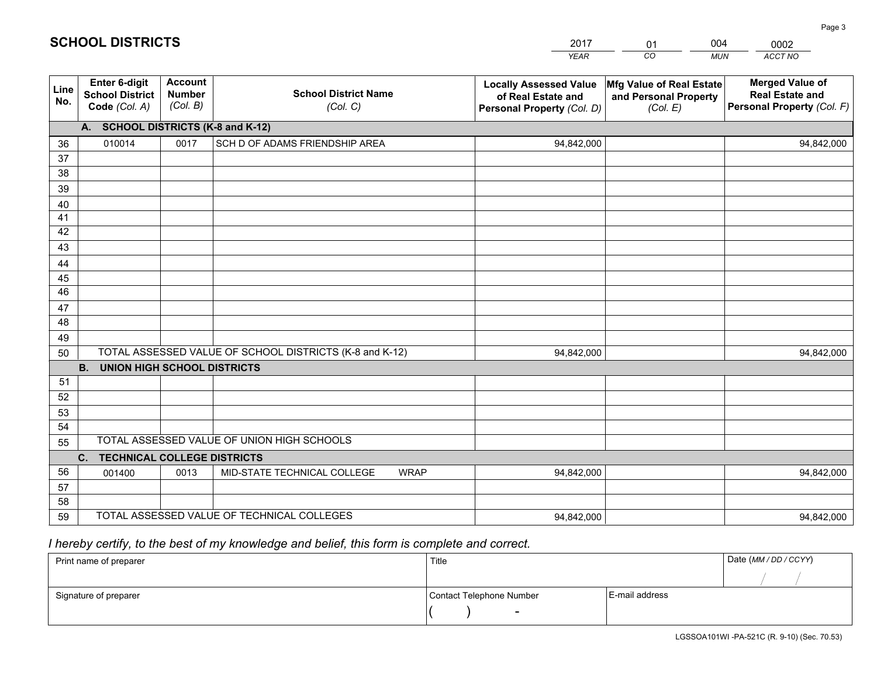| <b>Account</b><br>Enter 6-digit<br><b>Merged Value of</b><br><b>Mfg Value of Real Estate</b><br><b>Locally Assessed Value</b><br>Line<br><b>Number</b><br><b>School District Name</b><br><b>School District</b><br><b>Real Estate and</b><br>of Real Estate and<br>and Personal Property<br>No.<br>(Col. B)<br>Personal Property (Col. F)<br>Code (Col. A)<br>(Col. C)<br>(Col. E)<br>Personal Property (Col. D)<br><b>SCHOOL DISTRICTS (K-8 and K-12)</b><br>А.<br>010014<br>0017<br>SCH D OF ADAMS FRIENDSHIP AREA<br>36<br>94,842,000<br>94,842,000<br>37<br>38<br>39<br>40 |  |
|--------------------------------------------------------------------------------------------------------------------------------------------------------------------------------------------------------------------------------------------------------------------------------------------------------------------------------------------------------------------------------------------------------------------------------------------------------------------------------------------------------------------------------------------------------------------------------|--|
|                                                                                                                                                                                                                                                                                                                                                                                                                                                                                                                                                                                |  |
|                                                                                                                                                                                                                                                                                                                                                                                                                                                                                                                                                                                |  |
|                                                                                                                                                                                                                                                                                                                                                                                                                                                                                                                                                                                |  |
|                                                                                                                                                                                                                                                                                                                                                                                                                                                                                                                                                                                |  |
|                                                                                                                                                                                                                                                                                                                                                                                                                                                                                                                                                                                |  |
|                                                                                                                                                                                                                                                                                                                                                                                                                                                                                                                                                                                |  |
|                                                                                                                                                                                                                                                                                                                                                                                                                                                                                                                                                                                |  |
| 41<br>42                                                                                                                                                                                                                                                                                                                                                                                                                                                                                                                                                                       |  |
| 43                                                                                                                                                                                                                                                                                                                                                                                                                                                                                                                                                                             |  |
|                                                                                                                                                                                                                                                                                                                                                                                                                                                                                                                                                                                |  |
| 44<br>45                                                                                                                                                                                                                                                                                                                                                                                                                                                                                                                                                                       |  |
| 46                                                                                                                                                                                                                                                                                                                                                                                                                                                                                                                                                                             |  |
| 47                                                                                                                                                                                                                                                                                                                                                                                                                                                                                                                                                                             |  |
| 48                                                                                                                                                                                                                                                                                                                                                                                                                                                                                                                                                                             |  |
| 49                                                                                                                                                                                                                                                                                                                                                                                                                                                                                                                                                                             |  |
| TOTAL ASSESSED VALUE OF SCHOOL DISTRICTS (K-8 and K-12)<br>50<br>94,842,000<br>94,842,000                                                                                                                                                                                                                                                                                                                                                                                                                                                                                      |  |
| <b>B.</b><br><b>UNION HIGH SCHOOL DISTRICTS</b>                                                                                                                                                                                                                                                                                                                                                                                                                                                                                                                                |  |
| 51                                                                                                                                                                                                                                                                                                                                                                                                                                                                                                                                                                             |  |
| 52                                                                                                                                                                                                                                                                                                                                                                                                                                                                                                                                                                             |  |
| 53                                                                                                                                                                                                                                                                                                                                                                                                                                                                                                                                                                             |  |
| 54                                                                                                                                                                                                                                                                                                                                                                                                                                                                                                                                                                             |  |
| TOTAL ASSESSED VALUE OF UNION HIGH SCHOOLS<br>55                                                                                                                                                                                                                                                                                                                                                                                                                                                                                                                               |  |
| $C_{1}$<br><b>TECHNICAL COLLEGE DISTRICTS</b>                                                                                                                                                                                                                                                                                                                                                                                                                                                                                                                                  |  |
| 56<br>MID-STATE TECHNICAL COLLEGE<br><b>WRAP</b><br>001400<br>0013<br>94,842,000<br>94,842,000<br>57                                                                                                                                                                                                                                                                                                                                                                                                                                                                           |  |
| 58                                                                                                                                                                                                                                                                                                                                                                                                                                                                                                                                                                             |  |
| TOTAL ASSESSED VALUE OF TECHNICAL COLLEGES<br>59<br>94,842,000<br>94,842,000                                                                                                                                                                                                                                                                                                                                                                                                                                                                                                   |  |

01

004

 *I hereby certify, to the best of my knowledge and belief, this form is complete and correct.*

**SCHOOL DISTRICTS**

| Print name of preparer | Title                    |                | Date (MM / DD / CCYY) |
|------------------------|--------------------------|----------------|-----------------------|
|                        |                          |                |                       |
| Signature of preparer  | Contact Telephone Number | E-mail address |                       |
|                        |                          |                |                       |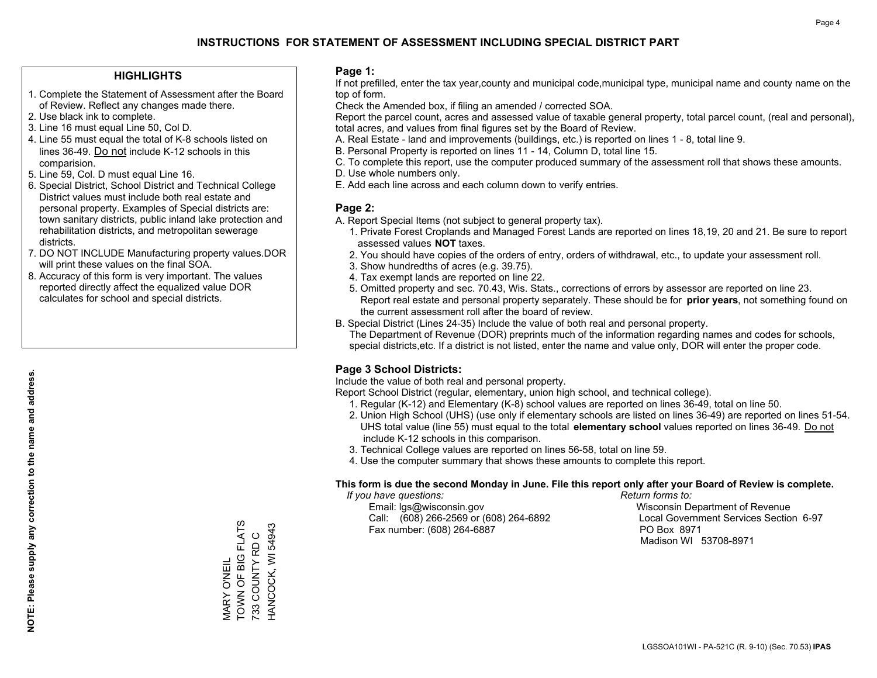#### **HIGHLIGHTS**

- 1. Complete the Statement of Assessment after the Board of Review. Reflect any changes made there.
- 2. Use black ink to complete.
- 3. Line 16 must equal Line 50, Col D.
- 4. Line 55 must equal the total of K-8 schools listed on lines 36-49. Do not include K-12 schools in this comparision.
- 5. Line 59, Col. D must equal Line 16.
- 6. Special District, School District and Technical College District values must include both real estate and personal property. Examples of Special districts are: town sanitary districts, public inland lake protection and rehabilitation districts, and metropolitan sewerage districts.
- 7. DO NOT INCLUDE Manufacturing property values.DOR will print these values on the final SOA.

MARY O'NEIL

TOWN OF BIG FLATS 733 COUNTY RD C HANCOCK, WI 54943

 $\circ$ 

733 COUNTY RD

HANCOCK, WI 54943

VIARY O'NEIL<br>TOWN OF BIG FLATS

 8. Accuracy of this form is very important. The values reported directly affect the equalized value DOR calculates for school and special districts.

#### **Page 1:**

 If not prefilled, enter the tax year,county and municipal code,municipal type, municipal name and county name on the top of form.

Check the Amended box, if filing an amended / corrected SOA.

 Report the parcel count, acres and assessed value of taxable general property, total parcel count, (real and personal), total acres, and values from final figures set by the Board of Review.

- A. Real Estate land and improvements (buildings, etc.) is reported on lines 1 8, total line 9.
- B. Personal Property is reported on lines 11 14, Column D, total line 15.
- C. To complete this report, use the computer produced summary of the assessment roll that shows these amounts.
- D. Use whole numbers only.
- E. Add each line across and each column down to verify entries.

#### **Page 2:**

- A. Report Special Items (not subject to general property tax).
- 1. Private Forest Croplands and Managed Forest Lands are reported on lines 18,19, 20 and 21. Be sure to report assessed values **NOT** taxes.
- 2. You should have copies of the orders of entry, orders of withdrawal, etc., to update your assessment roll.
	- 3. Show hundredths of acres (e.g. 39.75).
- 4. Tax exempt lands are reported on line 22.
- 5. Omitted property and sec. 70.43, Wis. Stats., corrections of errors by assessor are reported on line 23. Report real estate and personal property separately. These should be for **prior years**, not something found on the current assessment roll after the board of review.
- B. Special District (Lines 24-35) Include the value of both real and personal property.

 The Department of Revenue (DOR) preprints much of the information regarding names and codes for schools, special districts,etc. If a district is not listed, enter the name and value only, DOR will enter the proper code.

### **Page 3 School Districts:**

Include the value of both real and personal property.

Report School District (regular, elementary, union high school, and technical college).

- 1. Regular (K-12) and Elementary (K-8) school values are reported on lines 36-49, total on line 50.
- 2. Union High School (UHS) (use only if elementary schools are listed on lines 36-49) are reported on lines 51-54. UHS total value (line 55) must equal to the total **elementary school** values reported on lines 36-49. Do notinclude K-12 schools in this comparison.
- 3. Technical College values are reported on lines 56-58, total on line 59.
- 4. Use the computer summary that shows these amounts to complete this report.

#### **This form is due the second Monday in June. File this report only after your Board of Review is complete.**

 *If you have questions: Return forms to:*

 Email: lgs@wisconsin.gov Wisconsin Department of RevenueCall:  $(608)$  266-2569 or  $(608)$  264-6892 Fax number: (608) 264-6887 PO Box 8971

Local Government Services Section 6-97

Madison WI 53708-8971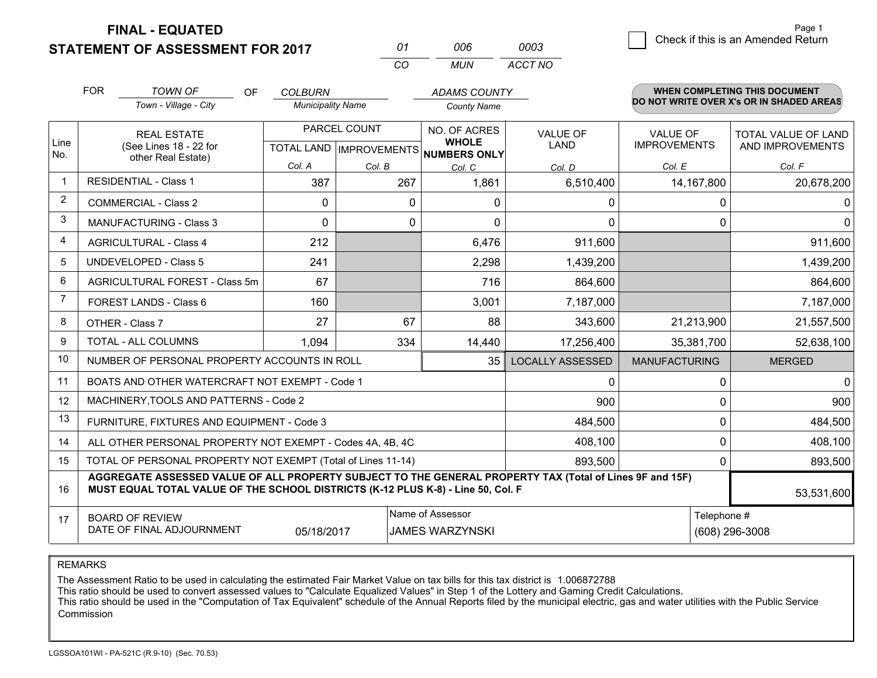**STATEMENT OF ASSESSMENT FOR 2017** 

| 01 | ററഞ | 0003    |
|----|-----|---------|
| CО | MUN | ACCT NO |

|                | <b>FOR</b>                                 | <b>TOWN OF</b><br><b>OF</b>                                                                                                                                                                  | <b>COLBURN</b>           |              | <b>ADAMS COUNTY</b>                                 |                         |                      | <b>WHEN COMPLETING THIS DOCUMENT</b><br>DO NOT WRITE OVER X's OR IN SHADED AREAS |
|----------------|--------------------------------------------|----------------------------------------------------------------------------------------------------------------------------------------------------------------------------------------------|--------------------------|--------------|-----------------------------------------------------|-------------------------|----------------------|----------------------------------------------------------------------------------|
|                |                                            | Town - Village - City                                                                                                                                                                        | <b>Municipality Name</b> |              | <b>County Name</b>                                  |                         |                      |                                                                                  |
|                | <b>REAL ESTATE</b>                         |                                                                                                                                                                                              |                          | PARCEL COUNT | NO. OF ACRES                                        | <b>VALUE OF</b>         | <b>VALUE OF</b>      | <b>TOTAL VALUE OF LAND</b>                                                       |
| Line<br>No.    |                                            | (See Lines 18 - 22 for<br>other Real Estate)                                                                                                                                                 |                          |              | <b>WHOLE</b><br>TOTAL LAND MPROVEMENTS NUMBERS ONLY | <b>LAND</b>             | <b>IMPROVEMENTS</b>  | AND IMPROVEMENTS                                                                 |
|                |                                            |                                                                                                                                                                                              | Col. A                   | Col. B       | Col. C                                              | Col. D                  | Col. E               | Col. F                                                                           |
| $\mathbf 1$    |                                            | <b>RESIDENTIAL - Class 1</b>                                                                                                                                                                 | 387                      | 267          | 1,861                                               | 6,510,400               | 14, 167, 800         | 20,678,200                                                                       |
| 2              |                                            | <b>COMMERCIAL - Class 2</b>                                                                                                                                                                  | $\Omega$                 | $\mathbf 0$  | 0                                                   | 0                       |                      | 0<br>0                                                                           |
| 3              |                                            | <b>MANUFACTURING - Class 3</b>                                                                                                                                                               | $\Omega$                 | 0            | $\Omega$                                            | 0                       |                      | 0<br>$\mathbf 0$                                                                 |
| 4              |                                            | <b>AGRICULTURAL - Class 4</b>                                                                                                                                                                | 212                      |              | 6,476                                               | 911,600                 |                      | 911,600                                                                          |
| 5              |                                            | UNDEVELOPED - Class 5                                                                                                                                                                        | 241                      |              | 2,298                                               | 1,439,200               |                      | 1,439,200                                                                        |
| 6              |                                            | AGRICULTURAL FOREST - Class 5m                                                                                                                                                               | 67                       |              | 716                                                 | 864,600                 |                      | 864,600                                                                          |
| $\overline{7}$ |                                            | FOREST LANDS - Class 6                                                                                                                                                                       | 160                      |              | 3,001                                               | 7,187,000               |                      | 7,187,000                                                                        |
| 8              |                                            | OTHER - Class 7                                                                                                                                                                              | 27                       | 67           | 88                                                  | 343,600                 | 21,213,900           | 21,557,500                                                                       |
| 9              |                                            | TOTAL - ALL COLUMNS                                                                                                                                                                          | 1,094                    | 334          | 14,440                                              | 17,256,400              | 35,381,700           | 52,638,100                                                                       |
| 10             |                                            | NUMBER OF PERSONAL PROPERTY ACCOUNTS IN ROLL                                                                                                                                                 |                          |              | 35                                                  | <b>LOCALLY ASSESSED</b> | <b>MANUFACTURING</b> | <b>MERGED</b>                                                                    |
| 11             |                                            | BOATS AND OTHER WATERCRAFT NOT EXEMPT - Code 1                                                                                                                                               |                          |              |                                                     | 0                       |                      | $\mathbf 0$<br>0                                                                 |
| 12             |                                            | MACHINERY, TOOLS AND PATTERNS - Code 2                                                                                                                                                       |                          |              |                                                     | 900                     |                      | 900<br>0                                                                         |
| 13             |                                            | FURNITURE, FIXTURES AND EQUIPMENT - Code 3                                                                                                                                                   |                          |              |                                                     | 484,500                 |                      | $\Omega$<br>484,500                                                              |
| 14             |                                            | ALL OTHER PERSONAL PROPERTY NOT EXEMPT - Codes 4A, 4B, 4C                                                                                                                                    |                          |              |                                                     | 408,100                 |                      | 0<br>408,100                                                                     |
| 15             |                                            | TOTAL OF PERSONAL PROPERTY NOT EXEMPT (Total of Lines 11-14)                                                                                                                                 |                          |              |                                                     | 893,500                 |                      | 0<br>893,500                                                                     |
| 16             |                                            | AGGREGATE ASSESSED VALUE OF ALL PROPERTY SUBJECT TO THE GENERAL PROPERTY TAX (Total of Lines 9F and 15F)<br>MUST EQUAL TOTAL VALUE OF THE SCHOOL DISTRICTS (K-12 PLUS K-8) - Line 50, Col. F |                          |              |                                                     |                         |                      | 53,531,600                                                                       |
| 17             | Name of Assessor<br><b>BOARD OF REVIEW</b> |                                                                                                                                                                                              |                          |              |                                                     |                         |                      | Telephone #                                                                      |
|                |                                            | DATE OF FINAL ADJOURNMENT                                                                                                                                                                    | 05/18/2017               |              | <b>JAMES WARZYNSKI</b>                              |                         |                      | (608) 296-3008                                                                   |

REMARKS

The Assessment Ratio to be used in calculating the estimated Fair Market Value on tax bills for this tax district is 1.006872788

This ratio should be used to convert assessed values to "Calculate Equalized Values" in Step 1 of the Lottery and Gaming Credit Calculations.<br>This ratio should be used in the "Computation of Tax Equivalent" schedule of the Commission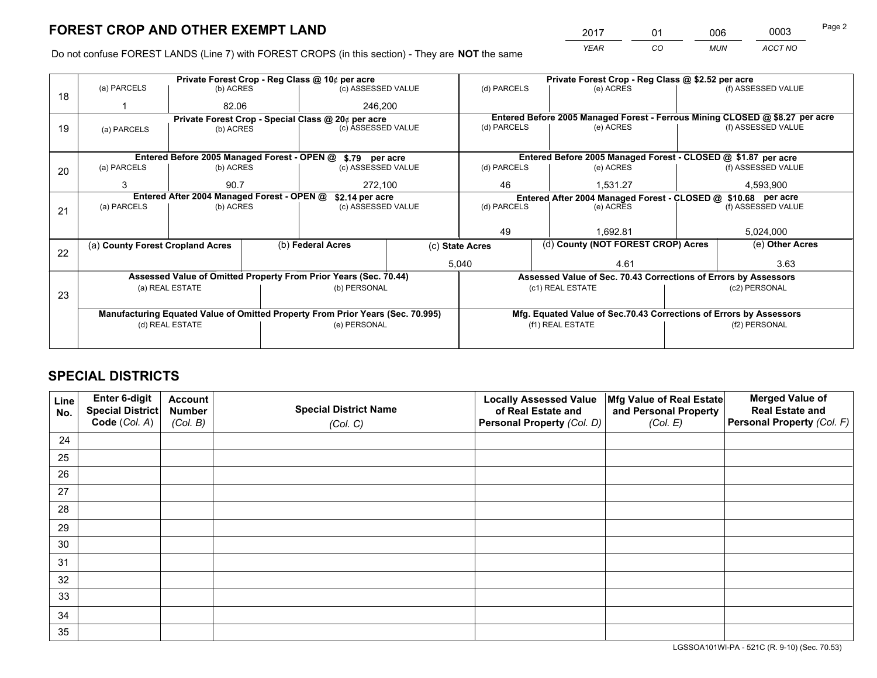*YEAR CO MUN ACCT NO* <sup>2017</sup> <sup>01</sup> <sup>006</sup> <sup>0003</sup>

Do not confuse FOREST LANDS (Line 7) with FOREST CROPS (in this section) - They are **NOT** the same

|    |                                                               |                 |  | Private Forest Crop - Reg Class @ 10¢ per acre                                 |       | Private Forest Crop - Reg Class @ \$2.52 per acre                  |                  |                    |                                                               |                                                                              |
|----|---------------------------------------------------------------|-----------------|--|--------------------------------------------------------------------------------|-------|--------------------------------------------------------------------|------------------|--------------------|---------------------------------------------------------------|------------------------------------------------------------------------------|
| 18 | (a) PARCELS                                                   | (b) ACRES       |  | (c) ASSESSED VALUE                                                             |       | (d) PARCELS                                                        |                  | (e) ACRES          |                                                               | (f) ASSESSED VALUE                                                           |
|    |                                                               | 82.06           |  | 246,200                                                                        |       |                                                                    |                  |                    |                                                               |                                                                              |
|    |                                                               |                 |  | Private Forest Crop - Special Class @ 20¢ per acre                             |       |                                                                    |                  |                    |                                                               | Entered Before 2005 Managed Forest - Ferrous Mining CLOSED @ \$8.27 per acre |
| 19 | (a) PARCELS                                                   | (b) ACRES       |  | (c) ASSESSED VALUE                                                             |       | (d) PARCELS                                                        |                  | (e) ACRES          |                                                               | (f) ASSESSED VALUE                                                           |
|    |                                                               |                 |  |                                                                                |       |                                                                    |                  |                    |                                                               |                                                                              |
|    |                                                               |                 |  | Entered Before 2005 Managed Forest - OPEN @ \$.79 per acre                     |       |                                                                    |                  |                    |                                                               | Entered Before 2005 Managed Forest - CLOSED @ \$1.87 per acre                |
| 20 | (a) PARCELS                                                   | (b) ACRES       |  | (c) ASSESSED VALUE                                                             |       | (d) PARCELS                                                        |                  | (e) ACRES          |                                                               | (f) ASSESSED VALUE                                                           |
|    | 3                                                             | 90.7            |  | 272,100                                                                        |       | 46                                                                 | 1,531.27         |                    | 4,593,900                                                     |                                                                              |
|    | Entered After 2004 Managed Forest - OPEN @<br>\$2.14 per acre |                 |  |                                                                                |       |                                                                    |                  |                    | Entered After 2004 Managed Forest - CLOSED @ \$10.68 per acre |                                                                              |
| 21 | (a) PARCELS                                                   | (b) ACRES       |  | (c) ASSESSED VALUE                                                             |       | (d) PARCELS<br>(e) ACRES                                           |                  | (f) ASSESSED VALUE |                                                               |                                                                              |
|    |                                                               |                 |  |                                                                                |       |                                                                    |                  |                    |                                                               |                                                                              |
|    |                                                               |                 |  |                                                                                |       | 49                                                                 |                  | 1.692.81           |                                                               | 5,024,000                                                                    |
|    | (a) County Forest Cropland Acres                              |                 |  | (b) Federal Acres                                                              |       | (d) County (NOT FOREST CROP) Acres<br>(c) State Acres              |                  |                    | (e) Other Acres                                               |                                                                              |
| 22 |                                                               |                 |  |                                                                                | 5,040 |                                                                    |                  | 4.61               |                                                               | 3.63                                                                         |
|    |                                                               |                 |  | Assessed Value of Omitted Property From Prior Years (Sec. 70.44)               |       |                                                                    |                  |                    |                                                               | Assessed Value of Sec. 70.43 Corrections of Errors by Assessors              |
|    |                                                               | (a) REAL ESTATE |  | (b) PERSONAL                                                                   |       |                                                                    | (c1) REAL ESTATE |                    |                                                               | (c2) PERSONAL                                                                |
| 23 |                                                               |                 |  |                                                                                |       |                                                                    |                  |                    |                                                               |                                                                              |
|    |                                                               |                 |  | Manufacturing Equated Value of Omitted Property From Prior Years (Sec. 70.995) |       | Mfg. Equated Value of Sec.70.43 Corrections of Errors by Assessors |                  |                    |                                                               |                                                                              |
|    |                                                               | (d) REAL ESTATE |  | (e) PERSONAL                                                                   |       |                                                                    | (f1) REAL ESTATE |                    |                                                               | (f2) PERSONAL                                                                |
|    |                                                               |                 |  |                                                                                |       |                                                                    |                  |                    |                                                               |                                                                              |

## **SPECIAL DISTRICTS**

| Line<br>No. | Enter 6-digit<br>Special District | <b>Account</b><br><b>Number</b> | <b>Special District Name</b> | <b>Locally Assessed Value</b><br>of Real Estate and | Mfg Value of Real Estate<br>and Personal Property | <b>Merged Value of</b><br><b>Real Estate and</b> |
|-------------|-----------------------------------|---------------------------------|------------------------------|-----------------------------------------------------|---------------------------------------------------|--------------------------------------------------|
|             | Code (Col. A)                     | (Col. B)                        | (Col. C)                     | Personal Property (Col. D)                          | (Col. E)                                          | Personal Property (Col. F)                       |
| 24          |                                   |                                 |                              |                                                     |                                                   |                                                  |
| 25          |                                   |                                 |                              |                                                     |                                                   |                                                  |
| 26          |                                   |                                 |                              |                                                     |                                                   |                                                  |
| 27          |                                   |                                 |                              |                                                     |                                                   |                                                  |
| 28          |                                   |                                 |                              |                                                     |                                                   |                                                  |
| 29          |                                   |                                 |                              |                                                     |                                                   |                                                  |
| 30          |                                   |                                 |                              |                                                     |                                                   |                                                  |
| 31          |                                   |                                 |                              |                                                     |                                                   |                                                  |
| 32          |                                   |                                 |                              |                                                     |                                                   |                                                  |
| 33          |                                   |                                 |                              |                                                     |                                                   |                                                  |
| 34          |                                   |                                 |                              |                                                     |                                                   |                                                  |
| 35          |                                   |                                 |                              |                                                     |                                                   |                                                  |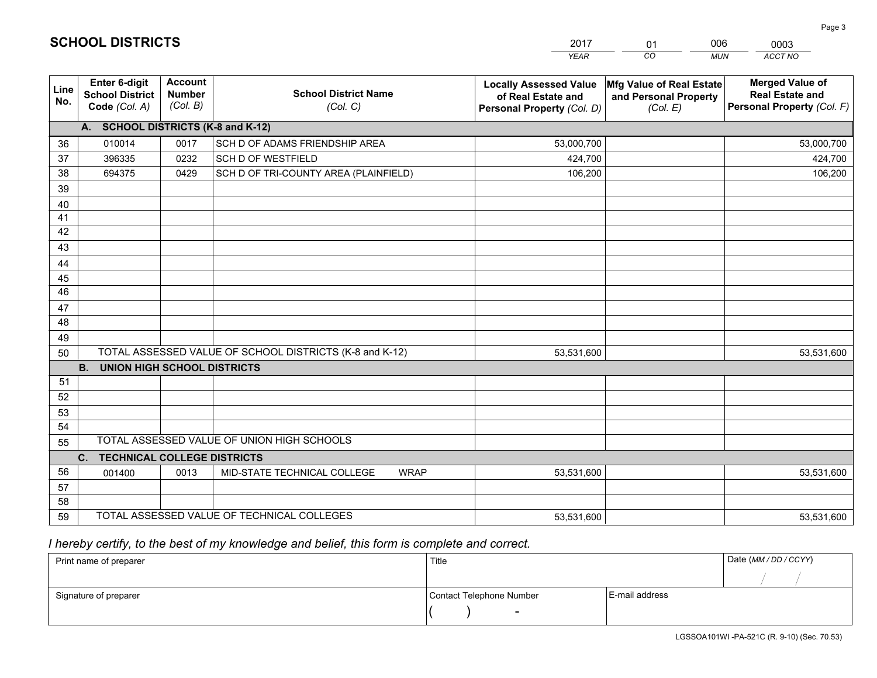|                 |                                                          |                                             |                                                         | YEAR                                                                              | CO.<br><b>MUN</b>                                             | ACCT NO                                                                        |
|-----------------|----------------------------------------------------------|---------------------------------------------|---------------------------------------------------------|-----------------------------------------------------------------------------------|---------------------------------------------------------------|--------------------------------------------------------------------------------|
| Line<br>No.     | Enter 6-digit<br><b>School District</b><br>Code (Col. A) | <b>Account</b><br><b>Number</b><br>(Col. B) | <b>School District Name</b><br>(Col. C)                 | <b>Locally Assessed Value</b><br>of Real Estate and<br>Personal Property (Col. D) | Mfg Value of Real Estate<br>and Personal Property<br>(Col. E) | <b>Merged Value of</b><br><b>Real Estate and</b><br>Personal Property (Col. F) |
|                 | A. SCHOOL DISTRICTS (K-8 and K-12)                       |                                             |                                                         |                                                                                   |                                                               |                                                                                |
| 36              | 010014                                                   | 0017                                        | SCH D OF ADAMS FRIENDSHIP AREA                          | 53,000,700                                                                        |                                                               | 53,000,700                                                                     |
| 37              | 396335                                                   | 0232                                        | <b>SCH D OF WESTFIELD</b>                               | 424,700                                                                           |                                                               | 424,700                                                                        |
| 38              | 694375                                                   | 0429                                        | SCH D OF TRI-COUNTY AREA (PLAINFIELD)                   | 106,200                                                                           |                                                               | 106,200                                                                        |
| 39              |                                                          |                                             |                                                         |                                                                                   |                                                               |                                                                                |
| 40              |                                                          |                                             |                                                         |                                                                                   |                                                               |                                                                                |
| 41              |                                                          |                                             |                                                         |                                                                                   |                                                               |                                                                                |
| 42              |                                                          |                                             |                                                         |                                                                                   |                                                               |                                                                                |
| 43              |                                                          |                                             |                                                         |                                                                                   |                                                               |                                                                                |
| 44              |                                                          |                                             |                                                         |                                                                                   |                                                               |                                                                                |
| 45              |                                                          |                                             |                                                         |                                                                                   |                                                               |                                                                                |
| $\overline{46}$ |                                                          |                                             |                                                         |                                                                                   |                                                               |                                                                                |
| 47<br>48        |                                                          |                                             |                                                         |                                                                                   |                                                               |                                                                                |
|                 |                                                          |                                             |                                                         |                                                                                   |                                                               |                                                                                |
| 49              |                                                          |                                             | TOTAL ASSESSED VALUE OF SCHOOL DISTRICTS (K-8 and K-12) |                                                                                   |                                                               |                                                                                |
| 50              | <b>B.</b><br><b>UNION HIGH SCHOOL DISTRICTS</b>          |                                             |                                                         | 53,531,600                                                                        |                                                               | 53,531,600                                                                     |
| 51              |                                                          |                                             |                                                         |                                                                                   |                                                               |                                                                                |
| 52              |                                                          |                                             |                                                         |                                                                                   |                                                               |                                                                                |
| 53              |                                                          |                                             |                                                         |                                                                                   |                                                               |                                                                                |
| 54              |                                                          |                                             |                                                         |                                                                                   |                                                               |                                                                                |
| 55              |                                                          |                                             | TOTAL ASSESSED VALUE OF UNION HIGH SCHOOLS              |                                                                                   |                                                               |                                                                                |
|                 | $C_{1}$<br><b>TECHNICAL COLLEGE DISTRICTS</b>            |                                             |                                                         |                                                                                   |                                                               |                                                                                |
| 56              | 001400                                                   | 0013                                        | MID-STATE TECHNICAL COLLEGE<br><b>WRAP</b>              | 53,531,600                                                                        |                                                               | 53,531,600                                                                     |
| 57              |                                                          |                                             |                                                         |                                                                                   |                                                               |                                                                                |
| 58              |                                                          |                                             |                                                         |                                                                                   |                                                               |                                                                                |
| 59              |                                                          |                                             | TOTAL ASSESSED VALUE OF TECHNICAL COLLEGES              | 53,531,600                                                                        |                                                               | 53,531,600                                                                     |

01

006

 *I hereby certify, to the best of my knowledge and belief, this form is complete and correct.*

**SCHOOL DISTRICTS**

| Print name of preparer | Title                    |                | Date (MM / DD / CCYY) |
|------------------------|--------------------------|----------------|-----------------------|
|                        |                          |                |                       |
| Signature of preparer  | Contact Telephone Number | E-mail address |                       |
|                        | $\sim$                   |                |                       |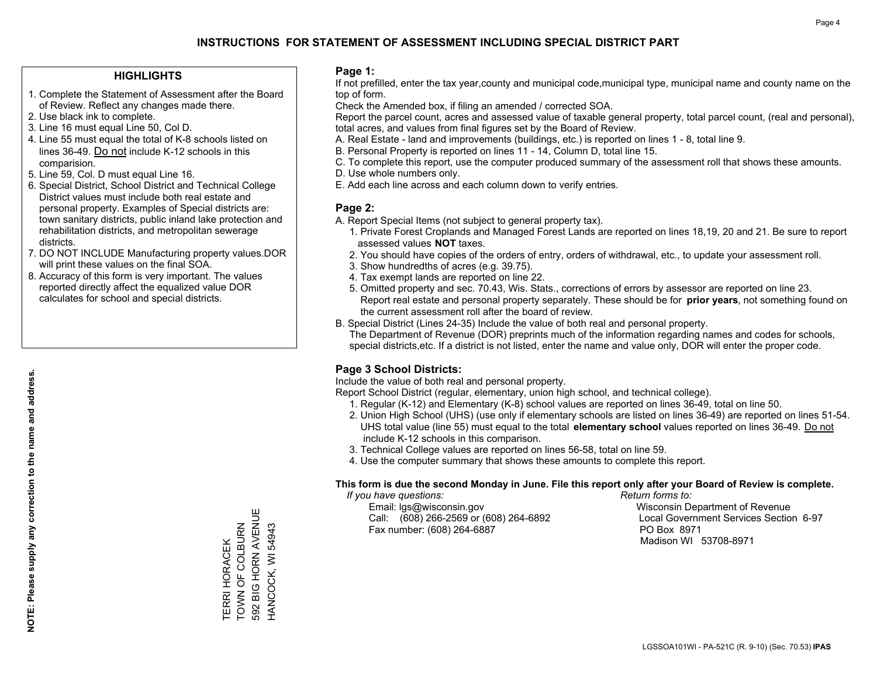#### **HIGHLIGHTS**

- 1. Complete the Statement of Assessment after the Board of Review. Reflect any changes made there.
- 2. Use black ink to complete.
- 3. Line 16 must equal Line 50, Col D.
- 4. Line 55 must equal the total of K-8 schools listed on lines 36-49. Do not include K-12 schools in this comparision.
- 5. Line 59, Col. D must equal Line 16.
- 6. Special District, School District and Technical College District values must include both real estate and personal property. Examples of Special districts are: town sanitary districts, public inland lake protection and rehabilitation districts, and metropolitan sewerage districts.
- 7. DO NOT INCLUDE Manufacturing property values.DOR will print these values on the final SOA.
- 8. Accuracy of this form is very important. The values reported directly affect the equalized value DOR calculates for school and special districts.

#### **Page 1:**

 If not prefilled, enter the tax year,county and municipal code,municipal type, municipal name and county name on the top of form.

Check the Amended box, if filing an amended / corrected SOA.

 Report the parcel count, acres and assessed value of taxable general property, total parcel count, (real and personal), total acres, and values from final figures set by the Board of Review.

- A. Real Estate land and improvements (buildings, etc.) is reported on lines 1 8, total line 9.
- B. Personal Property is reported on lines 11 14, Column D, total line 15.
- C. To complete this report, use the computer produced summary of the assessment roll that shows these amounts.
- D. Use whole numbers only.
- E. Add each line across and each column down to verify entries.

### **Page 2:**

- A. Report Special Items (not subject to general property tax).
- 1. Private Forest Croplands and Managed Forest Lands are reported on lines 18,19, 20 and 21. Be sure to report assessed values **NOT** taxes.
- 2. You should have copies of the orders of entry, orders of withdrawal, etc., to update your assessment roll.
	- 3. Show hundredths of acres (e.g. 39.75).
- 4. Tax exempt lands are reported on line 22.
- 5. Omitted property and sec. 70.43, Wis. Stats., corrections of errors by assessor are reported on line 23. Report real estate and personal property separately. These should be for **prior years**, not something found on the current assessment roll after the board of review.
- B. Special District (Lines 24-35) Include the value of both real and personal property.
- The Department of Revenue (DOR) preprints much of the information regarding names and codes for schools, special districts,etc. If a district is not listed, enter the name and value only, DOR will enter the proper code.

## **Page 3 School Districts:**

Include the value of both real and personal property.

Report School District (regular, elementary, union high school, and technical college).

- 1. Regular (K-12) and Elementary (K-8) school values are reported on lines 36-49, total on line 50.
- 2. Union High School (UHS) (use only if elementary schools are listed on lines 36-49) are reported on lines 51-54. UHS total value (line 55) must equal to the total **elementary school** values reported on lines 36-49. Do notinclude K-12 schools in this comparison.
- 3. Technical College values are reported on lines 56-58, total on line 59.
- 4. Use the computer summary that shows these amounts to complete this report.

#### **This form is due the second Monday in June. File this report only after your Board of Review is complete.**

 *If you have questions: Return forms to:*

 Email: lgs@wisconsin.gov Wisconsin Department of RevenueCall:  $(608)$  266-2569 or  $(608)$  264-6892 Fax number: (608) 264-6887 PO Box 8971

Local Government Services Section 6-97

Madison WI 53708-8971

592 BIG HORN AVENUE 592 BIG HORN AVENUE TERRI HORACEK<br>TOWN OF COLBURN TOWN OF COLBURN HANCOCK, WI 54943 HANCOCK, WI 54943 TERRI HORACEK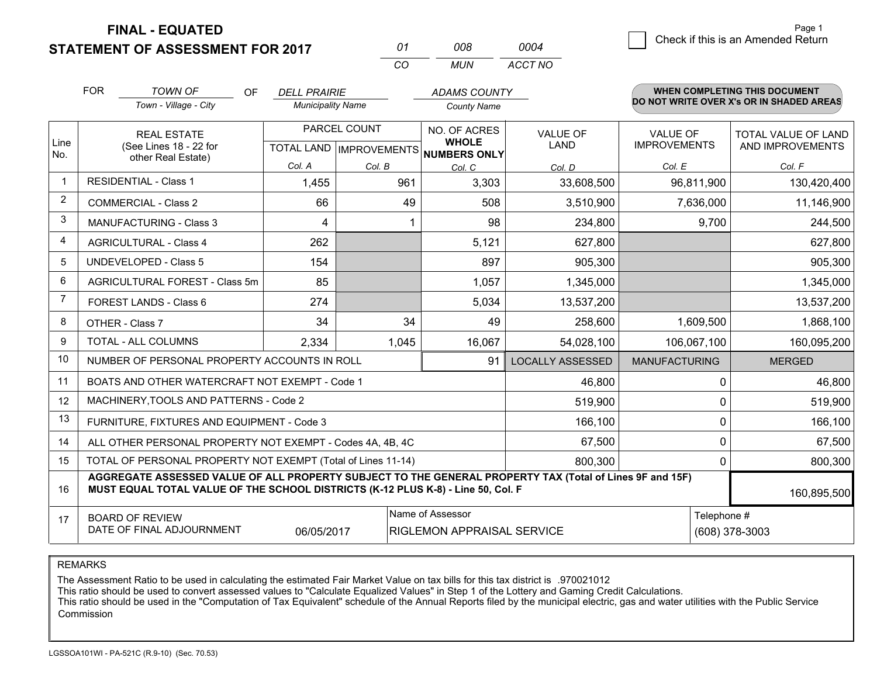**STATEMENT OF ASSESSMENT FOR 2017 FINAL - EQUATED**

|                | <b>FOR</b>                                                                                                                                                                                   | <b>TOWN OF</b><br>OF<br>Town - Village - City                | <b>DELL PRAIRIE</b><br><b>Municipality Name</b> |              | <b>ADAMS COUNTY</b><br><b>County Name</b>                           |                                |                                        |             | <b>WHEN COMPLETING THIS DOCUMENT</b><br>DO NOT WRITE OVER X's OR IN SHADED AREAS |
|----------------|----------------------------------------------------------------------------------------------------------------------------------------------------------------------------------------------|--------------------------------------------------------------|-------------------------------------------------|--------------|---------------------------------------------------------------------|--------------------------------|----------------------------------------|-------------|----------------------------------------------------------------------------------|
| Line           |                                                                                                                                                                                              | <b>REAL ESTATE</b><br>(See Lines 18 - 22 for                 |                                                 | PARCEL COUNT | NO. OF ACRES<br><b>WHOLE</b><br>TOTAL LAND MPROVEMENTS NUMBERS ONLY | <b>VALUE OF</b><br><b>LAND</b> | <b>VALUE OF</b><br><b>IMPROVEMENTS</b> |             | TOTAL VALUE OF LAND<br>AND IMPROVEMENTS                                          |
| No.            |                                                                                                                                                                                              | other Real Estate)                                           | Col. A                                          | Col. B       | Col. C                                                              | Col. D                         | Col. E                                 |             | Col. F                                                                           |
|                |                                                                                                                                                                                              | <b>RESIDENTIAL - Class 1</b>                                 | 1,455                                           | 961          | 3,303                                                               | 33,608,500                     | 96,811,900                             |             | 130,420,400                                                                      |
| $\overline{2}$ |                                                                                                                                                                                              | <b>COMMERCIAL - Class 2</b>                                  | 66                                              | 49           | 508                                                                 | 3,510,900                      |                                        | 7,636,000   | 11,146,900                                                                       |
| 3              |                                                                                                                                                                                              | <b>MANUFACTURING - Class 3</b>                               | 4                                               |              | 98                                                                  | 234,800                        |                                        | 9,700       | 244,500                                                                          |
| 4              |                                                                                                                                                                                              | <b>AGRICULTURAL - Class 4</b>                                | 262                                             |              | 5,121                                                               | 627,800                        |                                        |             | 627,800                                                                          |
| 5              |                                                                                                                                                                                              | <b>UNDEVELOPED - Class 5</b>                                 | 154                                             |              | 897                                                                 | 905,300                        |                                        |             | 905,300                                                                          |
| 6              |                                                                                                                                                                                              | AGRICULTURAL FOREST - Class 5m                               | 85                                              |              | 1,057                                                               | 1,345,000                      |                                        |             | 1,345,000                                                                        |
| $\overline{7}$ |                                                                                                                                                                                              | FOREST LANDS - Class 6                                       | 274                                             |              | 5,034                                                               | 13,537,200                     |                                        |             | 13,537,200                                                                       |
| 8              |                                                                                                                                                                                              | OTHER - Class 7                                              | 34                                              | 34           | 49                                                                  | 258,600                        |                                        | 1,609,500   | 1,868,100                                                                        |
| 9              |                                                                                                                                                                                              | <b>TOTAL - ALL COLUMNS</b>                                   | 2,334                                           | 1,045        | 16,067                                                              | 54,028,100                     | 106,067,100                            |             | 160,095,200                                                                      |
| 10             |                                                                                                                                                                                              | NUMBER OF PERSONAL PROPERTY ACCOUNTS IN ROLL                 |                                                 |              | 91                                                                  | <b>LOCALLY ASSESSED</b>        | <b>MANUFACTURING</b>                   |             | <b>MERGED</b>                                                                    |
| 11             |                                                                                                                                                                                              | BOATS AND OTHER WATERCRAFT NOT EXEMPT - Code 1               |                                                 |              |                                                                     | 46,800                         |                                        | 0           | 46,800                                                                           |
| 12             |                                                                                                                                                                                              | MACHINERY, TOOLS AND PATTERNS - Code 2                       |                                                 |              |                                                                     | 519,900                        |                                        | 0           | 519,900                                                                          |
| 13             |                                                                                                                                                                                              | FURNITURE, FIXTURES AND EQUIPMENT - Code 3                   |                                                 |              |                                                                     | 166,100                        |                                        | 0           | 166,100                                                                          |
| 14             |                                                                                                                                                                                              | ALL OTHER PERSONAL PROPERTY NOT EXEMPT - Codes 4A, 4B, 4C    |                                                 |              |                                                                     | 67,500                         | 0                                      |             | 67,500                                                                           |
| 15             |                                                                                                                                                                                              | TOTAL OF PERSONAL PROPERTY NOT EXEMPT (Total of Lines 11-14) |                                                 | 800,300      | $\mathbf 0$                                                         |                                | 800,300                                |             |                                                                                  |
| 16             | AGGREGATE ASSESSED VALUE OF ALL PROPERTY SUBJECT TO THE GENERAL PROPERTY TAX (Total of Lines 9F and 15F)<br>MUST EQUAL TOTAL VALUE OF THE SCHOOL DISTRICTS (K-12 PLUS K-8) - Line 50, Col. F |                                                              |                                                 |              |                                                                     |                                |                                        |             | 160,895,500                                                                      |
| 17             | <b>BOARD OF REVIEW</b><br>DATE OF FINAL ADJOURNMENT<br>06/05/2017                                                                                                                            |                                                              |                                                 |              | Name of Assessor<br><b>RIGLEMON APPRAISAL SERVICE</b>               |                                |                                        | Telephone # | (608) 378-3003                                                                   |

*MUN*

*ACCT NO0004*

*<sup>01</sup> <sup>008</sup>*

*CO*

REMARKS

The Assessment Ratio to be used in calculating the estimated Fair Market Value on tax bills for this tax district is .970021012<br>This ratio should be used to convert assessed values to "Calculate Equalized Values" in Step 1 Commission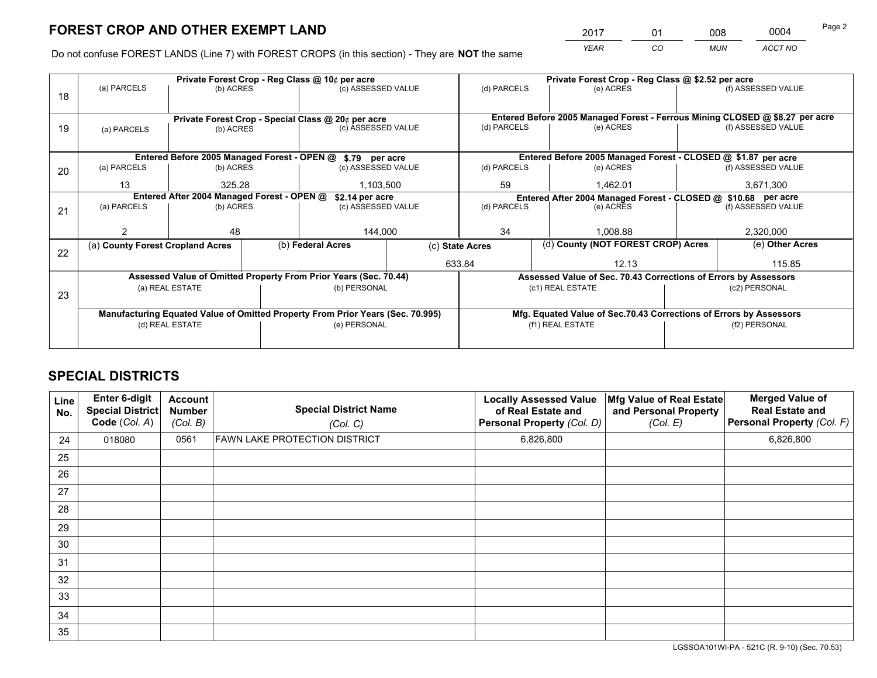*YEAR CO MUN ACCT NO* <sup>2017</sup> <sup>01</sup> <sup>008</sup> <sup>0004</sup>

Do not confuse FOREST LANDS (Line 7) with FOREST CROPS (in this section) - They are **NOT** the same

|    |                                                               |                                                    |  | Private Forest Crop - Reg Class @ 10¢ per acre                                 |                 | Private Forest Crop - Reg Class @ \$2.52 per acre             |                                                                                                    |  |                    |  |
|----|---------------------------------------------------------------|----------------------------------------------------|--|--------------------------------------------------------------------------------|-----------------|---------------------------------------------------------------|----------------------------------------------------------------------------------------------------|--|--------------------|--|
| 18 | (a) PARCELS                                                   | (b) ACRES                                          |  | (c) ASSESSED VALUE                                                             |                 | (d) PARCELS                                                   | (e) ACRES                                                                                          |  | (f) ASSESSED VALUE |  |
|    |                                                               |                                                    |  |                                                                                |                 |                                                               |                                                                                                    |  |                    |  |
|    |                                                               | Private Forest Crop - Special Class @ 20¢ per acre |  |                                                                                |                 |                                                               | Entered Before 2005 Managed Forest - Ferrous Mining CLOSED @ \$8.27 per acre<br>(f) ASSESSED VALUE |  |                    |  |
| 19 | (a) PARCELS                                                   | (b) ACRES                                          |  | (c) ASSESSED VALUE                                                             |                 | (d) PARCELS                                                   | (e) ACRES                                                                                          |  |                    |  |
|    |                                                               |                                                    |  |                                                                                |                 |                                                               |                                                                                                    |  |                    |  |
|    |                                                               |                                                    |  | Entered Before 2005 Managed Forest - OPEN @ \$.79 per acre                     |                 |                                                               | Entered Before 2005 Managed Forest - CLOSED @ \$1.87 per acre                                      |  |                    |  |
| 20 | (a) PARCELS                                                   | (b) ACRES                                          |  | (c) ASSESSED VALUE                                                             |                 | (d) PARCELS                                                   | (e) ACRES                                                                                          |  | (f) ASSESSED VALUE |  |
|    | 13                                                            | 325.28                                             |  | 1,103,500                                                                      |                 | 59                                                            | 1.462.01                                                                                           |  | 3,671,300          |  |
|    | Entered After 2004 Managed Forest - OPEN @<br>\$2.14 per acre |                                                    |  |                                                                                |                 | Entered After 2004 Managed Forest - CLOSED @ \$10.68 per acre |                                                                                                    |  |                    |  |
| 21 | (a) PARCELS                                                   | (b) ACRES                                          |  | (c) ASSESSED VALUE                                                             |                 | (d) PARCELS<br>(e) ACRES                                      |                                                                                                    |  | (f) ASSESSED VALUE |  |
|    |                                                               |                                                    |  |                                                                                |                 |                                                               |                                                                                                    |  |                    |  |
|    |                                                               | 48                                                 |  | 144,000                                                                        |                 | 34<br>1.008.88                                                |                                                                                                    |  | 2,320,000          |  |
| 22 | (a) County Forest Cropland Acres                              |                                                    |  | (b) Federal Acres                                                              | (c) State Acres |                                                               | (d) County (NOT FOREST CROP) Acres                                                                 |  | (e) Other Acres    |  |
|    |                                                               |                                                    |  |                                                                                | 633.84          |                                                               | 12.13                                                                                              |  | 115.85             |  |
|    |                                                               |                                                    |  | Assessed Value of Omitted Property From Prior Years (Sec. 70.44)               |                 |                                                               | Assessed Value of Sec. 70.43 Corrections of Errors by Assessors                                    |  |                    |  |
| 23 | (a) REAL ESTATE                                               |                                                    |  | (b) PERSONAL                                                                   |                 |                                                               | (c1) REAL ESTATE                                                                                   |  | (c2) PERSONAL      |  |
|    |                                                               |                                                    |  |                                                                                |                 |                                                               |                                                                                                    |  |                    |  |
|    |                                                               |                                                    |  | Manufacturing Equated Value of Omitted Property From Prior Years (Sec. 70.995) |                 |                                                               | Mfg. Equated Value of Sec.70.43 Corrections of Errors by Assessors                                 |  |                    |  |
|    | (d) REAL ESTATE                                               |                                                    |  | (e) PERSONAL                                                                   |                 |                                                               | (f1) REAL ESTATE                                                                                   |  | (f2) PERSONAL      |  |
|    |                                                               |                                                    |  |                                                                                |                 |                                                               |                                                                                                    |  |                    |  |

## **SPECIAL DISTRICTS**

| Line<br>No. | <b>Enter 6-digit</b><br><b>Special District</b><br>Code (Col. A) | <b>Account</b><br><b>Number</b><br>(Col. B) | <b>Special District Name</b><br>(Col. C) | <b>Locally Assessed Value</b><br>of Real Estate and<br>Personal Property (Col. D) | Mfg Value of Real Estate<br>and Personal Property<br>(Col. E) | <b>Merged Value of</b><br><b>Real Estate and</b><br>Personal Property (Col. F) |
|-------------|------------------------------------------------------------------|---------------------------------------------|------------------------------------------|-----------------------------------------------------------------------------------|---------------------------------------------------------------|--------------------------------------------------------------------------------|
| 24          | 018080                                                           | 0561                                        | <b>FAWN LAKE PROTECTION DISTRICT</b>     | 6,826,800                                                                         |                                                               | 6,826,800                                                                      |
| 25          |                                                                  |                                             |                                          |                                                                                   |                                                               |                                                                                |
| 26          |                                                                  |                                             |                                          |                                                                                   |                                                               |                                                                                |
| 27          |                                                                  |                                             |                                          |                                                                                   |                                                               |                                                                                |
| 28          |                                                                  |                                             |                                          |                                                                                   |                                                               |                                                                                |
| 29          |                                                                  |                                             |                                          |                                                                                   |                                                               |                                                                                |
| 30          |                                                                  |                                             |                                          |                                                                                   |                                                               |                                                                                |
| 31          |                                                                  |                                             |                                          |                                                                                   |                                                               |                                                                                |
| 32          |                                                                  |                                             |                                          |                                                                                   |                                                               |                                                                                |
| 33          |                                                                  |                                             |                                          |                                                                                   |                                                               |                                                                                |
| 34          |                                                                  |                                             |                                          |                                                                                   |                                                               |                                                                                |
| 35          |                                                                  |                                             |                                          |                                                                                   |                                                               |                                                                                |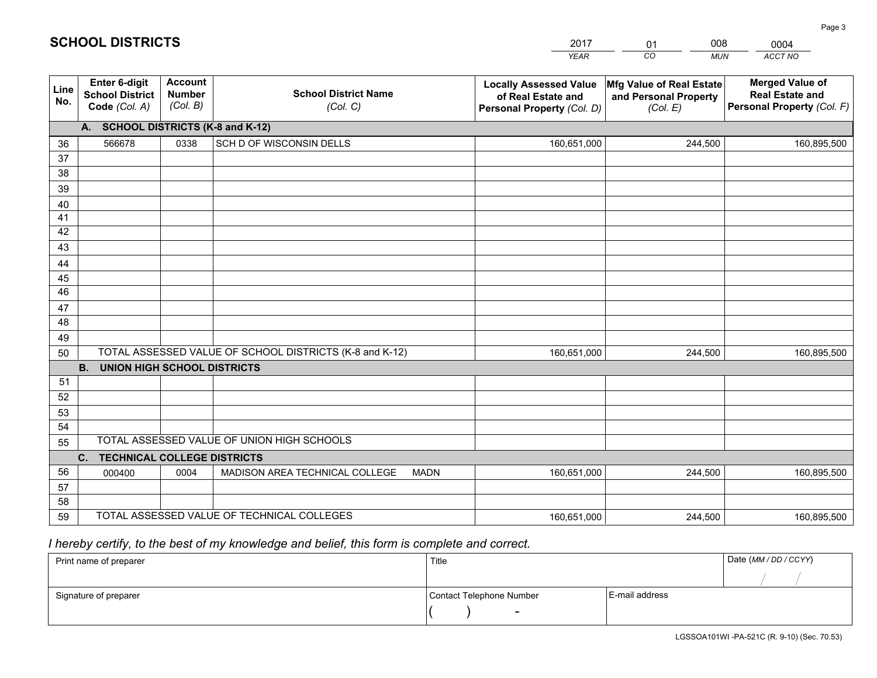|             |                                                          |                                             |                                                         | <b>YEAR</b>                                                                       | CO<br><b>MUN</b>                                              | ACCT NO                                                                        |
|-------------|----------------------------------------------------------|---------------------------------------------|---------------------------------------------------------|-----------------------------------------------------------------------------------|---------------------------------------------------------------|--------------------------------------------------------------------------------|
| Line<br>No. | Enter 6-digit<br><b>School District</b><br>Code (Col. A) | <b>Account</b><br><b>Number</b><br>(Col. B) | <b>School District Name</b><br>(Col. C)                 | <b>Locally Assessed Value</b><br>of Real Estate and<br>Personal Property (Col. D) | Mfg Value of Real Estate<br>and Personal Property<br>(Col. E) | <b>Merged Value of</b><br><b>Real Estate and</b><br>Personal Property (Col. F) |
|             | A. SCHOOL DISTRICTS (K-8 and K-12)                       |                                             |                                                         |                                                                                   |                                                               |                                                                                |
| 36          | 566678                                                   | 0338                                        | SCH D OF WISCONSIN DELLS                                | 160,651,000                                                                       | 244,500                                                       | 160,895,500                                                                    |
| 37          |                                                          |                                             |                                                         |                                                                                   |                                                               |                                                                                |
| 38          |                                                          |                                             |                                                         |                                                                                   |                                                               |                                                                                |
| 39          |                                                          |                                             |                                                         |                                                                                   |                                                               |                                                                                |
| 40          |                                                          |                                             |                                                         |                                                                                   |                                                               |                                                                                |
| 41<br>42    |                                                          |                                             |                                                         |                                                                                   |                                                               |                                                                                |
| 43          |                                                          |                                             |                                                         |                                                                                   |                                                               |                                                                                |
| 44          |                                                          |                                             |                                                         |                                                                                   |                                                               |                                                                                |
| 45          |                                                          |                                             |                                                         |                                                                                   |                                                               |                                                                                |
| 46          |                                                          |                                             |                                                         |                                                                                   |                                                               |                                                                                |
| 47          |                                                          |                                             |                                                         |                                                                                   |                                                               |                                                                                |
| 48          |                                                          |                                             |                                                         |                                                                                   |                                                               |                                                                                |
| 49          |                                                          |                                             |                                                         |                                                                                   |                                                               |                                                                                |
| 50          |                                                          |                                             | TOTAL ASSESSED VALUE OF SCHOOL DISTRICTS (K-8 and K-12) | 160,651,000                                                                       | 244,500                                                       | 160,895,500                                                                    |
|             | <b>B.</b><br><b>UNION HIGH SCHOOL DISTRICTS</b>          |                                             |                                                         |                                                                                   |                                                               |                                                                                |
| 51          |                                                          |                                             |                                                         |                                                                                   |                                                               |                                                                                |
| 52          |                                                          |                                             |                                                         |                                                                                   |                                                               |                                                                                |
| 53          |                                                          |                                             |                                                         |                                                                                   |                                                               |                                                                                |
| 54          |                                                          |                                             | TOTAL ASSESSED VALUE OF UNION HIGH SCHOOLS              |                                                                                   |                                                               |                                                                                |
| 55          |                                                          |                                             |                                                         |                                                                                   |                                                               |                                                                                |
| 56          | C.<br><b>TECHNICAL COLLEGE DISTRICTS</b>                 |                                             | <b>MADN</b>                                             |                                                                                   |                                                               |                                                                                |
| 57          | 000400                                                   | 0004                                        | MADISON AREA TECHNICAL COLLEGE                          | 160,651,000                                                                       | 244,500                                                       | 160,895,500                                                                    |
| 58          |                                                          |                                             |                                                         |                                                                                   |                                                               |                                                                                |
| 59          |                                                          |                                             | TOTAL ASSESSED VALUE OF TECHNICAL COLLEGES              | 160,651,000                                                                       | 244,500                                                       | 160,895,500                                                                    |

01

008

 *I hereby certify, to the best of my knowledge and belief, this form is complete and correct.*

**SCHOOL DISTRICTS**

| Print name of preparer | Title                    |                | Date (MM / DD / CCYY) |
|------------------------|--------------------------|----------------|-----------------------|
|                        |                          |                |                       |
| Signature of preparer  | Contact Telephone Number | E-mail address |                       |
|                        | $\sim$                   |                |                       |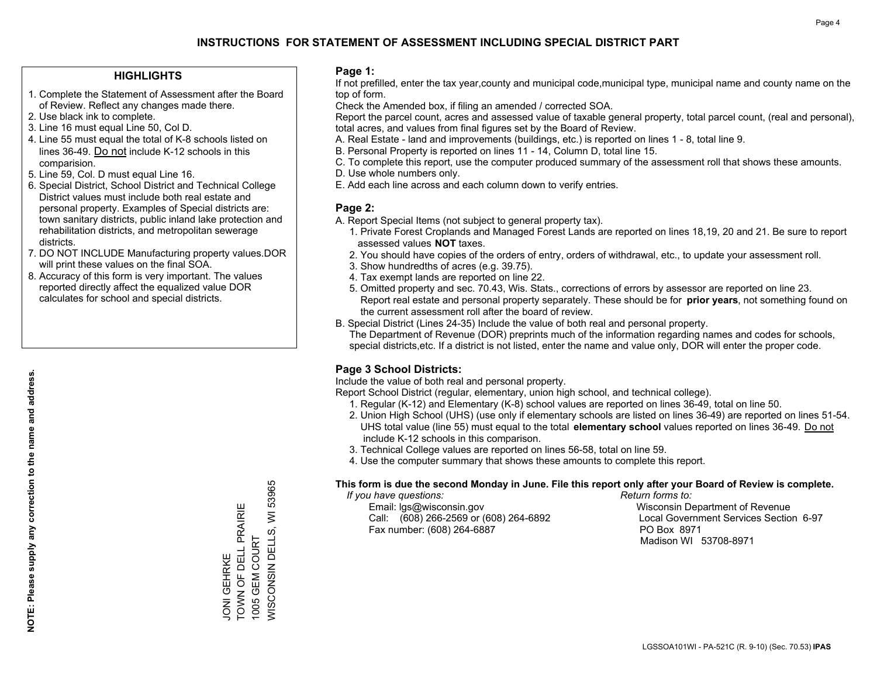#### **HIGHLIGHTS**

- 1. Complete the Statement of Assessment after the Board of Review. Reflect any changes made there.
- 2. Use black ink to complete.
- 3. Line 16 must equal Line 50, Col D.
- 4. Line 55 must equal the total of K-8 schools listed on lines 36-49. Do not include K-12 schools in this comparision.
- 5. Line 59, Col. D must equal Line 16.
- 6. Special District, School District and Technical College District values must include both real estate and personal property. Examples of Special districts are: town sanitary districts, public inland lake protection and rehabilitation districts, and metropolitan sewerage districts.
- 7. DO NOT INCLUDE Manufacturing property values.DOR will print these values on the final SOA.

JONI GEHRKE

**JONI GEHRKE** 

TOWN OF DELL PRAIRIE

TOWN OF DELL PRAIRIE

1005 GEM COURT

WISCONSIN DELLS, WI 53965

*NISCONSIN DELLS, WI* 1005 GEM COURT

53965

 8. Accuracy of this form is very important. The values reported directly affect the equalized value DOR calculates for school and special districts.

#### **Page 1:**

 If not prefilled, enter the tax year,county and municipal code,municipal type, municipal name and county name on the top of form.

Check the Amended box, if filing an amended / corrected SOA.

 Report the parcel count, acres and assessed value of taxable general property, total parcel count, (real and personal), total acres, and values from final figures set by the Board of Review.

- A. Real Estate land and improvements (buildings, etc.) is reported on lines 1 8, total line 9.
- B. Personal Property is reported on lines 11 14, Column D, total line 15.
- C. To complete this report, use the computer produced summary of the assessment roll that shows these amounts.
- D. Use whole numbers only.
- E. Add each line across and each column down to verify entries.

#### **Page 2:**

- A. Report Special Items (not subject to general property tax).
- 1. Private Forest Croplands and Managed Forest Lands are reported on lines 18,19, 20 and 21. Be sure to report assessed values **NOT** taxes.
- 2. You should have copies of the orders of entry, orders of withdrawal, etc., to update your assessment roll.
	- 3. Show hundredths of acres (e.g. 39.75).
- 4. Tax exempt lands are reported on line 22.
- 5. Omitted property and sec. 70.43, Wis. Stats., corrections of errors by assessor are reported on line 23. Report real estate and personal property separately. These should be for **prior years**, not something found on the current assessment roll after the board of review.
- B. Special District (Lines 24-35) Include the value of both real and personal property.
- The Department of Revenue (DOR) preprints much of the information regarding names and codes for schools, special districts,etc. If a district is not listed, enter the name and value only, DOR will enter the proper code.

### **Page 3 School Districts:**

Include the value of both real and personal property.

Report School District (regular, elementary, union high school, and technical college).

- 1. Regular (K-12) and Elementary (K-8) school values are reported on lines 36-49, total on line 50.
- 2. Union High School (UHS) (use only if elementary schools are listed on lines 36-49) are reported on lines 51-54. UHS total value (line 55) must equal to the total **elementary school** values reported on lines 36-49. Do notinclude K-12 schools in this comparison.
- 3. Technical College values are reported on lines 56-58, total on line 59.
- 4. Use the computer summary that shows these amounts to complete this report.

#### **This form is due the second Monday in June. File this report only after your Board of Review is complete.**

 *If you have questions: Return forms to:*

 Email: lgs@wisconsin.gov Wisconsin Department of RevenueCall:  $(608)$  266-2569 or  $(608)$  264-6892 Fax number: (608) 264-6887 PO Box 8971

Local Government Services Section 6-97 Madison WI 53708-8971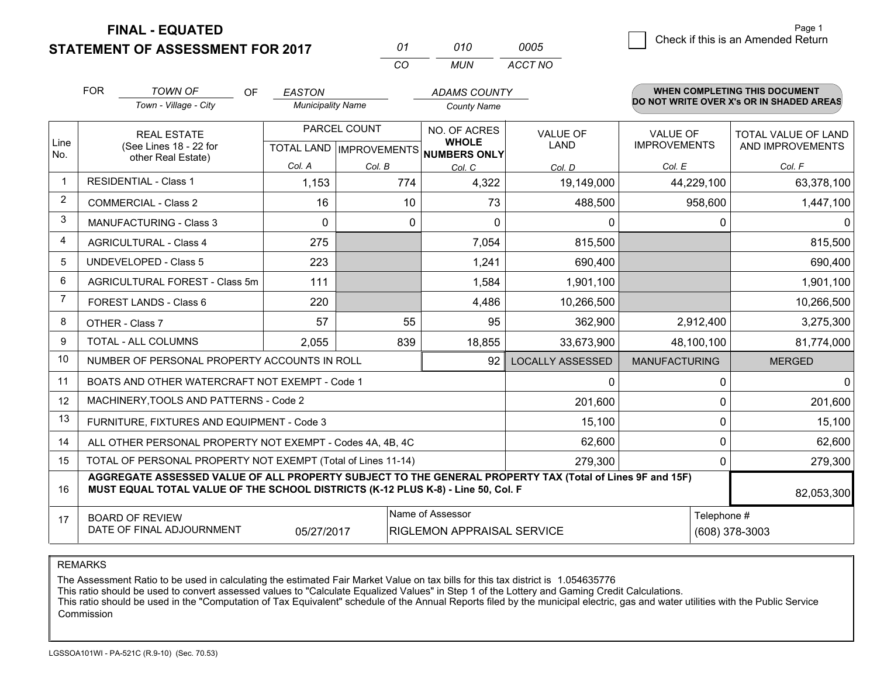**STATEMENT OF ASSESSMENT FOR 2017** 

| 01 | 01 O | 0005    |
|----|------|---------|
| CО | MUN  | ACCT NO |

|                | <b>FOR</b>                                                                                                                                                                                   | <b>TOWN OF</b><br>OF                                         | <b>EASTON</b>            |                           | <b>ADAMS COUNTY</b>          |                         |                      | <b>WHEN COMPLETING THIS DOCUMENT</b>     |
|----------------|----------------------------------------------------------------------------------------------------------------------------------------------------------------------------------------------|--------------------------------------------------------------|--------------------------|---------------------------|------------------------------|-------------------------|----------------------|------------------------------------------|
|                |                                                                                                                                                                                              | Town - Village - City                                        | <b>Municipality Name</b> |                           | <b>County Name</b>           |                         |                      | DO NOT WRITE OVER X's OR IN SHADED AREAS |
|                | <b>REAL ESTATE</b>                                                                                                                                                                           |                                                              |                          | PARCEL COUNT              | NO. OF ACRES                 | <b>VALUE OF</b>         | <b>VALUE OF</b>      | TOTAL VALUE OF LAND                      |
| Line<br>No.    |                                                                                                                                                                                              | (See Lines 18 - 22 for<br>other Real Estate)                 |                          | TOTAL LAND   IMPROVEMENTS | <b>WHOLE</b><br>NUMBERS ONLY | <b>LAND</b>             | <b>IMPROVEMENTS</b>  | AND IMPROVEMENTS                         |
|                |                                                                                                                                                                                              |                                                              | Col. A                   | Col. B                    | Col. C                       | Col. D                  | Col. E               | Col. F                                   |
| $\mathbf{1}$   |                                                                                                                                                                                              | <b>RESIDENTIAL - Class 1</b>                                 | 1,153                    | 774                       | 4,322                        | 19,149,000              | 44,229,100           | 63,378,100                               |
| $\overline{2}$ |                                                                                                                                                                                              | <b>COMMERCIAL - Class 2</b>                                  | 16                       | 10                        | 73                           | 488,500                 | 958,600              | 1,447,100                                |
| 3              |                                                                                                                                                                                              | <b>MANUFACTURING - Class 3</b>                               | $\Omega$                 | $\Omega$                  | $\Omega$                     | 0                       | 0                    | $\Omega$                                 |
| 4              |                                                                                                                                                                                              | <b>AGRICULTURAL - Class 4</b>                                | 275                      |                           | 7,054                        | 815,500                 |                      | 815,500                                  |
| 5              |                                                                                                                                                                                              | <b>UNDEVELOPED - Class 5</b>                                 | 223                      |                           | 1,241                        | 690,400                 |                      | 690,400                                  |
| 6              |                                                                                                                                                                                              | AGRICULTURAL FOREST - Class 5m                               | 111                      |                           | 1,584                        | 1,901,100               |                      | 1,901,100                                |
| $\overline{7}$ |                                                                                                                                                                                              | FOREST LANDS - Class 6                                       | 220                      |                           | 4,486                        | 10,266,500              |                      | 10,266,500                               |
| 8              |                                                                                                                                                                                              | OTHER - Class 7                                              | 57                       | 55                        | 95                           | 362,900                 | 2,912,400            | 3,275,300                                |
| 9              |                                                                                                                                                                                              | TOTAL - ALL COLUMNS                                          | 2,055                    | 839                       | 18,855                       | 33,673,900              | 48,100,100           | 81,774,000                               |
| 10             |                                                                                                                                                                                              | NUMBER OF PERSONAL PROPERTY ACCOUNTS IN ROLL                 |                          |                           | 92                           | <b>LOCALLY ASSESSED</b> | <b>MANUFACTURING</b> | <b>MERGED</b>                            |
| 11             |                                                                                                                                                                                              | BOATS AND OTHER WATERCRAFT NOT EXEMPT - Code 1               |                          |                           |                              | 0                       | $\Omega$             | $\overline{0}$                           |
| 12             |                                                                                                                                                                                              | MACHINERY, TOOLS AND PATTERNS - Code 2                       |                          |                           |                              | 201,600                 | 0                    | 201,600                                  |
| 13             |                                                                                                                                                                                              | FURNITURE, FIXTURES AND EQUIPMENT - Code 3                   |                          |                           |                              | 15,100                  | 0                    | 15,100                                   |
| 14             |                                                                                                                                                                                              | ALL OTHER PERSONAL PROPERTY NOT EXEMPT - Codes 4A, 4B, 4C    |                          |                           |                              | 62,600                  | 0                    | 62,600                                   |
| 15             |                                                                                                                                                                                              | TOTAL OF PERSONAL PROPERTY NOT EXEMPT (Total of Lines 11-14) |                          |                           | 279,300                      | 0                       | 279,300              |                                          |
| 16             | AGGREGATE ASSESSED VALUE OF ALL PROPERTY SUBJECT TO THE GENERAL PROPERTY TAX (Total of Lines 9F and 15F)<br>MUST EQUAL TOTAL VALUE OF THE SCHOOL DISTRICTS (K-12 PLUS K-8) - Line 50, Col. F |                                                              |                          |                           |                              |                         | 82,053,300           |                                          |
| 17             |                                                                                                                                                                                              | <b>BOARD OF REVIEW</b>                                       |                          |                           | Name of Assessor             |                         | Telephone #          |                                          |
|                |                                                                                                                                                                                              | DATE OF FINAL ADJOURNMENT                                    | 05/27/2017               |                           | RIGLEMON APPRAISAL SERVICE   |                         |                      | (608) 378-3003                           |

REMARKS

The Assessment Ratio to be used in calculating the estimated Fair Market Value on tax bills for this tax district is 1.054635776

This ratio should be used to convert assessed values to "Calculate Equalized Values" in Step 1 of the Lottery and Gaming Credit Calculations.<br>This ratio should be used in the "Computation of Tax Equivalent" schedule of the Commission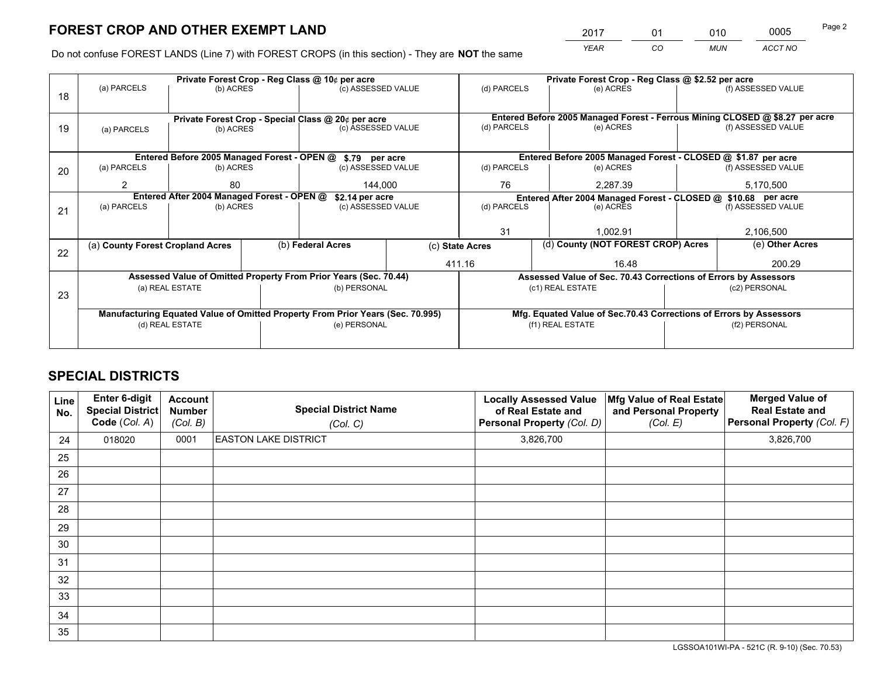*YEAR CO MUN ACCT NO* <sup>2017</sup> <sup>01</sup> <sup>010</sup> <sup>0005</sup>

Do not confuse FOREST LANDS (Line 7) with FOREST CROPS (in this section) - They are **NOT** the same

|    | Private Forest Crop - Reg Class @ 10¢ per acre                                 |                                                    |  |                                                                  |                                                                              | Private Forest Crop - Reg Class @ \$2.52 per acre     |                                                                    |                 |                    |  |
|----|--------------------------------------------------------------------------------|----------------------------------------------------|--|------------------------------------------------------------------|------------------------------------------------------------------------------|-------------------------------------------------------|--------------------------------------------------------------------|-----------------|--------------------|--|
| 18 | (a) PARCELS                                                                    | (b) ACRES                                          |  | (c) ASSESSED VALUE                                               |                                                                              | (d) PARCELS                                           | (e) ACRES                                                          |                 | (f) ASSESSED VALUE |  |
|    |                                                                                |                                                    |  |                                                                  |                                                                              |                                                       |                                                                    |                 |                    |  |
|    |                                                                                | Private Forest Crop - Special Class @ 20¢ per acre |  |                                                                  | Entered Before 2005 Managed Forest - Ferrous Mining CLOSED @ \$8.27 per acre |                                                       |                                                                    |                 |                    |  |
| 19 | (a) PARCELS                                                                    | (b) ACRES                                          |  | (c) ASSESSED VALUE                                               |                                                                              | (d) PARCELS                                           | (e) ACRES                                                          |                 | (f) ASSESSED VALUE |  |
|    |                                                                                |                                                    |  |                                                                  |                                                                              |                                                       |                                                                    |                 |                    |  |
|    |                                                                                |                                                    |  | Entered Before 2005 Managed Forest - OPEN @ \$.79 per acre       |                                                                              |                                                       | Entered Before 2005 Managed Forest - CLOSED @ \$1.87 per acre      |                 |                    |  |
| 20 | (a) PARCELS                                                                    | (b) ACRES                                          |  | (c) ASSESSED VALUE                                               |                                                                              | (d) PARCELS                                           | (e) ACRES                                                          |                 | (f) ASSESSED VALUE |  |
|    | 2                                                                              | 80                                                 |  | 144.000                                                          |                                                                              | 76                                                    | 2.287.39                                                           |                 | 5,170,500          |  |
|    |                                                                                | Entered After 2004 Managed Forest - OPEN @         |  | \$2.14 per acre                                                  |                                                                              |                                                       | Entered After 2004 Managed Forest - CLOSED @ \$10.68 per acre      |                 |                    |  |
| 21 | (a) PARCELS                                                                    | (b) ACRES                                          |  | (c) ASSESSED VALUE                                               |                                                                              | (d) PARCELS                                           | (e) ACRES                                                          |                 | (f) ASSESSED VALUE |  |
|    |                                                                                |                                                    |  |                                                                  |                                                                              |                                                       |                                                                    |                 |                    |  |
|    |                                                                                |                                                    |  |                                                                  |                                                                              | 31                                                    | 1.002.91                                                           |                 | 2,106,500          |  |
| 22 | (a) County Forest Cropland Acres                                               |                                                    |  | (b) Federal Acres                                                |                                                                              | (d) County (NOT FOREST CROP) Acres<br>(c) State Acres |                                                                    | (e) Other Acres |                    |  |
|    |                                                                                |                                                    |  |                                                                  |                                                                              | 411.16                                                | 16.48                                                              |                 | 200.29             |  |
|    |                                                                                |                                                    |  | Assessed Value of Omitted Property From Prior Years (Sec. 70.44) |                                                                              |                                                       | Assessed Value of Sec. 70.43 Corrections of Errors by Assessors    |                 |                    |  |
| 23 |                                                                                | (a) REAL ESTATE                                    |  | (b) PERSONAL                                                     |                                                                              |                                                       | (c1) REAL ESTATE                                                   |                 | (c2) PERSONAL      |  |
|    |                                                                                |                                                    |  |                                                                  |                                                                              |                                                       |                                                                    |                 |                    |  |
|    | Manufacturing Equated Value of Omitted Property From Prior Years (Sec. 70.995) |                                                    |  |                                                                  |                                                                              |                                                       | Mfg. Equated Value of Sec.70.43 Corrections of Errors by Assessors |                 |                    |  |
|    | (d) REAL ESTATE                                                                |                                                    |  | (e) PERSONAL                                                     |                                                                              | (f1) REAL ESTATE                                      |                                                                    |                 | (f2) PERSONAL      |  |
|    |                                                                                |                                                    |  |                                                                  |                                                                              |                                                       |                                                                    |                 |                    |  |

## **SPECIAL DISTRICTS**

| Line<br>No. | <b>Enter 6-digit</b><br><b>Special District</b><br>Code (Col. A) | <b>Account</b><br>Number<br>(Col. B) | <b>Special District Name</b><br>(Col. C) | <b>Locally Assessed Value</b><br>of Real Estate and<br>Personal Property (Col. D) | Mfg Value of Real Estate<br>and Personal Property<br>(Col. E) | <b>Merged Value of</b><br><b>Real Estate and</b><br>Personal Property (Col. F) |
|-------------|------------------------------------------------------------------|--------------------------------------|------------------------------------------|-----------------------------------------------------------------------------------|---------------------------------------------------------------|--------------------------------------------------------------------------------|
| 24          | 018020                                                           | 0001                                 | <b>EASTON LAKE DISTRICT</b>              | 3,826,700                                                                         |                                                               | 3,826,700                                                                      |
| 25          |                                                                  |                                      |                                          |                                                                                   |                                                               |                                                                                |
| 26          |                                                                  |                                      |                                          |                                                                                   |                                                               |                                                                                |
| 27          |                                                                  |                                      |                                          |                                                                                   |                                                               |                                                                                |
| 28          |                                                                  |                                      |                                          |                                                                                   |                                                               |                                                                                |
| 29          |                                                                  |                                      |                                          |                                                                                   |                                                               |                                                                                |
| 30          |                                                                  |                                      |                                          |                                                                                   |                                                               |                                                                                |
| 31          |                                                                  |                                      |                                          |                                                                                   |                                                               |                                                                                |
| 32          |                                                                  |                                      |                                          |                                                                                   |                                                               |                                                                                |
| 33          |                                                                  |                                      |                                          |                                                                                   |                                                               |                                                                                |
| 34          |                                                                  |                                      |                                          |                                                                                   |                                                               |                                                                                |
| 35          |                                                                  |                                      |                                          |                                                                                   |                                                               |                                                                                |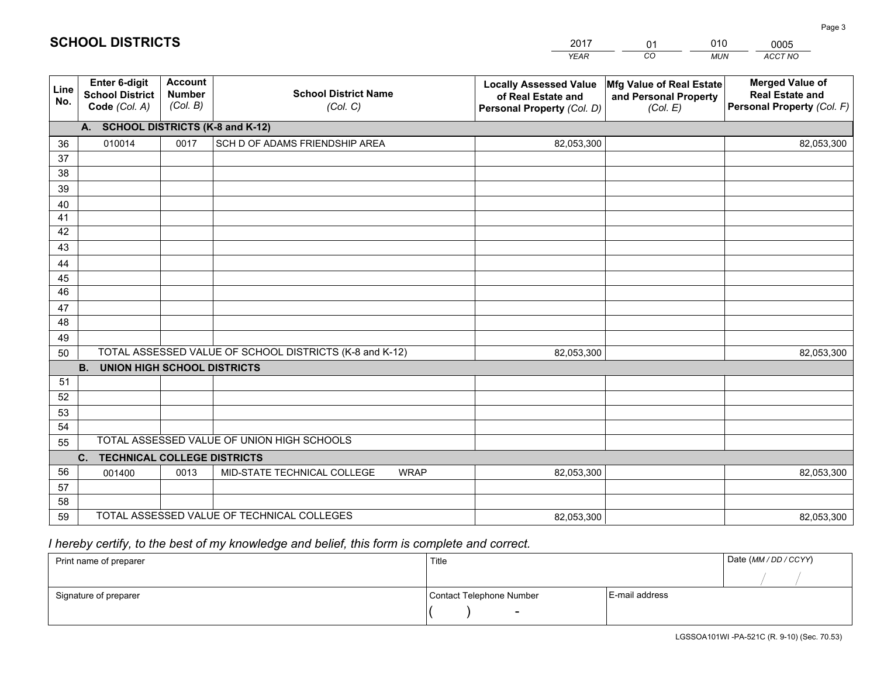|             |                                                          |                                             |                                                         | YEAR                                                                              | CO.<br>MUN                                                           | ACCT NO                                                                        |
|-------------|----------------------------------------------------------|---------------------------------------------|---------------------------------------------------------|-----------------------------------------------------------------------------------|----------------------------------------------------------------------|--------------------------------------------------------------------------------|
| Line<br>No. | Enter 6-digit<br><b>School District</b><br>Code (Col. A) | <b>Account</b><br><b>Number</b><br>(Col. B) | <b>School District Name</b><br>(Col. C)                 | <b>Locally Assessed Value</b><br>of Real Estate and<br>Personal Property (Col. D) | <b>Mfg Value of Real Estate</b><br>and Personal Property<br>(Col. E) | <b>Merged Value of</b><br><b>Real Estate and</b><br>Personal Property (Col. F) |
|             | A.                                                       |                                             | <b>SCHOOL DISTRICTS (K-8 and K-12)</b>                  |                                                                                   |                                                                      |                                                                                |
| 36          | 010014                                                   | 0017                                        | SCH D OF ADAMS FRIENDSHIP AREA                          | 82,053,300                                                                        |                                                                      | 82,053,300                                                                     |
| 37          |                                                          |                                             |                                                         |                                                                                   |                                                                      |                                                                                |
| 38          |                                                          |                                             |                                                         |                                                                                   |                                                                      |                                                                                |
| 39          |                                                          |                                             |                                                         |                                                                                   |                                                                      |                                                                                |
| 40          |                                                          |                                             |                                                         |                                                                                   |                                                                      |                                                                                |
| 41<br>42    |                                                          |                                             |                                                         |                                                                                   |                                                                      |                                                                                |
| 43          |                                                          |                                             |                                                         |                                                                                   |                                                                      |                                                                                |
| 44          |                                                          |                                             |                                                         |                                                                                   |                                                                      |                                                                                |
| 45          |                                                          |                                             |                                                         |                                                                                   |                                                                      |                                                                                |
| 46          |                                                          |                                             |                                                         |                                                                                   |                                                                      |                                                                                |
| 47          |                                                          |                                             |                                                         |                                                                                   |                                                                      |                                                                                |
| 48          |                                                          |                                             |                                                         |                                                                                   |                                                                      |                                                                                |
| 49          |                                                          |                                             |                                                         |                                                                                   |                                                                      |                                                                                |
| 50          |                                                          |                                             | TOTAL ASSESSED VALUE OF SCHOOL DISTRICTS (K-8 and K-12) | 82,053,300                                                                        |                                                                      | 82,053,300                                                                     |
|             | <b>B.</b><br><b>UNION HIGH SCHOOL DISTRICTS</b>          |                                             |                                                         |                                                                                   |                                                                      |                                                                                |
| 51          |                                                          |                                             |                                                         |                                                                                   |                                                                      |                                                                                |
| 52          |                                                          |                                             |                                                         |                                                                                   |                                                                      |                                                                                |
| 53          |                                                          |                                             |                                                         |                                                                                   |                                                                      |                                                                                |
| 54          |                                                          |                                             | TOTAL ASSESSED VALUE OF UNION HIGH SCHOOLS              |                                                                                   |                                                                      |                                                                                |
| 55          | C.<br><b>TECHNICAL COLLEGE DISTRICTS</b>                 |                                             |                                                         |                                                                                   |                                                                      |                                                                                |
| 56          | 001400                                                   | 0013                                        | MID-STATE TECHNICAL COLLEGE<br><b>WRAP</b>              | 82,053,300                                                                        |                                                                      | 82,053,300                                                                     |
| 57          |                                                          |                                             |                                                         |                                                                                   |                                                                      |                                                                                |
| 58          |                                                          |                                             |                                                         |                                                                                   |                                                                      |                                                                                |
| 59          |                                                          |                                             | TOTAL ASSESSED VALUE OF TECHNICAL COLLEGES              | 82,053,300                                                                        |                                                                      | 82,053,300                                                                     |

01

010

## *I hereby certify, to the best of my knowledge and belief, this form is complete and correct.*

**SCHOOL DISTRICTS**

| Print name of preparer | Title                    |                | Date (MM / DD / CCYY) |
|------------------------|--------------------------|----------------|-----------------------|
|                        |                          |                |                       |
| Signature of preparer  | Contact Telephone Number | E-mail address |                       |
|                        | $\overline{\phantom{0}}$ |                |                       |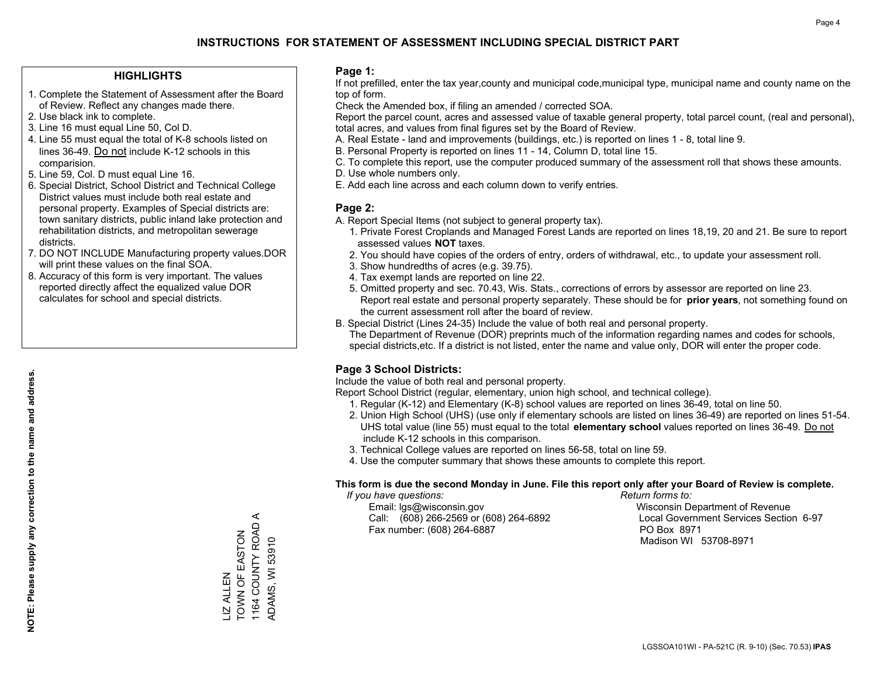#### **HIGHLIGHTS**

- 1. Complete the Statement of Assessment after the Board of Review. Reflect any changes made there.
- 2. Use black ink to complete.
- 3. Line 16 must equal Line 50, Col D.
- 4. Line 55 must equal the total of K-8 schools listed on lines 36-49. Do not include K-12 schools in this comparision.
- 5. Line 59, Col. D must equal Line 16.
- 6. Special District, School District and Technical College District values must include both real estate and personal property. Examples of Special districts are: town sanitary districts, public inland lake protection and rehabilitation districts, and metropolitan sewerage districts.
- 7. DO NOT INCLUDE Manufacturing property values.DOR will print these values on the final SOA.

LIZ ALLEN

**IZ ALLEN** 

TOWN OF EASTON 1164 COUNTY ROAD A ADAMS, WI 53910

1164 COUNTY ROAD A **TOWN OF EASTON** 

ADAMS, WI 53910

 8. Accuracy of this form is very important. The values reported directly affect the equalized value DOR calculates for school and special districts.

#### **Page 1:**

 If not prefilled, enter the tax year,county and municipal code,municipal type, municipal name and county name on the top of form.

Check the Amended box, if filing an amended / corrected SOA.

 Report the parcel count, acres and assessed value of taxable general property, total parcel count, (real and personal), total acres, and values from final figures set by the Board of Review.

- A. Real Estate land and improvements (buildings, etc.) is reported on lines 1 8, total line 9.
- B. Personal Property is reported on lines 11 14, Column D, total line 15.
- C. To complete this report, use the computer produced summary of the assessment roll that shows these amounts.
- D. Use whole numbers only.
- E. Add each line across and each column down to verify entries.

#### **Page 2:**

- A. Report Special Items (not subject to general property tax).
- 1. Private Forest Croplands and Managed Forest Lands are reported on lines 18,19, 20 and 21. Be sure to report assessed values **NOT** taxes.
- 2. You should have copies of the orders of entry, orders of withdrawal, etc., to update your assessment roll.
	- 3. Show hundredths of acres (e.g. 39.75).
- 4. Tax exempt lands are reported on line 22.
- 5. Omitted property and sec. 70.43, Wis. Stats., corrections of errors by assessor are reported on line 23. Report real estate and personal property separately. These should be for **prior years**, not something found on the current assessment roll after the board of review.
- B. Special District (Lines 24-35) Include the value of both real and personal property.
- The Department of Revenue (DOR) preprints much of the information regarding names and codes for schools, special districts,etc. If a district is not listed, enter the name and value only, DOR will enter the proper code.

### **Page 3 School Districts:**

Include the value of both real and personal property.

Report School District (regular, elementary, union high school, and technical college).

- 1. Regular (K-12) and Elementary (K-8) school values are reported on lines 36-49, total on line 50.
- 2. Union High School (UHS) (use only if elementary schools are listed on lines 36-49) are reported on lines 51-54. UHS total value (line 55) must equal to the total **elementary school** values reported on lines 36-49. Do notinclude K-12 schools in this comparison.
- 3. Technical College values are reported on lines 56-58, total on line 59.
- 4. Use the computer summary that shows these amounts to complete this report.

#### **This form is due the second Monday in June. File this report only after your Board of Review is complete.**

 *If you have questions: Return forms to:*

 Email: lgs@wisconsin.gov Wisconsin Department of RevenueCall:  $(608)$  266-2569 or  $(608)$  264-6892 Fax number: (608) 264-6887 PO Box 8971

Local Government Services Section 6-97 Madison WI 53708-8971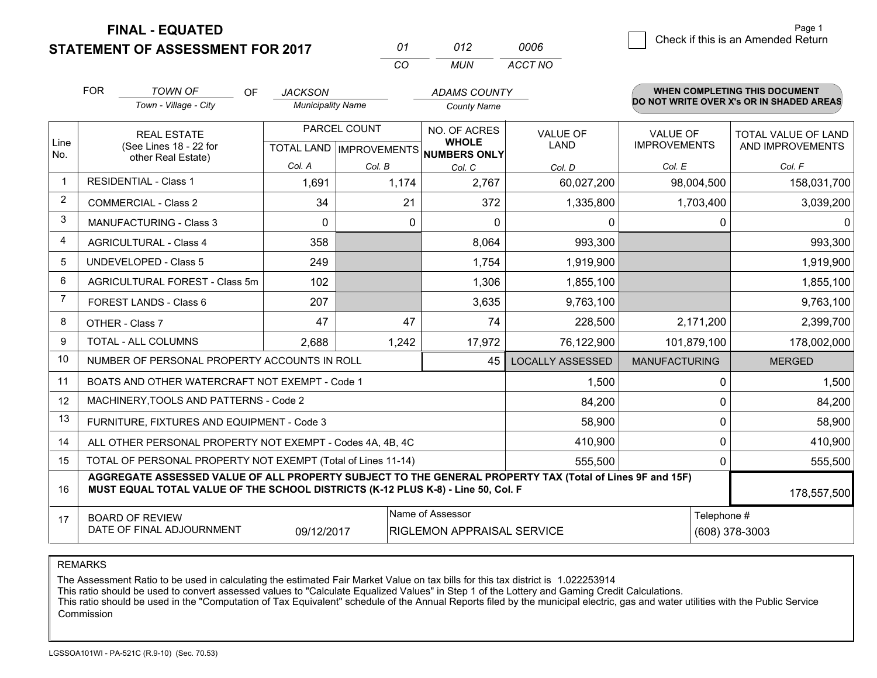**STATEMENT OF ASSESSMENT FOR 2017** 

| 01       | N12   | 0006    |
|----------|-------|---------|
| $\cdots$ | MI IN | ACCT NO |

|                | <b>FOR</b>                                                                                                          | <b>TOWN OF</b><br><b>OF</b><br>Town - Village - City                                                                                                                                         | <b>JACKSON</b><br><b>Municipality Name</b> |                                                     | <b>ADAMS COUNTY</b><br><b>County Name</b> |                                        |                                                | <b>WHEN COMPLETING THIS DOCUMENT</b><br>DO NOT WRITE OVER X's OR IN SHADED AREAS |
|----------------|---------------------------------------------------------------------------------------------------------------------|----------------------------------------------------------------------------------------------------------------------------------------------------------------------------------------------|--------------------------------------------|-----------------------------------------------------|-------------------------------------------|----------------------------------------|------------------------------------------------|----------------------------------------------------------------------------------|
| Line<br>No.    | <b>REAL ESTATE</b><br>(See Lines 18 - 22 for<br>other Real Estate)                                                  |                                                                                                                                                                                              | PARCEL COUNT<br>TOTAL LAND   IMPROVEMENTS  | NO. OF ACRES<br><b>WHOLE</b><br><b>NUMBERS ONLY</b> | <b>VALUE OF</b><br>LAND                   | <b>VALUE OF</b><br><b>IMPROVEMENTS</b> | <b>TOTAL VALUE OF LAND</b><br>AND IMPROVEMENTS |                                                                                  |
|                |                                                                                                                     |                                                                                                                                                                                              | Col. A                                     | Col. B                                              | Col. C                                    | Col. D                                 | Col. E                                         | Col. F                                                                           |
|                |                                                                                                                     | <b>RESIDENTIAL - Class 1</b>                                                                                                                                                                 | 1,691                                      | 1,174                                               | 2,767                                     | 60,027,200                             | 98,004,500                                     | 158,031,700                                                                      |
| $\overline{c}$ |                                                                                                                     | <b>COMMERCIAL - Class 2</b>                                                                                                                                                                  | 34                                         | 21                                                  | 372                                       | 1,335,800                              | 1,703,400                                      | 3,039,200                                                                        |
| 3              |                                                                                                                     | <b>MANUFACTURING - Class 3</b>                                                                                                                                                               | $\Omega$                                   | 0                                                   | $\Omega$                                  | 0                                      | 0                                              | $\Omega$                                                                         |
| 4              |                                                                                                                     | <b>AGRICULTURAL - Class 4</b>                                                                                                                                                                | 358                                        |                                                     | 8,064                                     | 993,300                                |                                                | 993,300                                                                          |
| 5              |                                                                                                                     | <b>UNDEVELOPED - Class 5</b>                                                                                                                                                                 | 249                                        |                                                     | 1,754                                     | 1,919,900                              |                                                | 1,919,900                                                                        |
| 6              |                                                                                                                     | AGRICULTURAL FOREST - Class 5m                                                                                                                                                               | 102                                        |                                                     | 1,306                                     | 1,855,100                              |                                                | 1,855,100                                                                        |
| 7              |                                                                                                                     | FOREST LANDS - Class 6                                                                                                                                                                       | 207                                        |                                                     | 3,635                                     | 9,763,100                              |                                                | 9,763,100                                                                        |
| 8              |                                                                                                                     | OTHER - Class 7                                                                                                                                                                              | 47                                         | 47                                                  | 74                                        | 228,500                                | 2,171,200                                      | 2,399,700                                                                        |
| 9              |                                                                                                                     | TOTAL - ALL COLUMNS                                                                                                                                                                          | 2,688                                      | 1,242                                               | 17,972                                    | 76,122,900                             | 101,879,100                                    | 178,002,000                                                                      |
| 10             |                                                                                                                     | NUMBER OF PERSONAL PROPERTY ACCOUNTS IN ROLL                                                                                                                                                 |                                            |                                                     | 45                                        | <b>LOCALLY ASSESSED</b>                | <b>MANUFACTURING</b>                           | <b>MERGED</b>                                                                    |
| 11             |                                                                                                                     | BOATS AND OTHER WATERCRAFT NOT EXEMPT - Code 1                                                                                                                                               |                                            |                                                     |                                           | 1,500                                  | 0                                              | 1,500                                                                            |
| 12             |                                                                                                                     | MACHINERY, TOOLS AND PATTERNS - Code 2                                                                                                                                                       |                                            |                                                     |                                           | 84,200                                 | 0                                              | 84,200                                                                           |
| 13             |                                                                                                                     | FURNITURE, FIXTURES AND EQUIPMENT - Code 3                                                                                                                                                   |                                            |                                                     |                                           | 58,900                                 | 0                                              | 58,900                                                                           |
| 14             |                                                                                                                     | ALL OTHER PERSONAL PROPERTY NOT EXEMPT - Codes 4A, 4B, 4C                                                                                                                                    |                                            |                                                     |                                           | 410,900                                | 0                                              | 410,900                                                                          |
| 15             |                                                                                                                     | TOTAL OF PERSONAL PROPERTY NOT EXEMPT (Total of Lines 11-14)                                                                                                                                 |                                            |                                                     | 555,500                                   | $\Omega$                               | 555,500                                        |                                                                                  |
| 16             |                                                                                                                     | AGGREGATE ASSESSED VALUE OF ALL PROPERTY SUBJECT TO THE GENERAL PROPERTY TAX (Total of Lines 9F and 15F)<br>MUST EQUAL TOTAL VALUE OF THE SCHOOL DISTRICTS (K-12 PLUS K-8) - Line 50, Col. F |                                            |                                                     |                                           |                                        | 178,557,500                                    |                                                                                  |
| 17             | Name of Assessor<br><b>BOARD OF REVIEW</b><br>DATE OF FINAL ADJOURNMENT<br>09/12/2017<br>RIGLEMON APPRAISAL SERVICE |                                                                                                                                                                                              |                                            |                                                     |                                           |                                        | Telephone #                                    | (608) 378-3003                                                                   |

REMARKS

The Assessment Ratio to be used in calculating the estimated Fair Market Value on tax bills for this tax district is 1.022253914

This ratio should be used to convert assessed values to "Calculate Equalized Values" in Step 1 of the Lottery and Gaming Credit Calculations.<br>This ratio should be used in the "Computation of Tax Equivalent" schedule of the Commission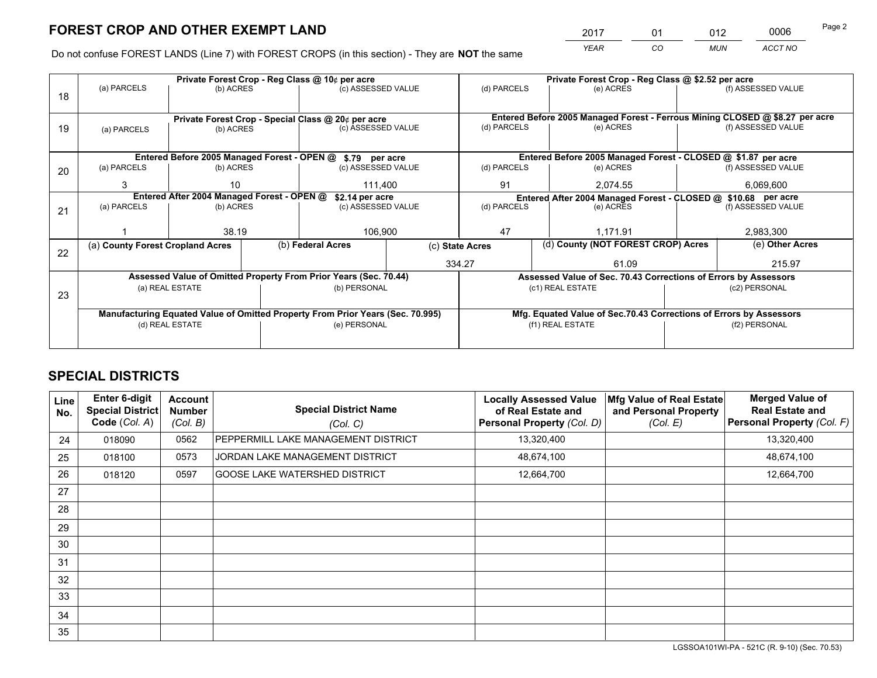*YEAR CO MUN ACCT NO* <sup>2017</sup> <sup>01</sup> <sup>012</sup> <sup>0006</sup>

Do not confuse FOREST LANDS (Line 7) with FOREST CROPS (in this section) - They are **NOT** the same

|    | Private Forest Crop - Reg Class @ 10¢ per acre                                 |                 |  |                                                                  |                                                                              | Private Forest Crop - Reg Class @ \$2.52 per acre                  |                                                               |                    |                    |
|----|--------------------------------------------------------------------------------|-----------------|--|------------------------------------------------------------------|------------------------------------------------------------------------------|--------------------------------------------------------------------|---------------------------------------------------------------|--------------------|--------------------|
| 18 | (a) PARCELS                                                                    | (b) ACRES       |  | (c) ASSESSED VALUE                                               |                                                                              | (d) PARCELS                                                        | (e) ACRES                                                     |                    | (f) ASSESSED VALUE |
|    |                                                                                |                 |  |                                                                  |                                                                              |                                                                    |                                                               |                    |                    |
|    | Private Forest Crop - Special Class @ 20¢ per acre                             |                 |  |                                                                  | Entered Before 2005 Managed Forest - Ferrous Mining CLOSED @ \$8.27 per acre |                                                                    |                                                               |                    |                    |
| 19 | (a) PARCELS                                                                    | (b) ACRES       |  | (c) ASSESSED VALUE                                               |                                                                              | (d) PARCELS                                                        | (e) ACRES                                                     |                    | (f) ASSESSED VALUE |
|    |                                                                                |                 |  |                                                                  |                                                                              |                                                                    |                                                               |                    |                    |
|    |                                                                                |                 |  | Entered Before 2005 Managed Forest - OPEN @ \$.79 per acre       |                                                                              |                                                                    | Entered Before 2005 Managed Forest - CLOSED @ \$1.87 per acre |                    |                    |
| 20 | (a) PARCELS                                                                    | (b) ACRES       |  | (c) ASSESSED VALUE                                               |                                                                              | (d) PARCELS                                                        | (e) ACRES                                                     |                    | (f) ASSESSED VALUE |
|    | 3                                                                              | 10              |  | 111,400                                                          |                                                                              | 91                                                                 | 2,074.55                                                      |                    |                    |
|    | Entered After 2004 Managed Forest - OPEN @<br>\$2.14 per acre                  |                 |  |                                                                  |                                                                              | Entered After 2004 Managed Forest - CLOSED @ \$10.68 per acre      |                                                               |                    |                    |
| 21 | (a) PARCELS                                                                    | (b) ACRES       |  | (c) ASSESSED VALUE                                               |                                                                              | (d) PARCELS<br>(e) ACRES                                           |                                                               | (f) ASSESSED VALUE |                    |
|    |                                                                                |                 |  |                                                                  |                                                                              |                                                                    |                                                               |                    |                    |
|    |                                                                                | 38.19           |  | 106,900                                                          |                                                                              | 47                                                                 | 1,171.91                                                      |                    | 2,983,300          |
| 22 | (a) County Forest Cropland Acres                                               |                 |  | (b) Federal Acres                                                |                                                                              | (c) State Acres                                                    | (d) County (NOT FOREST CROP) Acres                            |                    | (e) Other Acres    |
|    |                                                                                |                 |  |                                                                  |                                                                              | 334.27                                                             | 61.09                                                         |                    | 215.97             |
|    |                                                                                |                 |  | Assessed Value of Omitted Property From Prior Years (Sec. 70.44) |                                                                              | Assessed Value of Sec. 70.43 Corrections of Errors by Assessors    |                                                               |                    |                    |
| 23 |                                                                                | (a) REAL ESTATE |  | (b) PERSONAL                                                     |                                                                              |                                                                    | (c1) REAL ESTATE                                              |                    | (c2) PERSONAL      |
|    |                                                                                |                 |  |                                                                  |                                                                              |                                                                    |                                                               |                    |                    |
|    | Manufacturing Equated Value of Omitted Property From Prior Years (Sec. 70.995) |                 |  |                                                                  |                                                                              | Mfg. Equated Value of Sec.70.43 Corrections of Errors by Assessors |                                                               |                    |                    |
|    | (d) REAL ESTATE                                                                |                 |  | (e) PERSONAL                                                     |                                                                              | (f1) REAL ESTATE                                                   |                                                               | (f2) PERSONAL      |                    |
|    |                                                                                |                 |  |                                                                  |                                                                              |                                                                    |                                                               |                    |                    |

## **SPECIAL DISTRICTS**

| <b>Line</b><br>No. | Enter 6-digit<br><b>Special District</b><br>Code (Col. A) | <b>Account</b><br><b>Number</b><br>(Col. B) | <b>Special District Name</b><br>(Col. C) | <b>Locally Assessed Value</b><br>of Real Estate and<br>Personal Property (Col. D) | Mfg Value of Real Estate<br>and Personal Property<br>(Col. E) | <b>Merged Value of</b><br><b>Real Estate and</b><br>Personal Property (Col. F) |
|--------------------|-----------------------------------------------------------|---------------------------------------------|------------------------------------------|-----------------------------------------------------------------------------------|---------------------------------------------------------------|--------------------------------------------------------------------------------|
| 24                 | 018090                                                    | 0562                                        | PEPPERMILL LAKE MANAGEMENT DISTRICT      | 13,320,400                                                                        |                                                               | 13,320,400                                                                     |
| 25                 | 018100                                                    | 0573                                        | JORDAN LAKE MANAGEMENT DISTRICT          | 48,674,100                                                                        |                                                               | 48,674,100                                                                     |
| 26                 | 018120                                                    | 0597                                        | <b>GOOSE LAKE WATERSHED DISTRICT</b>     | 12,664,700                                                                        |                                                               | 12,664,700                                                                     |
| 27                 |                                                           |                                             |                                          |                                                                                   |                                                               |                                                                                |
| 28                 |                                                           |                                             |                                          |                                                                                   |                                                               |                                                                                |
| 29                 |                                                           |                                             |                                          |                                                                                   |                                                               |                                                                                |
| 30                 |                                                           |                                             |                                          |                                                                                   |                                                               |                                                                                |
| 31                 |                                                           |                                             |                                          |                                                                                   |                                                               |                                                                                |
| 32                 |                                                           |                                             |                                          |                                                                                   |                                                               |                                                                                |
| 33                 |                                                           |                                             |                                          |                                                                                   |                                                               |                                                                                |
| 34                 |                                                           |                                             |                                          |                                                                                   |                                                               |                                                                                |
| 35                 |                                                           |                                             |                                          |                                                                                   |                                                               |                                                                                |

LGSSOA101WI-PA - 521C (R. 9-10) (Sec. 70.53)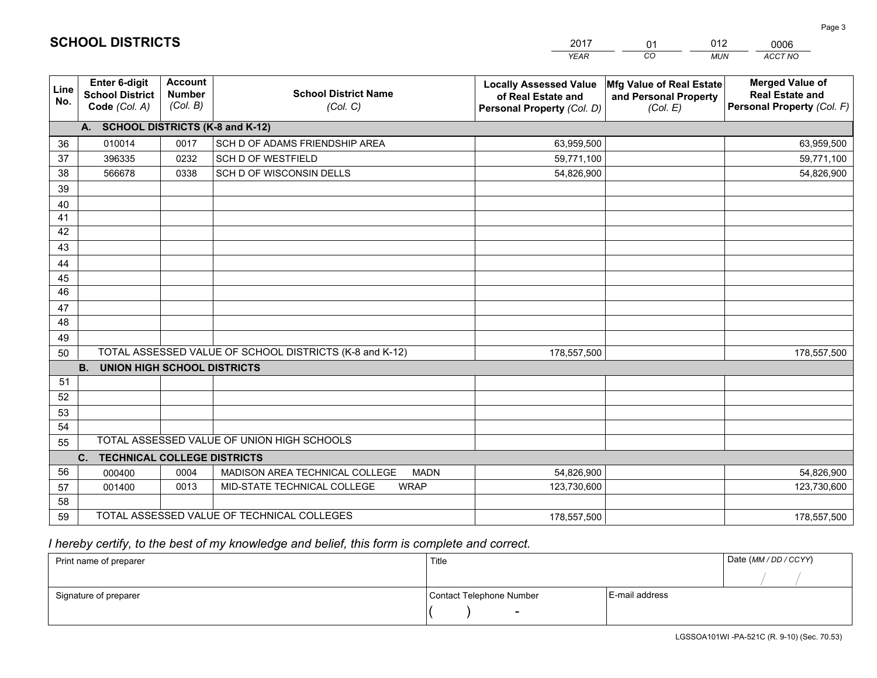|             |                                                          |                                             |                                                         | <b>YEAR</b>                                                                       | CO.<br><b>MUN</b>                                             | ACCT NO                                                                        |
|-------------|----------------------------------------------------------|---------------------------------------------|---------------------------------------------------------|-----------------------------------------------------------------------------------|---------------------------------------------------------------|--------------------------------------------------------------------------------|
| Line<br>No. | Enter 6-digit<br><b>School District</b><br>Code (Col. A) | <b>Account</b><br><b>Number</b><br>(Col. B) | <b>School District Name</b><br>(Col. C)                 | <b>Locally Assessed Value</b><br>of Real Estate and<br>Personal Property (Col. D) | Mfg Value of Real Estate<br>and Personal Property<br>(Col. E) | <b>Merged Value of</b><br><b>Real Estate and</b><br>Personal Property (Col. F) |
|             | A. SCHOOL DISTRICTS (K-8 and K-12)                       |                                             |                                                         |                                                                                   |                                                               |                                                                                |
| 36          | 010014                                                   | 0017                                        | SCH D OF ADAMS FRIENDSHIP AREA                          | 63,959,500                                                                        |                                                               | 63,959,500                                                                     |
| 37          | 396335                                                   | 0232                                        | SCH D OF WESTFIELD                                      | 59,771,100                                                                        |                                                               | 59,771,100                                                                     |
| 38          | 566678                                                   | 0338                                        | SCH D OF WISCONSIN DELLS                                | 54,826,900                                                                        |                                                               | 54,826,900                                                                     |
| 39          |                                                          |                                             |                                                         |                                                                                   |                                                               |                                                                                |
| 40          |                                                          |                                             |                                                         |                                                                                   |                                                               |                                                                                |
| 41          |                                                          |                                             |                                                         |                                                                                   |                                                               |                                                                                |
| 42          |                                                          |                                             |                                                         |                                                                                   |                                                               |                                                                                |
| 43          |                                                          |                                             |                                                         |                                                                                   |                                                               |                                                                                |
| 44          |                                                          |                                             |                                                         |                                                                                   |                                                               |                                                                                |
| 45          |                                                          |                                             |                                                         |                                                                                   |                                                               |                                                                                |
| 46          |                                                          |                                             |                                                         |                                                                                   |                                                               |                                                                                |
| 47          |                                                          |                                             |                                                         |                                                                                   |                                                               |                                                                                |
| 48          |                                                          |                                             |                                                         |                                                                                   |                                                               |                                                                                |
| 49          |                                                          |                                             |                                                         |                                                                                   |                                                               |                                                                                |
| 50          |                                                          |                                             | TOTAL ASSESSED VALUE OF SCHOOL DISTRICTS (K-8 and K-12) | 178,557,500                                                                       |                                                               | 178,557,500                                                                    |
|             | <b>B.</b><br><b>UNION HIGH SCHOOL DISTRICTS</b>          |                                             |                                                         |                                                                                   |                                                               |                                                                                |
| 51          |                                                          |                                             |                                                         |                                                                                   |                                                               |                                                                                |
| 52          |                                                          |                                             |                                                         |                                                                                   |                                                               |                                                                                |
| 53          |                                                          |                                             |                                                         |                                                                                   |                                                               |                                                                                |
| 54          |                                                          |                                             |                                                         |                                                                                   |                                                               |                                                                                |
| 55          | TOTAL ASSESSED VALUE OF UNION HIGH SCHOOLS               |                                             |                                                         |                                                                                   |                                                               |                                                                                |
|             | C.<br><b>TECHNICAL COLLEGE DISTRICTS</b>                 |                                             |                                                         |                                                                                   |                                                               |                                                                                |
| 56          | 000400                                                   | 0004                                        | MADISON AREA TECHNICAL COLLEGE<br><b>MADN</b>           | 54,826,900                                                                        |                                                               | 54,826,900                                                                     |
| 57          | 001400                                                   | 0013                                        | MID-STATE TECHNICAL COLLEGE<br><b>WRAP</b>              | 123,730,600                                                                       |                                                               | 123,730,600                                                                    |
| 58          |                                                          |                                             |                                                         |                                                                                   |                                                               |                                                                                |
| 59          |                                                          |                                             | TOTAL ASSESSED VALUE OF TECHNICAL COLLEGES              | 178,557,500                                                                       |                                                               | 178,557,500                                                                    |

01

012

 *I hereby certify, to the best of my knowledge and belief, this form is complete and correct.*

**SCHOOL DISTRICTS**

| Print name of preparer | Title                    |                | Date (MM / DD / CCYY) |
|------------------------|--------------------------|----------------|-----------------------|
|                        |                          |                |                       |
| Signature of preparer  | Contact Telephone Number | E-mail address |                       |
|                        | $\overline{\phantom{0}}$ |                |                       |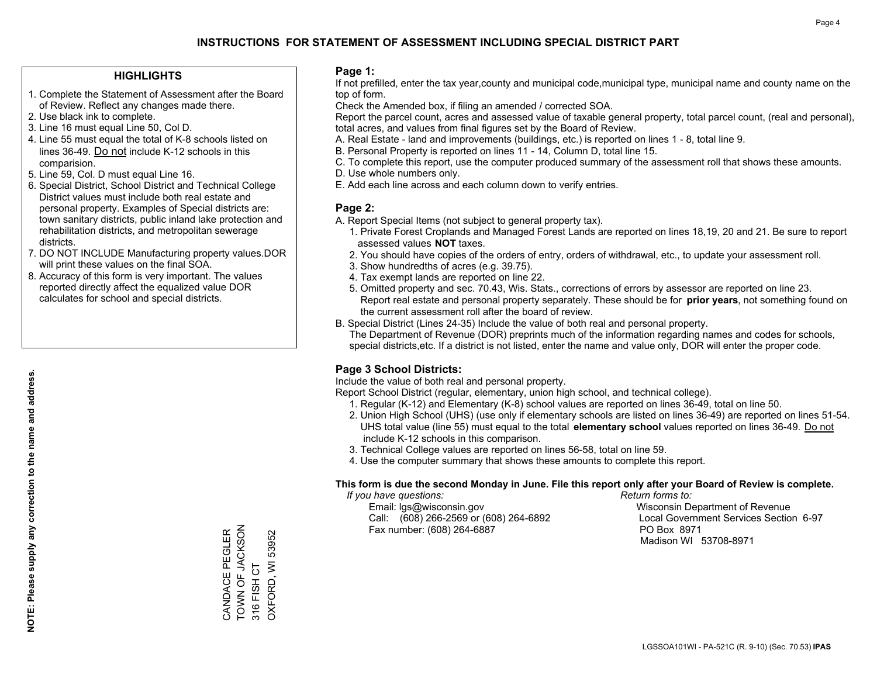#### **HIGHLIGHTS**

- 1. Complete the Statement of Assessment after the Board of Review. Reflect any changes made there.
- 2. Use black ink to complete.
- 3. Line 16 must equal Line 50, Col D.
- 4. Line 55 must equal the total of K-8 schools listed on lines 36-49. Do not include K-12 schools in this comparision.
- 5. Line 59, Col. D must equal Line 16.
- 6. Special District, School District and Technical College District values must include both real estate and personal property. Examples of Special districts are: town sanitary districts, public inland lake protection and rehabilitation districts, and metropolitan sewerage districts.
- 7. DO NOT INCLUDE Manufacturing property values.DOR will print these values on the final SOA.
- 8. Accuracy of this form is very important. The values reported directly affect the equalized value DOR calculates for school and special districts.

#### **Page 1:**

 If not prefilled, enter the tax year,county and municipal code,municipal type, municipal name and county name on the top of form.

Check the Amended box, if filing an amended / corrected SOA.

 Report the parcel count, acres and assessed value of taxable general property, total parcel count, (real and personal), total acres, and values from final figures set by the Board of Review.

- A. Real Estate land and improvements (buildings, etc.) is reported on lines 1 8, total line 9.
- B. Personal Property is reported on lines 11 14, Column D, total line 15.
- C. To complete this report, use the computer produced summary of the assessment roll that shows these amounts.
- D. Use whole numbers only.
- E. Add each line across and each column down to verify entries.

#### **Page 2:**

- A. Report Special Items (not subject to general property tax).
- 1. Private Forest Croplands and Managed Forest Lands are reported on lines 18,19, 20 and 21. Be sure to report assessed values **NOT** taxes.
- 2. You should have copies of the orders of entry, orders of withdrawal, etc., to update your assessment roll.
	- 3. Show hundredths of acres (e.g. 39.75).
- 4. Tax exempt lands are reported on line 22.
- 5. Omitted property and sec. 70.43, Wis. Stats., corrections of errors by assessor are reported on line 23. Report real estate and personal property separately. These should be for **prior years**, not something found on the current assessment roll after the board of review.
- B. Special District (Lines 24-35) Include the value of both real and personal property.
- The Department of Revenue (DOR) preprints much of the information regarding names and codes for schools, special districts,etc. If a district is not listed, enter the name and value only, DOR will enter the proper code.

### **Page 3 School Districts:**

Include the value of both real and personal property.

Report School District (regular, elementary, union high school, and technical college).

- 1. Regular (K-12) and Elementary (K-8) school values are reported on lines 36-49, total on line 50.
- 2. Union High School (UHS) (use only if elementary schools are listed on lines 36-49) are reported on lines 51-54. UHS total value (line 55) must equal to the total **elementary school** values reported on lines 36-49. Do notinclude K-12 schools in this comparison.
- 3. Technical College values are reported on lines 56-58, total on line 59.
- 4. Use the computer summary that shows these amounts to complete this report.

#### **This form is due the second Monday in June. File this report only after your Board of Review is complete.**

 *If you have questions: Return forms to:*

 Email: lgs@wisconsin.gov Wisconsin Department of RevenueCall:  $(608)$  266-2569 or  $(608)$  264-6892 Fax number: (608) 264-6887 PO Box 8971

Local Government Services Section 6-97

Madison WI 53708-8971

**NOTE: Please supply any correction to the name and address.**

NOTE: Please supply any correction to the name and address.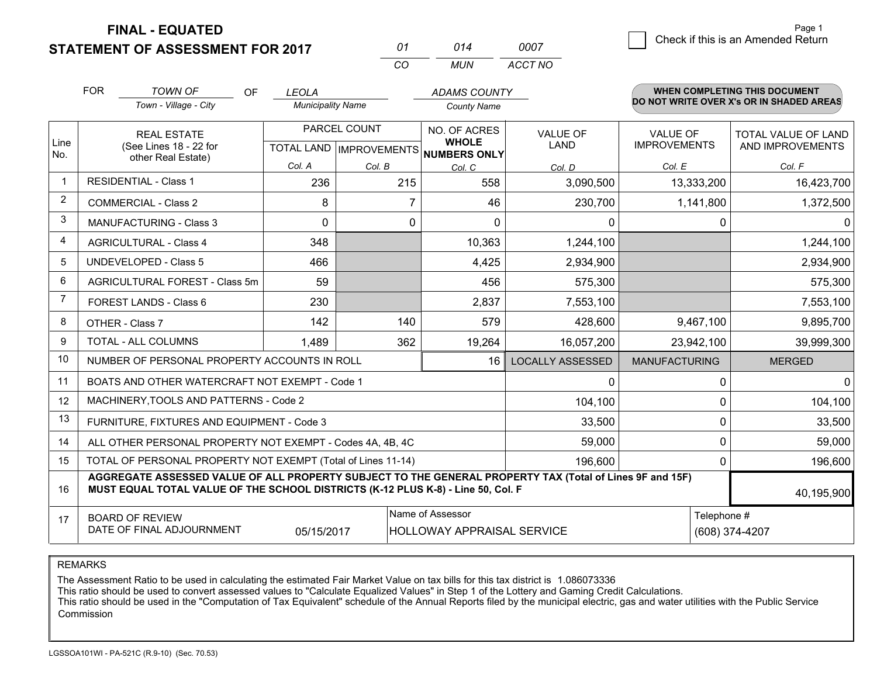**STATEMENT OF ASSESSMENT FOR 2017** 

| 01       | 014  | 0007    |
|----------|------|---------|
| $\cdots$ | MUN. | ACCT NO |

|                | <b>FOR</b><br><b>TOWN OF</b><br>OF                                                                                                                                                           | <b>LEOLA</b>             |                            | <b>ADAMS COUNTY</b>          |                         |                      | <b>WHEN COMPLETING THIS DOCUMENT</b>     |
|----------------|----------------------------------------------------------------------------------------------------------------------------------------------------------------------------------------------|--------------------------|----------------------------|------------------------------|-------------------------|----------------------|------------------------------------------|
|                | Town - Village - City                                                                                                                                                                        | <b>Municipality Name</b> |                            | <b>County Name</b>           |                         |                      | DO NOT WRITE OVER X's OR IN SHADED AREAS |
|                | <b>REAL ESTATE</b>                                                                                                                                                                           |                          | PARCEL COUNT               | NO. OF ACRES                 | <b>VALUE OF</b>         | <b>VALUE OF</b>      | TOTAL VALUE OF LAND                      |
| Line<br>No.    | (See Lines 18 - 22 for<br>other Real Estate)                                                                                                                                                 |                          | TOTAL LAND   IMPROVEMENTS  | <b>WHOLE</b><br>NUMBERS ONLY | LAND                    | <b>IMPROVEMENTS</b>  | AND IMPROVEMENTS                         |
|                |                                                                                                                                                                                              | Col. A                   | Col. B                     | Col. C                       | Col. D                  | Col. E               | Col. F                                   |
|                | <b>RESIDENTIAL - Class 1</b>                                                                                                                                                                 | 236                      | 215                        | 558                          | 3,090,500               | 13,333,200           | 16,423,700                               |
| $\overline{c}$ | <b>COMMERCIAL - Class 2</b>                                                                                                                                                                  | 8                        | 7                          | 46                           | 230,700                 | 1,141,800            | 1,372,500                                |
| 3              | <b>MANUFACTURING - Class 3</b>                                                                                                                                                               | $\Omega$                 | 0                          | $\Omega$                     | 0                       |                      | 0<br>0                                   |
| 4              | <b>AGRICULTURAL - Class 4</b>                                                                                                                                                                | 348                      |                            | 10,363                       | 1,244,100               |                      | 1,244,100                                |
| 5              | <b>UNDEVELOPED - Class 5</b>                                                                                                                                                                 | 466                      |                            | 4,425                        | 2,934,900               |                      | 2,934,900                                |
| 6              | AGRICULTURAL FOREST - Class 5m                                                                                                                                                               | 59                       |                            | 456                          | 575,300                 |                      | 575,300                                  |
| 7              | FOREST LANDS - Class 6                                                                                                                                                                       | 230                      |                            | 2,837                        | 7,553,100               |                      | 7,553,100                                |
| 8              | OTHER - Class 7                                                                                                                                                                              | 142                      | 140                        | 579                          | 428,600                 | 9,467,100            | 9,895,700                                |
| 9              | TOTAL - ALL COLUMNS                                                                                                                                                                          | 1,489                    | 362                        | 19,264                       | 16,057,200              | 23,942,100           | 39,999,300                               |
| 10             | NUMBER OF PERSONAL PROPERTY ACCOUNTS IN ROLL                                                                                                                                                 |                          |                            | 16                           | <b>LOCALLY ASSESSED</b> | <b>MANUFACTURING</b> | <b>MERGED</b>                            |
| 11             | BOATS AND OTHER WATERCRAFT NOT EXEMPT - Code 1                                                                                                                                               |                          |                            |                              | $\Omega$                |                      | $\Omega$<br>0                            |
| 12             | MACHINERY, TOOLS AND PATTERNS - Code 2                                                                                                                                                       |                          |                            |                              | 104,100                 |                      | 104,100<br>0                             |
| 13             | FURNITURE, FIXTURES AND EQUIPMENT - Code 3                                                                                                                                                   |                          |                            |                              | 33,500                  |                      | 0<br>33,500                              |
| 14             | ALL OTHER PERSONAL PROPERTY NOT EXEMPT - Codes 4A, 4B, 4C                                                                                                                                    |                          |                            |                              | 59,000                  |                      | 0<br>59,000                              |
| 15             | TOTAL OF PERSONAL PROPERTY NOT EXEMPT (Total of Lines 11-14)                                                                                                                                 |                          | 196,600                    |                              | 0<br>196,600            |                      |                                          |
| 16             | AGGREGATE ASSESSED VALUE OF ALL PROPERTY SUBJECT TO THE GENERAL PROPERTY TAX (Total of Lines 9F and 15F)<br>MUST EQUAL TOTAL VALUE OF THE SCHOOL DISTRICTS (K-12 PLUS K-8) - Line 50, Col. F |                          |                            |                              |                         |                      | 40,195,900                               |
| 17             | <b>BOARD OF REVIEW</b>                                                                                                                                                                       |                          |                            | Name of Assessor             |                         |                      | Telephone #                              |
|                | DATE OF FINAL ADJOURNMENT                                                                                                                                                                    | 05/15/2017               | HOLLOWAY APPRAISAL SERVICE |                              |                         | (608) 374-4207       |                                          |

REMARKS

The Assessment Ratio to be used in calculating the estimated Fair Market Value on tax bills for this tax district is 1.086073336<br>This ratio should be used to convert assessed values to "Calculate Equalized Values" in Step Commission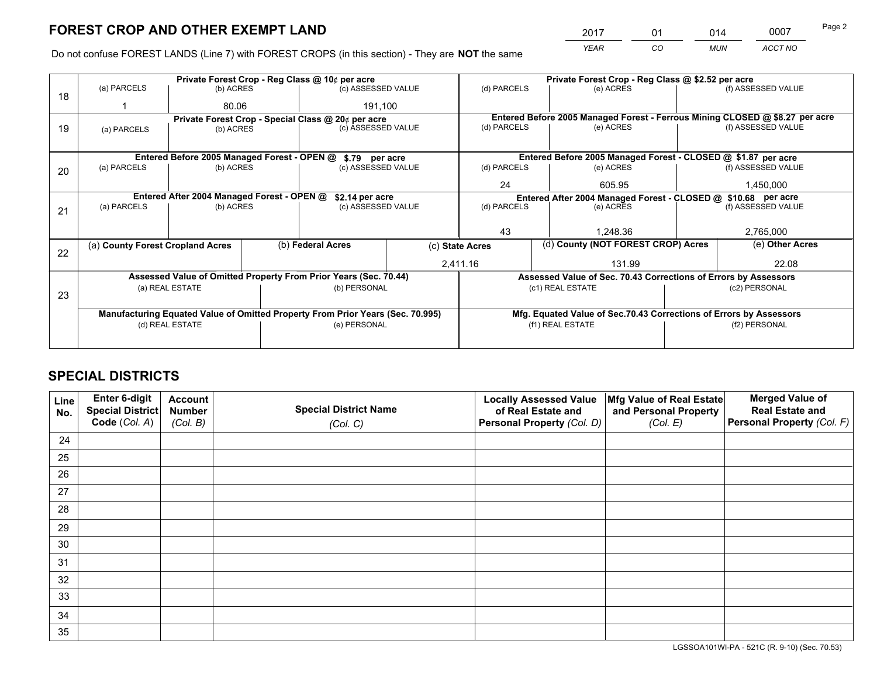*YEAR CO MUN ACCT NO* <sup>2017</sup> <sup>01</sup> <sup>014</sup> <sup>0007</sup>

Do not confuse FOREST LANDS (Line 7) with FOREST CROPS (in this section) - They are **NOT** the same

|    |                                                               |                 |                                                                              | Private Forest Crop - Reg Class @ 10¢ per acre                                 |  | Private Forest Crop - Reg Class @ \$2.52 per acre             |                                                                    |               |                    |
|----|---------------------------------------------------------------|-----------------|------------------------------------------------------------------------------|--------------------------------------------------------------------------------|--|---------------------------------------------------------------|--------------------------------------------------------------------|---------------|--------------------|
| 18 | (a) PARCELS                                                   | (b) ACRES       |                                                                              | (c) ASSESSED VALUE                                                             |  | (d) PARCELS                                                   | (e) ACRES                                                          |               | (f) ASSESSED VALUE |
|    |                                                               | 80.06           |                                                                              | 191,100                                                                        |  |                                                               |                                                                    |               |                    |
|    | Private Forest Crop - Special Class @ 20¢ per acre            |                 | Entered Before 2005 Managed Forest - Ferrous Mining CLOSED @ \$8.27 per acre |                                                                                |  |                                                               |                                                                    |               |                    |
| 19 | (a) PARCELS                                                   | (b) ACRES       |                                                                              | (c) ASSESSED VALUE                                                             |  | (d) PARCELS                                                   | (e) ACRES                                                          |               | (f) ASSESSED VALUE |
|    |                                                               |                 |                                                                              |                                                                                |  |                                                               |                                                                    |               |                    |
|    | Entered Before 2005 Managed Forest - OPEN @ \$.79 per acre    |                 |                                                                              |                                                                                |  |                                                               | Entered Before 2005 Managed Forest - CLOSED @ \$1.87 per acre      |               |                    |
| 20 | (a) PARCELS                                                   | (b) ACRES       |                                                                              | (c) ASSESSED VALUE                                                             |  | (d) PARCELS                                                   | (e) ACRES                                                          |               | (f) ASSESSED VALUE |
|    |                                                               |                 |                                                                              |                                                                                |  | 24                                                            | 605.95                                                             | 1,450,000     |                    |
|    | Entered After 2004 Managed Forest - OPEN @<br>\$2.14 per acre |                 |                                                                              |                                                                                |  | Entered After 2004 Managed Forest - CLOSED @ \$10.68 per acre |                                                                    |               |                    |
| 21 | (a) PARCELS                                                   | (b) ACRES       |                                                                              | (c) ASSESSED VALUE                                                             |  | (d) PARCELS                                                   | (e) ACRES                                                          |               | (f) ASSESSED VALUE |
|    |                                                               |                 |                                                                              |                                                                                |  |                                                               |                                                                    |               |                    |
|    |                                                               |                 |                                                                              |                                                                                |  | 43                                                            | 1.248.36                                                           |               | 2,765,000          |
| 22 | (a) County Forest Cropland Acres                              |                 |                                                                              | (b) Federal Acres                                                              |  | (c) State Acres                                               | (d) County (NOT FOREST CROP) Acres                                 |               | (e) Other Acres    |
|    |                                                               |                 |                                                                              |                                                                                |  | 2,411.16                                                      | 131.99                                                             |               | 22.08              |
|    |                                                               |                 |                                                                              | Assessed Value of Omitted Property From Prior Years (Sec. 70.44)               |  |                                                               | Assessed Value of Sec. 70.43 Corrections of Errors by Assessors    |               |                    |
| 23 |                                                               | (a) REAL ESTATE |                                                                              | (b) PERSONAL                                                                   |  |                                                               | (c1) REAL ESTATE                                                   |               | (c2) PERSONAL      |
|    |                                                               |                 |                                                                              |                                                                                |  |                                                               |                                                                    |               |                    |
|    |                                                               |                 |                                                                              | Manufacturing Equated Value of Omitted Property From Prior Years (Sec. 70.995) |  |                                                               | Mfg. Equated Value of Sec.70.43 Corrections of Errors by Assessors |               |                    |
|    | (d) REAL ESTATE                                               |                 |                                                                              | (e) PERSONAL                                                                   |  |                                                               | (f1) REAL ESTATE                                                   | (f2) PERSONAL |                    |
|    |                                                               |                 |                                                                              |                                                                                |  |                                                               |                                                                    |               |                    |

## **SPECIAL DISTRICTS**

| Line<br>No. | Enter 6-digit<br><b>Special District</b> | <b>Account</b><br><b>Number</b> | <b>Special District Name</b> | <b>Locally Assessed Value</b><br>of Real Estate and | Mfg Value of Real Estate<br>and Personal Property | <b>Merged Value of</b><br><b>Real Estate and</b> |
|-------------|------------------------------------------|---------------------------------|------------------------------|-----------------------------------------------------|---------------------------------------------------|--------------------------------------------------|
|             | Code (Col. A)                            | (Col. B)                        | (Col. C)                     | Personal Property (Col. D)                          | (Col. E)                                          | Personal Property (Col. F)                       |
| 24          |                                          |                                 |                              |                                                     |                                                   |                                                  |
| 25          |                                          |                                 |                              |                                                     |                                                   |                                                  |
| 26          |                                          |                                 |                              |                                                     |                                                   |                                                  |
| 27          |                                          |                                 |                              |                                                     |                                                   |                                                  |
| 28          |                                          |                                 |                              |                                                     |                                                   |                                                  |
| 29          |                                          |                                 |                              |                                                     |                                                   |                                                  |
| 30          |                                          |                                 |                              |                                                     |                                                   |                                                  |
| 31          |                                          |                                 |                              |                                                     |                                                   |                                                  |
| 32          |                                          |                                 |                              |                                                     |                                                   |                                                  |
| 33          |                                          |                                 |                              |                                                     |                                                   |                                                  |
| 34          |                                          |                                 |                              |                                                     |                                                   |                                                  |
| 35          |                                          |                                 |                              |                                                     |                                                   |                                                  |

LGSSOA101WI-PA - 521C (R. 9-10) (Sec. 70.53)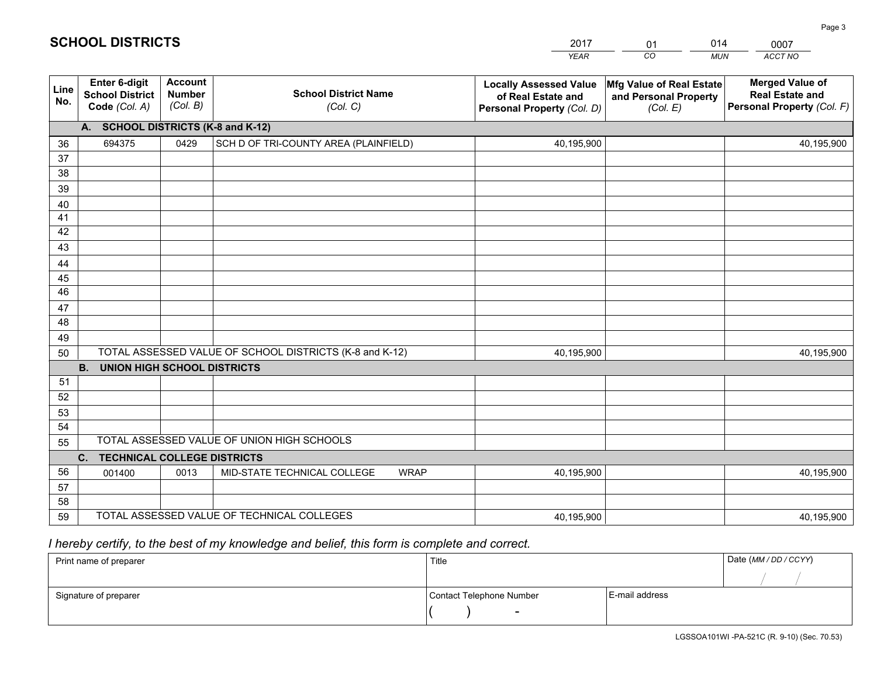|             |                                                          |                                             |                                                         | YEAR                                                                              | CO<br><b>MUN</b>                                              | ACCT NO                                                                        |
|-------------|----------------------------------------------------------|---------------------------------------------|---------------------------------------------------------|-----------------------------------------------------------------------------------|---------------------------------------------------------------|--------------------------------------------------------------------------------|
| Line<br>No. | Enter 6-digit<br><b>School District</b><br>Code (Col. A) | <b>Account</b><br><b>Number</b><br>(Col. B) | <b>School District Name</b><br>(Col. C)                 | <b>Locally Assessed Value</b><br>of Real Estate and<br>Personal Property (Col. D) | Mfg Value of Real Estate<br>and Personal Property<br>(Col. E) | <b>Merged Value of</b><br><b>Real Estate and</b><br>Personal Property (Col. F) |
|             | <b>SCHOOL DISTRICTS (K-8 and K-12)</b><br>A.             |                                             |                                                         |                                                                                   |                                                               |                                                                                |
| 36          | 694375                                                   | 0429                                        | SCH D OF TRI-COUNTY AREA (PLAINFIELD)                   | 40,195,900                                                                        |                                                               | 40,195,900                                                                     |
| 37          |                                                          |                                             |                                                         |                                                                                   |                                                               |                                                                                |
| 38          |                                                          |                                             |                                                         |                                                                                   |                                                               |                                                                                |
| 39          |                                                          |                                             |                                                         |                                                                                   |                                                               |                                                                                |
| 40          |                                                          |                                             |                                                         |                                                                                   |                                                               |                                                                                |
| 41          |                                                          |                                             |                                                         |                                                                                   |                                                               |                                                                                |
| 42          |                                                          |                                             |                                                         |                                                                                   |                                                               |                                                                                |
| 43          |                                                          |                                             |                                                         |                                                                                   |                                                               |                                                                                |
| 44          |                                                          |                                             |                                                         |                                                                                   |                                                               |                                                                                |
| 45<br>46    |                                                          |                                             |                                                         |                                                                                   |                                                               |                                                                                |
| 47          |                                                          |                                             |                                                         |                                                                                   |                                                               |                                                                                |
| 48          |                                                          |                                             |                                                         |                                                                                   |                                                               |                                                                                |
| 49          |                                                          |                                             |                                                         |                                                                                   |                                                               |                                                                                |
| 50          |                                                          |                                             | TOTAL ASSESSED VALUE OF SCHOOL DISTRICTS (K-8 and K-12) | 40,195,900                                                                        |                                                               | 40,195,900                                                                     |
|             | <b>B.</b><br><b>UNION HIGH SCHOOL DISTRICTS</b>          |                                             |                                                         |                                                                                   |                                                               |                                                                                |
| 51          |                                                          |                                             |                                                         |                                                                                   |                                                               |                                                                                |
| 52          |                                                          |                                             |                                                         |                                                                                   |                                                               |                                                                                |
| 53          |                                                          |                                             |                                                         |                                                                                   |                                                               |                                                                                |
| 54          |                                                          |                                             |                                                         |                                                                                   |                                                               |                                                                                |
| 55          |                                                          |                                             | TOTAL ASSESSED VALUE OF UNION HIGH SCHOOLS              |                                                                                   |                                                               |                                                                                |
|             | C.<br><b>TECHNICAL COLLEGE DISTRICTS</b>                 |                                             |                                                         |                                                                                   |                                                               |                                                                                |
| 56          | 001400                                                   | 0013                                        | MID-STATE TECHNICAL COLLEGE<br><b>WRAP</b>              | 40,195,900                                                                        |                                                               | 40,195,900                                                                     |
| 57          |                                                          |                                             |                                                         |                                                                                   |                                                               |                                                                                |
| 58<br>59    |                                                          |                                             | TOTAL ASSESSED VALUE OF TECHNICAL COLLEGES              |                                                                                   |                                                               |                                                                                |
|             |                                                          |                                             |                                                         | 40,195,900                                                                        |                                                               | 40,195,900                                                                     |

01

014

## *I hereby certify, to the best of my knowledge and belief, this form is complete and correct.*

**SCHOOL DISTRICTS**

| Print name of preparer | Title                    |                | Date (MM / DD / CCYY) |
|------------------------|--------------------------|----------------|-----------------------|
|                        |                          |                |                       |
| Signature of preparer  | Contact Telephone Number | E-mail address |                       |
|                        | $\overline{\phantom{0}}$ |                |                       |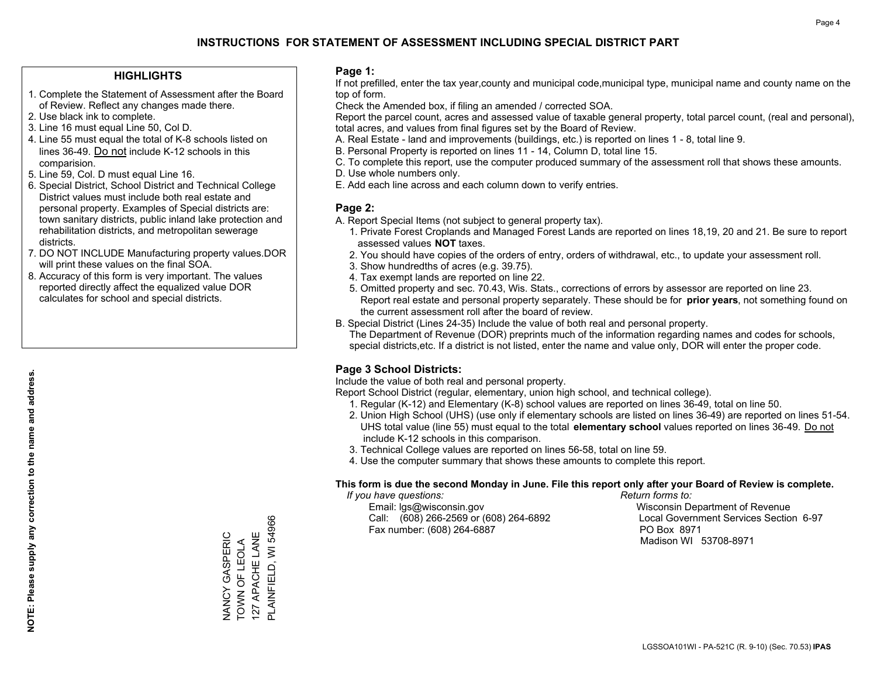#### **HIGHLIGHTS**

- 1. Complete the Statement of Assessment after the Board of Review. Reflect any changes made there.
- 2. Use black ink to complete.
- 3. Line 16 must equal Line 50, Col D.
- 4. Line 55 must equal the total of K-8 schools listed on lines 36-49. Do not include K-12 schools in this comparision.
- 5. Line 59, Col. D must equal Line 16.
- 6. Special District, School District and Technical College District values must include both real estate and personal property. Examples of Special districts are: town sanitary districts, public inland lake protection and rehabilitation districts, and metropolitan sewerage districts.
- 7. DO NOT INCLUDE Manufacturing property values.DOR will print these values on the final SOA.

NANCY GASPERIC TOWN OF LEOLA 127 APACHE LANE PLAINFIELD, WI 54966

NANCY GASPERIC<br>TOWN OF LEOLA<br>127 APACHE LANE

PLAINFIELD, WI 54966

 8. Accuracy of this form is very important. The values reported directly affect the equalized value DOR calculates for school and special districts.

#### **Page 1:**

 If not prefilled, enter the tax year,county and municipal code,municipal type, municipal name and county name on the top of form.

Check the Amended box, if filing an amended / corrected SOA.

 Report the parcel count, acres and assessed value of taxable general property, total parcel count, (real and personal), total acres, and values from final figures set by the Board of Review.

- A. Real Estate land and improvements (buildings, etc.) is reported on lines 1 8, total line 9.
- B. Personal Property is reported on lines 11 14, Column D, total line 15.
- C. To complete this report, use the computer produced summary of the assessment roll that shows these amounts.
- D. Use whole numbers only.
- E. Add each line across and each column down to verify entries.

#### **Page 2:**

- A. Report Special Items (not subject to general property tax).
- 1. Private Forest Croplands and Managed Forest Lands are reported on lines 18,19, 20 and 21. Be sure to report assessed values **NOT** taxes.
- 2. You should have copies of the orders of entry, orders of withdrawal, etc., to update your assessment roll.
	- 3. Show hundredths of acres (e.g. 39.75).
- 4. Tax exempt lands are reported on line 22.
- 5. Omitted property and sec. 70.43, Wis. Stats., corrections of errors by assessor are reported on line 23. Report real estate and personal property separately. These should be for **prior years**, not something found on the current assessment roll after the board of review.
- B. Special District (Lines 24-35) Include the value of both real and personal property.
- The Department of Revenue (DOR) preprints much of the information regarding names and codes for schools, special districts,etc. If a district is not listed, enter the name and value only, DOR will enter the proper code.

### **Page 3 School Districts:**

Include the value of both real and personal property.

Report School District (regular, elementary, union high school, and technical college).

- 1. Regular (K-12) and Elementary (K-8) school values are reported on lines 36-49, total on line 50.
- 2. Union High School (UHS) (use only if elementary schools are listed on lines 36-49) are reported on lines 51-54. UHS total value (line 55) must equal to the total **elementary school** values reported on lines 36-49. Do notinclude K-12 schools in this comparison.
- 3. Technical College values are reported on lines 56-58, total on line 59.
- 4. Use the computer summary that shows these amounts to complete this report.

#### **This form is due the second Monday in June. File this report only after your Board of Review is complete.**

 *If you have questions: Return forms to:*

 Email: lgs@wisconsin.gov Wisconsin Department of RevenueCall:  $(608)$  266-2569 or  $(608)$  264-6892 Fax number: (608) 264-6887 PO Box 8971

Local Government Services Section 6-97

Madison WI 53708-8971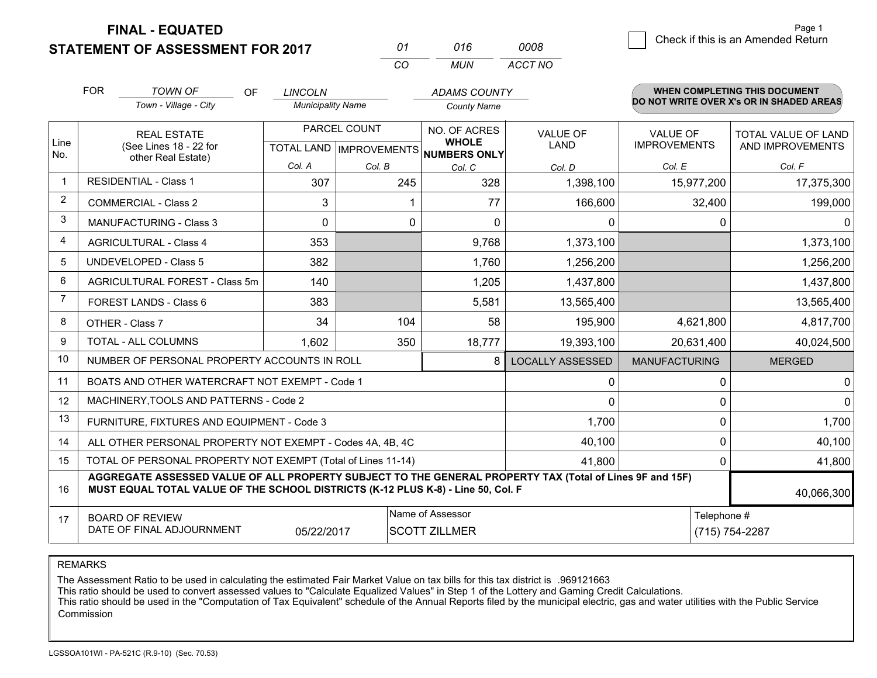**STATEMENT OF ASSESSMENT FOR 2017** 

| 01 | 016 | 0008    |
|----|-----|---------|
| 20 | MUN | ACCT NO |

|                | <b>FOR</b>                                                                                                                                                                                   | <b>TOWN OF</b><br><b>OF</b><br>Town - Village - City         | <b>LINCOLN</b><br><b>Municipality Name</b>          |          | <b>ADAMS COUNTY</b><br><b>County Name</b> |                                |                                        | WHEN COMPLETING THIS DOCUMENT<br>DO NOT WRITE OVER X's OR IN SHADED AREAS |
|----------------|----------------------------------------------------------------------------------------------------------------------------------------------------------------------------------------------|--------------------------------------------------------------|-----------------------------------------------------|----------|-------------------------------------------|--------------------------------|----------------------------------------|---------------------------------------------------------------------------|
| Line           |                                                                                                                                                                                              | <b>REAL ESTATE</b><br>(See Lines 18 - 22 for                 | PARCEL COUNT<br>TOTAL LAND MPROVEMENTS NUMBERS ONLY |          | NO. OF ACRES<br><b>WHOLE</b>              | <b>VALUE OF</b><br><b>LAND</b> | <b>VALUE OF</b><br><b>IMPROVEMENTS</b> | TOTAL VALUE OF LAND<br>AND IMPROVEMENTS                                   |
| No.            |                                                                                                                                                                                              | other Real Estate)                                           | Col. A                                              | Col. B   | Col. C                                    | Col. D                         | Col. E                                 | Col. F                                                                    |
| $\mathbf{1}$   | <b>RESIDENTIAL - Class 1</b>                                                                                                                                                                 |                                                              | 307                                                 | 245      | 328                                       | 1,398,100                      | 15,977,200                             | 17,375,300                                                                |
| $\overline{2}$ |                                                                                                                                                                                              | <b>COMMERCIAL - Class 2</b>                                  | 3                                                   |          | 77                                        | 166,600                        | 32,400                                 | 199,000                                                                   |
| 3              |                                                                                                                                                                                              | <b>MANUFACTURING - Class 3</b>                               | $\Omega$                                            | $\Omega$ | $\Omega$                                  | 0                              | $\Omega$                               | $\Omega$                                                                  |
| $\overline{4}$ |                                                                                                                                                                                              | <b>AGRICULTURAL - Class 4</b>                                | 353                                                 |          | 9,768                                     | 1,373,100                      |                                        | 1,373,100                                                                 |
| 5              |                                                                                                                                                                                              | <b>UNDEVELOPED - Class 5</b>                                 | 382                                                 |          | 1,760                                     | 1,256,200                      |                                        | 1,256,200                                                                 |
| 6              | AGRICULTURAL FOREST - Class 5m                                                                                                                                                               |                                                              | 140                                                 |          | 1,205                                     | 1,437,800                      |                                        | 1,437,800                                                                 |
| 7              |                                                                                                                                                                                              | FOREST LANDS - Class 6                                       | 383                                                 |          | 5,581                                     | 13,565,400                     |                                        | 13,565,400                                                                |
| 8              |                                                                                                                                                                                              | OTHER - Class 7                                              | 34                                                  | 104      | 58                                        | 195,900                        | 4,621,800                              | 4,817,700                                                                 |
| 9              |                                                                                                                                                                                              | TOTAL - ALL COLUMNS                                          | 1,602                                               | 350      | 18,777                                    | 19,393,100                     | 20,631,400                             | 40,024,500                                                                |
| 10             |                                                                                                                                                                                              | NUMBER OF PERSONAL PROPERTY ACCOUNTS IN ROLL                 |                                                     |          | 8                                         | <b>LOCALLY ASSESSED</b>        | <b>MANUFACTURING</b>                   | <b>MERGED</b>                                                             |
| 11             |                                                                                                                                                                                              | BOATS AND OTHER WATERCRAFT NOT EXEMPT - Code 1               |                                                     |          |                                           | 0                              | 0                                      | 0                                                                         |
| 12             |                                                                                                                                                                                              | MACHINERY, TOOLS AND PATTERNS - Code 2                       |                                                     |          |                                           | $\Omega$                       | 0                                      | $\Omega$                                                                  |
| 13             |                                                                                                                                                                                              | FURNITURE, FIXTURES AND EQUIPMENT - Code 3                   |                                                     |          |                                           | 1,700                          | $\Omega$                               | 1,700                                                                     |
| 14             |                                                                                                                                                                                              | ALL OTHER PERSONAL PROPERTY NOT EXEMPT - Codes 4A, 4B, 4C    |                                                     |          |                                           | 40,100                         | 0                                      | 40,100                                                                    |
| 15             |                                                                                                                                                                                              | TOTAL OF PERSONAL PROPERTY NOT EXEMPT (Total of Lines 11-14) |                                                     |          | 41,800                                    | $\Omega$                       | 41,800                                 |                                                                           |
| 16             | AGGREGATE ASSESSED VALUE OF ALL PROPERTY SUBJECT TO THE GENERAL PROPERTY TAX (Total of Lines 9F and 15F)<br>MUST EQUAL TOTAL VALUE OF THE SCHOOL DISTRICTS (K-12 PLUS K-8) - Line 50, Col. F |                                                              |                                                     |          |                                           |                                |                                        | 40,066,300                                                                |
| 17             | Name of Assessor<br><b>BOARD OF REVIEW</b><br>DATE OF FINAL ADJOURNMENT<br><b>SCOTT ZILLMER</b><br>05/22/2017                                                                                |                                                              |                                                     |          |                                           |                                | Telephone #                            | (715) 754-2287                                                            |

*CO*

REMARKS

The Assessment Ratio to be used in calculating the estimated Fair Market Value on tax bills for this tax district is .969121663

This ratio should be used to convert assessed values to "Calculate Equalized Values" in Step 1 of the Lottery and Gaming Credit Calculations.<br>This ratio should be used in the "Computation of Tax Equivalent" schedule of the Commission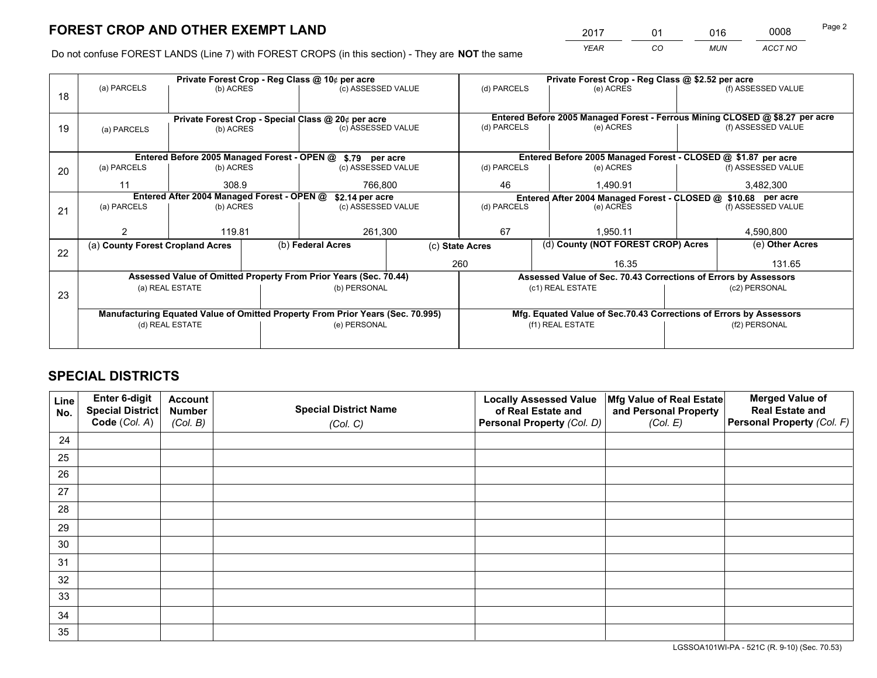*YEAR CO MUN ACCT NO* <sup>2017</sup> <sup>01</sup> <sup>016</sup> <sup>0008</sup>

Do not confuse FOREST LANDS (Line 7) with FOREST CROPS (in this section) - They are **NOT** the same

|    | Private Forest Crop - Reg Class @ 10¢ per acre                                                    |                 |  |                                                                              |                 | Private Forest Crop - Reg Class @ \$2.52 per acre             |                  |                                                                    |                    |                    |  |
|----|---------------------------------------------------------------------------------------------------|-----------------|--|------------------------------------------------------------------------------|-----------------|---------------------------------------------------------------|------------------|--------------------------------------------------------------------|--------------------|--------------------|--|
| 18 | (a) PARCELS                                                                                       | (b) ACRES       |  | (c) ASSESSED VALUE                                                           |                 | (d) PARCELS                                                   |                  | (e) ACRES                                                          |                    | (f) ASSESSED VALUE |  |
|    | Private Forest Crop - Special Class @ 20¢ per acre                                                |                 |  | Entered Before 2005 Managed Forest - Ferrous Mining CLOSED @ \$8.27 per acre |                 |                                                               |                  |                                                                    |                    |                    |  |
| 19 | (a) PARCELS                                                                                       | (b) ACRES       |  | (c) ASSESSED VALUE                                                           |                 | (d) PARCELS                                                   |                  | (e) ACRES                                                          |                    | (f) ASSESSED VALUE |  |
|    |                                                                                                   |                 |  | Entered Before 2005 Managed Forest - OPEN @ \$.79 per acre                   |                 | Entered Before 2005 Managed Forest - CLOSED @ \$1.87 per acre |                  |                                                                    |                    |                    |  |
| 20 | (a) PARCELS                                                                                       | (b) ACRES       |  | (c) ASSESSED VALUE                                                           |                 | (d) PARCELS                                                   |                  | (e) ACRES                                                          |                    | (f) ASSESSED VALUE |  |
|    | 11                                                                                                | 308.9           |  | 766.800                                                                      |                 | 46                                                            |                  | 1.490.91                                                           | 3,482,300          |                    |  |
|    | Entered After 2004 Managed Forest - OPEN @<br>\$2.14 per acre                                     |                 |  |                                                                              |                 | Entered After 2004 Managed Forest - CLOSED @ \$10.68 per acre |                  |                                                                    |                    |                    |  |
| 21 | (a) PARCELS                                                                                       | (b) ACRES       |  | (c) ASSESSED VALUE                                                           |                 | (d) PARCELS                                                   | (e) ACRES        |                                                                    | (f) ASSESSED VALUE |                    |  |
|    |                                                                                                   | 119.81          |  | 261,300                                                                      |                 | 67                                                            |                  | 1,950.11                                                           |                    | 4,590,800          |  |
| 22 | (a) County Forest Cropland Acres                                                                  |                 |  | (b) Federal Acres                                                            | (c) State Acres |                                                               |                  | (d) County (NOT FOREST CROP) Acres                                 |                    | (e) Other Acres    |  |
|    |                                                                                                   |                 |  |                                                                              |                 | 260                                                           |                  | 16.35                                                              |                    | 131.65             |  |
|    |                                                                                                   |                 |  | Assessed Value of Omitted Property From Prior Years (Sec. 70.44)             |                 |                                                               |                  | Assessed Value of Sec. 70.43 Corrections of Errors by Assessors    |                    |                    |  |
| 23 |                                                                                                   | (a) REAL ESTATE |  | (b) PERSONAL                                                                 |                 | (c1) REAL ESTATE<br>(c2) PERSONAL                             |                  |                                                                    |                    |                    |  |
|    |                                                                                                   |                 |  |                                                                              |                 |                                                               |                  | Mfg. Equated Value of Sec.70.43 Corrections of Errors by Assessors |                    |                    |  |
|    | Manufacturing Equated Value of Omitted Property From Prior Years (Sec. 70.995)<br>(d) REAL ESTATE |                 |  | (e) PERSONAL                                                                 |                 |                                                               | (f1) REAL ESTATE |                                                                    |                    | (f2) PERSONAL      |  |
|    |                                                                                                   |                 |  |                                                                              |                 |                                                               |                  |                                                                    |                    |                    |  |
|    |                                                                                                   |                 |  |                                                                              |                 |                                                               |                  |                                                                    |                    |                    |  |

## **SPECIAL DISTRICTS**

| Line<br>No. | Enter 6-digit<br><b>Special District</b> | <b>Account</b><br><b>Number</b> | <b>Special District Name</b> | <b>Locally Assessed Value</b><br>of Real Estate and | Mfg Value of Real Estate<br>and Personal Property | <b>Merged Value of</b><br><b>Real Estate and</b> |
|-------------|------------------------------------------|---------------------------------|------------------------------|-----------------------------------------------------|---------------------------------------------------|--------------------------------------------------|
|             | Code (Col. A)                            | (Col. B)                        | (Col. C)                     | Personal Property (Col. D)                          | (Col. E)                                          | Personal Property (Col. F)                       |
| 24          |                                          |                                 |                              |                                                     |                                                   |                                                  |
| 25          |                                          |                                 |                              |                                                     |                                                   |                                                  |
| 26          |                                          |                                 |                              |                                                     |                                                   |                                                  |
| 27          |                                          |                                 |                              |                                                     |                                                   |                                                  |
| 28          |                                          |                                 |                              |                                                     |                                                   |                                                  |
| 29          |                                          |                                 |                              |                                                     |                                                   |                                                  |
| 30          |                                          |                                 |                              |                                                     |                                                   |                                                  |
| 31          |                                          |                                 |                              |                                                     |                                                   |                                                  |
| 32          |                                          |                                 |                              |                                                     |                                                   |                                                  |
| 33          |                                          |                                 |                              |                                                     |                                                   |                                                  |
| 34          |                                          |                                 |                              |                                                     |                                                   |                                                  |
| 35          |                                          |                                 |                              |                                                     |                                                   |                                                  |

LGSSOA101WI-PA - 521C (R. 9-10) (Sec. 70.53)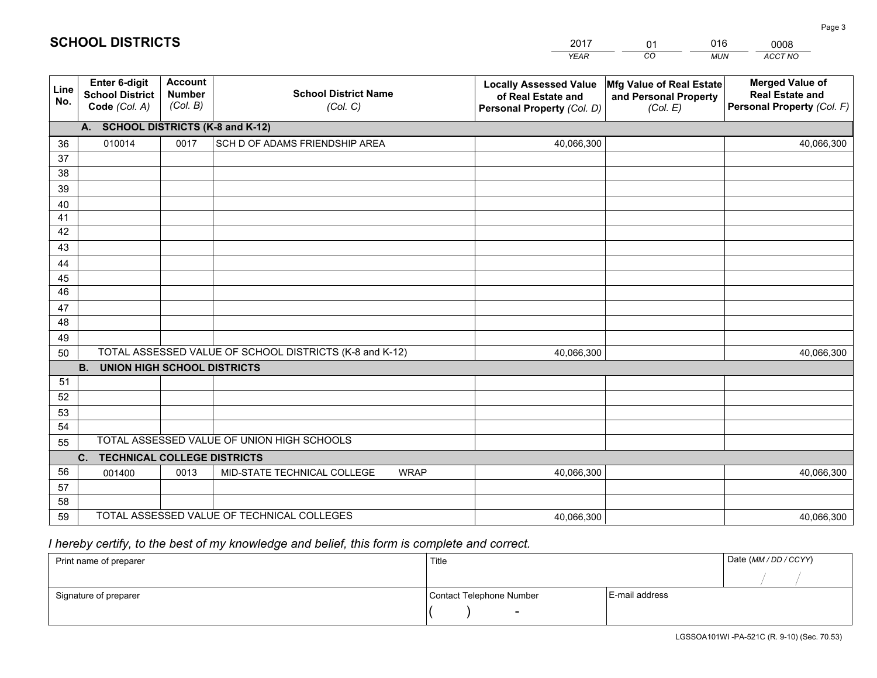|             |                                                          |                                             |                                                         | YEAR                                                                              | CO<br>MUN                                                            | ACCT NO                                                                        |
|-------------|----------------------------------------------------------|---------------------------------------------|---------------------------------------------------------|-----------------------------------------------------------------------------------|----------------------------------------------------------------------|--------------------------------------------------------------------------------|
| Line<br>No. | Enter 6-digit<br><b>School District</b><br>Code (Col. A) | <b>Account</b><br><b>Number</b><br>(Col. B) | <b>School District Name</b><br>(Col. C)                 | <b>Locally Assessed Value</b><br>of Real Estate and<br>Personal Property (Col. D) | <b>Mfg Value of Real Estate</b><br>and Personal Property<br>(Col. E) | <b>Merged Value of</b><br><b>Real Estate and</b><br>Personal Property (Col. F) |
|             | A.                                                       |                                             | <b>SCHOOL DISTRICTS (K-8 and K-12)</b>                  |                                                                                   |                                                                      |                                                                                |
| 36          | 010014                                                   | 0017                                        | SCH D OF ADAMS FRIENDSHIP AREA                          | 40,066,300                                                                        |                                                                      | 40,066,300                                                                     |
| 37          |                                                          |                                             |                                                         |                                                                                   |                                                                      |                                                                                |
| 38          |                                                          |                                             |                                                         |                                                                                   |                                                                      |                                                                                |
| 39          |                                                          |                                             |                                                         |                                                                                   |                                                                      |                                                                                |
| 40          |                                                          |                                             |                                                         |                                                                                   |                                                                      |                                                                                |
| 41<br>42    |                                                          |                                             |                                                         |                                                                                   |                                                                      |                                                                                |
| 43          |                                                          |                                             |                                                         |                                                                                   |                                                                      |                                                                                |
| 44          |                                                          |                                             |                                                         |                                                                                   |                                                                      |                                                                                |
| 45          |                                                          |                                             |                                                         |                                                                                   |                                                                      |                                                                                |
| 46          |                                                          |                                             |                                                         |                                                                                   |                                                                      |                                                                                |
| 47          |                                                          |                                             |                                                         |                                                                                   |                                                                      |                                                                                |
| 48          |                                                          |                                             |                                                         |                                                                                   |                                                                      |                                                                                |
| 49          |                                                          |                                             |                                                         |                                                                                   |                                                                      |                                                                                |
| 50          |                                                          |                                             | TOTAL ASSESSED VALUE OF SCHOOL DISTRICTS (K-8 and K-12) | 40,066,300                                                                        |                                                                      | 40,066,300                                                                     |
|             | <b>B.</b><br><b>UNION HIGH SCHOOL DISTRICTS</b>          |                                             |                                                         |                                                                                   |                                                                      |                                                                                |
| 51          |                                                          |                                             |                                                         |                                                                                   |                                                                      |                                                                                |
| 52          |                                                          |                                             |                                                         |                                                                                   |                                                                      |                                                                                |
| 53<br>54    |                                                          |                                             |                                                         |                                                                                   |                                                                      |                                                                                |
| 55          |                                                          |                                             | TOTAL ASSESSED VALUE OF UNION HIGH SCHOOLS              |                                                                                   |                                                                      |                                                                                |
|             | $C_{1}$<br><b>TECHNICAL COLLEGE DISTRICTS</b>            |                                             |                                                         |                                                                                   |                                                                      |                                                                                |
| 56          | 001400                                                   | 0013                                        | MID-STATE TECHNICAL COLLEGE<br><b>WRAP</b>              | 40,066,300                                                                        |                                                                      | 40,066,300                                                                     |
| 57          |                                                          |                                             |                                                         |                                                                                   |                                                                      |                                                                                |
| 58          |                                                          |                                             |                                                         |                                                                                   |                                                                      |                                                                                |
| 59          |                                                          |                                             | TOTAL ASSESSED VALUE OF TECHNICAL COLLEGES              | 40,066,300                                                                        |                                                                      | 40,066,300                                                                     |

01

016

## *I hereby certify, to the best of my knowledge and belief, this form is complete and correct.*

**SCHOOL DISTRICTS**

| Print name of preparer | Title                    |                | Date (MM / DD / CCYY) |
|------------------------|--------------------------|----------------|-----------------------|
|                        |                          |                |                       |
| Signature of preparer  | Contact Telephone Number | E-mail address |                       |
|                        | $\overline{\phantom{0}}$ |                |                       |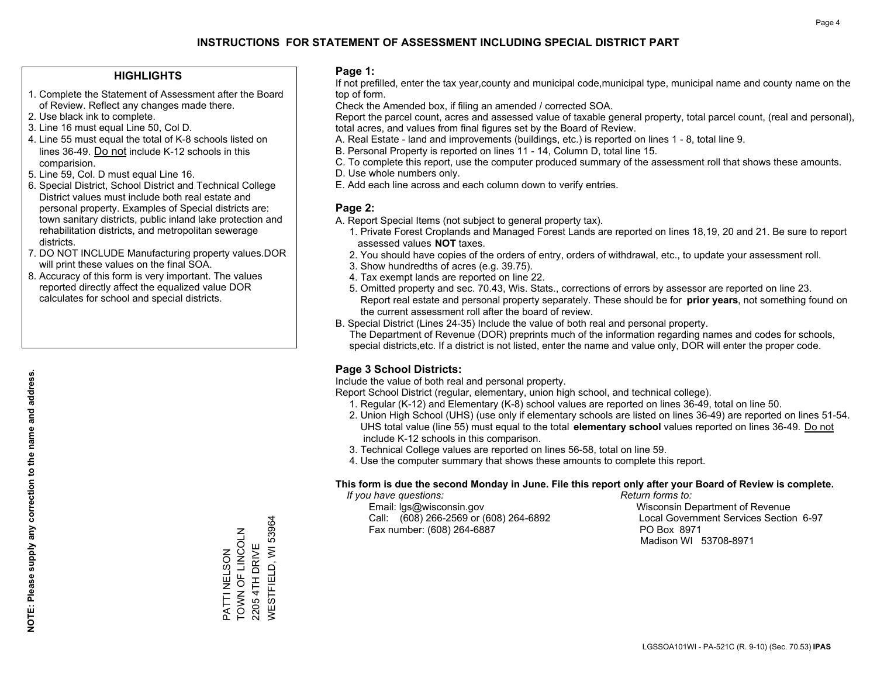#### **HIGHLIGHTS**

- 1. Complete the Statement of Assessment after the Board of Review. Reflect any changes made there.
- 2. Use black ink to complete.
- 3. Line 16 must equal Line 50, Col D.
- 4. Line 55 must equal the total of K-8 schools listed on lines 36-49. Do not include K-12 schools in this comparision.
- 5. Line 59, Col. D must equal Line 16.
- 6. Special District, School District and Technical College District values must include both real estate and personal property. Examples of Special districts are: town sanitary districts, public inland lake protection and rehabilitation districts, and metropolitan sewerage districts.
- 7. DO NOT INCLUDE Manufacturing property values.DOR will print these values on the final SOA.
- 8. Accuracy of this form is very important. The values reported directly affect the equalized value DOR calculates for school and special districts.

#### **Page 1:**

 If not prefilled, enter the tax year,county and municipal code,municipal type, municipal name and county name on the top of form.

Check the Amended box, if filing an amended / corrected SOA.

 Report the parcel count, acres and assessed value of taxable general property, total parcel count, (real and personal), total acres, and values from final figures set by the Board of Review.

- A. Real Estate land and improvements (buildings, etc.) is reported on lines 1 8, total line 9.
- B. Personal Property is reported on lines 11 14, Column D, total line 15.
- C. To complete this report, use the computer produced summary of the assessment roll that shows these amounts.
- D. Use whole numbers only.
- E. Add each line across and each column down to verify entries.

#### **Page 2:**

- A. Report Special Items (not subject to general property tax).
- 1. Private Forest Croplands and Managed Forest Lands are reported on lines 18,19, 20 and 21. Be sure to report assessed values **NOT** taxes.
- 2. You should have copies of the orders of entry, orders of withdrawal, etc., to update your assessment roll.
	- 3. Show hundredths of acres (e.g. 39.75).
- 4. Tax exempt lands are reported on line 22.
- 5. Omitted property and sec. 70.43, Wis. Stats., corrections of errors by assessor are reported on line 23. Report real estate and personal property separately. These should be for **prior years**, not something found on the current assessment roll after the board of review.
- B. Special District (Lines 24-35) Include the value of both real and personal property.

 The Department of Revenue (DOR) preprints much of the information regarding names and codes for schools, special districts,etc. If a district is not listed, enter the name and value only, DOR will enter the proper code.

### **Page 3 School Districts:**

Include the value of both real and personal property.

Report School District (regular, elementary, union high school, and technical college).

- 1. Regular (K-12) and Elementary (K-8) school values are reported on lines 36-49, total on line 50.
- 2. Union High School (UHS) (use only if elementary schools are listed on lines 36-49) are reported on lines 51-54. UHS total value (line 55) must equal to the total **elementary school** values reported on lines 36-49. Do notinclude K-12 schools in this comparison.
- 3. Technical College values are reported on lines 56-58, total on line 59.
- 4. Use the computer summary that shows these amounts to complete this report.

#### **This form is due the second Monday in June. File this report only after your Board of Review is complete.**

 *If you have questions: Return forms to:*

 Email: lgs@wisconsin.gov Wisconsin Department of RevenueCall:  $(608)$  266-2569 or  $(608)$  264-6892 Fax number: (608) 264-6887 PO Box 8971

Local Government Services Section 6-97

Madison WI 53708-8971

PATTI NELSON TOWN OF LINCOLN 2205 4TH DRIVE WESTFIELD, WI 53964

PATTI NELSON

TOWN OF LINCOLN 2205 4TH DRIVE WESTFIELD, WI 53964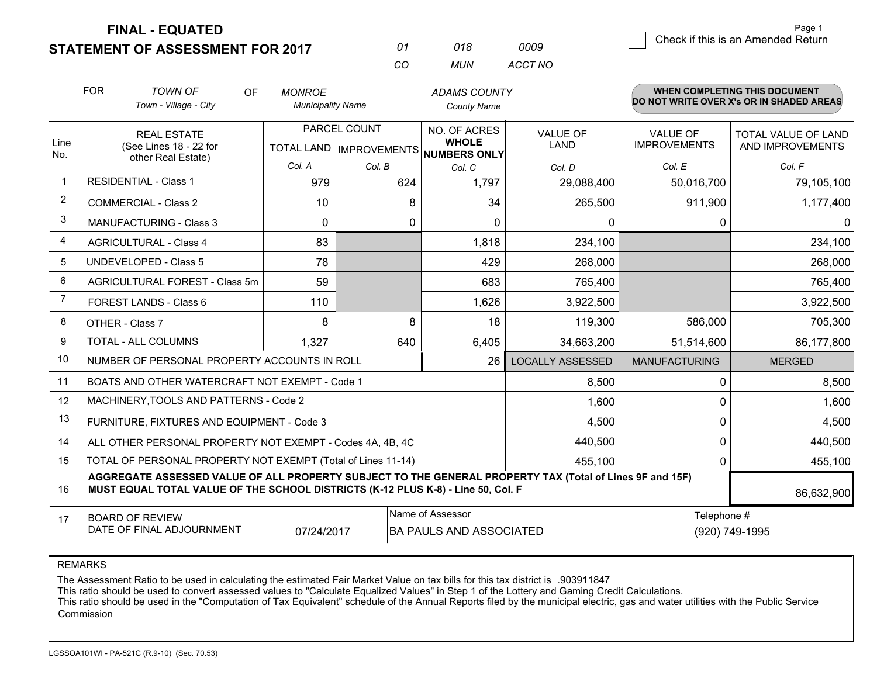**STATEMENT OF ASSESSMENT FOR 2017** 

| 01 | 018 | 0009    |
|----|-----|---------|
| CО | MUN | ACCT NO |

|                | <b>FOR</b>                                                                                                                                                                                                 | <b>TOWN OF</b><br>OF<br>Town - Village - City             | <b>MONROE</b><br><b>Municipality Name</b>                |        | <b>ADAMS COUNTY</b><br><b>County Name</b> |                                |                                        | <b>WHEN COMPLETING THIS DOCUMENT</b><br>DO NOT WRITE OVER X's OR IN SHADED AREAS |
|----------------|------------------------------------------------------------------------------------------------------------------------------------------------------------------------------------------------------------|-----------------------------------------------------------|----------------------------------------------------------|--------|-------------------------------------------|--------------------------------|----------------------------------------|----------------------------------------------------------------------------------|
| Line<br>No.    | <b>REAL ESTATE</b><br>(See Lines 18 - 22 for<br>other Real Estate)                                                                                                                                         |                                                           | PARCEL COUNT<br>TOTAL LAND   IMPROVEMENTS   NUMBERS ONLY |        | NO. OF ACRES<br><b>WHOLE</b>              | <b>VALUE OF</b><br><b>LAND</b> | <b>VALUE OF</b><br><b>IMPROVEMENTS</b> | <b>TOTAL VALUE OF LAND</b><br>AND IMPROVEMENTS                                   |
|                |                                                                                                                                                                                                            |                                                           | Col. A                                                   | Col. B | Col. C                                    | Col. D                         | Col. E                                 | Col. F                                                                           |
| $\mathbf 1$    |                                                                                                                                                                                                            | <b>RESIDENTIAL - Class 1</b>                              | 979                                                      | 624    | 1,797                                     | 29,088,400                     | 50,016,700                             | 79,105,100                                                                       |
| $\overline{2}$ |                                                                                                                                                                                                            | <b>COMMERCIAL - Class 2</b>                               | 10                                                       | 8      | 34                                        | 265,500                        | 911,900                                | 1,177,400                                                                        |
| 3              |                                                                                                                                                                                                            | <b>MANUFACTURING - Class 3</b>                            | $\Omega$                                                 | 0      | $\Omega$                                  | 0                              | $\mathbf{0}$                           | $\mathbf{0}$                                                                     |
| $\overline{4}$ |                                                                                                                                                                                                            | <b>AGRICULTURAL - Class 4</b>                             | 83                                                       |        | 1,818                                     | 234,100                        |                                        | 234,100                                                                          |
| 5              |                                                                                                                                                                                                            | <b>UNDEVELOPED - Class 5</b>                              | 78                                                       |        | 429                                       | 268,000                        |                                        | 268,000                                                                          |
| 6              |                                                                                                                                                                                                            | AGRICULTURAL FOREST - Class 5m                            | 59                                                       |        | 683                                       | 765,400                        |                                        | 765,400                                                                          |
| 7              |                                                                                                                                                                                                            | FOREST LANDS - Class 6                                    | 110                                                      |        | 1,626                                     | 3,922,500                      |                                        | 3,922,500                                                                        |
| 8              |                                                                                                                                                                                                            | OTHER - Class 7                                           | 8                                                        | 8      | 18                                        | 119,300                        | 586,000                                | 705,300                                                                          |
| 9              | TOTAL - ALL COLUMNS                                                                                                                                                                                        |                                                           | 1,327                                                    | 640    | 6,405                                     | 34,663,200                     | 51,514,600                             | 86,177,800                                                                       |
| 10             |                                                                                                                                                                                                            | NUMBER OF PERSONAL PROPERTY ACCOUNTS IN ROLL              |                                                          |        | <b>LOCALLY ASSESSED</b>                   | <b>MANUFACTURING</b>           | <b>MERGED</b>                          |                                                                                  |
| 11             |                                                                                                                                                                                                            | BOATS AND OTHER WATERCRAFT NOT EXEMPT - Code 1            |                                                          |        |                                           | 8,500                          | $\Omega$                               | 8,500                                                                            |
| 12             |                                                                                                                                                                                                            | MACHINERY, TOOLS AND PATTERNS - Code 2                    |                                                          |        |                                           | 1,600                          | $\mathbf 0$                            | 1,600                                                                            |
| 13             |                                                                                                                                                                                                            | FURNITURE, FIXTURES AND EQUIPMENT - Code 3                |                                                          |        | 4,500                                     | 0                              | 4,500                                  |                                                                                  |
| 14             |                                                                                                                                                                                                            | ALL OTHER PERSONAL PROPERTY NOT EXEMPT - Codes 4A, 4B, 4C |                                                          |        | 440,500                                   | $\mathbf 0$                    | 440,500                                |                                                                                  |
| 15             | TOTAL OF PERSONAL PROPERTY NOT EXEMPT (Total of Lines 11-14)                                                                                                                                               |                                                           |                                                          |        |                                           | 455,100                        | 0                                      | 455,100                                                                          |
| 16             | AGGREGATE ASSESSED VALUE OF ALL PROPERTY SUBJECT TO THE GENERAL PROPERTY TAX (Total of Lines 9F and 15F)<br>MUST EQUAL TOTAL VALUE OF THE SCHOOL DISTRICTS (K-12 PLUS K-8) - Line 50, Col. F<br>86,632,900 |                                                           |                                                          |        |                                           |                                |                                        |                                                                                  |
| 17             | Name of Assessor<br><b>BOARD OF REVIEW</b><br>DATE OF FINAL ADJOURNMENT<br>07/24/2017<br><b>BA PAULS AND ASSOCIATED</b>                                                                                    |                                                           |                                                          |        |                                           | Telephone #<br>(920) 749-1995  |                                        |                                                                                  |

REMARKS

The Assessment Ratio to be used in calculating the estimated Fair Market Value on tax bills for this tax district is .903911847

This ratio should be used to convert assessed values to "Calculate Equalized Values" in Step 1 of the Lottery and Gaming Credit Calculations.<br>This ratio should be used in the "Computation of Tax Equivalent" schedule of the Commission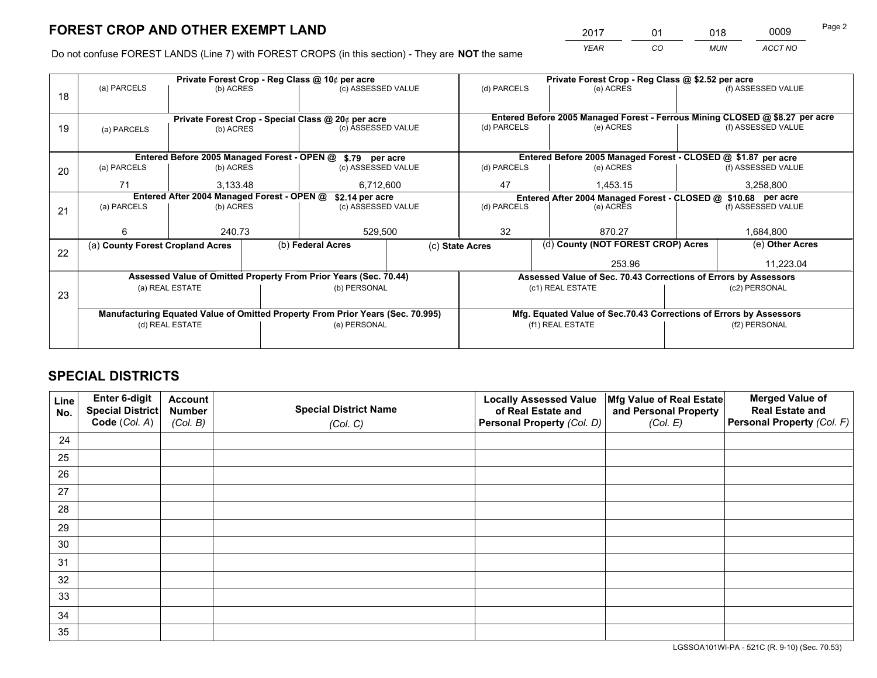*YEAR CO MUN ACCT NO* <sup>2017</sup> <sup>01</sup> <sup>018</sup> <sup>0009</sup>

Do not confuse FOREST LANDS (Line 7) with FOREST CROPS (in this section) - They are **NOT** the same

|    | Private Forest Crop - Reg Class @ 10¢ per acre                                 |                                                    |  |                                                            |             | Private Forest Crop - Reg Class @ \$2.52 per acre                            |                                    |               |                    |  |
|----|--------------------------------------------------------------------------------|----------------------------------------------------|--|------------------------------------------------------------|-------------|------------------------------------------------------------------------------|------------------------------------|---------------|--------------------|--|
| 18 | (a) PARCELS<br>(b) ACRES                                                       |                                                    |  | (c) ASSESSED VALUE                                         |             | (d) PARCELS                                                                  | (e) ACRES                          |               | (f) ASSESSED VALUE |  |
|    |                                                                                |                                                    |  |                                                            |             |                                                                              |                                    |               |                    |  |
|    |                                                                                | Private Forest Crop - Special Class @ 20¢ per acre |  |                                                            |             | Entered Before 2005 Managed Forest - Ferrous Mining CLOSED @ \$8.27 per acre |                                    |               |                    |  |
| 19 | (a) PARCELS                                                                    | (b) ACRES                                          |  | (c) ASSESSED VALUE                                         |             | (d) PARCELS                                                                  | (e) ACRES                          |               | (f) ASSESSED VALUE |  |
|    |                                                                                |                                                    |  |                                                            |             |                                                                              |                                    |               |                    |  |
|    |                                                                                |                                                    |  | Entered Before 2005 Managed Forest - OPEN @ \$.79 per acre |             | Entered Before 2005 Managed Forest - CLOSED @ \$1.87 per acre                |                                    |               |                    |  |
| 20 | (a) PARCELS                                                                    | (b) ACRES                                          |  | (c) ASSESSED VALUE                                         |             | (d) PARCELS                                                                  | (e) ACRES                          |               |                    |  |
|    | 71                                                                             | 3,133.48                                           |  | 6,712,600                                                  |             | 47                                                                           | 1,453.15                           |               | 3,258,800          |  |
|    | Entered After 2004 Managed Forest - OPEN @<br>\$2.14 per acre                  |                                                    |  |                                                            |             | Entered After 2004 Managed Forest - CLOSED @ \$10.68 per acre                |                                    |               |                    |  |
| 21 | (a) PARCELS                                                                    | (b) ACRES                                          |  | (c) ASSESSED VALUE                                         | (d) PARCELS |                                                                              | (e) ACRES                          |               |                    |  |
|    |                                                                                |                                                    |  |                                                            |             |                                                                              |                                    |               |                    |  |
|    | 6                                                                              | 240.73                                             |  | 529,500                                                    |             | 32<br>870.27                                                                 |                                    |               | 1,684,800          |  |
| 22 | (a) County Forest Cropland Acres                                               |                                                    |  | (b) Federal Acres                                          |             | (c) State Acres                                                              | (d) County (NOT FOREST CROP) Acres |               | (e) Other Acres    |  |
|    |                                                                                |                                                    |  |                                                            |             |                                                                              | 253.96                             |               |                    |  |
|    | Assessed Value of Omitted Property From Prior Years (Sec. 70.44)               |                                                    |  |                                                            |             | Assessed Value of Sec. 70.43 Corrections of Errors by Assessors              |                                    |               |                    |  |
| 23 |                                                                                | (a) REAL ESTATE                                    |  | (b) PERSONAL                                               |             | (c1) REAL ESTATE                                                             |                                    | (c2) PERSONAL |                    |  |
|    |                                                                                |                                                    |  |                                                            |             |                                                                              |                                    |               |                    |  |
|    | Manufacturing Equated Value of Omitted Property From Prior Years (Sec. 70.995) |                                                    |  |                                                            |             | Mfg. Equated Value of Sec.70.43 Corrections of Errors by Assessors           |                                    |               |                    |  |
|    | (d) REAL ESTATE                                                                |                                                    |  | (e) PERSONAL                                               |             | (f1) REAL ESTATE                                                             |                                    | (f2) PERSONAL |                    |  |
|    |                                                                                |                                                    |  |                                                            |             |                                                                              |                                    |               |                    |  |

## **SPECIAL DISTRICTS**

| Line<br>No. | Enter 6-digit<br><b>Special District</b> | <b>Account</b><br><b>Number</b> | <b>Special District Name</b> | <b>Locally Assessed Value</b><br>of Real Estate and | Mfg Value of Real Estate<br>and Personal Property | <b>Merged Value of</b><br><b>Real Estate and</b> |
|-------------|------------------------------------------|---------------------------------|------------------------------|-----------------------------------------------------|---------------------------------------------------|--------------------------------------------------|
|             | Code (Col. A)                            | (Col. B)                        | (Col. C)                     | Personal Property (Col. D)                          | (Col. E)                                          | Personal Property (Col. F)                       |
| 24          |                                          |                                 |                              |                                                     |                                                   |                                                  |
| 25          |                                          |                                 |                              |                                                     |                                                   |                                                  |
| 26          |                                          |                                 |                              |                                                     |                                                   |                                                  |
| 27          |                                          |                                 |                              |                                                     |                                                   |                                                  |
| 28          |                                          |                                 |                              |                                                     |                                                   |                                                  |
| 29          |                                          |                                 |                              |                                                     |                                                   |                                                  |
| 30          |                                          |                                 |                              |                                                     |                                                   |                                                  |
| 31          |                                          |                                 |                              |                                                     |                                                   |                                                  |
| 32          |                                          |                                 |                              |                                                     |                                                   |                                                  |
| 33          |                                          |                                 |                              |                                                     |                                                   |                                                  |
| 34          |                                          |                                 |                              |                                                     |                                                   |                                                  |
| 35          |                                          |                                 |                              |                                                     |                                                   |                                                  |

LGSSOA101WI-PA - 521C (R. 9-10) (Sec. 70.53)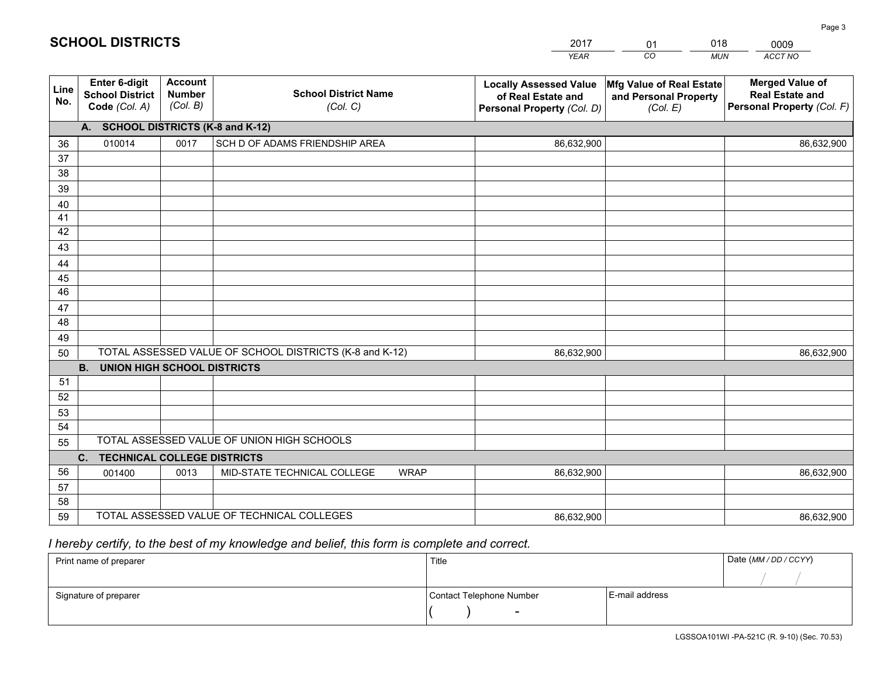|             |                                                                 |                                             |                                                         | <b>YEAR</b>                                                                       | CO<br><b>MUN</b>                                              | <b>ACCT NO</b>                                                                 |  |  |  |
|-------------|-----------------------------------------------------------------|---------------------------------------------|---------------------------------------------------------|-----------------------------------------------------------------------------------|---------------------------------------------------------------|--------------------------------------------------------------------------------|--|--|--|
| Line<br>No. | <b>Enter 6-digit</b><br><b>School District</b><br>Code (Col. A) | <b>Account</b><br><b>Number</b><br>(Col. B) | <b>School District Name</b><br>(Col. C)                 | <b>Locally Assessed Value</b><br>of Real Estate and<br>Personal Property (Col. D) | Mfg Value of Real Estate<br>and Personal Property<br>(Col. E) | <b>Merged Value of</b><br><b>Real Estate and</b><br>Personal Property (Col. F) |  |  |  |
|             | А.                                                              |                                             | <b>SCHOOL DISTRICTS (K-8 and K-12)</b>                  |                                                                                   |                                                               |                                                                                |  |  |  |
| 36          | 010014                                                          | 0017                                        | SCH D OF ADAMS FRIENDSHIP AREA                          | 86,632,900                                                                        |                                                               | 86,632,900                                                                     |  |  |  |
| 37          |                                                                 |                                             |                                                         |                                                                                   |                                                               |                                                                                |  |  |  |
| 38          |                                                                 |                                             |                                                         |                                                                                   |                                                               |                                                                                |  |  |  |
| 39          |                                                                 |                                             |                                                         |                                                                                   |                                                               |                                                                                |  |  |  |
| 40<br>41    |                                                                 |                                             |                                                         |                                                                                   |                                                               |                                                                                |  |  |  |
| 42          |                                                                 |                                             |                                                         |                                                                                   |                                                               |                                                                                |  |  |  |
| 43          |                                                                 |                                             |                                                         |                                                                                   |                                                               |                                                                                |  |  |  |
| 44          |                                                                 |                                             |                                                         |                                                                                   |                                                               |                                                                                |  |  |  |
| 45          |                                                                 |                                             |                                                         |                                                                                   |                                                               |                                                                                |  |  |  |
| 46          |                                                                 |                                             |                                                         |                                                                                   |                                                               |                                                                                |  |  |  |
| 47          |                                                                 |                                             |                                                         |                                                                                   |                                                               |                                                                                |  |  |  |
| 48          |                                                                 |                                             |                                                         |                                                                                   |                                                               |                                                                                |  |  |  |
| 49          |                                                                 |                                             |                                                         |                                                                                   |                                                               |                                                                                |  |  |  |
| 50          |                                                                 |                                             | TOTAL ASSESSED VALUE OF SCHOOL DISTRICTS (K-8 and K-12) | 86,632,900                                                                        |                                                               | 86,632,900                                                                     |  |  |  |
|             | <b>B.</b><br><b>UNION HIGH SCHOOL DISTRICTS</b>                 |                                             |                                                         |                                                                                   |                                                               |                                                                                |  |  |  |
| 51          |                                                                 |                                             |                                                         |                                                                                   |                                                               |                                                                                |  |  |  |
| 52<br>53    |                                                                 |                                             |                                                         |                                                                                   |                                                               |                                                                                |  |  |  |
| 54          |                                                                 |                                             |                                                         |                                                                                   |                                                               |                                                                                |  |  |  |
| 55          |                                                                 |                                             | TOTAL ASSESSED VALUE OF UNION HIGH SCHOOLS              |                                                                                   |                                                               |                                                                                |  |  |  |
|             | <b>TECHNICAL COLLEGE DISTRICTS</b><br>$\mathsf{C}$ .            |                                             |                                                         |                                                                                   |                                                               |                                                                                |  |  |  |
| 56          | 001400                                                          | 0013                                        | <b>WRAP</b><br>MID-STATE TECHNICAL COLLEGE              | 86,632,900                                                                        |                                                               | 86,632,900                                                                     |  |  |  |
| 57          |                                                                 |                                             |                                                         |                                                                                   |                                                               |                                                                                |  |  |  |
| 58          |                                                                 |                                             |                                                         |                                                                                   |                                                               |                                                                                |  |  |  |
| 59          |                                                                 |                                             | TOTAL ASSESSED VALUE OF TECHNICAL COLLEGES              | 86,632,900                                                                        |                                                               | 86,632,900                                                                     |  |  |  |

01

018

## *I hereby certify, to the best of my knowledge and belief, this form is complete and correct.*

**SCHOOL DISTRICTS**

| Print name of preparer | Title                    |                | Date (MM / DD / CCYY) |
|------------------------|--------------------------|----------------|-----------------------|
|                        |                          |                |                       |
| Signature of preparer  | Contact Telephone Number | E-mail address |                       |
|                        | $\sim$                   |                |                       |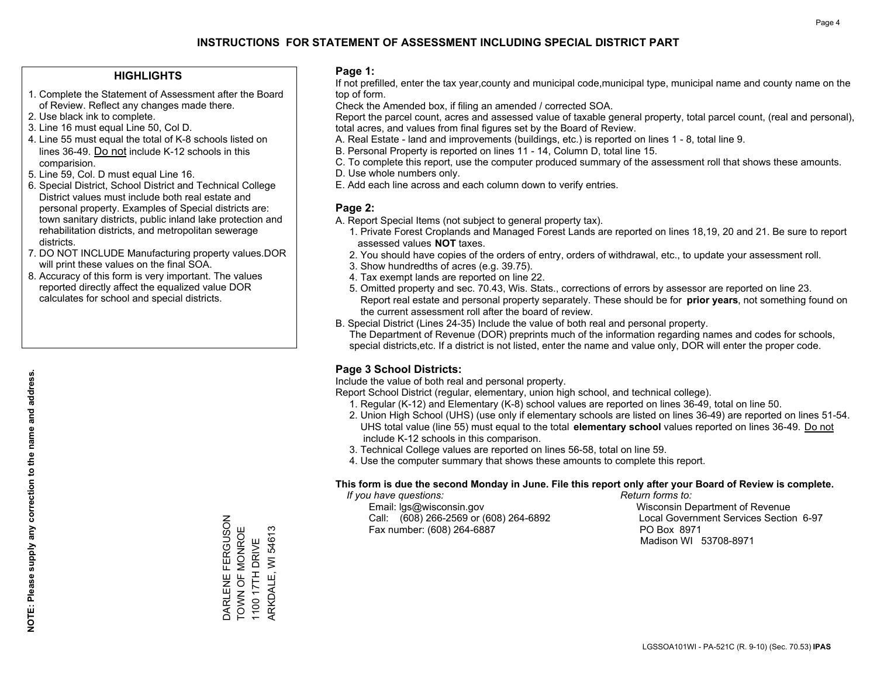#### **HIGHLIGHTS**

- 1. Complete the Statement of Assessment after the Board of Review. Reflect any changes made there.
- 2. Use black ink to complete.
- 3. Line 16 must equal Line 50, Col D.
- 4. Line 55 must equal the total of K-8 schools listed on lines 36-49. Do not include K-12 schools in this comparision.
- 5. Line 59, Col. D must equal Line 16.
- 6. Special District, School District and Technical College District values must include both real estate and personal property. Examples of Special districts are: town sanitary districts, public inland lake protection and rehabilitation districts, and metropolitan sewerage districts.
- 7. DO NOT INCLUDE Manufacturing property values.DOR will print these values on the final SOA.

DARLENE FERGUSON TOWN OF MONROE 1100 17TH DRIVE ARKDALE, WI 54613

DARLENE FERGUSON<br>TOWN OF MONROE

1100 17TH DRIVE

WI 54613

ARKDALE,

 8. Accuracy of this form is very important. The values reported directly affect the equalized value DOR calculates for school and special districts.

#### **Page 1:**

 If not prefilled, enter the tax year,county and municipal code,municipal type, municipal name and county name on the top of form.

Check the Amended box, if filing an amended / corrected SOA.

 Report the parcel count, acres and assessed value of taxable general property, total parcel count, (real and personal), total acres, and values from final figures set by the Board of Review.

- A. Real Estate land and improvements (buildings, etc.) is reported on lines 1 8, total line 9.
- B. Personal Property is reported on lines 11 14, Column D, total line 15.
- C. To complete this report, use the computer produced summary of the assessment roll that shows these amounts.
- D. Use whole numbers only.
- E. Add each line across and each column down to verify entries.

#### **Page 2:**

- A. Report Special Items (not subject to general property tax).
- 1. Private Forest Croplands and Managed Forest Lands are reported on lines 18,19, 20 and 21. Be sure to report assessed values **NOT** taxes.
- 2. You should have copies of the orders of entry, orders of withdrawal, etc., to update your assessment roll.
	- 3. Show hundredths of acres (e.g. 39.75).
- 4. Tax exempt lands are reported on line 22.
- 5. Omitted property and sec. 70.43, Wis. Stats., corrections of errors by assessor are reported on line 23. Report real estate and personal property separately. These should be for **prior years**, not something found on the current assessment roll after the board of review.
- B. Special District (Lines 24-35) Include the value of both real and personal property.
- The Department of Revenue (DOR) preprints much of the information regarding names and codes for schools, special districts,etc. If a district is not listed, enter the name and value only, DOR will enter the proper code.

### **Page 3 School Districts:**

Include the value of both real and personal property.

Report School District (regular, elementary, union high school, and technical college).

- 1. Regular (K-12) and Elementary (K-8) school values are reported on lines 36-49, total on line 50.
- 2. Union High School (UHS) (use only if elementary schools are listed on lines 36-49) are reported on lines 51-54. UHS total value (line 55) must equal to the total **elementary school** values reported on lines 36-49. Do notinclude K-12 schools in this comparison.
- 3. Technical College values are reported on lines 56-58, total on line 59.
- 4. Use the computer summary that shows these amounts to complete this report.

#### **This form is due the second Monday in June. File this report only after your Board of Review is complete.**

 *If you have questions: Return forms to:*

 Email: lgs@wisconsin.gov Wisconsin Department of RevenueCall:  $(608)$  266-2569 or  $(608)$  264-6892 Fax number: (608) 264-6887 PO Box 8971

Local Government Services Section 6-97

Madison WI 53708-8971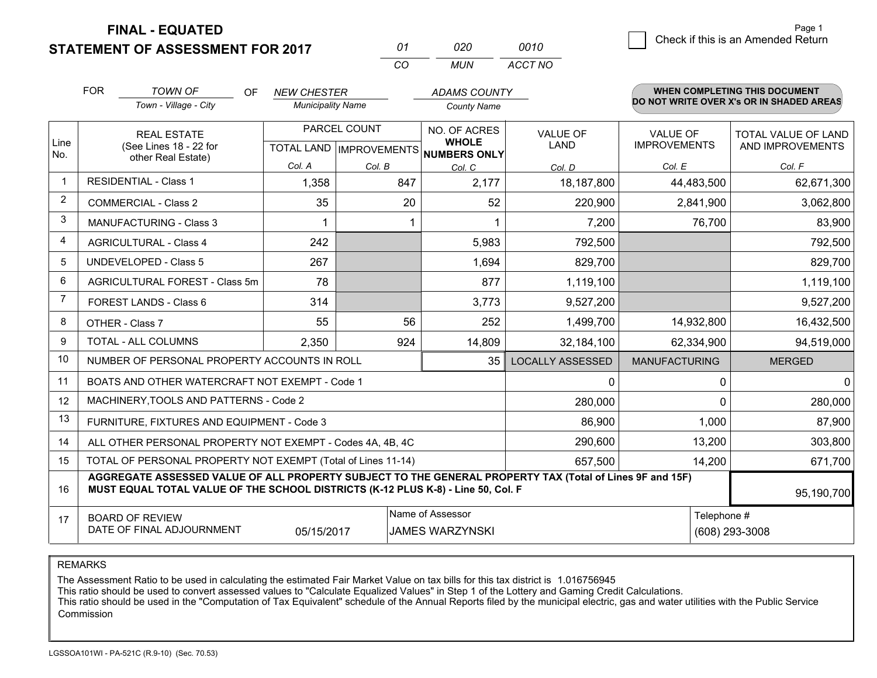**STATEMENT OF ASSESSMENT FOR 2017 FINAL - EQUATED**

0 **Check if this is an Amended Return** Page 1

|                | <b>FOR</b>                                                                                                      | <b>TOWN OF</b><br>OF<br>Town - Village - City                                                                                                                                                | <b>NEW CHESTER</b><br><b>Municipality Name</b> |                                                | <b>ADAMS COUNTY</b><br><b>County Name</b> |                                |                                        | <b>WHEN COMPLETING THIS DOCUMENT</b><br>DO NOT WRITE OVER X's OR IN SHADED AREAS |
|----------------|-----------------------------------------------------------------------------------------------------------------|----------------------------------------------------------------------------------------------------------------------------------------------------------------------------------------------|------------------------------------------------|------------------------------------------------|-------------------------------------------|--------------------------------|----------------------------------------|----------------------------------------------------------------------------------|
| Line           | <b>REAL ESTATE</b><br>(See Lines 18 - 22 for                                                                    |                                                                                                                                                                                              |                                                | PARCEL COUNT<br><b>TOTAL LAND IMPROVEMENTS</b> |                                           | <b>VALUE OF</b><br><b>LAND</b> | <b>VALUE OF</b><br><b>IMPROVEMENTS</b> | TOTAL VALUE OF LAND<br>AND IMPROVEMENTS                                          |
| No.            |                                                                                                                 | other Real Estate)                                                                                                                                                                           | Col. A                                         | Col. B                                         | NUMBERS ONLY<br>Col. C                    | Col. D                         | Col. E                                 | Col. F                                                                           |
| 1              |                                                                                                                 | <b>RESIDENTIAL - Class 1</b>                                                                                                                                                                 | 1,358                                          | 847                                            | 2,177                                     | 18,187,800                     | 44,483,500                             | 62,671,300                                                                       |
| 2              |                                                                                                                 | <b>COMMERCIAL - Class 2</b>                                                                                                                                                                  | 35                                             | 20                                             | 52                                        | 220,900                        | 2,841,900                              | 3,062,800                                                                        |
| 3              |                                                                                                                 | MANUFACTURING - Class 3                                                                                                                                                                      |                                                |                                                | 1                                         | 7,200                          | 76,700                                 | 83,900                                                                           |
| $\overline{4}$ |                                                                                                                 | <b>AGRICULTURAL - Class 4</b>                                                                                                                                                                | 242                                            |                                                | 5,983                                     | 792,500                        |                                        | 792,500                                                                          |
| 5              |                                                                                                                 | <b>UNDEVELOPED - Class 5</b>                                                                                                                                                                 | 267                                            |                                                | 1,694                                     | 829,700                        |                                        | 829,700                                                                          |
| 6              |                                                                                                                 | AGRICULTURAL FOREST - Class 5m                                                                                                                                                               | 78                                             |                                                | 877                                       | 1,119,100                      |                                        | 1,119,100                                                                        |
| $\overline{7}$ |                                                                                                                 | <b>FOREST LANDS - Class 6</b>                                                                                                                                                                | 314                                            |                                                | 3,773                                     | 9,527,200                      |                                        | 9,527,200                                                                        |
| 8              |                                                                                                                 | OTHER - Class 7                                                                                                                                                                              | 55                                             | 56                                             | 252                                       | 1,499,700                      | 14,932,800                             | 16,432,500                                                                       |
| 9              |                                                                                                                 | TOTAL - ALL COLUMNS                                                                                                                                                                          | 2,350                                          | 924                                            | 14,809                                    | 32,184,100                     | 62,334,900                             | 94,519,000                                                                       |
| 10             |                                                                                                                 | NUMBER OF PERSONAL PROPERTY ACCOUNTS IN ROLL                                                                                                                                                 |                                                |                                                | 35                                        | <b>LOCALLY ASSESSED</b>        | <b>MANUFACTURING</b>                   | <b>MERGED</b>                                                                    |
| 11             |                                                                                                                 | BOATS AND OTHER WATERCRAFT NOT EXEMPT - Code 1                                                                                                                                               |                                                |                                                |                                           | $\mathbf{0}$                   |                                        | 0<br>$\mathbf{0}$                                                                |
| 12             |                                                                                                                 | MACHINERY, TOOLS AND PATTERNS - Code 2                                                                                                                                                       |                                                |                                                |                                           | 280,000                        |                                        | $\Omega$<br>280,000                                                              |
| 13             |                                                                                                                 | FURNITURE, FIXTURES AND EQUIPMENT - Code 3                                                                                                                                                   |                                                |                                                |                                           | 86,900                         | 1,000                                  | 87,900                                                                           |
| 14             |                                                                                                                 | ALL OTHER PERSONAL PROPERTY NOT EXEMPT - Codes 4A, 4B, 4C                                                                                                                                    |                                                |                                                |                                           | 290,600                        | 13,200                                 | 303,800                                                                          |
| 15             |                                                                                                                 | TOTAL OF PERSONAL PROPERTY NOT EXEMPT (Total of Lines 11-14)                                                                                                                                 |                                                |                                                |                                           | 657,500                        | 14,200                                 | 671,700                                                                          |
| 16             |                                                                                                                 | AGGREGATE ASSESSED VALUE OF ALL PROPERTY SUBJECT TO THE GENERAL PROPERTY TAX (Total of Lines 9F and 15F)<br>MUST EQUAL TOTAL VALUE OF THE SCHOOL DISTRICTS (K-12 PLUS K-8) - Line 50, Col. F |                                                |                                                |                                           |                                |                                        | 95,190,700                                                                       |
| 17             | Name of Assessor<br><b>BOARD OF REVIEW</b><br>DATE OF FINAL ADJOURNMENT<br>05/15/2017<br><b>JAMES WARZYNSKI</b> |                                                                                                                                                                                              |                                                |                                                |                                           |                                | Telephone #<br>(608) 293-3008          |                                                                                  |

*CO*

*MUN*

*ACCT NO0010*

*<sup>01</sup> <sup>020</sup>*

REMARKS

The Assessment Ratio to be used in calculating the estimated Fair Market Value on tax bills for this tax district is 1.016756945<br>This ratio should be used to convert assessed values to "Calculate Equalized Values" in Step Commission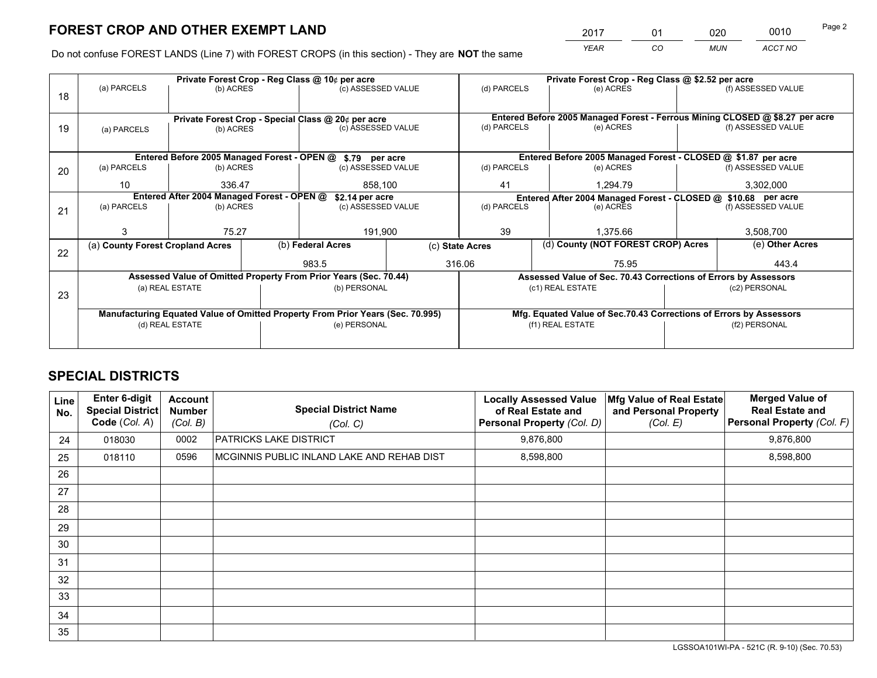*YEAR CO MUN ACCT NO* <sup>2017</sup> <sup>01</sup> <sup>020</sup> <sup>0010</sup>

Do not confuse FOREST LANDS (Line 7) with FOREST CROPS (in this section) - They are **NOT** the same

|    | Private Forest Crop - Reg Class @ 10¢ per acre |                                            |  |                                                                                |                 | Private Forest Crop - Reg Class @ \$2.52 per acre                  |                                                               |                                                                 |  |                                                                              |
|----|------------------------------------------------|--------------------------------------------|--|--------------------------------------------------------------------------------|-----------------|--------------------------------------------------------------------|---------------------------------------------------------------|-----------------------------------------------------------------|--|------------------------------------------------------------------------------|
| 18 | (a) PARCELS                                    | (b) ACRES                                  |  | (c) ASSESSED VALUE                                                             |                 | (d) PARCELS                                                        |                                                               | (e) ACRES                                                       |  | (f) ASSESSED VALUE                                                           |
|    |                                                |                                            |  |                                                                                |                 |                                                                    |                                                               |                                                                 |  |                                                                              |
|    |                                                |                                            |  | Private Forest Crop - Special Class @ 20¢ per acre                             |                 |                                                                    |                                                               |                                                                 |  | Entered Before 2005 Managed Forest - Ferrous Mining CLOSED @ \$8.27 per acre |
| 19 | (a) PARCELS                                    | (b) ACRES                                  |  | (c) ASSESSED VALUE                                                             |                 | (d) PARCELS                                                        |                                                               | (e) ACRES                                                       |  | (f) ASSESSED VALUE                                                           |
|    |                                                |                                            |  |                                                                                |                 |                                                                    |                                                               |                                                                 |  |                                                                              |
|    |                                                |                                            |  | Entered Before 2005 Managed Forest - OPEN @ \$.79 per acre                     |                 |                                                                    |                                                               | Entered Before 2005 Managed Forest - CLOSED @ \$1.87 per acre   |  |                                                                              |
| 20 | (a) PARCELS                                    | (b) ACRES                                  |  | (c) ASSESSED VALUE                                                             |                 | (d) PARCELS                                                        |                                                               | (e) ACRES                                                       |  | (f) ASSESSED VALUE                                                           |
|    | 10                                             | 336.47                                     |  | 858,100                                                                        |                 | 41<br>1,294.79                                                     |                                                               | 3,302,000                                                       |  |                                                                              |
|    |                                                | Entered After 2004 Managed Forest - OPEN @ |  | \$2.14 per acre                                                                |                 |                                                                    | Entered After 2004 Managed Forest - CLOSED @ \$10.68 per acre |                                                                 |  |                                                                              |
| 21 | (a) PARCELS                                    | (b) ACRES                                  |  | (c) ASSESSED VALUE                                                             |                 | (d) PARCELS<br>(e) ACRES                                           |                                                               | (f) ASSESSED VALUE                                              |  |                                                                              |
|    |                                                |                                            |  |                                                                                |                 |                                                                    |                                                               |                                                                 |  |                                                                              |
|    |                                                | 75.27                                      |  | 191,900                                                                        |                 | 39                                                                 |                                                               | 1.375.66                                                        |  | 3,508,700                                                                    |
|    | (a) County Forest Cropland Acres               |                                            |  | (b) Federal Acres                                                              | (c) State Acres |                                                                    |                                                               | (d) County (NOT FOREST CROP) Acres                              |  | (e) Other Acres                                                              |
| 22 |                                                |                                            |  | 983.5                                                                          |                 | 316.06                                                             | 75.95                                                         |                                                                 |  | 443.4                                                                        |
|    |                                                |                                            |  |                                                                                |                 |                                                                    |                                                               |                                                                 |  |                                                                              |
|    |                                                |                                            |  | Assessed Value of Omitted Property From Prior Years (Sec. 70.44)               |                 |                                                                    |                                                               | Assessed Value of Sec. 70.43 Corrections of Errors by Assessors |  |                                                                              |
| 23 |                                                | (a) REAL ESTATE                            |  | (b) PERSONAL                                                                   |                 |                                                                    | (c1) REAL ESTATE                                              |                                                                 |  | (c2) PERSONAL                                                                |
|    |                                                |                                            |  |                                                                                |                 |                                                                    |                                                               |                                                                 |  |                                                                              |
|    |                                                |                                            |  | Manufacturing Equated Value of Omitted Property From Prior Years (Sec. 70.995) |                 | Mfg. Equated Value of Sec.70.43 Corrections of Errors by Assessors |                                                               |                                                                 |  |                                                                              |
|    | (d) REAL ESTATE                                |                                            |  | (e) PERSONAL                                                                   |                 | (f1) REAL ESTATE                                                   |                                                               |                                                                 |  | (f2) PERSONAL                                                                |
|    |                                                |                                            |  |                                                                                |                 |                                                                    |                                                               |                                                                 |  |                                                                              |

## **SPECIAL DISTRICTS**

| Line<br>No. | Enter 6-digit<br><b>Special District</b><br>Code (Col. A) | <b>Account</b><br><b>Number</b><br>(Col. B) | <b>Special District Name</b><br>(Col. C)   | <b>Locally Assessed Value</b><br>of Real Estate and<br><b>Personal Property (Col. D)</b> | Mfg Value of Real Estate<br>and Personal Property<br>(Col. E) | <b>Merged Value of</b><br><b>Real Estate and</b><br>Personal Property (Col. F) |
|-------------|-----------------------------------------------------------|---------------------------------------------|--------------------------------------------|------------------------------------------------------------------------------------------|---------------------------------------------------------------|--------------------------------------------------------------------------------|
| 24          | 018030                                                    | 0002                                        | <b>PATRICKS LAKE DISTRICT</b>              | 9,876,800                                                                                |                                                               | 9,876,800                                                                      |
| 25          | 018110                                                    | 0596                                        | MCGINNIS PUBLIC INLAND LAKE AND REHAB DIST | 8,598,800                                                                                |                                                               | 8,598,800                                                                      |
| 26          |                                                           |                                             |                                            |                                                                                          |                                                               |                                                                                |
| 27          |                                                           |                                             |                                            |                                                                                          |                                                               |                                                                                |
| 28          |                                                           |                                             |                                            |                                                                                          |                                                               |                                                                                |
| 29          |                                                           |                                             |                                            |                                                                                          |                                                               |                                                                                |
| 30          |                                                           |                                             |                                            |                                                                                          |                                                               |                                                                                |
| 31          |                                                           |                                             |                                            |                                                                                          |                                                               |                                                                                |
| 32          |                                                           |                                             |                                            |                                                                                          |                                                               |                                                                                |
| 33          |                                                           |                                             |                                            |                                                                                          |                                                               |                                                                                |
| 34          |                                                           |                                             |                                            |                                                                                          |                                                               |                                                                                |
| 35          |                                                           |                                             |                                            |                                                                                          |                                                               |                                                                                |

LGSSOA101WI-PA - 521C (R. 9-10) (Sec. 70.53)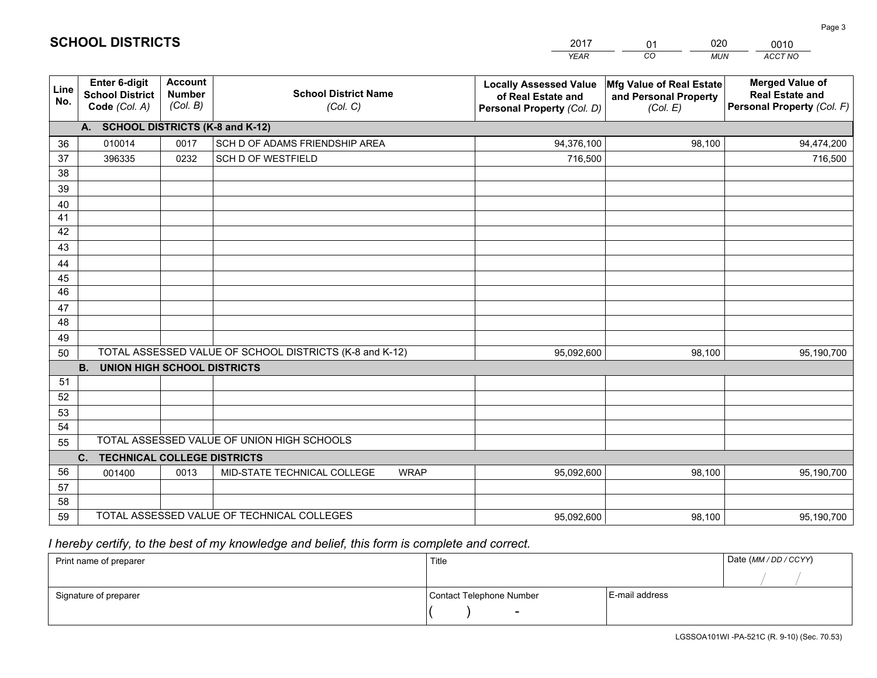|                 |                                                                 |                                             |                                                         | <b>YEAR</b>                                                                       | CO<br><b>MUN</b>                                              | ACCT NO                                                                        |
|-----------------|-----------------------------------------------------------------|---------------------------------------------|---------------------------------------------------------|-----------------------------------------------------------------------------------|---------------------------------------------------------------|--------------------------------------------------------------------------------|
| Line<br>No.     | <b>Enter 6-digit</b><br><b>School District</b><br>Code (Col. A) | <b>Account</b><br><b>Number</b><br>(Col. B) | <b>School District Name</b><br>(Col. C)                 | <b>Locally Assessed Value</b><br>of Real Estate and<br>Personal Property (Col. D) | Mfg Value of Real Estate<br>and Personal Property<br>(Col. E) | <b>Merged Value of</b><br><b>Real Estate and</b><br>Personal Property (Col. F) |
|                 | A. SCHOOL DISTRICTS (K-8 and K-12)                              |                                             |                                                         |                                                                                   |                                                               |                                                                                |
| 36              | 010014                                                          | 0017                                        | SCH D OF ADAMS FRIENDSHIP AREA                          | 94,376,100                                                                        | 98,100                                                        | 94,474,200                                                                     |
| 37              | 396335                                                          | 0232                                        | SCH D OF WESTFIELD                                      | 716,500                                                                           |                                                               | 716,500                                                                        |
| 38              |                                                                 |                                             |                                                         |                                                                                   |                                                               |                                                                                |
| 39              |                                                                 |                                             |                                                         |                                                                                   |                                                               |                                                                                |
| 40              |                                                                 |                                             |                                                         |                                                                                   |                                                               |                                                                                |
| 41              |                                                                 |                                             |                                                         |                                                                                   |                                                               |                                                                                |
| 42<br>43        |                                                                 |                                             |                                                         |                                                                                   |                                                               |                                                                                |
|                 |                                                                 |                                             |                                                         |                                                                                   |                                                               |                                                                                |
| 44<br>45        |                                                                 |                                             |                                                         |                                                                                   |                                                               |                                                                                |
| $\overline{46}$ |                                                                 |                                             |                                                         |                                                                                   |                                                               |                                                                                |
| 47              |                                                                 |                                             |                                                         |                                                                                   |                                                               |                                                                                |
| 48              |                                                                 |                                             |                                                         |                                                                                   |                                                               |                                                                                |
| 49              |                                                                 |                                             |                                                         |                                                                                   |                                                               |                                                                                |
| 50              |                                                                 |                                             | TOTAL ASSESSED VALUE OF SCHOOL DISTRICTS (K-8 and K-12) | 95,092,600                                                                        | 98,100                                                        | 95,190,700                                                                     |
|                 | <b>B.</b><br><b>UNION HIGH SCHOOL DISTRICTS</b>                 |                                             |                                                         |                                                                                   |                                                               |                                                                                |
| 51              |                                                                 |                                             |                                                         |                                                                                   |                                                               |                                                                                |
| 52              |                                                                 |                                             |                                                         |                                                                                   |                                                               |                                                                                |
| 53              |                                                                 |                                             |                                                         |                                                                                   |                                                               |                                                                                |
| 54              |                                                                 |                                             |                                                         |                                                                                   |                                                               |                                                                                |
| 55              |                                                                 |                                             | TOTAL ASSESSED VALUE OF UNION HIGH SCHOOLS              |                                                                                   |                                                               |                                                                                |
|                 | C.<br><b>TECHNICAL COLLEGE DISTRICTS</b>                        |                                             |                                                         |                                                                                   |                                                               |                                                                                |
| 56              | 001400                                                          | 0013                                        | MID-STATE TECHNICAL COLLEGE<br><b>WRAP</b>              | 95,092,600                                                                        | 98,100                                                        | 95,190,700                                                                     |
| 57<br>58        |                                                                 |                                             |                                                         |                                                                                   |                                                               |                                                                                |
| 59              |                                                                 |                                             | TOTAL ASSESSED VALUE OF TECHNICAL COLLEGES              | 95,092,600                                                                        | 98,100                                                        | 95,190,700                                                                     |
|                 |                                                                 |                                             |                                                         |                                                                                   |                                                               |                                                                                |

01

020

 *I hereby certify, to the best of my knowledge and belief, this form is complete and correct.*

**SCHOOL DISTRICTS**

| Print name of preparer | Title                    |                | Date (MM / DD / CCYY) |
|------------------------|--------------------------|----------------|-----------------------|
|                        |                          |                |                       |
| Signature of preparer  | Contact Telephone Number | E-mail address |                       |
|                        | $\sim$                   |                |                       |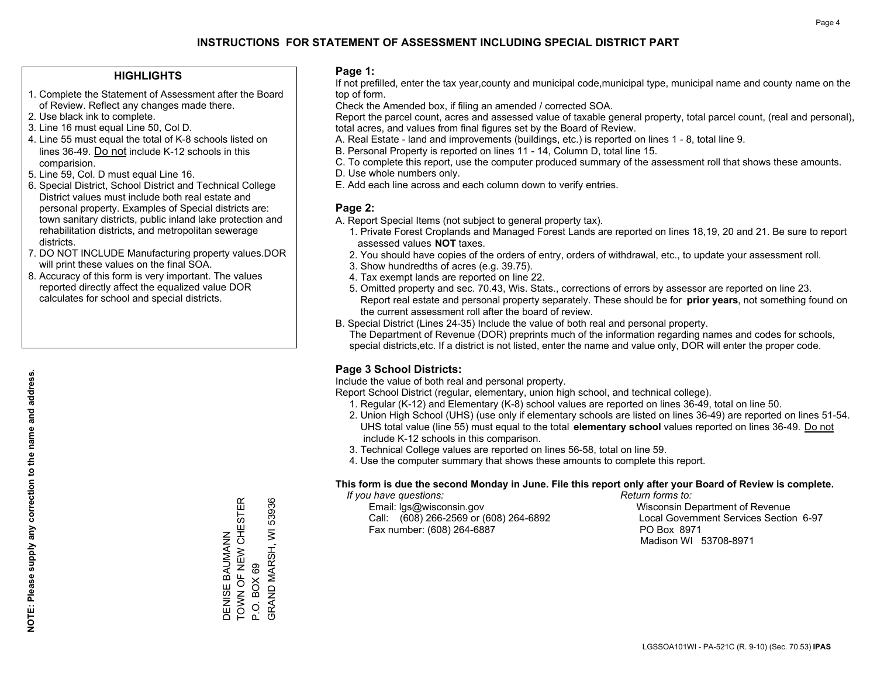#### **HIGHLIGHTS**

- 1. Complete the Statement of Assessment after the Board of Review. Reflect any changes made there.
- 2. Use black ink to complete.
- 3. Line 16 must equal Line 50, Col D.
- 4. Line 55 must equal the total of K-8 schools listed on lines 36-49. Do not include K-12 schools in this comparision.
- 5. Line 59, Col. D must equal Line 16.
- 6. Special District, School District and Technical College District values must include both real estate and personal property. Examples of Special districts are: town sanitary districts, public inland lake protection and rehabilitation districts, and metropolitan sewerage districts.
- 7. DO NOT INCLUDE Manufacturing property values.DOR will print these values on the final SOA.
- 8. Accuracy of this form is very important. The values reported directly affect the equalized value DOR calculates for school and special districts.

#### **Page 1:**

 If not prefilled, enter the tax year,county and municipal code,municipal type, municipal name and county name on the top of form.

Check the Amended box, if filing an amended / corrected SOA.

 Report the parcel count, acres and assessed value of taxable general property, total parcel count, (real and personal), total acres, and values from final figures set by the Board of Review.

- A. Real Estate land and improvements (buildings, etc.) is reported on lines 1 8, total line 9.
- B. Personal Property is reported on lines 11 14, Column D, total line 15.
- C. To complete this report, use the computer produced summary of the assessment roll that shows these amounts.
- D. Use whole numbers only.
- E. Add each line across and each column down to verify entries.

#### **Page 2:**

- A. Report Special Items (not subject to general property tax).
- 1. Private Forest Croplands and Managed Forest Lands are reported on lines 18,19, 20 and 21. Be sure to report assessed values **NOT** taxes.
- 2. You should have copies of the orders of entry, orders of withdrawal, etc., to update your assessment roll.
	- 3. Show hundredths of acres (e.g. 39.75).
- 4. Tax exempt lands are reported on line 22.
- 5. Omitted property and sec. 70.43, Wis. Stats., corrections of errors by assessor are reported on line 23. Report real estate and personal property separately. These should be for **prior years**, not something found on the current assessment roll after the board of review.
- B. Special District (Lines 24-35) Include the value of both real and personal property.

 The Department of Revenue (DOR) preprints much of the information regarding names and codes for schools, special districts,etc. If a district is not listed, enter the name and value only, DOR will enter the proper code.

### **Page 3 School Districts:**

Include the value of both real and personal property.

Report School District (regular, elementary, union high school, and technical college).

- 1. Regular (K-12) and Elementary (K-8) school values are reported on lines 36-49, total on line 50.
- 2. Union High School (UHS) (use only if elementary schools are listed on lines 36-49) are reported on lines 51-54. UHS total value (line 55) must equal to the total **elementary school** values reported on lines 36-49. Do notinclude K-12 schools in this comparison.
- 3. Technical College values are reported on lines 56-58, total on line 59.
- 4. Use the computer summary that shows these amounts to complete this report.

#### **This form is due the second Monday in June. File this report only after your Board of Review is complete.**

 *If you have questions: Return forms to:*

 Email: lgs@wisconsin.gov Wisconsin Department of RevenueCall:  $(608)$  266-2569 or  $(608)$  264-6892 Fax number: (608) 264-6887 PO Box 8971

Local Government Services Section 6-97 Madison WI 53708-8971

TOWN OF NEW CHESTER 53936 DENISE BAUMANN<br>TOWN OF NEW CHESTER GRAND MARSH, WI 53936 GRAND MARSH, WI DENISE BAUMANN P.O. BOX 69 P.O. BOX 69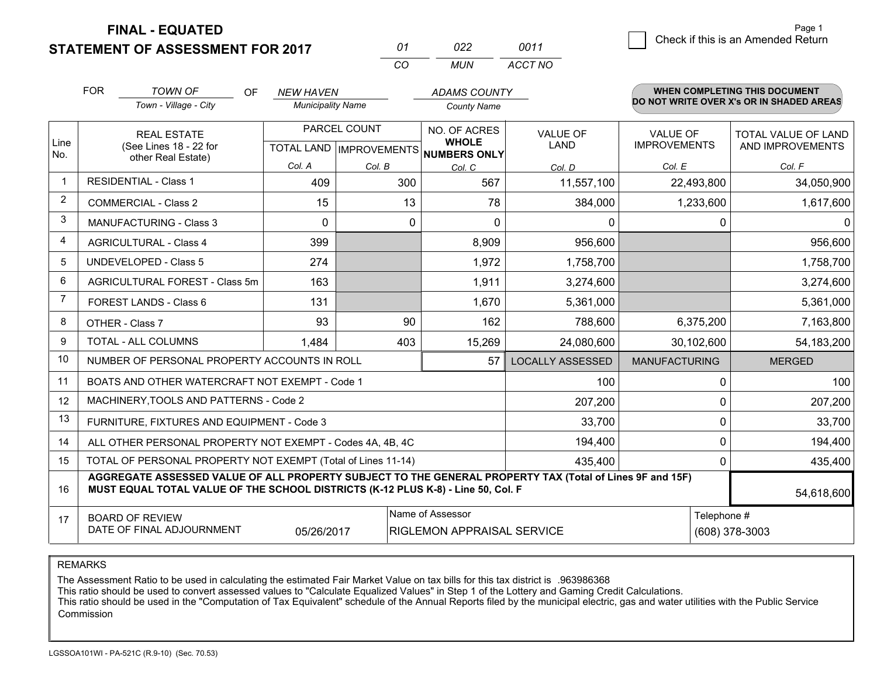**FINAL - EQUATED**

**STATEMENT OF ASSESSMENT FOR 2017** 

| 01       | 7122 | 0011    |
|----------|------|---------|
| $\cdots$ | MUN  | ACCT NO |

|                | <b>FOR</b>                                                                                                                                                                                   | <b>TOWN OF</b><br><b>OF</b><br>Town - Village - City               | <b>NEW HAVEN</b><br><b>Municipality Name</b> |              | <b>ADAMS COUNTY</b><br><b>County Name</b>                           |                                |                                        | <b>WHEN COMPLETING THIS DOCUMENT</b><br>DO NOT WRITE OVER X's OR IN SHADED AREAS |
|----------------|----------------------------------------------------------------------------------------------------------------------------------------------------------------------------------------------|--------------------------------------------------------------------|----------------------------------------------|--------------|---------------------------------------------------------------------|--------------------------------|----------------------------------------|----------------------------------------------------------------------------------|
| Line<br>No.    |                                                                                                                                                                                              | <b>REAL ESTATE</b><br>(See Lines 18 - 22 for<br>other Real Estate) |                                              | PARCEL COUNT | NO. OF ACRES<br><b>WHOLE</b><br>TOTAL LAND MPROVEMENTS NUMBERS ONLY | <b>VALUE OF</b><br><b>LAND</b> | <b>VALUE OF</b><br><b>IMPROVEMENTS</b> | TOTAL VALUE OF LAND<br>AND IMPROVEMENTS                                          |
|                |                                                                                                                                                                                              |                                                                    | Col. A                                       | Col. B       | Col. C                                                              | Col. D                         | Col. E                                 | Col. F                                                                           |
|                |                                                                                                                                                                                              | <b>RESIDENTIAL - Class 1</b>                                       | 409                                          | 300          | 567                                                                 | 11,557,100                     | 22,493,800                             | 34,050,900                                                                       |
| 2              |                                                                                                                                                                                              | <b>COMMERCIAL - Class 2</b>                                        | 15                                           | 13           | 78                                                                  | 384,000                        | 1,233,600                              | 1,617,600                                                                        |
| 3              |                                                                                                                                                                                              | <b>MANUFACTURING - Class 3</b>                                     | $\Omega$                                     | $\Omega$     | $\Omega$                                                            | 0                              | $\Omega$                               | $\Omega$                                                                         |
| 4              |                                                                                                                                                                                              | <b>AGRICULTURAL - Class 4</b>                                      | 399                                          |              | 8,909                                                               | 956,600                        |                                        | 956,600                                                                          |
| 5              |                                                                                                                                                                                              | <b>UNDEVELOPED - Class 5</b>                                       | 274                                          |              | 1,972                                                               | 1,758,700                      |                                        | 1,758,700                                                                        |
| 6              |                                                                                                                                                                                              | AGRICULTURAL FOREST - Class 5m                                     | 163                                          |              | 1,911                                                               | 3,274,600                      |                                        | 3,274,600                                                                        |
| $\overline{7}$ |                                                                                                                                                                                              | FOREST LANDS - Class 6                                             | 131                                          |              | 1,670                                                               | 5,361,000                      |                                        | 5,361,000                                                                        |
| 8              |                                                                                                                                                                                              | OTHER - Class 7                                                    | 93                                           | 90           | 162                                                                 | 788,600                        | 6,375,200                              | 7,163,800                                                                        |
| 9              |                                                                                                                                                                                              | TOTAL - ALL COLUMNS                                                | 1,484                                        | 403          | 15,269                                                              | 24,080,600                     | 30,102,600                             | 54,183,200                                                                       |
| 10             |                                                                                                                                                                                              | NUMBER OF PERSONAL PROPERTY ACCOUNTS IN ROLL                       |                                              |              | 57                                                                  | <b>LOCALLY ASSESSED</b>        | <b>MANUFACTURING</b>                   | <b>MERGED</b>                                                                    |
| 11             |                                                                                                                                                                                              | BOATS AND OTHER WATERCRAFT NOT EXEMPT - Code 1                     |                                              |              |                                                                     | 100                            | 0                                      | 100                                                                              |
| 12             |                                                                                                                                                                                              | MACHINERY, TOOLS AND PATTERNS - Code 2                             |                                              |              |                                                                     | 207,200                        | 0                                      | 207,200                                                                          |
| 13             |                                                                                                                                                                                              | FURNITURE, FIXTURES AND EQUIPMENT - Code 3                         |                                              |              |                                                                     | 33,700                         | 0                                      | 33,700                                                                           |
| 14             |                                                                                                                                                                                              | ALL OTHER PERSONAL PROPERTY NOT EXEMPT - Codes 4A, 4B, 4C          |                                              |              |                                                                     | 194,400                        | 0                                      | 194,400                                                                          |
| 15             |                                                                                                                                                                                              | TOTAL OF PERSONAL PROPERTY NOT EXEMPT (Total of Lines 11-14)       |                                              |              |                                                                     | 435,400                        | 0                                      | 435,400                                                                          |
| 16             | AGGREGATE ASSESSED VALUE OF ALL PROPERTY SUBJECT TO THE GENERAL PROPERTY TAX (Total of Lines 9F and 15F)<br>MUST EQUAL TOTAL VALUE OF THE SCHOOL DISTRICTS (K-12 PLUS K-8) - Line 50, Col. F |                                                                    |                                              |              |                                                                     |                                |                                        | 54,618,600                                                                       |
| 17             |                                                                                                                                                                                              | <b>BOARD OF REVIEW</b><br>DATE OF FINAL ADJOURNMENT                | 05/26/2017                                   |              | Name of Assessor<br>RIGLEMON APPRAISAL SERVICE                      |                                | Telephone #                            | (608) 378-3003                                                                   |

REMARKS

The Assessment Ratio to be used in calculating the estimated Fair Market Value on tax bills for this tax district is .963986368

This ratio should be used to convert assessed values to "Calculate Equalized Values" in Step 1 of the Lottery and Gaming Credit Calculations.<br>This ratio should be used in the "Computation of Tax Equivalent" schedule of the **Commission**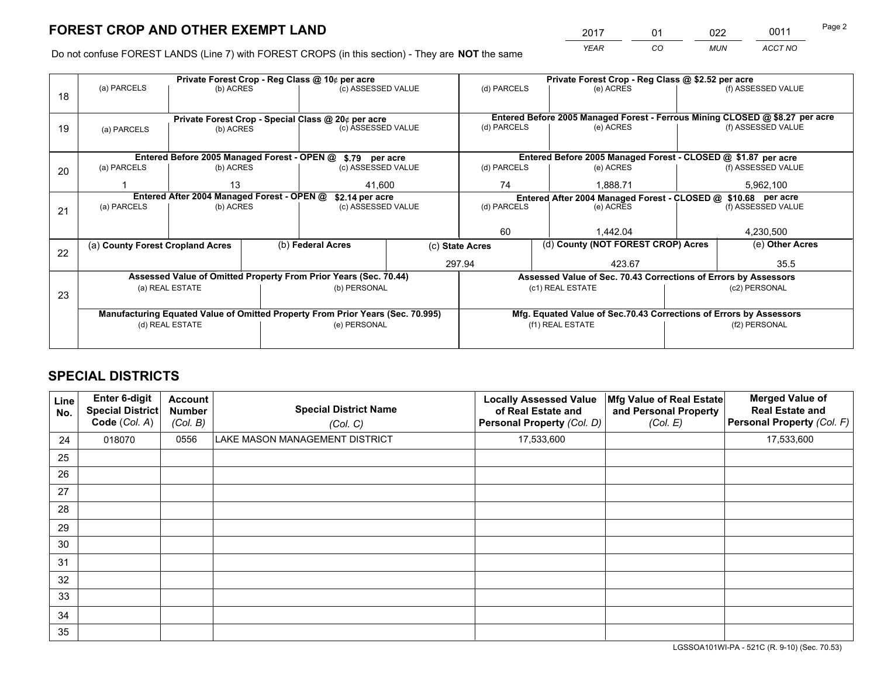*YEAR CO MUN ACCT NO* <sup>2017</sup> <sup>01</sup> <sup>022</sup> <sup>0011</sup> Page 2

Do not confuse FOREST LANDS (Line 7) with FOREST CROPS (in this section) - They are **NOT** the same

|    | Private Forest Crop - Reg Class @ 10¢ per acre                                 |                                            |  |                                                                  |                                                                    | Private Forest Crop - Reg Class @ \$2.52 per acre                                                               |                                                                 |  |                                                                              |  |
|----|--------------------------------------------------------------------------------|--------------------------------------------|--|------------------------------------------------------------------|--------------------------------------------------------------------|-----------------------------------------------------------------------------------------------------------------|-----------------------------------------------------------------|--|------------------------------------------------------------------------------|--|
| 18 | (a) PARCELS                                                                    | (b) ACRES                                  |  | (c) ASSESSED VALUE                                               |                                                                    | (d) PARCELS                                                                                                     | (e) ACRES                                                       |  | (f) ASSESSED VALUE                                                           |  |
|    |                                                                                |                                            |  |                                                                  |                                                                    |                                                                                                                 |                                                                 |  |                                                                              |  |
|    |                                                                                |                                            |  | Private Forest Crop - Special Class @ 20¢ per acre               |                                                                    |                                                                                                                 |                                                                 |  | Entered Before 2005 Managed Forest - Ferrous Mining CLOSED @ \$8.27 per acre |  |
| 19 | (a) PARCELS                                                                    | (b) ACRES                                  |  | (c) ASSESSED VALUE                                               |                                                                    | (d) PARCELS                                                                                                     | (e) ACRES                                                       |  | (f) ASSESSED VALUE                                                           |  |
|    |                                                                                |                                            |  |                                                                  |                                                                    |                                                                                                                 |                                                                 |  |                                                                              |  |
|    |                                                                                |                                            |  | Entered Before 2005 Managed Forest - OPEN @ \$.79 per acre       |                                                                    |                                                                                                                 | Entered Before 2005 Managed Forest - CLOSED @ \$1.87 per acre   |  |                                                                              |  |
| 20 | (a) PARCELS                                                                    | (b) ACRES                                  |  | (c) ASSESSED VALUE                                               |                                                                    | (d) PARCELS                                                                                                     | (e) ACRES                                                       |  | (f) ASSESSED VALUE                                                           |  |
|    |                                                                                | 13                                         |  | 41,600                                                           |                                                                    | 74                                                                                                              | 1,888.71                                                        |  | 5,962,100                                                                    |  |
|    |                                                                                | Entered After 2004 Managed Forest - OPEN @ |  |                                                                  |                                                                    |                                                                                                                 |                                                                 |  |                                                                              |  |
|    | (a) PARCELS                                                                    | (b) ACRES                                  |  | \$2.14 per acre<br>(c) ASSESSED VALUE                            |                                                                    | Entered After 2004 Managed Forest - CLOSED @ \$10.68 per acre<br>(d) PARCELS<br>(f) ASSESSED VALUE<br>(e) ACRES |                                                                 |  |                                                                              |  |
| 21 |                                                                                |                                            |  |                                                                  |                                                                    |                                                                                                                 |                                                                 |  |                                                                              |  |
|    |                                                                                |                                            |  |                                                                  |                                                                    |                                                                                                                 |                                                                 |  |                                                                              |  |
|    |                                                                                |                                            |  |                                                                  |                                                                    | 60                                                                                                              | 1.442.04                                                        |  | 4,230,500                                                                    |  |
| 22 | (a) County Forest Cropland Acres                                               |                                            |  | (b) Federal Acres                                                | (c) State Acres                                                    |                                                                                                                 | (d) County (NOT FOREST CROP) Acres                              |  | (e) Other Acres                                                              |  |
|    |                                                                                |                                            |  |                                                                  |                                                                    | 297.94                                                                                                          | 423.67                                                          |  | 35.5                                                                         |  |
|    |                                                                                |                                            |  | Assessed Value of Omitted Property From Prior Years (Sec. 70.44) |                                                                    |                                                                                                                 | Assessed Value of Sec. 70.43 Corrections of Errors by Assessors |  |                                                                              |  |
|    |                                                                                | (a) REAL ESTATE                            |  | (b) PERSONAL                                                     |                                                                    |                                                                                                                 | (c1) REAL ESTATE                                                |  | (c2) PERSONAL                                                                |  |
| 23 |                                                                                |                                            |  |                                                                  |                                                                    |                                                                                                                 |                                                                 |  |                                                                              |  |
|    | Manufacturing Equated Value of Omitted Property From Prior Years (Sec. 70.995) |                                            |  |                                                                  | Mfg. Equated Value of Sec.70.43 Corrections of Errors by Assessors |                                                                                                                 |                                                                 |  |                                                                              |  |
|    |                                                                                | (d) REAL ESTATE                            |  | (e) PERSONAL                                                     |                                                                    | (f1) REAL ESTATE                                                                                                |                                                                 |  | (f2) PERSONAL                                                                |  |
|    |                                                                                |                                            |  |                                                                  |                                                                    |                                                                                                                 |                                                                 |  |                                                                              |  |
|    |                                                                                |                                            |  |                                                                  |                                                                    |                                                                                                                 |                                                                 |  |                                                                              |  |

## **SPECIAL DISTRICTS**

| Line<br>No. | Enter 6-digit<br>Special District<br>Code (Col. A) | <b>Account</b><br><b>Number</b><br>(Col. B) | <b>Special District Name</b><br>(Col. C) | <b>Locally Assessed Value</b><br>of Real Estate and<br>Personal Property (Col. D) | Mfg Value of Real Estate<br>and Personal Property<br>(Col. E) | <b>Merged Value of</b><br><b>Real Estate and</b><br>Personal Property (Col. F) |
|-------------|----------------------------------------------------|---------------------------------------------|------------------------------------------|-----------------------------------------------------------------------------------|---------------------------------------------------------------|--------------------------------------------------------------------------------|
| 24          | 018070                                             | 0556                                        | LAKE MASON MANAGEMENT DISTRICT           | 17,533,600                                                                        |                                                               | 17,533,600                                                                     |
| 25          |                                                    |                                             |                                          |                                                                                   |                                                               |                                                                                |
| 26          |                                                    |                                             |                                          |                                                                                   |                                                               |                                                                                |
| 27          |                                                    |                                             |                                          |                                                                                   |                                                               |                                                                                |
| 28          |                                                    |                                             |                                          |                                                                                   |                                                               |                                                                                |
| 29          |                                                    |                                             |                                          |                                                                                   |                                                               |                                                                                |
| 30          |                                                    |                                             |                                          |                                                                                   |                                                               |                                                                                |
| 31          |                                                    |                                             |                                          |                                                                                   |                                                               |                                                                                |
| 32          |                                                    |                                             |                                          |                                                                                   |                                                               |                                                                                |
| 33          |                                                    |                                             |                                          |                                                                                   |                                                               |                                                                                |
| 34          |                                                    |                                             |                                          |                                                                                   |                                                               |                                                                                |
| 35          |                                                    |                                             |                                          |                                                                                   |                                                               |                                                                                |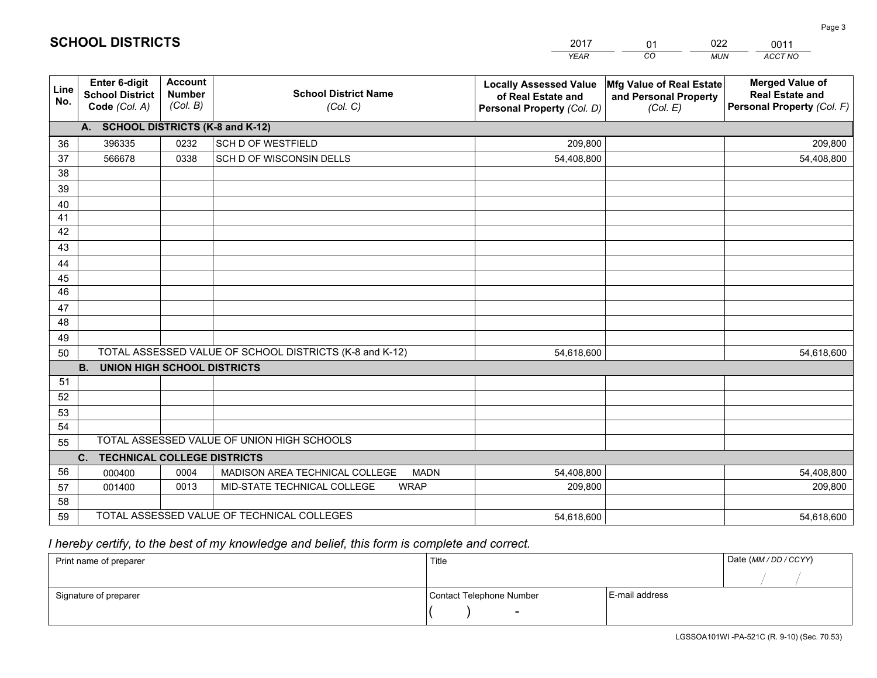|             |                                                          |                                             |                                                         | <b>YEAR</b>                                                                       | CO.<br><b>MUN</b>                                             | ACCT NO                                                                        |
|-------------|----------------------------------------------------------|---------------------------------------------|---------------------------------------------------------|-----------------------------------------------------------------------------------|---------------------------------------------------------------|--------------------------------------------------------------------------------|
| Line<br>No. | Enter 6-digit<br><b>School District</b><br>Code (Col. A) | <b>Account</b><br><b>Number</b><br>(Col. B) | <b>School District Name</b><br>(Col. C)                 | <b>Locally Assessed Value</b><br>of Real Estate and<br>Personal Property (Col. D) | Mfg Value of Real Estate<br>and Personal Property<br>(Col. E) | <b>Merged Value of</b><br><b>Real Estate and</b><br>Personal Property (Col. F) |
|             | A. SCHOOL DISTRICTS (K-8 and K-12)                       |                                             |                                                         |                                                                                   |                                                               |                                                                                |
| 36          | 396335                                                   | 0232                                        | <b>SCH D OF WESTFIELD</b>                               | 209,800                                                                           |                                                               | 209,800                                                                        |
| 37          | 566678                                                   | 0338                                        | SCH D OF WISCONSIN DELLS                                | 54,408,800                                                                        |                                                               | 54,408,800                                                                     |
| 38          |                                                          |                                             |                                                         |                                                                                   |                                                               |                                                                                |
| 39          |                                                          |                                             |                                                         |                                                                                   |                                                               |                                                                                |
| 40          |                                                          |                                             |                                                         |                                                                                   |                                                               |                                                                                |
| 41          |                                                          |                                             |                                                         |                                                                                   |                                                               |                                                                                |
| 42          |                                                          |                                             |                                                         |                                                                                   |                                                               |                                                                                |
| 43          |                                                          |                                             |                                                         |                                                                                   |                                                               |                                                                                |
| 44          |                                                          |                                             |                                                         |                                                                                   |                                                               |                                                                                |
| 45          |                                                          |                                             |                                                         |                                                                                   |                                                               |                                                                                |
| 46          |                                                          |                                             |                                                         |                                                                                   |                                                               |                                                                                |
| 47          |                                                          |                                             |                                                         |                                                                                   |                                                               |                                                                                |
| 48          |                                                          |                                             |                                                         |                                                                                   |                                                               |                                                                                |
| 49          |                                                          |                                             |                                                         |                                                                                   |                                                               |                                                                                |
| 50          |                                                          |                                             | TOTAL ASSESSED VALUE OF SCHOOL DISTRICTS (K-8 and K-12) | 54,618,600                                                                        |                                                               | 54,618,600                                                                     |
|             | <b>B.</b><br><b>UNION HIGH SCHOOL DISTRICTS</b>          |                                             |                                                         |                                                                                   |                                                               |                                                                                |
| 51          |                                                          |                                             |                                                         |                                                                                   |                                                               |                                                                                |
| 52          |                                                          |                                             |                                                         |                                                                                   |                                                               |                                                                                |
| 53          |                                                          |                                             |                                                         |                                                                                   |                                                               |                                                                                |
| 54          |                                                          |                                             |                                                         |                                                                                   |                                                               |                                                                                |
| 55          |                                                          |                                             | TOTAL ASSESSED VALUE OF UNION HIGH SCHOOLS              |                                                                                   |                                                               |                                                                                |
|             | C.<br>TECHNICAL COLLEGE DISTRICTS                        |                                             |                                                         |                                                                                   |                                                               |                                                                                |
| 56          | 000400                                                   | 0004                                        | MADISON AREA TECHNICAL COLLEGE<br><b>MADN</b>           | 54,408,800                                                                        |                                                               | 54,408,800                                                                     |
| 57          | 001400                                                   | 0013                                        | MID-STATE TECHNICAL COLLEGE<br><b>WRAP</b>              | 209,800                                                                           |                                                               | 209,800                                                                        |
| 58          |                                                          |                                             |                                                         |                                                                                   |                                                               |                                                                                |
| 59          |                                                          |                                             | TOTAL ASSESSED VALUE OF TECHNICAL COLLEGES              | 54,618,600                                                                        |                                                               | 54,618,600                                                                     |

01

022

0011

 *I hereby certify, to the best of my knowledge and belief, this form is complete and correct.*

**SCHOOL DISTRICTS**

| Print name of preparer | Title                    |                | Date (MM/DD/CCYY) |
|------------------------|--------------------------|----------------|-------------------|
|                        |                          |                |                   |
| Signature of preparer  | Contact Telephone Number | E-mail address |                   |
|                        | $\overline{\phantom{a}}$ |                |                   |

Page 3

LGSSOA101WI -PA-521C (R. 9-10) (Sec. 70.53)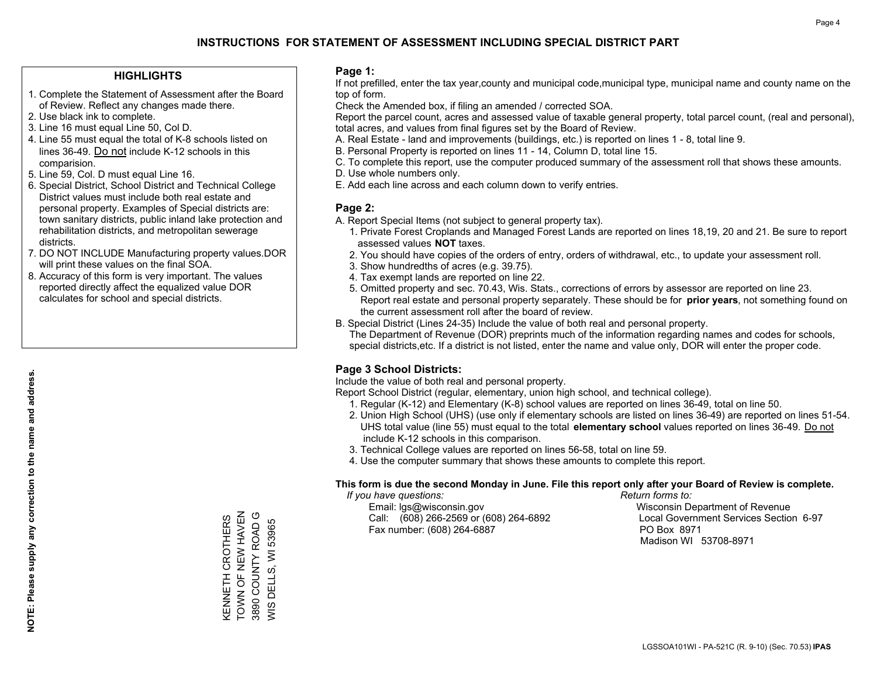#### **HIGHLIGHTS**

- 1. Complete the Statement of Assessment after the Board of Review. Reflect any changes made there.
- 2. Use black ink to complete.
- 3. Line 16 must equal Line 50, Col D.
- 4. Line 55 must equal the total of K-8 schools listed on lines 36-49. Do not include K-12 schools in this comparision.
- 5. Line 59, Col. D must equal Line 16.
- 6. Special District, School District and Technical College District values must include both real estate and personal property. Examples of Special districts are: town sanitary districts, public inland lake protection and rehabilitation districts, and metropolitan sewerage districts.
- 7. DO NOT INCLUDE Manufacturing property values.DOR will print these values on the final SOA.

KENNETH CROTHERS TOWN OF NEW HAVEN 3890 COUNTY ROAD G WIS DELLS, WI 53965

KENNETH CROTHERS<br>TOWN OF NEW HAVEN<br>3890 COUNTY ROAD G

**NIS DELLS, WI 53965** 

 8. Accuracy of this form is very important. The values reported directly affect the equalized value DOR calculates for school and special districts.

#### **Page 1:**

 If not prefilled, enter the tax year,county and municipal code,municipal type, municipal name and county name on the top of form.

Check the Amended box, if filing an amended / corrected SOA.

 Report the parcel count, acres and assessed value of taxable general property, total parcel count, (real and personal), total acres, and values from final figures set by the Board of Review.

- A. Real Estate land and improvements (buildings, etc.) is reported on lines 1 8, total line 9.
- B. Personal Property is reported on lines 11 14, Column D, total line 15.
- C. To complete this report, use the computer produced summary of the assessment roll that shows these amounts.
- D. Use whole numbers only.
- E. Add each line across and each column down to verify entries.

#### **Page 2:**

- A. Report Special Items (not subject to general property tax).
- 1. Private Forest Croplands and Managed Forest Lands are reported on lines 18,19, 20 and 21. Be sure to report assessed values **NOT** taxes.
- 2. You should have copies of the orders of entry, orders of withdrawal, etc., to update your assessment roll.
	- 3. Show hundredths of acres (e.g. 39.75).
- 4. Tax exempt lands are reported on line 22.
- 5. Omitted property and sec. 70.43, Wis. Stats., corrections of errors by assessor are reported on line 23. Report real estate and personal property separately. These should be for **prior years**, not something found on the current assessment roll after the board of review.
- B. Special District (Lines 24-35) Include the value of both real and personal property.

 The Department of Revenue (DOR) preprints much of the information regarding names and codes for schools, special districts,etc. If a district is not listed, enter the name and value only, DOR will enter the proper code.

### **Page 3 School Districts:**

Include the value of both real and personal property.

Report School District (regular, elementary, union high school, and technical college).

- 1. Regular (K-12) and Elementary (K-8) school values are reported on lines 36-49, total on line 50.
- 2. Union High School (UHS) (use only if elementary schools are listed on lines 36-49) are reported on lines 51-54. UHS total value (line 55) must equal to the total **elementary school** values reported on lines 36-49. Do notinclude K-12 schools in this comparison.
- 3. Technical College values are reported on lines 56-58, total on line 59.
- 4. Use the computer summary that shows these amounts to complete this report.

#### **This form is due the second Monday in June. File this report only after your Board of Review is complete.**

 *If you have questions: Return forms to:*

 Email: lgs@wisconsin.gov Wisconsin Department of RevenueCall:  $(608)$  266-2569 or  $(608)$  264-6892 Fax number: (608) 264-6887 PO Box 8971

Local Government Services Section 6-97

Madison WI 53708-8971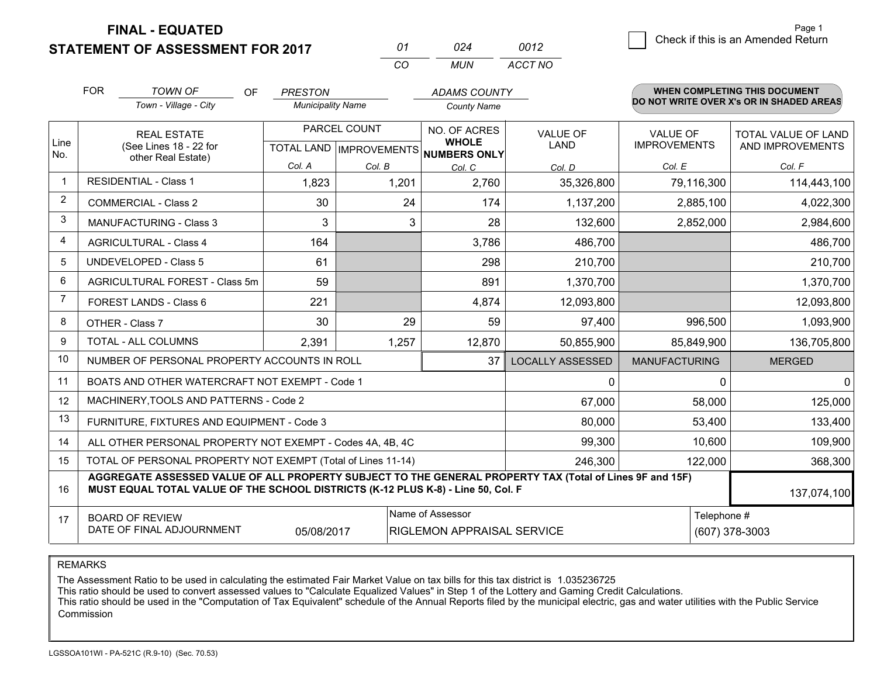**FINAL - EQUATED**

**STATEMENT OF ASSESSMENT FOR 2017** 

| 01  | 024 | 0012    |
|-----|-----|---------|
| CO. | MUN | ACCT NO |

|             | <b>FOR</b>                                                                                                                                                                                   | <b>TOWN OF</b><br><b>OF</b><br>Town - Village - City         | <b>PRESTON</b><br><b>Municipality Name</b> |                                           | <b>ADAMS COUNTY</b><br><b>County Name</b>           |                                   |                                        | <b>WHEN COMPLETING THIS DOCUMENT</b><br>DO NOT WRITE OVER X's OR IN SHADED AREAS |
|-------------|----------------------------------------------------------------------------------------------------------------------------------------------------------------------------------------------|--------------------------------------------------------------|--------------------------------------------|-------------------------------------------|-----------------------------------------------------|-----------------------------------|----------------------------------------|----------------------------------------------------------------------------------|
| Line<br>No. | <b>REAL ESTATE</b><br>(See Lines 18 - 22 for<br>other Real Estate)                                                                                                                           |                                                              |                                            | PARCEL COUNT<br>TOTAL LAND   IMPROVEMENTS | NO. OF ACRES<br><b>WHOLE</b><br><b>NUMBERS ONLY</b> | <b>VALUE OF</b><br><b>LAND</b>    | <b>VALUE OF</b><br><b>IMPROVEMENTS</b> | TOTAL VALUE OF LAND<br>AND IMPROVEMENTS                                          |
|             |                                                                                                                                                                                              |                                                              | Col. A                                     | Col. B                                    | Col. C                                              | Col. D                            | Col. E                                 | Col. F                                                                           |
| $\mathbf 1$ |                                                                                                                                                                                              | <b>RESIDENTIAL - Class 1</b>                                 | 1,823                                      | 1,201                                     | 2,760                                               | 35,326,800                        | 79,116,300                             | 114,443,100                                                                      |
| 2           |                                                                                                                                                                                              | <b>COMMERCIAL - Class 2</b>                                  | 30                                         | 24                                        | 174                                                 | 1,137,200                         | 2,885,100                              | 4,022,300                                                                        |
| 3           |                                                                                                                                                                                              | <b>MANUFACTURING - Class 3</b>                               | 3                                          | 3                                         | 28                                                  | 132,600                           | 2,852,000                              | 2,984,600                                                                        |
| 4           |                                                                                                                                                                                              | <b>AGRICULTURAL - Class 4</b>                                | 164                                        |                                           | 3,786                                               | 486,700                           |                                        | 486,700                                                                          |
| 5           |                                                                                                                                                                                              | UNDEVELOPED - Class 5                                        | 61                                         |                                           | 298                                                 | 210,700                           |                                        | 210,700                                                                          |
| 6           |                                                                                                                                                                                              | AGRICULTURAL FOREST - Class 5m                               | 59                                         |                                           | 891                                                 | 1,370,700                         |                                        | 1,370,700                                                                        |
| 7           |                                                                                                                                                                                              | FOREST LANDS - Class 6                                       | 221                                        |                                           | 4,874                                               | 12,093,800                        |                                        | 12,093,800                                                                       |
| 8           |                                                                                                                                                                                              | OTHER - Class 7                                              | 30                                         | 29                                        | 59                                                  | 97,400                            | 996,500                                | 1,093,900                                                                        |
| 9           |                                                                                                                                                                                              | TOTAL - ALL COLUMNS                                          | 2,391                                      | 1,257                                     | 12,870                                              | 50,855,900                        | 85,849,900                             | 136,705,800                                                                      |
| 10          |                                                                                                                                                                                              | NUMBER OF PERSONAL PROPERTY ACCOUNTS IN ROLL                 |                                            |                                           | 37                                                  | <b>LOCALLY ASSESSED</b>           | <b>MANUFACTURING</b>                   | <b>MERGED</b>                                                                    |
| 11          |                                                                                                                                                                                              | BOATS AND OTHER WATERCRAFT NOT EXEMPT - Code 1               |                                            |                                           |                                                     | 0                                 | $\Omega$                               | $\mathbf 0$                                                                      |
| 12          |                                                                                                                                                                                              | MACHINERY, TOOLS AND PATTERNS - Code 2                       |                                            |                                           |                                                     | 67,000                            | 58,000                                 | 125,000                                                                          |
| 13          |                                                                                                                                                                                              | FURNITURE, FIXTURES AND EQUIPMENT - Code 3                   |                                            |                                           |                                                     | 80,000                            | 53,400                                 | 133,400                                                                          |
| 14          |                                                                                                                                                                                              | ALL OTHER PERSONAL PROPERTY NOT EXEMPT - Codes 4A, 4B, 4C    |                                            |                                           |                                                     | 99,300                            | 10,600                                 | 109,900                                                                          |
| 15          |                                                                                                                                                                                              | TOTAL OF PERSONAL PROPERTY NOT EXEMPT (Total of Lines 11-14) |                                            |                                           | 246,300                                             | 122,000                           | 368,300                                |                                                                                  |
| 16          | AGGREGATE ASSESSED VALUE OF ALL PROPERTY SUBJECT TO THE GENERAL PROPERTY TAX (Total of Lines 9F and 15F)<br>MUST EQUAL TOTAL VALUE OF THE SCHOOL DISTRICTS (K-12 PLUS K-8) - Line 50, Col. F |                                                              |                                            |                                           |                                                     |                                   |                                        | 137,074,100                                                                      |
| 17          | Name of Assessor<br><b>BOARD OF REVIEW</b><br>DATE OF FINAL ADJOURNMENT<br>05/08/2017                                                                                                        |                                                              |                                            |                                           |                                                     | <b>RIGLEMON APPRAISAL SERVICE</b> | Telephone #                            | (607) 378-3003                                                                   |

REMARKS

The Assessment Ratio to be used in calculating the estimated Fair Market Value on tax bills for this tax district is 1.035236725

This ratio should be used to convert assessed values to "Calculate Equalized Values" in Step 1 of the Lottery and Gaming Credit Calculations.<br>This ratio should be used in the "Computation of Tax Equivalent" schedule of the **Commission**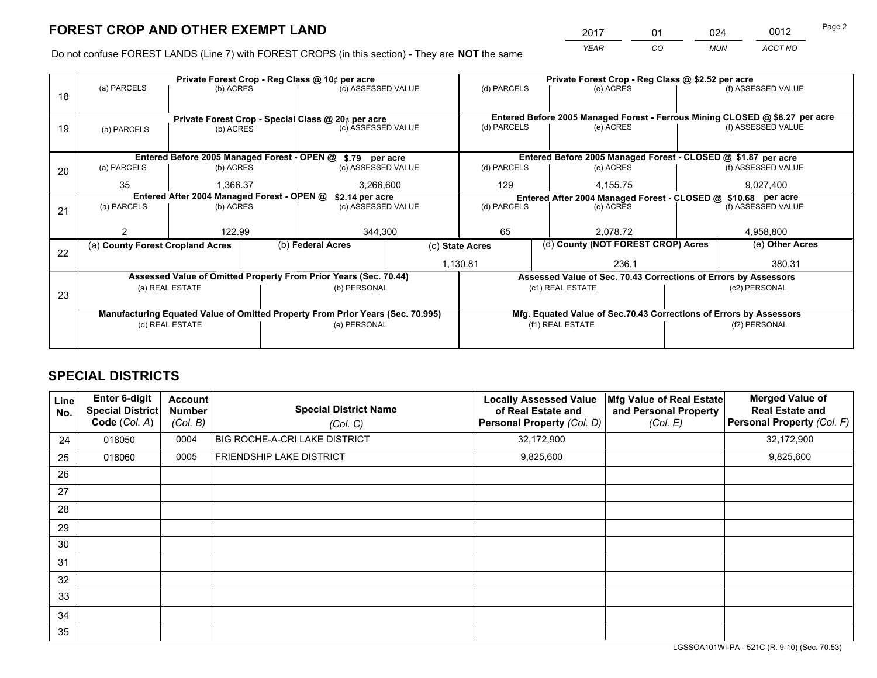*YEAR CO MUN ACCT NO* 2017 01 024 0012

Do not confuse FOREST LANDS (Line 7) with FOREST CROPS (in this section) - They are **NOT** the same

|    |                                                               |                 | Private Forest Crop - Reg Class @ 10¢ per acre |                                                                                | Private Forest Crop - Reg Class @ \$2.52 per acre                            |                                                               |  |                                                                    |                                                                                     |                    |  |
|----|---------------------------------------------------------------|-----------------|------------------------------------------------|--------------------------------------------------------------------------------|------------------------------------------------------------------------------|---------------------------------------------------------------|--|--------------------------------------------------------------------|-------------------------------------------------------------------------------------|--------------------|--|
| 18 | (a) PARCELS                                                   | (b) ACRES       |                                                | (c) ASSESSED VALUE                                                             |                                                                              | (d) PARCELS                                                   |  | (e) ACRES                                                          |                                                                                     | (f) ASSESSED VALUE |  |
|    | Private Forest Crop - Special Class @ 20¢ per acre            |                 |                                                |                                                                                | Entered Before 2005 Managed Forest - Ferrous Mining CLOSED @ \$8.27 per acre |                                                               |  |                                                                    |                                                                                     |                    |  |
| 19 | (a) PARCELS                                                   | (b) ACRES       |                                                | (c) ASSESSED VALUE                                                             |                                                                              | (d) PARCELS                                                   |  | (e) ACRES                                                          |                                                                                     | (f) ASSESSED VALUE |  |
|    | Entered Before 2005 Managed Forest - OPEN @ \$.79 per acre    |                 |                                                |                                                                                |                                                                              | Entered Before 2005 Managed Forest - CLOSED @ \$1.87 per acre |  |                                                                    |                                                                                     |                    |  |
| 20 | (a) PARCELS                                                   | (b) ACRES       |                                                | (c) ASSESSED VALUE                                                             |                                                                              | (d) PARCELS                                                   |  | (e) ACRES                                                          |                                                                                     | (f) ASSESSED VALUE |  |
|    | 35                                                            | 1.366.37        |                                                | 3,266,600                                                                      |                                                                              | 129                                                           |  | 4,155.75                                                           | 9,027,400                                                                           |                    |  |
|    | Entered After 2004 Managed Forest - OPEN @<br>\$2.14 per acre |                 |                                                |                                                                                |                                                                              |                                                               |  |                                                                    | Entered After 2004 Managed Forest - CLOSED @ \$10.68 per acre<br>(f) ASSESSED VALUE |                    |  |
| 21 | (a) PARCELS                                                   | (b) ACRES       |                                                | (c) ASSESSED VALUE                                                             |                                                                              | (d) PARCELS                                                   |  | (e) ACRES                                                          |                                                                                     |                    |  |
|    |                                                               | 122.99          |                                                |                                                                                |                                                                              | 65                                                            |  |                                                                    |                                                                                     | 4,958,800          |  |
|    |                                                               |                 |                                                | 344,300                                                                        |                                                                              |                                                               |  | 2,078.72                                                           |                                                                                     |                    |  |
| 22 | (a) County Forest Cropland Acres                              |                 |                                                | (b) Federal Acres                                                              |                                                                              | (c) State Acres                                               |  | (d) County (NOT FOREST CROP) Acres                                 |                                                                                     | (e) Other Acres    |  |
|    |                                                               |                 |                                                |                                                                                |                                                                              | 1,130.81                                                      |  | 236.1                                                              |                                                                                     | 380.31             |  |
|    |                                                               |                 |                                                | Assessed Value of Omitted Property From Prior Years (Sec. 70.44)               |                                                                              |                                                               |  |                                                                    | Assessed Value of Sec. 70.43 Corrections of Errors by Assessors                     |                    |  |
| 23 |                                                               | (a) REAL ESTATE |                                                | (b) PERSONAL                                                                   |                                                                              |                                                               |  | (c1) REAL ESTATE                                                   |                                                                                     | (c2) PERSONAL      |  |
|    |                                                               |                 |                                                |                                                                                |                                                                              |                                                               |  |                                                                    |                                                                                     |                    |  |
|    |                                                               |                 |                                                | Manufacturing Equated Value of Omitted Property From Prior Years (Sec. 70.995) |                                                                              |                                                               |  | Mfg. Equated Value of Sec.70.43 Corrections of Errors by Assessors |                                                                                     |                    |  |
|    | (d) REAL ESTATE                                               |                 |                                                | (e) PERSONAL                                                                   |                                                                              |                                                               |  | (f1) REAL ESTATE                                                   |                                                                                     | (f2) PERSONAL      |  |
|    |                                                               |                 |                                                |                                                                                |                                                                              |                                                               |  |                                                                    |                                                                                     |                    |  |

## **SPECIAL DISTRICTS**

| Line<br>No. | Enter 6-digit<br><b>Special District</b><br>Code (Col. A) | <b>Account</b><br><b>Number</b><br>(Col. B) | <b>Special District Name</b><br>(Col. C) | <b>Locally Assessed Value</b><br>of Real Estate and<br><b>Personal Property (Col. D)</b> | Mfg Value of Real Estate<br>and Personal Property<br>(Col. E) | <b>Merged Value of</b><br><b>Real Estate and</b><br>Personal Property (Col. F) |
|-------------|-----------------------------------------------------------|---------------------------------------------|------------------------------------------|------------------------------------------------------------------------------------------|---------------------------------------------------------------|--------------------------------------------------------------------------------|
| 24          | 018050                                                    | 0004                                        | <b>BIG ROCHE-A-CRI LAKE DISTRICT</b>     | 32,172,900                                                                               |                                                               | 32,172,900                                                                     |
| 25          | 018060                                                    | 0005                                        | <b>FRIENDSHIP LAKE DISTRICT</b>          | 9,825,600                                                                                |                                                               | 9,825,600                                                                      |
| 26          |                                                           |                                             |                                          |                                                                                          |                                                               |                                                                                |
| 27          |                                                           |                                             |                                          |                                                                                          |                                                               |                                                                                |
| 28          |                                                           |                                             |                                          |                                                                                          |                                                               |                                                                                |
| 29          |                                                           |                                             |                                          |                                                                                          |                                                               |                                                                                |
| 30          |                                                           |                                             |                                          |                                                                                          |                                                               |                                                                                |
| 31          |                                                           |                                             |                                          |                                                                                          |                                                               |                                                                                |
| 32          |                                                           |                                             |                                          |                                                                                          |                                                               |                                                                                |
| 33          |                                                           |                                             |                                          |                                                                                          |                                                               |                                                                                |
| 34          |                                                           |                                             |                                          |                                                                                          |                                                               |                                                                                |
| 35          |                                                           |                                             |                                          |                                                                                          |                                                               |                                                                                |

LGSSOA101WI-PA - 521C (R. 9-10) (Sec. 70.53)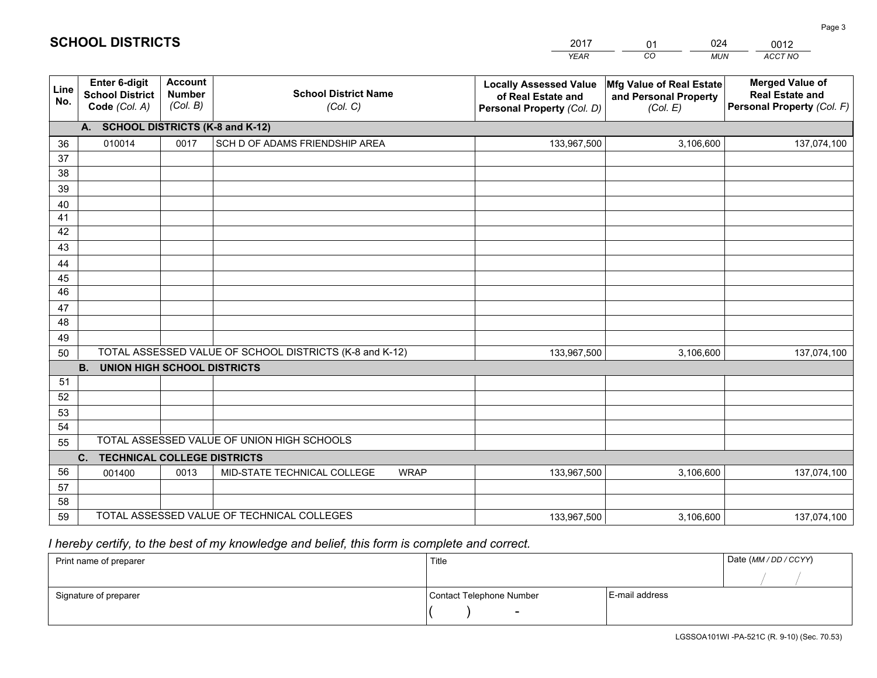|             |                                                          |                                             |                                                         | YEAR                                                                              | CO<br><b>MUN</b>                                              | ACCT NO                                                                        |
|-------------|----------------------------------------------------------|---------------------------------------------|---------------------------------------------------------|-----------------------------------------------------------------------------------|---------------------------------------------------------------|--------------------------------------------------------------------------------|
| Line<br>No. | Enter 6-digit<br><b>School District</b><br>Code (Col. A) | <b>Account</b><br><b>Number</b><br>(Col. B) | <b>School District Name</b><br>(Col. C)                 | <b>Locally Assessed Value</b><br>of Real Estate and<br>Personal Property (Col. D) | Mfg Value of Real Estate<br>and Personal Property<br>(Col. E) | <b>Merged Value of</b><br><b>Real Estate and</b><br>Personal Property (Col. F) |
|             | <b>SCHOOL DISTRICTS (K-8 and K-12)</b><br>A.             |                                             |                                                         |                                                                                   |                                                               |                                                                                |
| 36          | 010014                                                   | 0017                                        | SCH D OF ADAMS FRIENDSHIP AREA                          | 133,967,500                                                                       | 3,106,600                                                     | 137,074,100                                                                    |
| 37          |                                                          |                                             |                                                         |                                                                                   |                                                               |                                                                                |
| 38          |                                                          |                                             |                                                         |                                                                                   |                                                               |                                                                                |
| 39          |                                                          |                                             |                                                         |                                                                                   |                                                               |                                                                                |
| 40          |                                                          |                                             |                                                         |                                                                                   |                                                               |                                                                                |
| 41          |                                                          |                                             |                                                         |                                                                                   |                                                               |                                                                                |
| 42<br>43    |                                                          |                                             |                                                         |                                                                                   |                                                               |                                                                                |
| 44          |                                                          |                                             |                                                         |                                                                                   |                                                               |                                                                                |
| 45          |                                                          |                                             |                                                         |                                                                                   |                                                               |                                                                                |
| 46          |                                                          |                                             |                                                         |                                                                                   |                                                               |                                                                                |
| 47          |                                                          |                                             |                                                         |                                                                                   |                                                               |                                                                                |
| 48          |                                                          |                                             |                                                         |                                                                                   |                                                               |                                                                                |
| 49          |                                                          |                                             |                                                         |                                                                                   |                                                               |                                                                                |
| 50          |                                                          |                                             | TOTAL ASSESSED VALUE OF SCHOOL DISTRICTS (K-8 and K-12) | 133,967,500                                                                       | 3,106,600                                                     | 137,074,100                                                                    |
|             | <b>UNION HIGH SCHOOL DISTRICTS</b><br><b>B.</b>          |                                             |                                                         |                                                                                   |                                                               |                                                                                |
| 51          |                                                          |                                             |                                                         |                                                                                   |                                                               |                                                                                |
| 52          |                                                          |                                             |                                                         |                                                                                   |                                                               |                                                                                |
| 53          |                                                          |                                             |                                                         |                                                                                   |                                                               |                                                                                |
| 54          |                                                          |                                             | TOTAL ASSESSED VALUE OF UNION HIGH SCHOOLS              |                                                                                   |                                                               |                                                                                |
| 55          | $C_{1}$<br>TECHNICAL COLLEGE DISTRICTS                   |                                             |                                                         |                                                                                   |                                                               |                                                                                |
| 56          | 001400                                                   | 0013                                        | MID-STATE TECHNICAL COLLEGE<br><b>WRAP</b>              | 133,967,500                                                                       | 3,106,600                                                     | 137,074,100                                                                    |
| 57          |                                                          |                                             |                                                         |                                                                                   |                                                               |                                                                                |
| 58          |                                                          |                                             |                                                         |                                                                                   |                                                               |                                                                                |
| 59          |                                                          |                                             | TOTAL ASSESSED VALUE OF TECHNICAL COLLEGES              | 133,967,500                                                                       | 3,106,600                                                     | 137,074,100                                                                    |

01

024

## *I hereby certify, to the best of my knowledge and belief, this form is complete and correct.*

**SCHOOL DISTRICTS**

| Print name of preparer | Title                    |                | Date (MM / DD / CCYY) |
|------------------------|--------------------------|----------------|-----------------------|
|                        |                          |                |                       |
| Signature of preparer  | Contact Telephone Number | E-mail address |                       |
|                        | $\overline{\phantom{0}}$ |                |                       |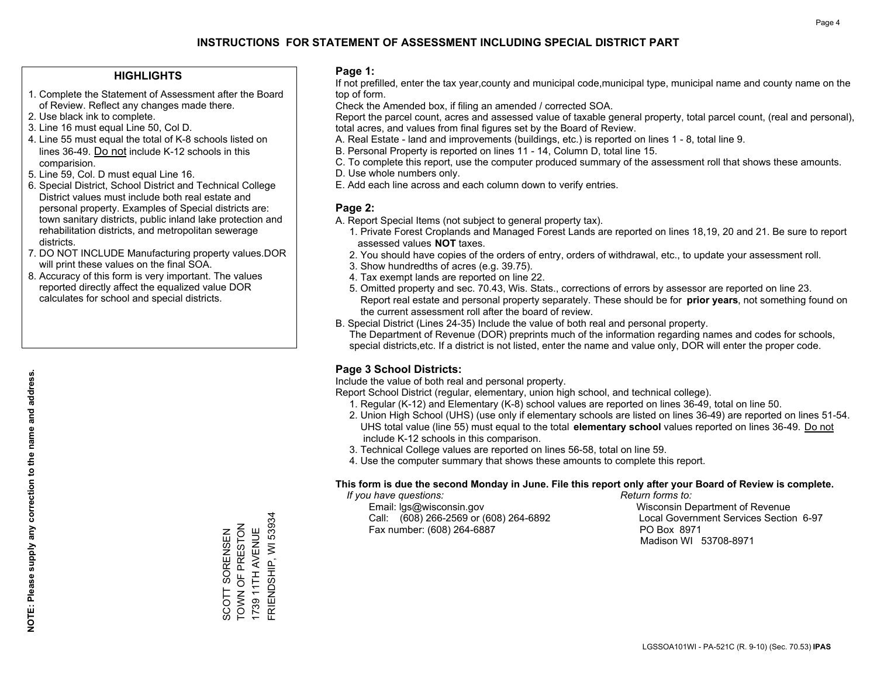#### **HIGHLIGHTS**

- 1. Complete the Statement of Assessment after the Board of Review. Reflect any changes made there.
- 2. Use black ink to complete.
- 3. Line 16 must equal Line 50, Col D.
- 4. Line 55 must equal the total of K-8 schools listed on lines 36-49. Do not include K-12 schools in this comparision.
- 5. Line 59, Col. D must equal Line 16.
- 6. Special District, School District and Technical College District values must include both real estate and personal property. Examples of Special districts are: town sanitary districts, public inland lake protection and rehabilitation districts, and metropolitan sewerage districts.
- 7. DO NOT INCLUDE Manufacturing property values.DOR will print these values on the final SOA.

SCOTT SORENSEN TOWN OF PRESTON 1739 11TH AVENUE FRIENDSHIP, WI 53934

SCOTT SORENSEN<br>TOWN OF PRESTON 1739 11TH AVENUE

FRIENDSHIP, WI 53934

 8. Accuracy of this form is very important. The values reported directly affect the equalized value DOR calculates for school and special districts.

#### **Page 1:**

 If not prefilled, enter the tax year,county and municipal code,municipal type, municipal name and county name on the top of form.

Check the Amended box, if filing an amended / corrected SOA.

 Report the parcel count, acres and assessed value of taxable general property, total parcel count, (real and personal), total acres, and values from final figures set by the Board of Review.

- A. Real Estate land and improvements (buildings, etc.) is reported on lines 1 8, total line 9.
- B. Personal Property is reported on lines 11 14, Column D, total line 15.
- C. To complete this report, use the computer produced summary of the assessment roll that shows these amounts.
- D. Use whole numbers only.
- E. Add each line across and each column down to verify entries.

#### **Page 2:**

- A. Report Special Items (not subject to general property tax).
- 1. Private Forest Croplands and Managed Forest Lands are reported on lines 18,19, 20 and 21. Be sure to report assessed values **NOT** taxes.
- 2. You should have copies of the orders of entry, orders of withdrawal, etc., to update your assessment roll.
	- 3. Show hundredths of acres (e.g. 39.75).
- 4. Tax exempt lands are reported on line 22.
- 5. Omitted property and sec. 70.43, Wis. Stats., corrections of errors by assessor are reported on line 23. Report real estate and personal property separately. These should be for **prior years**, not something found on the current assessment roll after the board of review.
- B. Special District (Lines 24-35) Include the value of both real and personal property.

 The Department of Revenue (DOR) preprints much of the information regarding names and codes for schools, special districts,etc. If a district is not listed, enter the name and value only, DOR will enter the proper code.

### **Page 3 School Districts:**

Include the value of both real and personal property.

Report School District (regular, elementary, union high school, and technical college).

- 1. Regular (K-12) and Elementary (K-8) school values are reported on lines 36-49, total on line 50.
- 2. Union High School (UHS) (use only if elementary schools are listed on lines 36-49) are reported on lines 51-54. UHS total value (line 55) must equal to the total **elementary school** values reported on lines 36-49. Do notinclude K-12 schools in this comparison.
- 3. Technical College values are reported on lines 56-58, total on line 59.
- 4. Use the computer summary that shows these amounts to complete this report.

#### **This form is due the second Monday in June. File this report only after your Board of Review is complete.**

 *If you have questions: Return forms to:*

 Email: lgs@wisconsin.gov Wisconsin Department of RevenueCall:  $(608)$  266-2569 or  $(608)$  264-6892 Fax number: (608) 264-6887 PO Box 8971

Local Government Services Section 6-97 Madison WI 53708-8971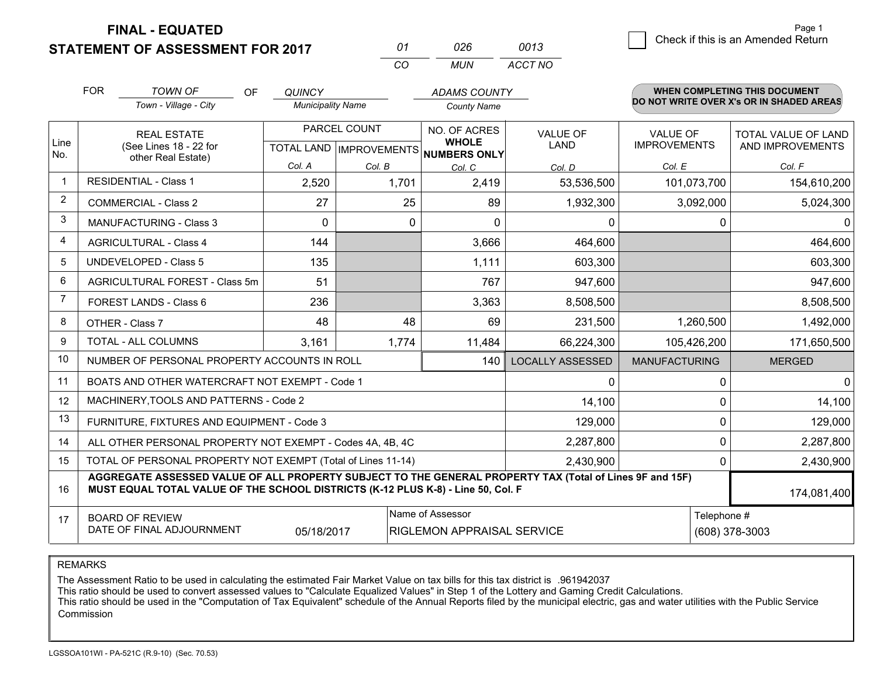**FINAL - EQUATED**

**STATEMENT OF ASSESSMENT FOR 2017** 

| 01  | 026 | 0013    |
|-----|-----|---------|
| CO. | MUN | ACCT NO |

|             | <b>FOR</b>                                                                                                                                                                                   | <b>TOWN OF</b><br><b>OF</b>                                  | <b>QUINCY</b>            |                           | <b>ADAMS COUNTY</b>                 |                         |                      | <b>WHEN COMPLETING THIS DOCUMENT</b>     |  |
|-------------|----------------------------------------------------------------------------------------------------------------------------------------------------------------------------------------------|--------------------------------------------------------------|--------------------------|---------------------------|-------------------------------------|-------------------------|----------------------|------------------------------------------|--|
|             |                                                                                                                                                                                              | Town - Village - City                                        | <b>Municipality Name</b> |                           | <b>County Name</b>                  |                         |                      | DO NOT WRITE OVER X's OR IN SHADED AREAS |  |
|             |                                                                                                                                                                                              | <b>REAL ESTATE</b>                                           |                          | PARCEL COUNT              | NO. OF ACRES                        | <b>VALUE OF</b>         | <b>VALUE OF</b>      | TOTAL VALUE OF LAND                      |  |
| Line<br>No. |                                                                                                                                                                                              | (See Lines 18 - 22 for<br>other Real Estate)                 |                          | TOTAL LAND   IMPROVEMENTS | <b>WHOLE</b><br><b>NUMBERS ONLY</b> | LAND                    | <b>IMPROVEMENTS</b>  | AND IMPROVEMENTS                         |  |
|             |                                                                                                                                                                                              |                                                              | Col. A                   | Col. B                    | Col. C                              | Col. D                  | Col. E               | Col. F                                   |  |
| $\mathbf 1$ |                                                                                                                                                                                              | <b>RESIDENTIAL - Class 1</b>                                 | 2,520                    | 1,701                     | 2,419                               | 53,536,500              | 101,073,700          | 154,610,200                              |  |
| 2           |                                                                                                                                                                                              | <b>COMMERCIAL - Class 2</b>                                  | 27                       | 25                        | 89                                  | 1,932,300               | 3,092,000            | 5,024,300                                |  |
| 3           |                                                                                                                                                                                              | <b>MANUFACTURING - Class 3</b>                               | $\Omega$                 | $\Omega$                  | $\Omega$                            | 0                       | $\Omega$             | 0                                        |  |
| 4           |                                                                                                                                                                                              | <b>AGRICULTURAL - Class 4</b>                                | 144                      |                           | 3,666                               | 464,600                 |                      | 464,600                                  |  |
| 5           |                                                                                                                                                                                              | <b>UNDEVELOPED - Class 5</b>                                 | 135                      |                           | 1,111                               | 603,300                 |                      | 603,300                                  |  |
| 6           |                                                                                                                                                                                              | AGRICULTURAL FOREST - Class 5m                               | 51                       |                           | 767                                 | 947,600                 |                      | 947,600                                  |  |
| 7           |                                                                                                                                                                                              | FOREST LANDS - Class 6                                       | 236                      |                           | 3,363                               | 8,508,500               |                      | 8,508,500                                |  |
| 8           |                                                                                                                                                                                              | OTHER - Class 7                                              | 48                       | 48                        | 69                                  | 231,500                 | 1,260,500            | 1,492,000                                |  |
| 9           |                                                                                                                                                                                              | TOTAL - ALL COLUMNS                                          | 3,161                    | 1,774                     | 11,484                              | 66,224,300              | 105,426,200          | 171,650,500                              |  |
| 10          |                                                                                                                                                                                              | NUMBER OF PERSONAL PROPERTY ACCOUNTS IN ROLL                 |                          |                           | 140                                 | <b>LOCALLY ASSESSED</b> | <b>MANUFACTURING</b> | <b>MERGED</b>                            |  |
| 11          |                                                                                                                                                                                              | BOATS AND OTHER WATERCRAFT NOT EXEMPT - Code 1               |                          |                           |                                     | 0                       | 0                    | $\mathbf 0$                              |  |
| 12          |                                                                                                                                                                                              | MACHINERY, TOOLS AND PATTERNS - Code 2                       |                          |                           |                                     | 14,100                  | 0                    | 14,100                                   |  |
| 13          |                                                                                                                                                                                              | FURNITURE, FIXTURES AND EQUIPMENT - Code 3                   |                          |                           |                                     | 129,000                 | 0                    | 129,000                                  |  |
| 14          |                                                                                                                                                                                              | ALL OTHER PERSONAL PROPERTY NOT EXEMPT - Codes 4A, 4B, 4C    |                          |                           |                                     | 2,287,800               | $\Omega$             | 2,287,800                                |  |
| 15          |                                                                                                                                                                                              | TOTAL OF PERSONAL PROPERTY NOT EXEMPT (Total of Lines 11-14) |                          |                           |                                     | 2,430,900               | 0                    | 2,430,900                                |  |
| 16          | AGGREGATE ASSESSED VALUE OF ALL PROPERTY SUBJECT TO THE GENERAL PROPERTY TAX (Total of Lines 9F and 15F)<br>MUST EQUAL TOTAL VALUE OF THE SCHOOL DISTRICTS (K-12 PLUS K-8) - Line 50, Col. F |                                                              |                          |                           |                                     |                         |                      | 174,081,400                              |  |
| 17          | <b>BOARD OF REVIEW</b>                                                                                                                                                                       |                                                              |                          |                           | Name of Assessor                    |                         | Telephone #          |                                          |  |
|             |                                                                                                                                                                                              | DATE OF FINAL ADJOURNMENT                                    | 05/18/2017               |                           | RIGLEMON APPRAISAL SERVICE          |                         |                      | (608) 378-3003                           |  |

REMARKS

The Assessment Ratio to be used in calculating the estimated Fair Market Value on tax bills for this tax district is .961942037

This ratio should be used to convert assessed values to "Calculate Equalized Values" in Step 1 of the Lottery and Gaming Credit Calculations.<br>This ratio should be used in the "Computation of Tax Equivalent" schedule of the Commission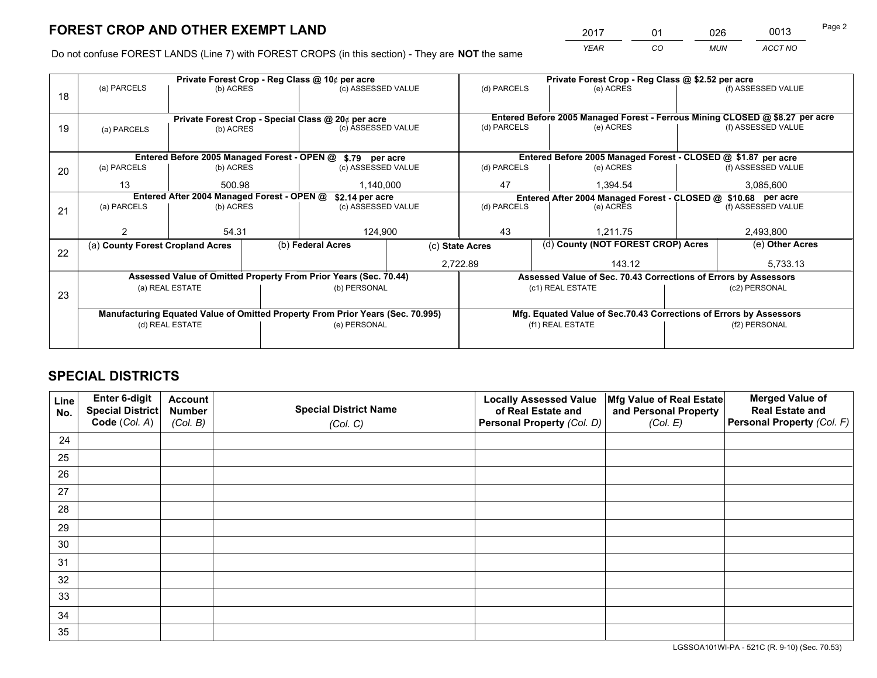*YEAR CO MUN ACCT NO* <sup>2017</sup> <sup>01</sup> <sup>026</sup> <sup>0013</sup>

Do not confuse FOREST LANDS (Line 7) with FOREST CROPS (in this section) - They are **NOT** the same

|    |                                                               |                 |  | Private Forest Crop - Reg Class @ 10¢ per acre                                 | Private Forest Crop - Reg Class @ \$2.52 per acre                            |                                                               |                  |                                                                    |                                                               |                    |  |
|----|---------------------------------------------------------------|-----------------|--|--------------------------------------------------------------------------------|------------------------------------------------------------------------------|---------------------------------------------------------------|------------------|--------------------------------------------------------------------|---------------------------------------------------------------|--------------------|--|
| 18 | (a) PARCELS                                                   | (b) ACRES       |  | (c) ASSESSED VALUE                                                             |                                                                              | (d) PARCELS                                                   |                  | (e) ACRES                                                          |                                                               | (f) ASSESSED VALUE |  |
|    | Private Forest Crop - Special Class @ 20¢ per acre            |                 |  |                                                                                | Entered Before 2005 Managed Forest - Ferrous Mining CLOSED @ \$8.27 per acre |                                                               |                  |                                                                    |                                                               |                    |  |
| 19 | (a) PARCELS                                                   | (b) ACRES       |  | (c) ASSESSED VALUE                                                             |                                                                              | (d) PARCELS                                                   |                  | (e) ACRES                                                          |                                                               | (f) ASSESSED VALUE |  |
|    |                                                               |                 |  | Entered Before 2005 Managed Forest - OPEN @ \$.79 per acre                     |                                                                              | Entered Before 2005 Managed Forest - CLOSED @ \$1.87 per acre |                  |                                                                    |                                                               |                    |  |
| 20 | (a) PARCELS                                                   | (b) ACRES       |  | (c) ASSESSED VALUE                                                             |                                                                              | (d) PARCELS                                                   |                  | (e) ACRES                                                          |                                                               | (f) ASSESSED VALUE |  |
|    | 13                                                            | 500.98          |  | 1,140,000                                                                      |                                                                              | 47                                                            |                  | 1.394.54                                                           |                                                               | 3,085,600          |  |
|    | Entered After 2004 Managed Forest - OPEN @<br>\$2.14 per acre |                 |  |                                                                                |                                                                              |                                                               |                  |                                                                    | Entered After 2004 Managed Forest - CLOSED @ \$10.68 per acre |                    |  |
| 21 | (a) PARCELS                                                   | (b) ACRES       |  | (c) ASSESSED VALUE                                                             |                                                                              | (d) PARCELS                                                   | (e) ACRES        |                                                                    | (f) ASSESSED VALUE                                            |                    |  |
|    |                                                               |                 |  |                                                                                |                                                                              |                                                               |                  |                                                                    |                                                               |                    |  |
|    |                                                               | 54.31           |  | 124,900                                                                        |                                                                              | 43                                                            |                  | 1,211.75                                                           |                                                               | 2,493,800          |  |
| 22 | (a) County Forest Cropland Acres                              |                 |  | (b) Federal Acres                                                              |                                                                              | (c) State Acres                                               |                  | (d) County (NOT FOREST CROP) Acres                                 |                                                               | (e) Other Acres    |  |
|    |                                                               |                 |  |                                                                                |                                                                              | 2,722.89                                                      |                  | 143.12                                                             |                                                               | 5,733.13           |  |
|    |                                                               |                 |  | Assessed Value of Omitted Property From Prior Years (Sec. 70.44)               |                                                                              |                                                               |                  | Assessed Value of Sec. 70.43 Corrections of Errors by Assessors    |                                                               |                    |  |
| 23 |                                                               | (a) REAL ESTATE |  | (b) PERSONAL                                                                   |                                                                              |                                                               |                  | (c1) REAL ESTATE                                                   |                                                               | (c2) PERSONAL      |  |
|    |                                                               |                 |  |                                                                                |                                                                              |                                                               |                  |                                                                    |                                                               |                    |  |
|    |                                                               |                 |  | Manufacturing Equated Value of Omitted Property From Prior Years (Sec. 70.995) |                                                                              |                                                               |                  | Mfg. Equated Value of Sec.70.43 Corrections of Errors by Assessors |                                                               |                    |  |
|    | (d) REAL ESTATE                                               |                 |  | (e) PERSONAL                                                                   |                                                                              |                                                               | (f1) REAL ESTATE |                                                                    |                                                               | (f2) PERSONAL      |  |
|    |                                                               |                 |  |                                                                                |                                                                              |                                                               |                  |                                                                    |                                                               |                    |  |

## **SPECIAL DISTRICTS**

| Line<br>No. | Enter 6-digit<br><b>Special District</b> | <b>Account</b><br><b>Number</b> | <b>Special District Name</b> | <b>Locally Assessed Value</b><br>of Real Estate and | Mfg Value of Real Estate<br>and Personal Property | <b>Merged Value of</b><br><b>Real Estate and</b> |
|-------------|------------------------------------------|---------------------------------|------------------------------|-----------------------------------------------------|---------------------------------------------------|--------------------------------------------------|
|             | Code (Col. A)                            | (Col. B)                        | (Col. C)                     | Personal Property (Col. D)                          | (Col. E)                                          | Personal Property (Col. F)                       |
| 24          |                                          |                                 |                              |                                                     |                                                   |                                                  |
| 25          |                                          |                                 |                              |                                                     |                                                   |                                                  |
| 26          |                                          |                                 |                              |                                                     |                                                   |                                                  |
| 27          |                                          |                                 |                              |                                                     |                                                   |                                                  |
| 28          |                                          |                                 |                              |                                                     |                                                   |                                                  |
| 29          |                                          |                                 |                              |                                                     |                                                   |                                                  |
| 30          |                                          |                                 |                              |                                                     |                                                   |                                                  |
| 31          |                                          |                                 |                              |                                                     |                                                   |                                                  |
| 32          |                                          |                                 |                              |                                                     |                                                   |                                                  |
| 33          |                                          |                                 |                              |                                                     |                                                   |                                                  |
| 34          |                                          |                                 |                              |                                                     |                                                   |                                                  |
| 35          |                                          |                                 |                              |                                                     |                                                   |                                                  |

LGSSOA101WI-PA - 521C (R. 9-10) (Sec. 70.53)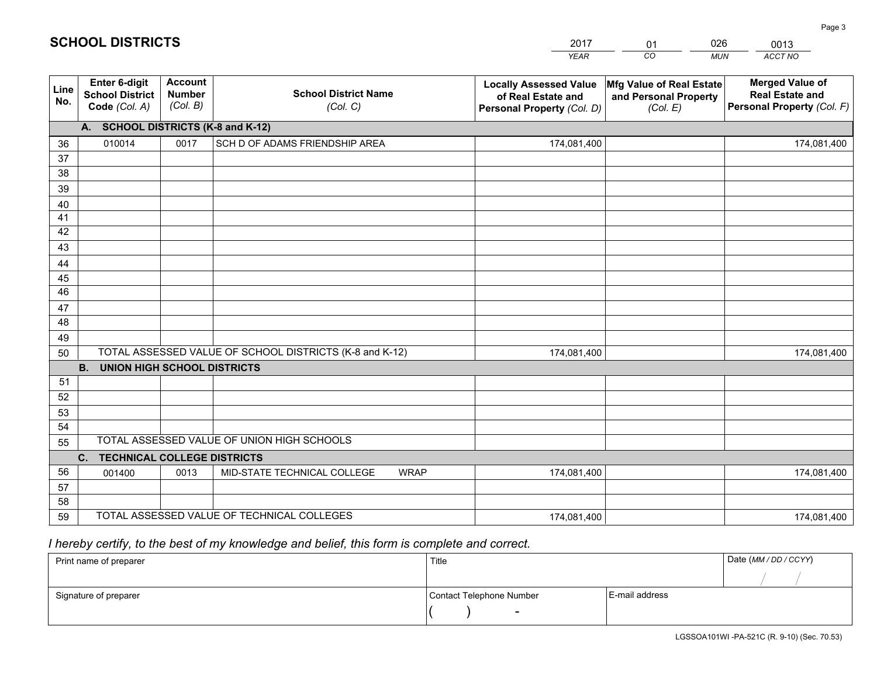|             |                                                          |                                             |                                                         | <b>YEAR</b>                                                                       | CO<br><b>MUN</b>                                              | ACCT NO                                                                        |
|-------------|----------------------------------------------------------|---------------------------------------------|---------------------------------------------------------|-----------------------------------------------------------------------------------|---------------------------------------------------------------|--------------------------------------------------------------------------------|
| Line<br>No. | Enter 6-digit<br><b>School District</b><br>Code (Col. A) | <b>Account</b><br><b>Number</b><br>(Col. B) | <b>School District Name</b><br>(Col. C)                 | <b>Locally Assessed Value</b><br>of Real Estate and<br>Personal Property (Col. D) | Mfg Value of Real Estate<br>and Personal Property<br>(Col. E) | <b>Merged Value of</b><br><b>Real Estate and</b><br>Personal Property (Col. F) |
|             | <b>SCHOOL DISTRICTS (K-8 and K-12)</b><br>А.             |                                             |                                                         |                                                                                   |                                                               |                                                                                |
| 36          | 010014                                                   | 0017                                        | SCH D OF ADAMS FRIENDSHIP AREA                          | 174,081,400                                                                       |                                                               | 174,081,400                                                                    |
| 37          |                                                          |                                             |                                                         |                                                                                   |                                                               |                                                                                |
| 38          |                                                          |                                             |                                                         |                                                                                   |                                                               |                                                                                |
| 39          |                                                          |                                             |                                                         |                                                                                   |                                                               |                                                                                |
| 40          |                                                          |                                             |                                                         |                                                                                   |                                                               |                                                                                |
| 41<br>42    |                                                          |                                             |                                                         |                                                                                   |                                                               |                                                                                |
| 43          |                                                          |                                             |                                                         |                                                                                   |                                                               |                                                                                |
| 44          |                                                          |                                             |                                                         |                                                                                   |                                                               |                                                                                |
| 45          |                                                          |                                             |                                                         |                                                                                   |                                                               |                                                                                |
| 46          |                                                          |                                             |                                                         |                                                                                   |                                                               |                                                                                |
| 47          |                                                          |                                             |                                                         |                                                                                   |                                                               |                                                                                |
| 48          |                                                          |                                             |                                                         |                                                                                   |                                                               |                                                                                |
| 49          |                                                          |                                             |                                                         |                                                                                   |                                                               |                                                                                |
| 50          |                                                          |                                             | TOTAL ASSESSED VALUE OF SCHOOL DISTRICTS (K-8 and K-12) | 174,081,400                                                                       |                                                               | 174,081,400                                                                    |
|             | <b>B.</b><br><b>UNION HIGH SCHOOL DISTRICTS</b>          |                                             |                                                         |                                                                                   |                                                               |                                                                                |
| 51          |                                                          |                                             |                                                         |                                                                                   |                                                               |                                                                                |
| 52          |                                                          |                                             |                                                         |                                                                                   |                                                               |                                                                                |
| 53          |                                                          |                                             |                                                         |                                                                                   |                                                               |                                                                                |
| 54          |                                                          |                                             | TOTAL ASSESSED VALUE OF UNION HIGH SCHOOLS              |                                                                                   |                                                               |                                                                                |
| 55          | $C_{1}$                                                  |                                             |                                                         |                                                                                   |                                                               |                                                                                |
| 56          | <b>TECHNICAL COLLEGE DISTRICTS</b><br>001400             | 0013                                        | MID-STATE TECHNICAL COLLEGE<br><b>WRAP</b>              | 174,081,400                                                                       |                                                               | 174,081,400                                                                    |
| 57          |                                                          |                                             |                                                         |                                                                                   |                                                               |                                                                                |
| 58          |                                                          |                                             |                                                         |                                                                                   |                                                               |                                                                                |
| 59          |                                                          |                                             | TOTAL ASSESSED VALUE OF TECHNICAL COLLEGES              | 174,081,400                                                                       |                                                               | 174,081,400                                                                    |

01

026

## *I hereby certify, to the best of my knowledge and belief, this form is complete and correct.*

**SCHOOL DISTRICTS**

| Print name of preparer | Title                    |                | Date (MM / DD / CCYY) |
|------------------------|--------------------------|----------------|-----------------------|
|                        |                          |                |                       |
| Signature of preparer  | Contact Telephone Number | E-mail address |                       |
|                        | $\sim$                   |                |                       |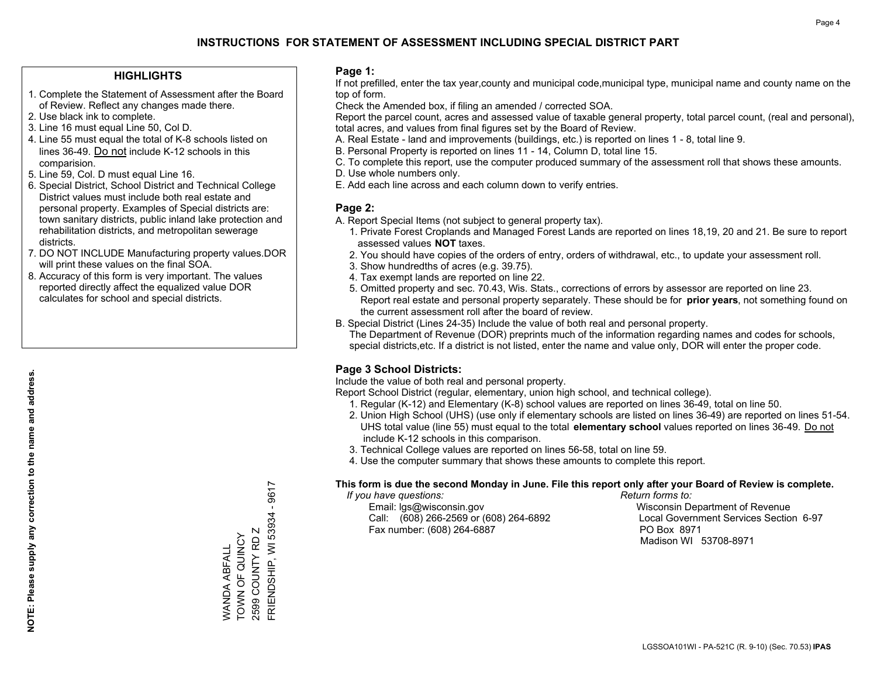#### **HIGHLIGHTS**

- 1. Complete the Statement of Assessment after the Board of Review. Reflect any changes made there.
- 2. Use black ink to complete.
- 3. Line 16 must equal Line 50, Col D.
- 4. Line 55 must equal the total of K-8 schools listed on lines 36-49. Do not include K-12 schools in this comparision.
- 5. Line 59, Col. D must equal Line 16.
- 6. Special District, School District and Technical College District values must include both real estate and personal property. Examples of Special districts are: town sanitary districts, public inland lake protection and rehabilitation districts, and metropolitan sewerage districts.
- 7. DO NOT INCLUDE Manufacturing property values.DOR will print these values on the final SOA.

WANDA ABFALL TOWN OF QUINCY 2599 COUNTY RD Z FRIENDSHIP, WI 53934 - 9617

FRIENDSHIP, WI 53934 2599 COUNTY RD Z WANDA ABFALL<br>TOWN OF QUINCY

9617  $\mathbf{I}$ 

 8. Accuracy of this form is very important. The values reported directly affect the equalized value DOR calculates for school and special districts.

#### **Page 1:**

 If not prefilled, enter the tax year,county and municipal code,municipal type, municipal name and county name on the top of form.

Check the Amended box, if filing an amended / corrected SOA.

 Report the parcel count, acres and assessed value of taxable general property, total parcel count, (real and personal), total acres, and values from final figures set by the Board of Review.

- A. Real Estate land and improvements (buildings, etc.) is reported on lines 1 8, total line 9.
- B. Personal Property is reported on lines 11 14, Column D, total line 15.
- C. To complete this report, use the computer produced summary of the assessment roll that shows these amounts.
- D. Use whole numbers only.
- E. Add each line across and each column down to verify entries.

#### **Page 2:**

- A. Report Special Items (not subject to general property tax).
- 1. Private Forest Croplands and Managed Forest Lands are reported on lines 18,19, 20 and 21. Be sure to report assessed values **NOT** taxes.
- 2. You should have copies of the orders of entry, orders of withdrawal, etc., to update your assessment roll.
	- 3. Show hundredths of acres (e.g. 39.75).
- 4. Tax exempt lands are reported on line 22.
- 5. Omitted property and sec. 70.43, Wis. Stats., corrections of errors by assessor are reported on line 23. Report real estate and personal property separately. These should be for **prior years**, not something found on the current assessment roll after the board of review.
- B. Special District (Lines 24-35) Include the value of both real and personal property.
- The Department of Revenue (DOR) preprints much of the information regarding names and codes for schools, special districts,etc. If a district is not listed, enter the name and value only, DOR will enter the proper code.

### **Page 3 School Districts:**

Include the value of both real and personal property.

Report School District (regular, elementary, union high school, and technical college).

- 1. Regular (K-12) and Elementary (K-8) school values are reported on lines 36-49, total on line 50.
- 2. Union High School (UHS) (use only if elementary schools are listed on lines 36-49) are reported on lines 51-54. UHS total value (line 55) must equal to the total **elementary school** values reported on lines 36-49. Do notinclude K-12 schools in this comparison.
- 3. Technical College values are reported on lines 56-58, total on line 59.
- 4. Use the computer summary that shows these amounts to complete this report.

#### **This form is due the second Monday in June. File this report only after your Board of Review is complete.**

 *If you have questions: Return forms to:*

 Email: lgs@wisconsin.gov Wisconsin Department of RevenueCall:  $(608)$  266-2569 or  $(608)$  264-6892 Fax number: (608) 264-6887 PO Box 8971

Local Government Services Section 6-97 Madison WI 53708-8971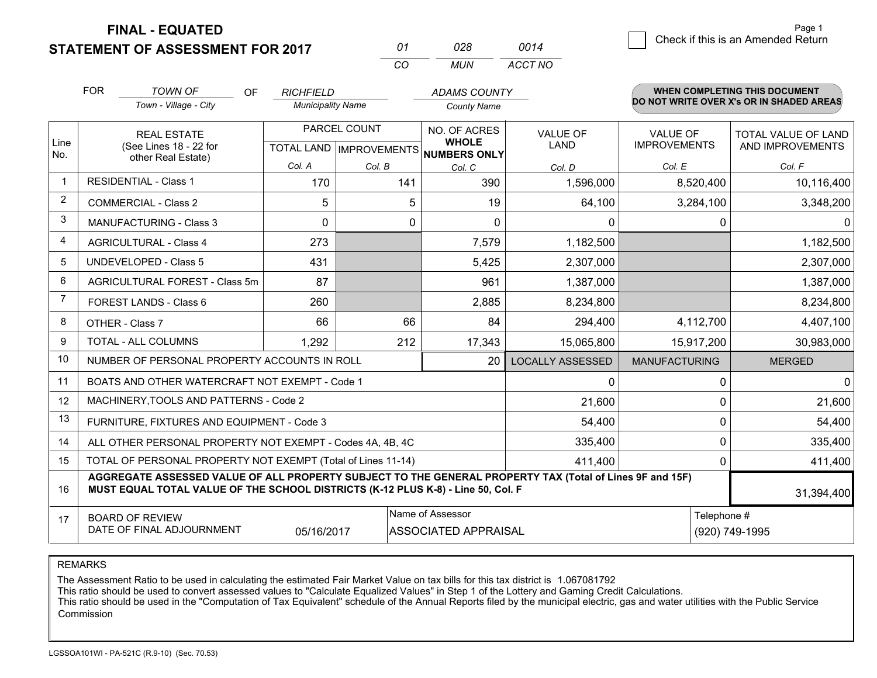**FINAL - EQUATED**

**STATEMENT OF ASSESSMENT FOR 2017** 

| Ω1  | 028 | 0014    |
|-----|-----|---------|
| CO. | MUN | ACCT NO |

|                | <b>FOR</b><br><b>TOWN OF</b><br>OF                                                                                                                                                           | <b>RICHFIELD</b>                                            |        | <b>ADAMS COUNTY</b>                                 |                         |                      | <b>WHEN COMPLETING THIS DOCUMENT</b>     |
|----------------|----------------------------------------------------------------------------------------------------------------------------------------------------------------------------------------------|-------------------------------------------------------------|--------|-----------------------------------------------------|-------------------------|----------------------|------------------------------------------|
|                | Town - Village - City                                                                                                                                                                        | <b>Municipality Name</b>                                    |        | <b>County Name</b>                                  |                         |                      | DO NOT WRITE OVER X's OR IN SHADED AREAS |
|                | <b>REAL ESTATE</b>                                                                                                                                                                           | PARCEL COUNT                                                |        | NO. OF ACRES                                        | <b>VALUE OF</b>         | <b>VALUE OF</b>      | TOTAL VALUE OF LAND                      |
| Line<br>No.    | (See Lines 18 - 22 for<br>other Real Estate)                                                                                                                                                 |                                                             |        | <b>WHOLE</b><br>TOTAL LAND MPROVEMENTS NUMBERS ONLY | <b>LAND</b>             | <b>IMPROVEMENTS</b>  | AND IMPROVEMENTS                         |
|                |                                                                                                                                                                                              | Col. A                                                      | Col. B | Col. C                                              | Col. D                  | Col. E               | Col. F                                   |
| $\mathbf 1$    | <b>RESIDENTIAL - Class 1</b>                                                                                                                                                                 | 170                                                         | 141    | 390                                                 | 1,596,000               | 8,520,400            | 10,116,400                               |
| $\overline{2}$ | <b>COMMERCIAL - Class 2</b>                                                                                                                                                                  | 5                                                           | 5      | 19                                                  | 64,100                  | 3,284,100            | 3,348,200                                |
| 3              | <b>MANUFACTURING - Class 3</b>                                                                                                                                                               | $\Omega$                                                    | 0      | 0                                                   | $\mathbf{0}$            | 0                    | 0                                        |
| 4              | <b>AGRICULTURAL - Class 4</b>                                                                                                                                                                | 273                                                         |        | 7,579                                               | 1,182,500               |                      | 1,182,500                                |
| 5              | <b>UNDEVELOPED - Class 5</b>                                                                                                                                                                 | 431                                                         |        | 5,425                                               | 2,307,000               |                      | 2,307,000                                |
| 6              | AGRICULTURAL FOREST - Class 5m                                                                                                                                                               | 87                                                          |        | 961                                                 | 1,387,000               |                      | 1,387,000                                |
| 7              | FOREST LANDS - Class 6                                                                                                                                                                       | 260                                                         |        | 2,885                                               | 8,234,800               |                      | 8,234,800                                |
| 8              | OTHER - Class 7                                                                                                                                                                              | 66                                                          | 66     | 84                                                  | 294,400                 | 4,112,700            | 4,407,100                                |
| 9              | TOTAL - ALL COLUMNS                                                                                                                                                                          | 1,292                                                       | 212    | 17,343                                              | 15,065,800              | 15,917,200           | 30,983,000                               |
| 10             | NUMBER OF PERSONAL PROPERTY ACCOUNTS IN ROLL                                                                                                                                                 |                                                             |        | 20                                                  | <b>LOCALLY ASSESSED</b> | <b>MANUFACTURING</b> | <b>MERGED</b>                            |
| 11             | BOATS AND OTHER WATERCRAFT NOT EXEMPT - Code 1                                                                                                                                               |                                                             |        |                                                     | $\mathbf{0}$            | $\Omega$             | 0                                        |
| 12             | MACHINERY, TOOLS AND PATTERNS - Code 2                                                                                                                                                       |                                                             |        |                                                     | 21,600                  | 0                    | 21,600                                   |
| 13             | FURNITURE, FIXTURES AND EQUIPMENT - Code 3                                                                                                                                                   |                                                             |        |                                                     | 54,400                  | 0                    | 54,400                                   |
| 14             | ALL OTHER PERSONAL PROPERTY NOT EXEMPT - Codes 4A, 4B, 4C                                                                                                                                    |                                                             |        |                                                     | 335,400                 | 0                    | 335,400                                  |
| 15             | TOTAL OF PERSONAL PROPERTY NOT EXEMPT (Total of Lines 11-14)                                                                                                                                 |                                                             |        |                                                     | 411,400                 | 0                    | 411,400                                  |
| 16             | AGGREGATE ASSESSED VALUE OF ALL PROPERTY SUBJECT TO THE GENERAL PROPERTY TAX (Total of Lines 9F and 15F)<br>MUST EQUAL TOTAL VALUE OF THE SCHOOL DISTRICTS (K-12 PLUS K-8) - Line 50, Col. F |                                                             |        |                                                     |                         |                      | 31,394,400                               |
| 17             | <b>BOARD OF REVIEW</b>                                                                                                                                                                       |                                                             |        | Name of Assessor                                    |                         | Telephone #          |                                          |
|                | DATE OF FINAL ADJOURNMENT                                                                                                                                                                    | <b>ASSOCIATED APPRAISAL</b><br>(920) 749-1995<br>05/16/2017 |        |                                                     |                         |                      |                                          |

REMARKS

The Assessment Ratio to be used in calculating the estimated Fair Market Value on tax bills for this tax district is 1.067081792<br>This ratio should be used to convert assessed values to "Calculate Equalized Values" in Step Commission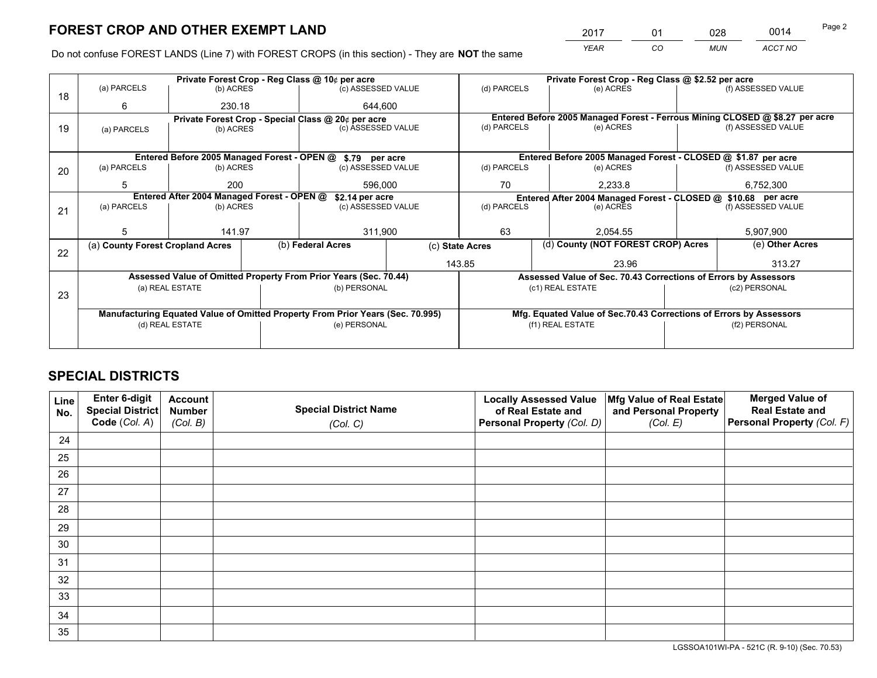*YEAR CO MUN ACCT NO* 2017 \_\_\_\_ \_\_\_ \_\_01 \_\_\_\_ \_\_\_ \_\_\_\_\_\_\_ \_\_\_\_\_\_\_ \_\_\_\_\_\_0014

Do not confuse FOREST LANDS (Line 7) with FOREST CROPS (in this section) - They are **NOT** the same

|    |                                                               |                 |                                                                                | Private Forest Crop - Reg Class @ 10¢ per acre                   |    |                          |                                                                    | Private Forest Crop - Reg Class @ \$2.52 per acre               |           |                                                                                                                                      |  |
|----|---------------------------------------------------------------|-----------------|--------------------------------------------------------------------------------|------------------------------------------------------------------|----|--------------------------|--------------------------------------------------------------------|-----------------------------------------------------------------|-----------|--------------------------------------------------------------------------------------------------------------------------------------|--|
| 18 | (a) PARCELS                                                   | (b) ACRES       |                                                                                | (c) ASSESSED VALUE                                               |    | (d) PARCELS              |                                                                    | (e) ACRES                                                       |           | (f) ASSESSED VALUE                                                                                                                   |  |
|    | 6                                                             | 230.18          |                                                                                | 644.600                                                          |    |                          |                                                                    |                                                                 |           |                                                                                                                                      |  |
|    |                                                               |                 |                                                                                | Private Forest Crop - Special Class @ 20¢ per acre               |    |                          |                                                                    |                                                                 |           |                                                                                                                                      |  |
| 19 | (a) PARCELS                                                   | (b) ACRES       |                                                                                | (c) ASSESSED VALUE                                               |    | (d) PARCELS              |                                                                    | (e) ACRES                                                       |           |                                                                                                                                      |  |
|    |                                                               |                 |                                                                                |                                                                  |    |                          |                                                                    |                                                                 |           |                                                                                                                                      |  |
|    |                                                               |                 |                                                                                | Entered Before 2005 Managed Forest - OPEN @ \$.79 per acre       |    |                          |                                                                    | Entered Before 2005 Managed Forest - CLOSED @ \$1.87 per acre   |           |                                                                                                                                      |  |
| 20 | (a) PARCELS                                                   | (b) ACRES       |                                                                                | (c) ASSESSED VALUE                                               |    | (d) PARCELS              |                                                                    | (e) ACRES                                                       |           | (f) ASSESSED VALUE                                                                                                                   |  |
|    | 5                                                             | 200             |                                                                                | 596,000                                                          |    | 70                       |                                                                    | 2,233.8                                                         |           | 6,752,300                                                                                                                            |  |
|    | Entered After 2004 Managed Forest - OPEN @<br>\$2.14 per acre |                 |                                                                                |                                                                  |    |                          | Entered After 2004 Managed Forest - CLOSED @ \$10.68 per acre      |                                                                 |           |                                                                                                                                      |  |
| 21 | (a) PARCELS                                                   | (b) ACRES       |                                                                                | (c) ASSESSED VALUE                                               |    | (d) PARCELS<br>(e) ACRES |                                                                    |                                                                 |           | (f) ASSESSED VALUE                                                                                                                   |  |
|    |                                                               |                 |                                                                                |                                                                  |    |                          |                                                                    |                                                                 |           |                                                                                                                                      |  |
|    | 5                                                             | 141.97          |                                                                                | 311,900                                                          | 63 |                          | 2,054.55                                                           |                                                                 | 5,907,900 |                                                                                                                                      |  |
| 22 | (a) County Forest Cropland Acres                              |                 |                                                                                | (b) Federal Acres                                                |    | (c) State Acres          |                                                                    | (d) County (NOT FOREST CROP) Acres                              |           | (e) Other Acres                                                                                                                      |  |
|    |                                                               |                 |                                                                                |                                                                  |    | 143.85                   |                                                                    | 23.96                                                           |           | 313.27                                                                                                                               |  |
|    |                                                               |                 |                                                                                | Assessed Value of Omitted Property From Prior Years (Sec. 70.44) |    |                          |                                                                    | Assessed Value of Sec. 70.43 Corrections of Errors by Assessors |           | Entered Before 2005 Managed Forest - Ferrous Mining CLOSED @ \$8.27 per acre<br>(f) ASSESSED VALUE<br>(c2) PERSONAL<br>(f2) PERSONAL |  |
|    |                                                               | (a) REAL ESTATE |                                                                                | (b) PERSONAL                                                     |    |                          | (c1) REAL ESTATE                                                   |                                                                 |           |                                                                                                                                      |  |
| 23 |                                                               |                 |                                                                                |                                                                  |    |                          |                                                                    |                                                                 |           |                                                                                                                                      |  |
|    |                                                               |                 | Manufacturing Equated Value of Omitted Property From Prior Years (Sec. 70.995) |                                                                  |    |                          | Mfg. Equated Value of Sec.70.43 Corrections of Errors by Assessors |                                                                 |           |                                                                                                                                      |  |
|    | (d) REAL ESTATE                                               |                 |                                                                                | (e) PERSONAL                                                     |    |                          | (f1) REAL ESTATE                                                   |                                                                 |           |                                                                                                                                      |  |
|    |                                                               |                 |                                                                                |                                                                  |    |                          |                                                                    |                                                                 |           |                                                                                                                                      |  |

## **SPECIAL DISTRICTS**

| Line<br>No. | Enter 6-digit<br>Special District<br>Code (Col. A) | <b>Account</b><br><b>Number</b> | <b>Special District Name</b> | <b>Locally Assessed Value</b><br>of Real Estate and | Mfg Value of Real Estate<br>and Personal Property | <b>Merged Value of</b><br><b>Real Estate and</b><br>Personal Property (Col. F) |
|-------------|----------------------------------------------------|---------------------------------|------------------------------|-----------------------------------------------------|---------------------------------------------------|--------------------------------------------------------------------------------|
|             |                                                    | (Col. B)                        | (Col. C)                     | Personal Property (Col. D)                          | (Col. E)                                          |                                                                                |
| 24          |                                                    |                                 |                              |                                                     |                                                   |                                                                                |
| 25          |                                                    |                                 |                              |                                                     |                                                   |                                                                                |
| 26          |                                                    |                                 |                              |                                                     |                                                   |                                                                                |
| 27          |                                                    |                                 |                              |                                                     |                                                   |                                                                                |
| 28          |                                                    |                                 |                              |                                                     |                                                   |                                                                                |
| 29          |                                                    |                                 |                              |                                                     |                                                   |                                                                                |
| 30          |                                                    |                                 |                              |                                                     |                                                   |                                                                                |
| 31          |                                                    |                                 |                              |                                                     |                                                   |                                                                                |
| 32          |                                                    |                                 |                              |                                                     |                                                   |                                                                                |
| 33          |                                                    |                                 |                              |                                                     |                                                   |                                                                                |
| 34          |                                                    |                                 |                              |                                                     |                                                   |                                                                                |
| 35          |                                                    |                                 |                              |                                                     |                                                   |                                                                                |

LGSSOA101WI-PA - 521C (R. 9-10) (Sec. 70.53)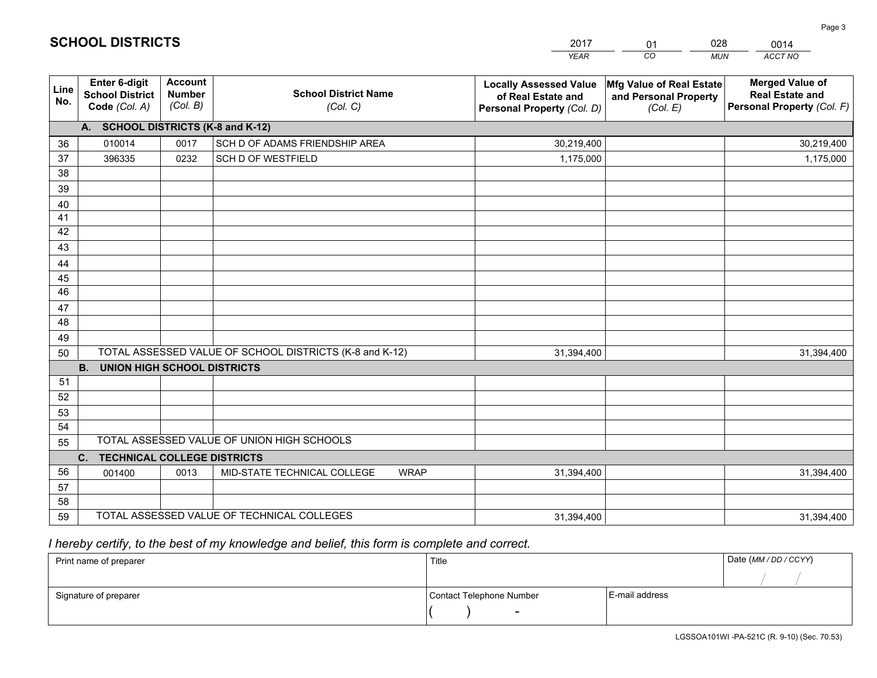|             |                                                                 |                                             |                                                         | <b>YEAR</b>                                                                       | CO<br><b>MUN</b>                                              | ACCT NO                                                                        |
|-------------|-----------------------------------------------------------------|---------------------------------------------|---------------------------------------------------------|-----------------------------------------------------------------------------------|---------------------------------------------------------------|--------------------------------------------------------------------------------|
| Line<br>No. | <b>Enter 6-digit</b><br><b>School District</b><br>Code (Col. A) | <b>Account</b><br><b>Number</b><br>(Col. B) | <b>School District Name</b><br>(Col. C)                 | <b>Locally Assessed Value</b><br>of Real Estate and<br>Personal Property (Col. D) | Mfg Value of Real Estate<br>and Personal Property<br>(Col. E) | <b>Merged Value of</b><br><b>Real Estate and</b><br>Personal Property (Col. F) |
|             | A. SCHOOL DISTRICTS (K-8 and K-12)                              |                                             |                                                         |                                                                                   |                                                               |                                                                                |
| 36          | 010014                                                          | 0017                                        | SCH D OF ADAMS FRIENDSHIP AREA                          | 30,219,400                                                                        |                                                               | 30,219,400                                                                     |
| 37          | 396335                                                          | 0232                                        | <b>SCH D OF WESTFIELD</b>                               | 1,175,000                                                                         |                                                               | 1,175,000                                                                      |
| 38          |                                                                 |                                             |                                                         |                                                                                   |                                                               |                                                                                |
| 39          |                                                                 |                                             |                                                         |                                                                                   |                                                               |                                                                                |
| 40          |                                                                 |                                             |                                                         |                                                                                   |                                                               |                                                                                |
| 41          |                                                                 |                                             |                                                         |                                                                                   |                                                               |                                                                                |
| 42          |                                                                 |                                             |                                                         |                                                                                   |                                                               |                                                                                |
| 43          |                                                                 |                                             |                                                         |                                                                                   |                                                               |                                                                                |
| 44          |                                                                 |                                             |                                                         |                                                                                   |                                                               |                                                                                |
| 45          |                                                                 |                                             |                                                         |                                                                                   |                                                               |                                                                                |
| 46          |                                                                 |                                             |                                                         |                                                                                   |                                                               |                                                                                |
| 47          |                                                                 |                                             |                                                         |                                                                                   |                                                               |                                                                                |
| 48          |                                                                 |                                             |                                                         |                                                                                   |                                                               |                                                                                |
| 49          |                                                                 |                                             | TOTAL ASSESSED VALUE OF SCHOOL DISTRICTS (K-8 and K-12) |                                                                                   |                                                               |                                                                                |
| 50          | <b>UNION HIGH SCHOOL DISTRICTS</b><br>B.                        |                                             |                                                         | 31,394,400                                                                        |                                                               | 31,394,400                                                                     |
| 51          |                                                                 |                                             |                                                         |                                                                                   |                                                               |                                                                                |
| 52          |                                                                 |                                             |                                                         |                                                                                   |                                                               |                                                                                |
| 53          |                                                                 |                                             |                                                         |                                                                                   |                                                               |                                                                                |
| 54          |                                                                 |                                             |                                                         |                                                                                   |                                                               |                                                                                |
| 55          |                                                                 |                                             | TOTAL ASSESSED VALUE OF UNION HIGH SCHOOLS              |                                                                                   |                                                               |                                                                                |
|             | <b>TECHNICAL COLLEGE DISTRICTS</b><br>C.                        |                                             |                                                         |                                                                                   |                                                               |                                                                                |
| 56          | 001400                                                          | 0013                                        | MID-STATE TECHNICAL COLLEGE<br><b>WRAP</b>              | 31,394,400                                                                        |                                                               | 31,394,400                                                                     |
| 57          |                                                                 |                                             |                                                         |                                                                                   |                                                               |                                                                                |
| 58          |                                                                 |                                             |                                                         |                                                                                   |                                                               |                                                                                |
| 59          |                                                                 |                                             | TOTAL ASSESSED VALUE OF TECHNICAL COLLEGES              | 31,394,400                                                                        |                                                               | 31,394,400                                                                     |

 *I hereby certify, to the best of my knowledge and belief, this form is complete and correct.*

| Print name of preparer | Title                    |                | Date (MM / DD / CCYY) |
|------------------------|--------------------------|----------------|-----------------------|
|                        |                          |                |                       |
| Signature of preparer  | Contact Telephone Number | E-mail address |                       |
|                        | $\overline{\phantom{0}}$ |                |                       |

| <b>SCHOOL DISTRICTS</b> |  |
|-------------------------|--|
|                         |  |

201701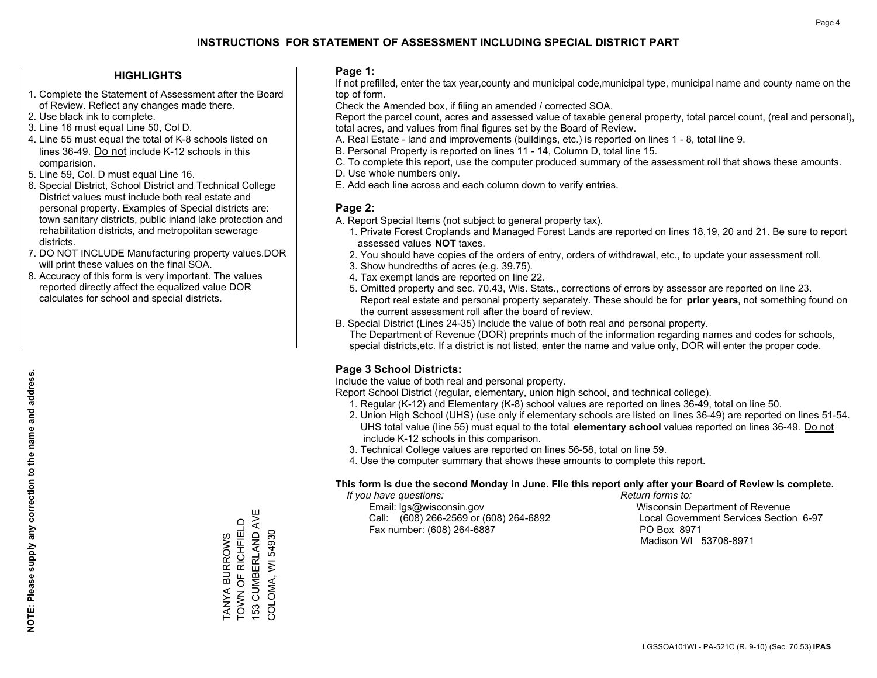#### **HIGHLIGHTS**

- 1. Complete the Statement of Assessment after the Board of Review. Reflect any changes made there.
- 2. Use black ink to complete.
- 3. Line 16 must equal Line 50, Col D.
- 4. Line 55 must equal the total of K-8 schools listed on lines 36-49. Do not include K-12 schools in this comparision.
- 5. Line 59, Col. D must equal Line 16.
- 6. Special District, School District and Technical College District values must include both real estate and personal property. Examples of Special districts are: town sanitary districts, public inland lake protection and rehabilitation districts, and metropolitan sewerage districts.
- 7. DO NOT INCLUDE Manufacturing property values.DOR will print these values on the final SOA.

TANYA BURROWS TOWN OF RICHFIELD 153 CUMBERLAND AVE COLOMA, WI 54930

153 CUMBERLAND AVE TANYA BURROWS<br>TOWN OF RICHFIELD

COLOMA, WI 54930

 8. Accuracy of this form is very important. The values reported directly affect the equalized value DOR calculates for school and special districts.

#### **Page 1:**

 If not prefilled, enter the tax year,county and municipal code,municipal type, municipal name and county name on the top of form.

Check the Amended box, if filing an amended / corrected SOA.

 Report the parcel count, acres and assessed value of taxable general property, total parcel count, (real and personal), total acres, and values from final figures set by the Board of Review.

- A. Real Estate land and improvements (buildings, etc.) is reported on lines 1 8, total line 9.
- B. Personal Property is reported on lines 11 14, Column D, total line 15.
- C. To complete this report, use the computer produced summary of the assessment roll that shows these amounts.
- D. Use whole numbers only.
- E. Add each line across and each column down to verify entries.

#### **Page 2:**

- A. Report Special Items (not subject to general property tax).
- 1. Private Forest Croplands and Managed Forest Lands are reported on lines 18,19, 20 and 21. Be sure to report assessed values **NOT** taxes.
- 2. You should have copies of the orders of entry, orders of withdrawal, etc., to update your assessment roll.
	- 3. Show hundredths of acres (e.g. 39.75).
- 4. Tax exempt lands are reported on line 22.
- 5. Omitted property and sec. 70.43, Wis. Stats., corrections of errors by assessor are reported on line 23. Report real estate and personal property separately. These should be for **prior years**, not something found on the current assessment roll after the board of review.
- B. Special District (Lines 24-35) Include the value of both real and personal property.
- The Department of Revenue (DOR) preprints much of the information regarding names and codes for schools, special districts,etc. If a district is not listed, enter the name and value only, DOR will enter the proper code.

## **Page 3 School Districts:**

Include the value of both real and personal property.

Report School District (regular, elementary, union high school, and technical college).

- 1. Regular (K-12) and Elementary (K-8) school values are reported on lines 36-49, total on line 50.
- 2. Union High School (UHS) (use only if elementary schools are listed on lines 36-49) are reported on lines 51-54. UHS total value (line 55) must equal to the total **elementary school** values reported on lines 36-49. Do notinclude K-12 schools in this comparison.
- 3. Technical College values are reported on lines 56-58, total on line 59.
- 4. Use the computer summary that shows these amounts to complete this report.

#### **This form is due the second Monday in June. File this report only after your Board of Review is complete.**

 *If you have questions: Return forms to:*

 Email: lgs@wisconsin.gov Wisconsin Department of RevenueCall:  $(608)$  266-2569 or  $(608)$  264-6892 Fax number: (608) 264-6887 PO Box 8971

Local Government Services Section 6-97

Madison WI 53708-8971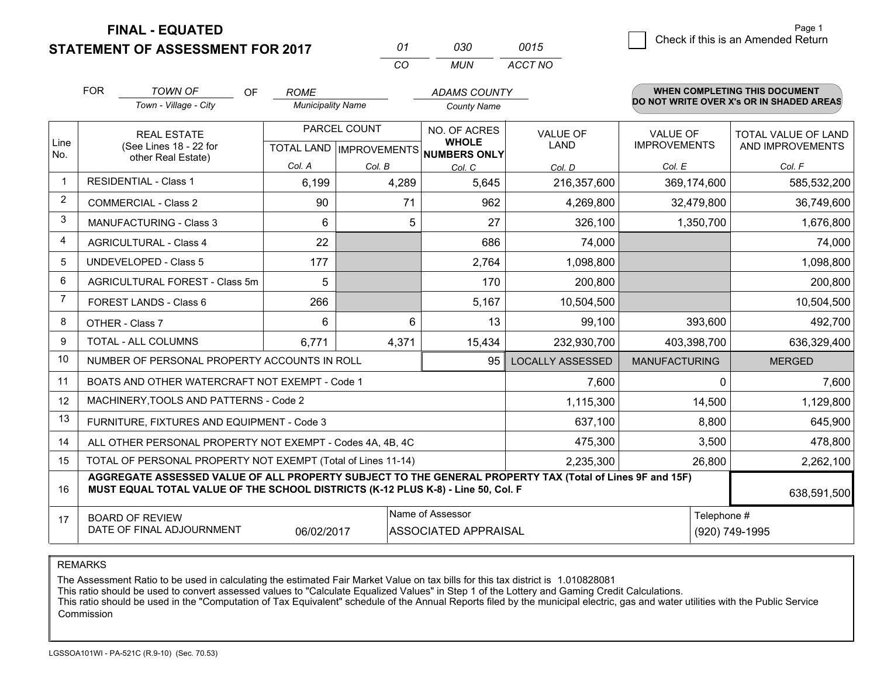**FINAL - EQUATED**

**STATEMENT OF ASSESSMENT FOR 2017** 

| 01  | กาก | 0015    |
|-----|-----|---------|
| CO. | MUN | ACCT NO |

|                | <b>FOR</b>                                                                                                                                            | <b>TOWN OF</b><br><b>OF</b>                                                                                                                                                                  | <b>ROME</b>              |        | <b>ADAMS COUNTY</b>                                  |                         |                      | <b>WHEN COMPLETING THIS DOCUMENT</b>     |
|----------------|-------------------------------------------------------------------------------------------------------------------------------------------------------|----------------------------------------------------------------------------------------------------------------------------------------------------------------------------------------------|--------------------------|--------|------------------------------------------------------|-------------------------|----------------------|------------------------------------------|
|                |                                                                                                                                                       | Town - Village - City                                                                                                                                                                        | <b>Municipality Name</b> |        | <b>County Name</b>                                   |                         |                      | DO NOT WRITE OVER X's OR IN SHADED AREAS |
|                |                                                                                                                                                       | PARCEL COUNT<br><b>REAL ESTATE</b>                                                                                                                                                           |                          |        | NO. OF ACRES                                         | <b>VALUE OF</b>         | <b>VALUE OF</b>      | TOTAL VALUE OF LAND                      |
| Line<br>No.    |                                                                                                                                                       | (See Lines 18 - 22 for<br>other Real Estate)                                                                                                                                                 |                          |        | <b>WHOLE</b><br>TOTAL LAND IMPROVEMENTS NUMBERS ONLY | <b>LAND</b>             | <b>IMPROVEMENTS</b>  | AND IMPROVEMENTS                         |
|                |                                                                                                                                                       |                                                                                                                                                                                              | Col. A                   | Col. B | Col. C                                               | Col. D                  | Col. E               | Col. F                                   |
| $\mathbf{1}$   |                                                                                                                                                       | <b>RESIDENTIAL - Class 1</b>                                                                                                                                                                 | 6,199                    | 4,289  | 5,645                                                | 216,357,600             | 369,174,600          | 585,532,200                              |
| 2              |                                                                                                                                                       | <b>COMMERCIAL - Class 2</b>                                                                                                                                                                  | 90                       | 71     | 962                                                  | 4,269,800               | 32,479,800           | 36,749,600                               |
| 3              |                                                                                                                                                       | <b>MANUFACTURING - Class 3</b>                                                                                                                                                               | 6                        | 5      | 27                                                   | 326,100                 | 1,350,700            | 1,676,800                                |
| 4              |                                                                                                                                                       | <b>AGRICULTURAL - Class 4</b>                                                                                                                                                                | 22                       |        | 686                                                  | 74,000                  |                      | 74,000                                   |
| 5              |                                                                                                                                                       | <b>UNDEVELOPED - Class 5</b>                                                                                                                                                                 | 177                      |        | 2,764                                                | 1,098,800               |                      | 1,098,800                                |
| 6              | AGRICULTURAL FOREST - Class 5m                                                                                                                        |                                                                                                                                                                                              | 5                        |        | 170                                                  | 200,800                 |                      | 200,800                                  |
| $\overline{7}$ | FOREST LANDS - Class 6                                                                                                                                |                                                                                                                                                                                              | 266                      |        | 5,167                                                | 10,504,500              |                      | 10,504,500                               |
| 8              |                                                                                                                                                       | OTHER - Class 7                                                                                                                                                                              | 6                        | 6      | 13                                                   | 99,100                  | 393,600              | 492,700                                  |
| $\mathbf{Q}$   |                                                                                                                                                       | TOTAL - ALL COLUMNS                                                                                                                                                                          | 6,771                    | 4,371  | 15,434                                               | 232,930,700             | 403,398,700          | 636,329,400                              |
| 10             |                                                                                                                                                       | NUMBER OF PERSONAL PROPERTY ACCOUNTS IN ROLL                                                                                                                                                 |                          |        | 95                                                   | <b>LOCALLY ASSESSED</b> | <b>MANUFACTURING</b> | <b>MERGED</b>                            |
| 11             |                                                                                                                                                       | BOATS AND OTHER WATERCRAFT NOT EXEMPT - Code 1                                                                                                                                               |                          |        |                                                      | 7,600                   | 0                    | 7,600                                    |
| 12             |                                                                                                                                                       | MACHINERY, TOOLS AND PATTERNS - Code 2                                                                                                                                                       |                          |        |                                                      | 1,115,300               | 14,500               | 1,129,800                                |
| 13             |                                                                                                                                                       | FURNITURE, FIXTURES AND EQUIPMENT - Code 3                                                                                                                                                   |                          |        |                                                      | 637,100                 | 8,800                | 645,900                                  |
| 14             |                                                                                                                                                       | ALL OTHER PERSONAL PROPERTY NOT EXEMPT - Codes 4A, 4B, 4C                                                                                                                                    |                          |        |                                                      | 475,300                 | 3,500                | 478,800                                  |
| 15             |                                                                                                                                                       | TOTAL OF PERSONAL PROPERTY NOT EXEMPT (Total of Lines 11-14)                                                                                                                                 |                          |        |                                                      | 2,235,300               | 26,800               | 2,262,100                                |
| 16             |                                                                                                                                                       | AGGREGATE ASSESSED VALUE OF ALL PROPERTY SUBJECT TO THE GENERAL PROPERTY TAX (Total of Lines 9F and 15F)<br>MUST EQUAL TOTAL VALUE OF THE SCHOOL DISTRICTS (K-12 PLUS K-8) - Line 50, Col. F |                          |        |                                                      |                         |                      | 638,591,500                              |
| 17             | Name of Assessor<br>Telephone #<br><b>BOARD OF REVIEW</b><br>DATE OF FINAL ADJOURNMENT<br><b>ASSOCIATED APPRAISAL</b><br>06/02/2017<br>(920) 749-1995 |                                                                                                                                                                                              |                          |        |                                                      |                         |                      |                                          |

REMARKS

The Assessment Ratio to be used in calculating the estimated Fair Market Value on tax bills for this tax district is 1.010828081

This ratio should be used to convert assessed values to "Calculate Equalized Values" in Step 1 of the Lottery and Gaming Credit Calculations.<br>This ratio should be used in the "Computation of Tax Equivalent" schedule of the Commission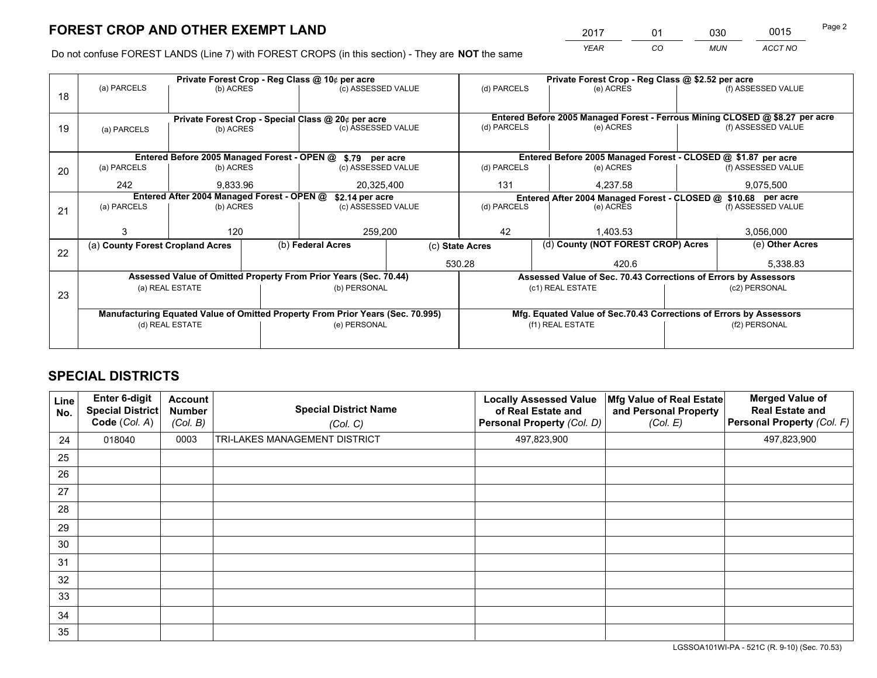*YEAR CO MUN ACCT NO* <sup>2017</sup> <sup>01</sup> <sup>030</sup> <sup>0015</sup>

Do not confuse FOREST LANDS (Line 7) with FOREST CROPS (in this section) - They are **NOT** the same

|    |                                                                                                   |                 |  | Private Forest Crop - Reg Class @ 10¢ per acre                   |               |                          |  | Private Forest Crop - Reg Class @ \$2.52 per acre                                      |                                                                 |                                                                              |  |
|----|---------------------------------------------------------------------------------------------------|-----------------|--|------------------------------------------------------------------|---------------|--------------------------|--|----------------------------------------------------------------------------------------|-----------------------------------------------------------------|------------------------------------------------------------------------------|--|
| 18 | (a) PARCELS                                                                                       | (b) ACRES       |  | (c) ASSESSED VALUE                                               |               | (d) PARCELS              |  | (e) ACRES                                                                              |                                                                 | (f) ASSESSED VALUE                                                           |  |
|    |                                                                                                   |                 |  | Private Forest Crop - Special Class @ 20¢ per acre               |               |                          |  |                                                                                        |                                                                 | Entered Before 2005 Managed Forest - Ferrous Mining CLOSED @ \$8.27 per acre |  |
| 19 | (a) PARCELS                                                                                       | (b) ACRES       |  | (c) ASSESSED VALUE                                               | (d) PARCELS   |                          |  | (e) ACRES                                                                              |                                                                 | (f) ASSESSED VALUE                                                           |  |
|    |                                                                                                   |                 |  | Entered Before 2005 Managed Forest - OPEN @ \$.79 per acre       |               |                          |  | Entered Before 2005 Managed Forest - CLOSED @ \$1.87 per acre                          |                                                                 |                                                                              |  |
| 20 | (a) PARCELS                                                                                       | (b) ACRES       |  | (c) ASSESSED VALUE                                               |               | (d) PARCELS              |  | (e) ACRES                                                                              |                                                                 | (f) ASSESSED VALUE                                                           |  |
|    | 242                                                                                               | 9,833.96        |  | 20,325,400                                                       |               | 131                      |  | 4,237.58                                                                               |                                                                 | 9,075,500                                                                    |  |
|    | Entered After 2004 Managed Forest - OPEN @                                                        | \$2.14 per acre |  | Entered After 2004 Managed Forest - CLOSED @ \$10.68 per acre    |               |                          |  |                                                                                        |                                                                 |                                                                              |  |
| 21 | (a) PARCELS                                                                                       | (b) ACRES       |  | (c) ASSESSED VALUE                                               |               | (d) PARCELS<br>(e) ACRES |  |                                                                                        |                                                                 | (f) ASSESSED VALUE                                                           |  |
|    |                                                                                                   | 120             |  |                                                                  | 259,200<br>42 |                          |  | 1,403.53                                                                               |                                                                 | 3,056,000                                                                    |  |
| 22 | (a) County Forest Cropland Acres                                                                  |                 |  | (b) Federal Acres                                                |               | (c) State Acres          |  | (d) County (NOT FOREST CROP) Acres                                                     |                                                                 | (e) Other Acres                                                              |  |
|    |                                                                                                   |                 |  | 530.28                                                           |               | 420.6                    |  | 5,338.83                                                                               |                                                                 |                                                                              |  |
|    |                                                                                                   |                 |  | Assessed Value of Omitted Property From Prior Years (Sec. 70.44) |               |                          |  |                                                                                        | Assessed Value of Sec. 70.43 Corrections of Errors by Assessors |                                                                              |  |
| 23 |                                                                                                   | (a) REAL ESTATE |  |                                                                  | (b) PERSONAL  |                          |  | (c1) REAL ESTATE                                                                       |                                                                 | (c2) PERSONAL                                                                |  |
|    |                                                                                                   |                 |  |                                                                  |               |                          |  |                                                                                        |                                                                 |                                                                              |  |
|    | Manufacturing Equated Value of Omitted Property From Prior Years (Sec. 70.995)<br>(d) REAL ESTATE |                 |  | (e) PERSONAL                                                     |               |                          |  | Mfg. Equated Value of Sec.70.43 Corrections of Errors by Assessors<br>(f1) REAL ESTATE |                                                                 | (f2) PERSONAL                                                                |  |
|    |                                                                                                   |                 |  |                                                                  |               |                          |  |                                                                                        |                                                                 |                                                                              |  |
|    |                                                                                                   |                 |  |                                                                  |               |                          |  |                                                                                        |                                                                 |                                                                              |  |

## **SPECIAL DISTRICTS**

| <b>Line</b><br>No. | Enter 6-digit<br><b>Special District</b><br>Code (Col. A) | <b>Account</b><br><b>Number</b><br>(Col. B) | <b>Special District Name</b><br>(Col. C) | <b>Locally Assessed Value</b><br>of Real Estate and<br>Personal Property (Col. D) | Mfg Value of Real Estate<br>and Personal Property<br>(Col. E) | <b>Merged Value of</b><br><b>Real Estate and</b><br>Personal Property (Col. F) |
|--------------------|-----------------------------------------------------------|---------------------------------------------|------------------------------------------|-----------------------------------------------------------------------------------|---------------------------------------------------------------|--------------------------------------------------------------------------------|
| 24                 | 018040                                                    | 0003                                        | TRI-LAKES MANAGEMENT DISTRICT            | 497,823,900                                                                       |                                                               | 497,823,900                                                                    |
| 25                 |                                                           |                                             |                                          |                                                                                   |                                                               |                                                                                |
| 26                 |                                                           |                                             |                                          |                                                                                   |                                                               |                                                                                |
| 27                 |                                                           |                                             |                                          |                                                                                   |                                                               |                                                                                |
| 28                 |                                                           |                                             |                                          |                                                                                   |                                                               |                                                                                |
| 29                 |                                                           |                                             |                                          |                                                                                   |                                                               |                                                                                |
| 30                 |                                                           |                                             |                                          |                                                                                   |                                                               |                                                                                |
| 31                 |                                                           |                                             |                                          |                                                                                   |                                                               |                                                                                |
| 32                 |                                                           |                                             |                                          |                                                                                   |                                                               |                                                                                |
| 33                 |                                                           |                                             |                                          |                                                                                   |                                                               |                                                                                |
| 34                 |                                                           |                                             |                                          |                                                                                   |                                                               |                                                                                |
| 35                 |                                                           |                                             |                                          |                                                                                   |                                                               |                                                                                |

LGSSOA101WI-PA - 521C (R. 9-10) (Sec. 70.53)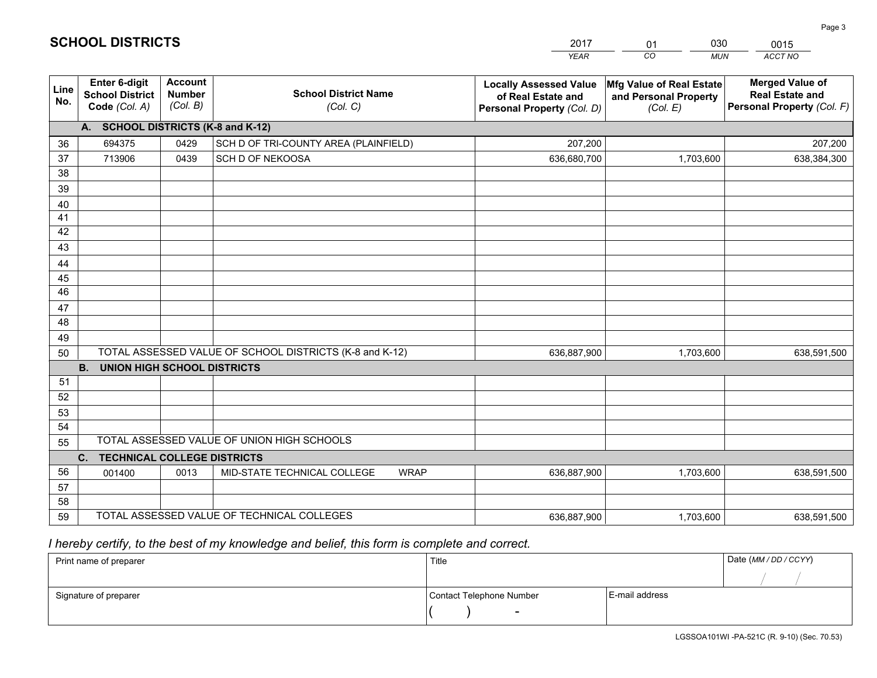|                       |                                                                 |                                             |                                                         | <b>YEAR</b>                                                                       | CO<br><b>MUN</b>                                              | ACCT NO                                                                        |
|-----------------------|-----------------------------------------------------------------|---------------------------------------------|---------------------------------------------------------|-----------------------------------------------------------------------------------|---------------------------------------------------------------|--------------------------------------------------------------------------------|
| Line<br>No.           | <b>Enter 6-digit</b><br><b>School District</b><br>Code (Col. A) | <b>Account</b><br><b>Number</b><br>(Col. B) | <b>School District Name</b><br>(Col. C)                 | <b>Locally Assessed Value</b><br>of Real Estate and<br>Personal Property (Col. D) | Mfg Value of Real Estate<br>and Personal Property<br>(Col. E) | <b>Merged Value of</b><br><b>Real Estate and</b><br>Personal Property (Col. F) |
|                       | A. SCHOOL DISTRICTS (K-8 and K-12)                              |                                             |                                                         |                                                                                   |                                                               |                                                                                |
| 36                    | 694375                                                          | 0429                                        | SCH D OF TRI-COUNTY AREA (PLAINFIELD)                   | 207,200                                                                           |                                                               | 207,200                                                                        |
| 37                    | 713906                                                          | 0439                                        | SCH D OF NEKOOSA                                        | 636,680,700                                                                       | 1,703,600                                                     | 638,384,300                                                                    |
| 38                    |                                                                 |                                             |                                                         |                                                                                   |                                                               |                                                                                |
| 39                    |                                                                 |                                             |                                                         |                                                                                   |                                                               |                                                                                |
| 40                    |                                                                 |                                             |                                                         |                                                                                   |                                                               |                                                                                |
| 41                    |                                                                 |                                             |                                                         |                                                                                   |                                                               |                                                                                |
| 42                    |                                                                 |                                             |                                                         |                                                                                   |                                                               |                                                                                |
| 43                    |                                                                 |                                             |                                                         |                                                                                   |                                                               |                                                                                |
| 44                    |                                                                 |                                             |                                                         |                                                                                   |                                                               |                                                                                |
| 45<br>$\overline{46}$ |                                                                 |                                             |                                                         |                                                                                   |                                                               |                                                                                |
| 47                    |                                                                 |                                             |                                                         |                                                                                   |                                                               |                                                                                |
| 48                    |                                                                 |                                             |                                                         |                                                                                   |                                                               |                                                                                |
| 49                    |                                                                 |                                             |                                                         |                                                                                   |                                                               |                                                                                |
| 50                    |                                                                 |                                             | TOTAL ASSESSED VALUE OF SCHOOL DISTRICTS (K-8 and K-12) | 636,887,900                                                                       | 1,703,600                                                     | 638,591,500                                                                    |
|                       | <b>B.</b><br><b>UNION HIGH SCHOOL DISTRICTS</b>                 |                                             |                                                         |                                                                                   |                                                               |                                                                                |
| 51                    |                                                                 |                                             |                                                         |                                                                                   |                                                               |                                                                                |
| 52                    |                                                                 |                                             |                                                         |                                                                                   |                                                               |                                                                                |
| 53                    |                                                                 |                                             |                                                         |                                                                                   |                                                               |                                                                                |
| 54                    |                                                                 |                                             |                                                         |                                                                                   |                                                               |                                                                                |
| 55                    |                                                                 |                                             | TOTAL ASSESSED VALUE OF UNION HIGH SCHOOLS              |                                                                                   |                                                               |                                                                                |
|                       | C.<br><b>TECHNICAL COLLEGE DISTRICTS</b>                        |                                             |                                                         |                                                                                   |                                                               |                                                                                |
| 56                    | 001400                                                          | 0013                                        | MID-STATE TECHNICAL COLLEGE<br><b>WRAP</b>              | 636,887,900                                                                       | 1,703,600                                                     | 638,591,500                                                                    |
| 57                    |                                                                 |                                             |                                                         |                                                                                   |                                                               |                                                                                |
| 58                    |                                                                 |                                             |                                                         |                                                                                   |                                                               |                                                                                |
| 59                    |                                                                 |                                             | TOTAL ASSESSED VALUE OF TECHNICAL COLLEGES              | 636,887,900                                                                       | 1,703,600                                                     | 638,591,500                                                                    |

01

030

 *I hereby certify, to the best of my knowledge and belief, this form is complete and correct.*

**SCHOOL DISTRICTS**

| Print name of preparer | Title                    |                | Date (MM / DD / CCYY) |
|------------------------|--------------------------|----------------|-----------------------|
|                        |                          |                |                       |
| Signature of preparer  | Contact Telephone Number | E-mail address |                       |
|                        | $\sim$                   |                |                       |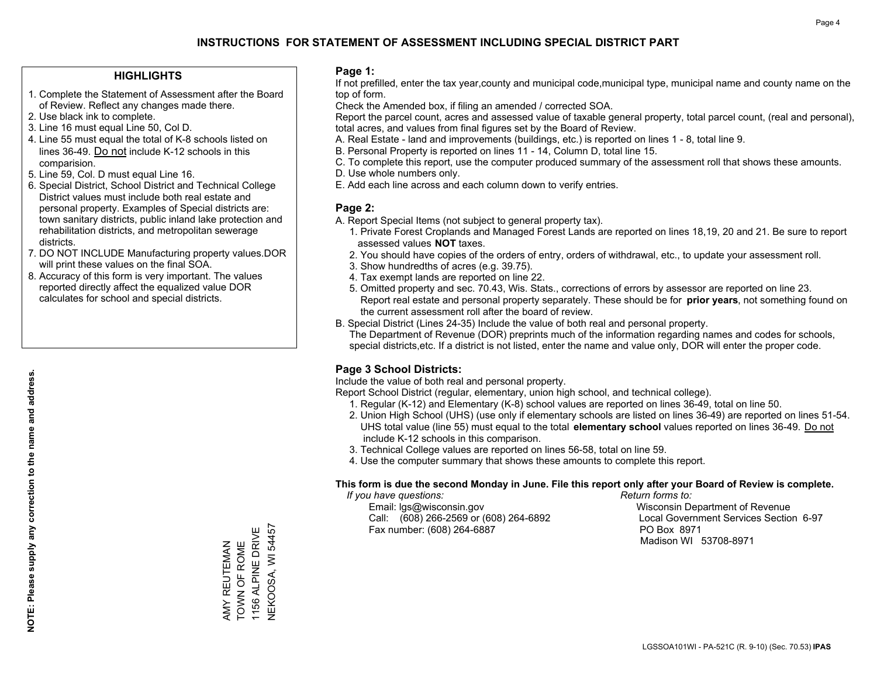#### **HIGHLIGHTS**

- 1. Complete the Statement of Assessment after the Board of Review. Reflect any changes made there.
- 2. Use black ink to complete.
- 3. Line 16 must equal Line 50, Col D.
- 4. Line 55 must equal the total of K-8 schools listed on lines 36-49. Do not include K-12 schools in this comparision.
- 5. Line 59, Col. D must equal Line 16.
- 6. Special District, School District and Technical College District values must include both real estate and personal property. Examples of Special districts are: town sanitary districts, public inland lake protection and rehabilitation districts, and metropolitan sewerage districts.
- 7. DO NOT INCLUDE Manufacturing property values.DOR will print these values on the final SOA.

AMY REUTEMAN TOWN OF ROME 1156 ALPINE DRIVE NEKOOSA, WI 54457

**NEKOOSA, WI 54457** 1156 ALPINE DRIVE AMY REUTEMAN<br>TOWN OF ROME

 8. Accuracy of this form is very important. The values reported directly affect the equalized value DOR calculates for school and special districts.

#### **Page 1:**

 If not prefilled, enter the tax year,county and municipal code,municipal type, municipal name and county name on the top of form.

Check the Amended box, if filing an amended / corrected SOA.

 Report the parcel count, acres and assessed value of taxable general property, total parcel count, (real and personal), total acres, and values from final figures set by the Board of Review.

- A. Real Estate land and improvements (buildings, etc.) is reported on lines 1 8, total line 9.
- B. Personal Property is reported on lines 11 14, Column D, total line 15.
- C. To complete this report, use the computer produced summary of the assessment roll that shows these amounts.
- D. Use whole numbers only.
- E. Add each line across and each column down to verify entries.

#### **Page 2:**

- A. Report Special Items (not subject to general property tax).
- 1. Private Forest Croplands and Managed Forest Lands are reported on lines 18,19, 20 and 21. Be sure to report assessed values **NOT** taxes.
- 2. You should have copies of the orders of entry, orders of withdrawal, etc., to update your assessment roll.
	- 3. Show hundredths of acres (e.g. 39.75).
- 4. Tax exempt lands are reported on line 22.
- 5. Omitted property and sec. 70.43, Wis. Stats., corrections of errors by assessor are reported on line 23. Report real estate and personal property separately. These should be for **prior years**, not something found on the current assessment roll after the board of review.
- B. Special District (Lines 24-35) Include the value of both real and personal property.
- The Department of Revenue (DOR) preprints much of the information regarding names and codes for schools, special districts,etc. If a district is not listed, enter the name and value only, DOR will enter the proper code.

### **Page 3 School Districts:**

Include the value of both real and personal property.

Report School District (regular, elementary, union high school, and technical college).

- 1. Regular (K-12) and Elementary (K-8) school values are reported on lines 36-49, total on line 50.
- 2. Union High School (UHS) (use only if elementary schools are listed on lines 36-49) are reported on lines 51-54. UHS total value (line 55) must equal to the total **elementary school** values reported on lines 36-49. Do notinclude K-12 schools in this comparison.
- 3. Technical College values are reported on lines 56-58, total on line 59.
- 4. Use the computer summary that shows these amounts to complete this report.

#### **This form is due the second Monday in June. File this report only after your Board of Review is complete.**

 *If you have questions: Return forms to:*

 Email: lgs@wisconsin.gov Wisconsin Department of RevenueCall:  $(608)$  266-2569 or  $(608)$  264-6892 Fax number: (608) 264-6887 PO Box 8971

Local Government Services Section 6-97 Madison WI 53708-8971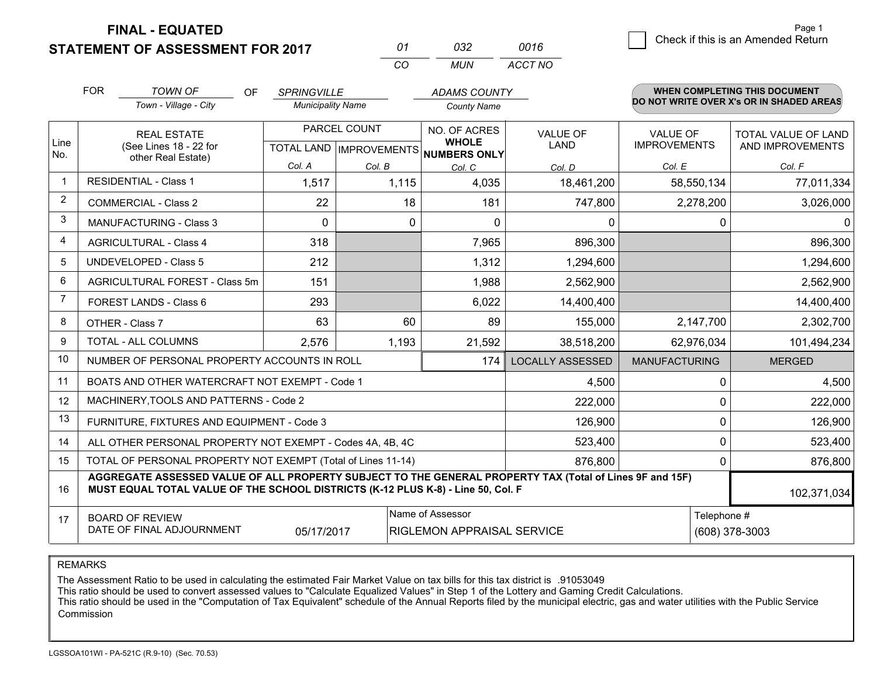**FINAL - EQUATED**

**STATEMENT OF ASSESSMENT FOR 2017** 

| 01       | กจว  | 0016    |
|----------|------|---------|
| $\cdots$ | MUN. | ACCT NO |

|                | <b>FOR</b><br><b>TOWN OF</b><br><b>OF</b><br>Town - Village - City                                                                                                                           | <b>SPRINGVILLE</b><br><b>Municipality Name</b> |              | <b>ADAMS COUNTY</b><br><b>County Name</b>                           |                                |                                        | <b>WHEN COMPLETING THIS DOCUMENT</b><br>DO NOT WRITE OVER X's OR IN SHADED AREAS |
|----------------|----------------------------------------------------------------------------------------------------------------------------------------------------------------------------------------------|------------------------------------------------|--------------|---------------------------------------------------------------------|--------------------------------|----------------------------------------|----------------------------------------------------------------------------------|
| Line<br>No.    | <b>REAL ESTATE</b><br>(See Lines 18 - 22 for                                                                                                                                                 |                                                | PARCEL COUNT | NO. OF ACRES<br><b>WHOLE</b><br>TOTAL LAND MPROVEMENTS NUMBERS ONLY | <b>VALUE OF</b><br><b>LAND</b> | <b>VALUE OF</b><br><b>IMPROVEMENTS</b> | TOTAL VALUE OF LAND<br>AND IMPROVEMENTS                                          |
|                | other Real Estate)                                                                                                                                                                           | Col. A                                         | Col. B       | Col. C                                                              | Col. D                         | Col. E                                 | Col. F                                                                           |
| $\mathbf{1}$   | <b>RESIDENTIAL - Class 1</b>                                                                                                                                                                 | 1,517                                          | 1,115        | 4,035                                                               | 18,461,200                     | 58,550,134                             | 77,011,334                                                                       |
| $\overline{2}$ | <b>COMMERCIAL - Class 2</b>                                                                                                                                                                  | 22                                             | 18           | 181                                                                 | 747,800                        | 2,278,200                              | 3,026,000                                                                        |
| 3              | MANUFACTURING - Class 3                                                                                                                                                                      | $\Omega$                                       | 0            | $\Omega$                                                            | 0                              | $\mathbf 0$                            | $\Omega$                                                                         |
| 4              | <b>AGRICULTURAL - Class 4</b>                                                                                                                                                                | 318                                            |              | 7,965                                                               | 896,300                        |                                        | 896,300                                                                          |
| 5              | UNDEVELOPED - Class 5                                                                                                                                                                        | 212                                            |              | 1,312                                                               | 1,294,600                      |                                        | 1,294,600                                                                        |
| 6              | AGRICULTURAL FOREST - Class 5m                                                                                                                                                               | 151                                            |              | 1,988                                                               | 2,562,900                      |                                        | 2,562,900                                                                        |
| $\overline{7}$ | FOREST LANDS - Class 6                                                                                                                                                                       | 293                                            |              | 6,022                                                               | 14,400,400                     |                                        | 14,400,400                                                                       |
| 8              | OTHER - Class 7                                                                                                                                                                              | 63                                             | 60           | 89                                                                  | 155,000                        | 2,147,700                              | 2,302,700                                                                        |
| 9              | TOTAL - ALL COLUMNS                                                                                                                                                                          | 2,576                                          | 1,193        | 21,592                                                              | 38,518,200                     | 62,976,034                             | 101,494,234                                                                      |
| 10             | NUMBER OF PERSONAL PROPERTY ACCOUNTS IN ROLL                                                                                                                                                 |                                                |              | 174                                                                 | <b>LOCALLY ASSESSED</b>        | <b>MANUFACTURING</b>                   | <b>MERGED</b>                                                                    |
| 11             | BOATS AND OTHER WATERCRAFT NOT EXEMPT - Code 1                                                                                                                                               |                                                |              |                                                                     | 4,500                          | $\mathbf 0$                            | 4,500                                                                            |
| 12             | MACHINERY, TOOLS AND PATTERNS - Code 2                                                                                                                                                       |                                                |              |                                                                     | 222,000                        | $\Omega$                               | 222,000                                                                          |
| 13             | FURNITURE, FIXTURES AND EQUIPMENT - Code 3                                                                                                                                                   |                                                |              |                                                                     | 126,900                        | $\mathbf 0$                            | 126,900                                                                          |
| 14             | ALL OTHER PERSONAL PROPERTY NOT EXEMPT - Codes 4A, 4B, 4C                                                                                                                                    |                                                |              |                                                                     | 523,400                        | $\mathbf 0$                            | 523,400                                                                          |
| 15             | TOTAL OF PERSONAL PROPERTY NOT EXEMPT (Total of Lines 11-14)                                                                                                                                 |                                                |              | 876,800                                                             | $\mathbf{0}$                   | 876,800                                |                                                                                  |
| 16             | AGGREGATE ASSESSED VALUE OF ALL PROPERTY SUBJECT TO THE GENERAL PROPERTY TAX (Total of Lines 9F and 15F)<br>MUST EQUAL TOTAL VALUE OF THE SCHOOL DISTRICTS (K-12 PLUS K-8) - Line 50, Col. F |                                                |              |                                                                     |                                |                                        | 102,371,034                                                                      |
| 17             | Name of Assessor<br><b>BOARD OF REVIEW</b><br>DATE OF FINAL ADJOURNMENT<br>05/17/2017<br>RIGLEMON APPRAISAL SERVICE                                                                          |                                                |              |                                                                     |                                | Telephone #                            | (608) 378-3003                                                                   |

REMARKS

The Assessment Ratio to be used in calculating the estimated Fair Market Value on tax bills for this tax district is .91053049<br>This ratio should be used to convert assessed values to "Calculate Equalized Values" in Step 1 **Commission**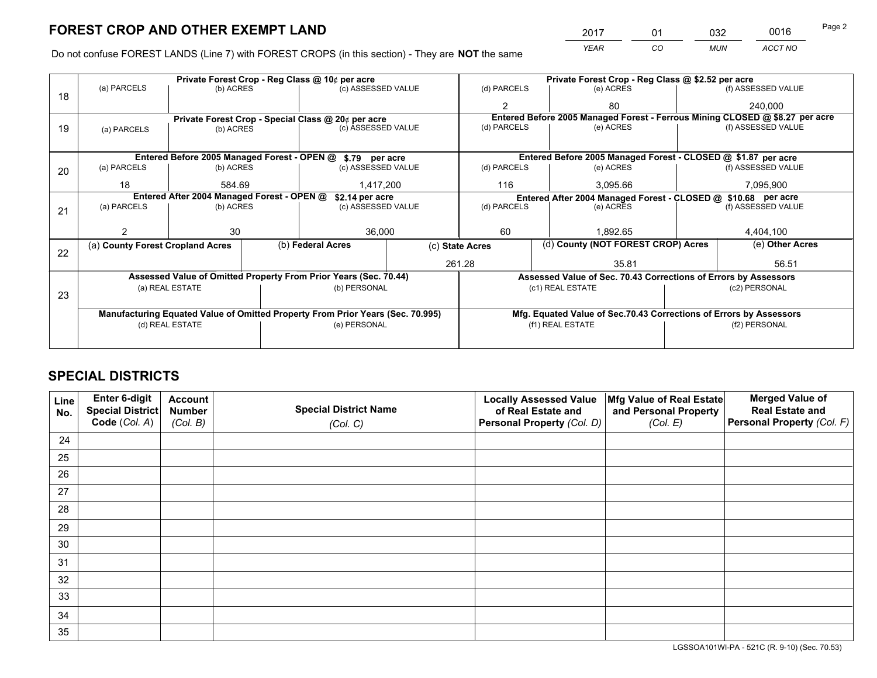*YEAR CO MUN ACCT NO* <sup>2017</sup> <sup>01</sup> <sup>032</sup> <sup>0016</sup> Page 2

Do not confuse FOREST LANDS (Line 7) with FOREST CROPS (in this section) - They are **NOT** the same

|                                            | Private Forest Crop - Reg Class @ 10¢ per acre                                 |                                 |  |                                                                  |             | Private Forest Crop - Reg Class @ \$2.52 per acre |                                                               |                                                                    |                    |                                                                              |
|--------------------------------------------|--------------------------------------------------------------------------------|---------------------------------|--|------------------------------------------------------------------|-------------|---------------------------------------------------|---------------------------------------------------------------|--------------------------------------------------------------------|--------------------|------------------------------------------------------------------------------|
| 18                                         | (a) PARCELS                                                                    | (b) ACRES                       |  | (c) ASSESSED VALUE                                               |             | (d) PARCELS                                       |                                                               | (e) ACRES                                                          |                    | (f) ASSESSED VALUE                                                           |
|                                            |                                                                                |                                 |  |                                                                  |             | $\mathfrak{p}$                                    |                                                               | 80                                                                 |                    | 240.000                                                                      |
|                                            |                                                                                |                                 |  | Private Forest Crop - Special Class @ 20¢ per acre               |             |                                                   |                                                               |                                                                    |                    | Entered Before 2005 Managed Forest - Ferrous Mining CLOSED @ \$8.27 per acre |
| 19                                         | (a) PARCELS                                                                    | (c) ASSESSED VALUE<br>(b) ACRES |  |                                                                  | (d) PARCELS |                                                   | (e) ACRES                                                     |                                                                    | (f) ASSESSED VALUE |                                                                              |
|                                            |                                                                                |                                 |  |                                                                  |             |                                                   |                                                               |                                                                    |                    |                                                                              |
|                                            | Entered Before 2005 Managed Forest - OPEN @ \$.79 per acre                     |                                 |  |                                                                  |             |                                                   | Entered Before 2005 Managed Forest - CLOSED @ \$1.87 per acre |                                                                    |                    |                                                                              |
| 20                                         | (a) PARCELS                                                                    | (b) ACRES                       |  | (c) ASSESSED VALUE                                               |             | (d) PARCELS                                       |                                                               | (e) ACRES                                                          |                    | (f) ASSESSED VALUE                                                           |
|                                            | 18                                                                             | 584.69                          |  | 1,417,200<br>116                                                 |             |                                                   | 3,095.66                                                      |                                                                    | 7,095,900          |                                                                              |
| Entered After 2004 Managed Forest - OPEN @ |                                                                                |                                 |  | \$2.14 per acre                                                  |             |                                                   |                                                               | Entered After 2004 Managed Forest - CLOSED @ \$10.68 per acre      |                    |                                                                              |
| 21                                         | (a) PARCELS                                                                    | (b) ACRES                       |  | (c) ASSESSED VALUE                                               |             | (d) PARCELS                                       |                                                               | (e) ACRES                                                          | (f) ASSESSED VALUE |                                                                              |
|                                            |                                                                                |                                 |  |                                                                  |             |                                                   |                                                               |                                                                    |                    |                                                                              |
|                                            |                                                                                | 30                              |  | 36,000                                                           |             | 60<br>1,892.65                                    |                                                               | 4,404,100                                                          |                    |                                                                              |
| 22                                         | (a) County Forest Cropland Acres                                               |                                 |  | (b) Federal Acres                                                |             | (c) State Acres                                   |                                                               | (d) County (NOT FOREST CROP) Acres                                 |                    | (e) Other Acres                                                              |
|                                            |                                                                                |                                 |  |                                                                  |             | 261.28<br>35.81                                   |                                                               |                                                                    | 56.51              |                                                                              |
|                                            |                                                                                |                                 |  | Assessed Value of Omitted Property From Prior Years (Sec. 70.44) |             |                                                   |                                                               | Assessed Value of Sec. 70.43 Corrections of Errors by Assessors    |                    |                                                                              |
|                                            |                                                                                | (a) REAL ESTATE                 |  | (b) PERSONAL                                                     |             |                                                   |                                                               | (c1) REAL ESTATE                                                   |                    | (c2) PERSONAL                                                                |
| 23                                         |                                                                                |                                 |  |                                                                  |             |                                                   |                                                               |                                                                    |                    |                                                                              |
|                                            | Manufacturing Equated Value of Omitted Property From Prior Years (Sec. 70.995) |                                 |  |                                                                  |             |                                                   |                                                               | Mfg. Equated Value of Sec.70.43 Corrections of Errors by Assessors |                    |                                                                              |
|                                            |                                                                                | (d) REAL ESTATE                 |  | (e) PERSONAL                                                     |             | (f1) REAL ESTATE                                  |                                                               |                                                                    | (f2) PERSONAL      |                                                                              |
|                                            |                                                                                |                                 |  |                                                                  |             |                                                   |                                                               |                                                                    |                    |                                                                              |

## **SPECIAL DISTRICTS**

| Line<br>No. | Enter 6-digit<br>Special District<br>Code (Col. A) | <b>Account</b><br><b>Number</b> | <b>Special District Name</b> | <b>Locally Assessed Value</b><br>of Real Estate and | Mfg Value of Real Estate<br>and Personal Property | <b>Merged Value of</b><br><b>Real Estate and</b><br>Personal Property (Col. F) |
|-------------|----------------------------------------------------|---------------------------------|------------------------------|-----------------------------------------------------|---------------------------------------------------|--------------------------------------------------------------------------------|
|             |                                                    | (Col. B)                        | (Col. C)                     | Personal Property (Col. D)                          | (Col. E)                                          |                                                                                |
| 24          |                                                    |                                 |                              |                                                     |                                                   |                                                                                |
| 25          |                                                    |                                 |                              |                                                     |                                                   |                                                                                |
| 26          |                                                    |                                 |                              |                                                     |                                                   |                                                                                |
| 27          |                                                    |                                 |                              |                                                     |                                                   |                                                                                |
| 28          |                                                    |                                 |                              |                                                     |                                                   |                                                                                |
| 29          |                                                    |                                 |                              |                                                     |                                                   |                                                                                |
| 30          |                                                    |                                 |                              |                                                     |                                                   |                                                                                |
| 31          |                                                    |                                 |                              |                                                     |                                                   |                                                                                |
| 32          |                                                    |                                 |                              |                                                     |                                                   |                                                                                |
| 33          |                                                    |                                 |                              |                                                     |                                                   |                                                                                |
| 34          |                                                    |                                 |                              |                                                     |                                                   |                                                                                |
| 35          |                                                    |                                 |                              |                                                     |                                                   |                                                                                |

LGSSOA101WI-PA - 521C (R. 9-10) (Sec. 70.53)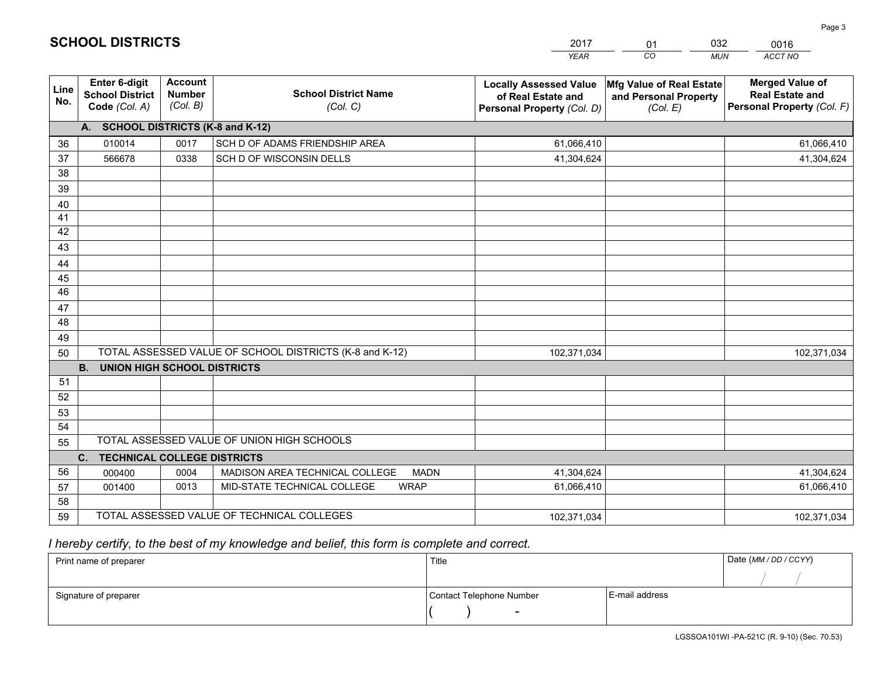|             |                                                          |                                             |                                                         | <b>YEAR</b>                                                                       | CO<br><b>MUN</b>                                                     | ACCT NO                                                                        |
|-------------|----------------------------------------------------------|---------------------------------------------|---------------------------------------------------------|-----------------------------------------------------------------------------------|----------------------------------------------------------------------|--------------------------------------------------------------------------------|
| Line<br>No. | Enter 6-digit<br><b>School District</b><br>Code (Col. A) | <b>Account</b><br><b>Number</b><br>(Col. B) | <b>School District Name</b><br>(Col. C)                 | <b>Locally Assessed Value</b><br>of Real Estate and<br>Personal Property (Col. D) | <b>Mfg Value of Real Estate</b><br>and Personal Property<br>(Col. E) | <b>Merged Value of</b><br><b>Real Estate and</b><br>Personal Property (Col. F) |
|             | A. SCHOOL DISTRICTS (K-8 and K-12)                       |                                             |                                                         |                                                                                   |                                                                      |                                                                                |
| 36          | 010014                                                   | 0017                                        | SCH D OF ADAMS FRIENDSHIP AREA                          | 61,066,410                                                                        |                                                                      | 61,066,410                                                                     |
| 37          | 566678                                                   | 0338                                        | SCH D OF WISCONSIN DELLS                                | 41,304,624                                                                        |                                                                      | 41,304,624                                                                     |
| 38          |                                                          |                                             |                                                         |                                                                                   |                                                                      |                                                                                |
| 39          |                                                          |                                             |                                                         |                                                                                   |                                                                      |                                                                                |
| 40          |                                                          |                                             |                                                         |                                                                                   |                                                                      |                                                                                |
| 41          |                                                          |                                             |                                                         |                                                                                   |                                                                      |                                                                                |
| 42          |                                                          |                                             |                                                         |                                                                                   |                                                                      |                                                                                |
| 43          |                                                          |                                             |                                                         |                                                                                   |                                                                      |                                                                                |
| 44          |                                                          |                                             |                                                         |                                                                                   |                                                                      |                                                                                |
| 45          |                                                          |                                             |                                                         |                                                                                   |                                                                      |                                                                                |
| 46          |                                                          |                                             |                                                         |                                                                                   |                                                                      |                                                                                |
| 47          |                                                          |                                             |                                                         |                                                                                   |                                                                      |                                                                                |
| 48          |                                                          |                                             |                                                         |                                                                                   |                                                                      |                                                                                |
| 49          |                                                          |                                             |                                                         |                                                                                   |                                                                      |                                                                                |
| 50          |                                                          |                                             | TOTAL ASSESSED VALUE OF SCHOOL DISTRICTS (K-8 and K-12) | 102,371,034                                                                       |                                                                      | 102,371,034                                                                    |
|             | <b>B.</b><br><b>UNION HIGH SCHOOL DISTRICTS</b>          |                                             |                                                         |                                                                                   |                                                                      |                                                                                |
| 51          |                                                          |                                             |                                                         |                                                                                   |                                                                      |                                                                                |
| 52          |                                                          |                                             |                                                         |                                                                                   |                                                                      |                                                                                |
| 53          |                                                          |                                             |                                                         |                                                                                   |                                                                      |                                                                                |
| 54          |                                                          |                                             |                                                         |                                                                                   |                                                                      |                                                                                |
| 55          |                                                          |                                             | TOTAL ASSESSED VALUE OF UNION HIGH SCHOOLS              |                                                                                   |                                                                      |                                                                                |
|             | C. TECHNICAL COLLEGE DISTRICTS                           |                                             |                                                         |                                                                                   |                                                                      |                                                                                |
| 56          | 000400                                                   | 0004                                        | MADISON AREA TECHNICAL COLLEGE<br><b>MADN</b>           | 41,304,624                                                                        |                                                                      | 41,304,624                                                                     |
| 57          | 001400                                                   | 0013                                        | MID-STATE TECHNICAL COLLEGE<br><b>WRAP</b>              | 61,066,410                                                                        |                                                                      | 61,066,410                                                                     |
| 58          |                                                          |                                             |                                                         |                                                                                   |                                                                      |                                                                                |
| 59          |                                                          |                                             | TOTAL ASSESSED VALUE OF TECHNICAL COLLEGES              | 102,371,034                                                                       |                                                                      | 102,371,034                                                                    |

01

032

 *I hereby certify, to the best of my knowledge and belief, this form is complete and correct.*

**SCHOOL DISTRICTS**

| Print name of preparer | Title                    |                | Date (MM / DD / CCYY) |
|------------------------|--------------------------|----------------|-----------------------|
|                        |                          |                |                       |
| Signature of preparer  | Contact Telephone Number | E-mail address |                       |
|                        | $\sim$                   |                |                       |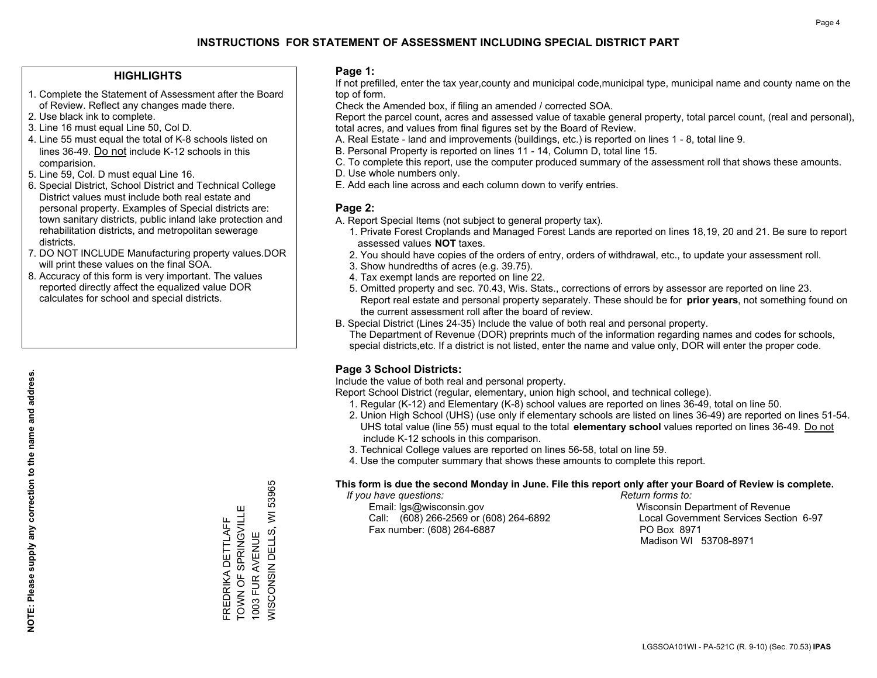#### **HIGHLIGHTS**

- 1. Complete the Statement of Assessment after the Board of Review. Reflect any changes made there.
- 2. Use black ink to complete.
- 3. Line 16 must equal Line 50, Col D.
- 4. Line 55 must equal the total of K-8 schools listed on lines 36-49. Do not include K-12 schools in this comparision.
- 5. Line 59, Col. D must equal Line 16.
- 6. Special District, School District and Technical College District values must include both real estate and personal property. Examples of Special districts are: town sanitary districts, public inland lake protection and rehabilitation districts, and metropolitan sewerage districts.
- 7. DO NOT INCLUDE Manufacturing property values.DOR will print these values on the final SOA.

FREDRIKA DETTLAFF TOWN OF SPRINGVILLE 1003 FUR AVENUE

FREDRIKA DETTLAFF<br>TOWN OF SPRINGVILLE<br>1003 FUR AVENUE

WISCONSIN DELLS, WI 53965

*NISCONSIN DELLS,* 

53965

 $\overline{\ge}$ 

 8. Accuracy of this form is very important. The values reported directly affect the equalized value DOR calculates for school and special districts.

#### **Page 1:**

 If not prefilled, enter the tax year,county and municipal code,municipal type, municipal name and county name on the top of form.

Check the Amended box, if filing an amended / corrected SOA.

 Report the parcel count, acres and assessed value of taxable general property, total parcel count, (real and personal), total acres, and values from final figures set by the Board of Review.

- A. Real Estate land and improvements (buildings, etc.) is reported on lines 1 8, total line 9.
- B. Personal Property is reported on lines 11 14, Column D, total line 15.
- C. To complete this report, use the computer produced summary of the assessment roll that shows these amounts.
- D. Use whole numbers only.
- E. Add each line across and each column down to verify entries.

#### **Page 2:**

- A. Report Special Items (not subject to general property tax).
- 1. Private Forest Croplands and Managed Forest Lands are reported on lines 18,19, 20 and 21. Be sure to report assessed values **NOT** taxes.
- 2. You should have copies of the orders of entry, orders of withdrawal, etc., to update your assessment roll.
	- 3. Show hundredths of acres (e.g. 39.75).
- 4. Tax exempt lands are reported on line 22.
- 5. Omitted property and sec. 70.43, Wis. Stats., corrections of errors by assessor are reported on line 23. Report real estate and personal property separately. These should be for **prior years**, not something found on the current assessment roll after the board of review.
- B. Special District (Lines 24-35) Include the value of both real and personal property.

 The Department of Revenue (DOR) preprints much of the information regarding names and codes for schools, special districts,etc. If a district is not listed, enter the name and value only, DOR will enter the proper code.

### **Page 3 School Districts:**

Include the value of both real and personal property.

Report School District (regular, elementary, union high school, and technical college).

- 1. Regular (K-12) and Elementary (K-8) school values are reported on lines 36-49, total on line 50.
- 2. Union High School (UHS) (use only if elementary schools are listed on lines 36-49) are reported on lines 51-54. UHS total value (line 55) must equal to the total **elementary school** values reported on lines 36-49. Do notinclude K-12 schools in this comparison.
- 3. Technical College values are reported on lines 56-58, total on line 59.
- 4. Use the computer summary that shows these amounts to complete this report.

#### **This form is due the second Monday in June. File this report only after your Board of Review is complete.**

 *If you have questions: Return forms to:*

 Email: lgs@wisconsin.gov Wisconsin Department of RevenueCall:  $(608)$  266-2569 or  $(608)$  264-6892 Fax number: (608) 264-6887 PO Box 8971

Local Government Services Section 6-97 Madison WI 53708-8971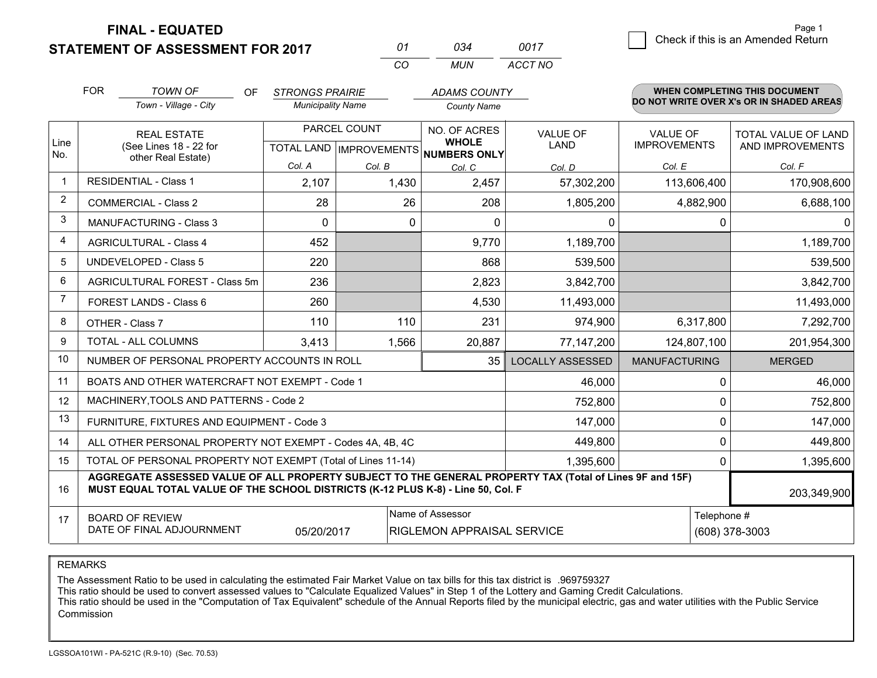**STATEMENT OF ASSESSMENT FOR 2017 FINAL - EQUATED**

*0017*7 Check if this is an Amended Return<br>
7

|                | <b>FOR</b>                                                                                                                                                                                   | <b>TOWN OF</b><br><b>OF</b><br>Town - Village - City      | <b>STRONGS PRAIRIE</b><br><b>Municipality Name</b> |              | <b>ADAMS COUNTY</b><br><b>County Name</b>           |                         |                      |                | <b>WHEN COMPLETING THIS DOCUMENT</b><br>DO NOT WRITE OVER X's OR IN SHADED AREAS |
|----------------|----------------------------------------------------------------------------------------------------------------------------------------------------------------------------------------------|-----------------------------------------------------------|----------------------------------------------------|--------------|-----------------------------------------------------|-------------------------|----------------------|----------------|----------------------------------------------------------------------------------|
|                |                                                                                                                                                                                              |                                                           |                                                    |              |                                                     |                         |                      |                |                                                                                  |
|                | <b>REAL ESTATE</b>                                                                                                                                                                           |                                                           |                                                    | PARCEL COUNT | NO. OF ACRES                                        | <b>VALUE OF</b>         | <b>VALUE OF</b>      |                | <b>TOTAL VALUE OF LAND</b>                                                       |
| Line<br>No.    |                                                                                                                                                                                              | (See Lines 18 - 22 for<br>other Real Estate)              |                                                    |              | <b>WHOLE</b><br>TOTAL LAND MPROVEMENTS NUMBERS ONLY | <b>LAND</b>             | <b>IMPROVEMENTS</b>  |                | AND IMPROVEMENTS                                                                 |
|                |                                                                                                                                                                                              |                                                           | Col. A                                             | Col. B       | Col. C                                              | Col. D                  | Col. E               |                | Col. F                                                                           |
| $\mathbf 1$    |                                                                                                                                                                                              | <b>RESIDENTIAL - Class 1</b>                              | 2,107                                              | 1,430        | 2,457                                               | 57,302,200              | 113,606,400          |                | 170,908,600                                                                      |
| 2              |                                                                                                                                                                                              | <b>COMMERCIAL - Class 2</b>                               | 28                                                 | 26           | 208                                                 | 1,805,200               | 4,882,900            |                | 6,688,100                                                                        |
| 3              |                                                                                                                                                                                              | <b>MANUFACTURING - Class 3</b>                            | $\Omega$                                           | $\Omega$     | $\Omega$                                            | $\mathbf{0}$            |                      | 0              | $\Omega$                                                                         |
| $\overline{4}$ |                                                                                                                                                                                              | <b>AGRICULTURAL - Class 4</b>                             | 452                                                |              | 9,770                                               | 1,189,700               |                      |                | 1,189,700                                                                        |
| 5              |                                                                                                                                                                                              | <b>UNDEVELOPED - Class 5</b>                              | 220                                                |              | 868                                                 | 539,500                 |                      |                | 539,500                                                                          |
| 6              |                                                                                                                                                                                              | <b>AGRICULTURAL FOREST - Class 5m</b>                     | 236                                                |              | 2,823                                               | 3,842,700               |                      |                | 3,842,700                                                                        |
| $\overline{7}$ |                                                                                                                                                                                              | FOREST LANDS - Class 6                                    | 260                                                |              | 4,530                                               | 11,493,000              |                      |                | 11,493,000                                                                       |
| 8              |                                                                                                                                                                                              | OTHER - Class 7                                           | 110                                                | 110          | 231                                                 | 974,900                 | 6,317,800            |                | 7,292,700                                                                        |
| 9              |                                                                                                                                                                                              | TOTAL - ALL COLUMNS                                       | 3,413                                              | 1,566        | 20,887                                              | 77,147,200              | 124,807,100          |                | 201,954,300                                                                      |
| 10             |                                                                                                                                                                                              | NUMBER OF PERSONAL PROPERTY ACCOUNTS IN ROLL              |                                                    |              | 35                                                  | <b>LOCALLY ASSESSED</b> | <b>MANUFACTURING</b> |                | <b>MERGED</b>                                                                    |
| 11             |                                                                                                                                                                                              | BOATS AND OTHER WATERCRAFT NOT EXEMPT - Code 1            |                                                    |              |                                                     | 46,000                  |                      | 0              | 46,000                                                                           |
| 12             |                                                                                                                                                                                              | MACHINERY, TOOLS AND PATTERNS - Code 2                    |                                                    |              |                                                     | 752,800                 |                      | 0              | 752,800                                                                          |
| 13             |                                                                                                                                                                                              | FURNITURE, FIXTURES AND EQUIPMENT - Code 3                |                                                    |              |                                                     | 147,000                 |                      | 0              | 147,000                                                                          |
| 14             |                                                                                                                                                                                              | ALL OTHER PERSONAL PROPERTY NOT EXEMPT - Codes 4A, 4B, 4C |                                                    | 449,800      |                                                     | 0                       | 449,800              |                |                                                                                  |
| 15             | TOTAL OF PERSONAL PROPERTY NOT EXEMPT (Total of Lines 11-14)                                                                                                                                 |                                                           |                                                    |              |                                                     | 1,395,600               |                      | 0              | 1,395,600                                                                        |
| 16             | AGGREGATE ASSESSED VALUE OF ALL PROPERTY SUBJECT TO THE GENERAL PROPERTY TAX (Total of Lines 9F and 15F)<br>MUST EQUAL TOTAL VALUE OF THE SCHOOL DISTRICTS (K-12 PLUS K-8) - Line 50, Col. F |                                                           |                                                    |              |                                                     | 203,349,900             |                      |                |                                                                                  |
| 17             |                                                                                                                                                                                              | <b>BOARD OF REVIEW</b>                                    |                                                    |              | Name of Assessor                                    |                         |                      | Telephone #    |                                                                                  |
|                |                                                                                                                                                                                              | DATE OF FINAL ADJOURNMENT                                 | 05/20/2017                                         |              | RIGLEMON APPRAISAL SERVICE                          |                         |                      | (608) 378-3003 |                                                                                  |

*CO*

*MUN*

*ACCT NO*

*<sup>01</sup> <sup>034</sup>*

REMARKS

The Assessment Ratio to be used in calculating the estimated Fair Market Value on tax bills for this tax district is .969759327<br>This ratio should be used to convert assessed values to "Calculate Equalized Values" in Step 1 **Commission**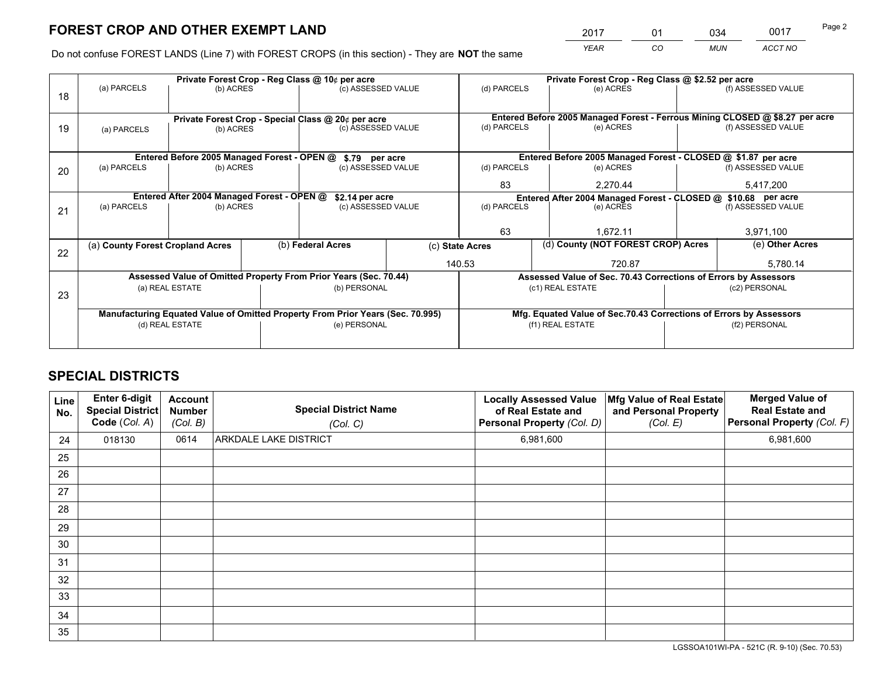*YEAR CO MUN ACCT NO* 2017 01 034 0017

Do not confuse FOREST LANDS (Line 7) with FOREST CROPS (in this section) - They are **NOT** the same

|    |                                                               |                                                               |  | Private Forest Crop - Reg Class @ 10¢ per acre                                 |  | Private Forest Crop - Reg Class @ \$2.52 per acre             |                                                                              |                    |                    |  |
|----|---------------------------------------------------------------|---------------------------------------------------------------|--|--------------------------------------------------------------------------------|--|---------------------------------------------------------------|------------------------------------------------------------------------------|--------------------|--------------------|--|
| 18 | (a) PARCELS                                                   | (b) ACRES                                                     |  | (c) ASSESSED VALUE                                                             |  | (d) PARCELS                                                   | (e) ACRES                                                                    |                    | (f) ASSESSED VALUE |  |
|    |                                                               |                                                               |  |                                                                                |  |                                                               |                                                                              |                    |                    |  |
|    |                                                               |                                                               |  | Private Forest Crop - Special Class @ 20¢ per acre                             |  |                                                               | Entered Before 2005 Managed Forest - Ferrous Mining CLOSED @ \$8.27 per acre |                    |                    |  |
| 19 | (a) PARCELS                                                   | (b) ACRES                                                     |  | (c) ASSESSED VALUE                                                             |  | (d) PARCELS<br>(e) ACRES                                      |                                                                              |                    | (f) ASSESSED VALUE |  |
|    |                                                               |                                                               |  |                                                                                |  |                                                               |                                                                              |                    |                    |  |
|    | Entered Before 2005 Managed Forest - OPEN @<br>\$.79 per acre |                                                               |  |                                                                                |  | Entered Before 2005 Managed Forest - CLOSED @ \$1.87 per acre |                                                                              |                    |                    |  |
| 20 | (a) PARCELS                                                   | (b) ACRES                                                     |  | (c) ASSESSED VALUE                                                             |  | (d) PARCELS                                                   | (e) ACRES                                                                    |                    | (f) ASSESSED VALUE |  |
|    |                                                               |                                                               |  |                                                                                |  | 83                                                            | 2.270.44                                                                     |                    | 5,417,200          |  |
|    |                                                               | Entered After 2004 Managed Forest - OPEN @<br>\$2.14 per acre |  |                                                                                |  |                                                               | Entered After 2004 Managed Forest - CLOSED @ \$10.68 per acre                |                    |                    |  |
| 21 | (a) PARCELS                                                   | (b) ACRES                                                     |  | (c) ASSESSED VALUE                                                             |  | (d) PARCELS<br>(e) ACRES                                      |                                                                              | (f) ASSESSED VALUE |                    |  |
|    |                                                               |                                                               |  |                                                                                |  |                                                               |                                                                              |                    |                    |  |
|    |                                                               |                                                               |  |                                                                                |  | 63<br>1,672.11                                                |                                                                              |                    | 3,971,100          |  |
| 22 | (a) County Forest Cropland Acres                              |                                                               |  | (b) Federal Acres                                                              |  | (d) County (NOT FOREST CROP) Acres<br>(c) State Acres         |                                                                              | (e) Other Acres    |                    |  |
|    |                                                               |                                                               |  |                                                                                |  | 140.53                                                        | 720.87                                                                       |                    | 5,780.14           |  |
|    |                                                               |                                                               |  | Assessed Value of Omitted Property From Prior Years (Sec. 70.44)               |  |                                                               | Assessed Value of Sec. 70.43 Corrections of Errors by Assessors              |                    |                    |  |
|    |                                                               | (a) REAL ESTATE                                               |  | (b) PERSONAL                                                                   |  |                                                               | (c1) REAL ESTATE                                                             |                    | (c2) PERSONAL      |  |
| 23 |                                                               |                                                               |  |                                                                                |  |                                                               |                                                                              |                    |                    |  |
|    |                                                               |                                                               |  | Manufacturing Equated Value of Omitted Property From Prior Years (Sec. 70.995) |  |                                                               | Mfg. Equated Value of Sec.70.43 Corrections of Errors by Assessors           |                    |                    |  |
|    | (d) REAL ESTATE                                               |                                                               |  | (e) PERSONAL                                                                   |  | (f1) REAL ESTATE                                              |                                                                              | (f2) PERSONAL      |                    |  |
|    |                                                               |                                                               |  |                                                                                |  |                                                               |                                                                              |                    |                    |  |

## **SPECIAL DISTRICTS**

| Line<br>No. | Enter 6-digit<br><b>Special District</b><br>Code (Col. A) | <b>Account</b><br><b>Number</b><br>(Col. B) | <b>Special District Name</b><br>(Col. C) | <b>Locally Assessed Value</b><br>of Real Estate and<br>Personal Property (Col. D) | Mfg Value of Real Estate<br>and Personal Property<br>(Col. E) | <b>Merged Value of</b><br><b>Real Estate and</b><br>Personal Property (Col. F) |
|-------------|-----------------------------------------------------------|---------------------------------------------|------------------------------------------|-----------------------------------------------------------------------------------|---------------------------------------------------------------|--------------------------------------------------------------------------------|
| 24          | 018130                                                    | 0614                                        | ARKDALE LAKE DISTRICT                    | 6,981,600                                                                         |                                                               | 6,981,600                                                                      |
| 25          |                                                           |                                             |                                          |                                                                                   |                                                               |                                                                                |
| 26          |                                                           |                                             |                                          |                                                                                   |                                                               |                                                                                |
| 27          |                                                           |                                             |                                          |                                                                                   |                                                               |                                                                                |
| 28          |                                                           |                                             |                                          |                                                                                   |                                                               |                                                                                |
| 29          |                                                           |                                             |                                          |                                                                                   |                                                               |                                                                                |
| 30          |                                                           |                                             |                                          |                                                                                   |                                                               |                                                                                |
| 31          |                                                           |                                             |                                          |                                                                                   |                                                               |                                                                                |
| 32          |                                                           |                                             |                                          |                                                                                   |                                                               |                                                                                |
| 33          |                                                           |                                             |                                          |                                                                                   |                                                               |                                                                                |
| 34          |                                                           |                                             |                                          |                                                                                   |                                                               |                                                                                |
| 35          |                                                           |                                             |                                          |                                                                                   |                                                               |                                                                                |

LGSSOA101WI-PA - 521C (R. 9-10) (Sec. 70.53)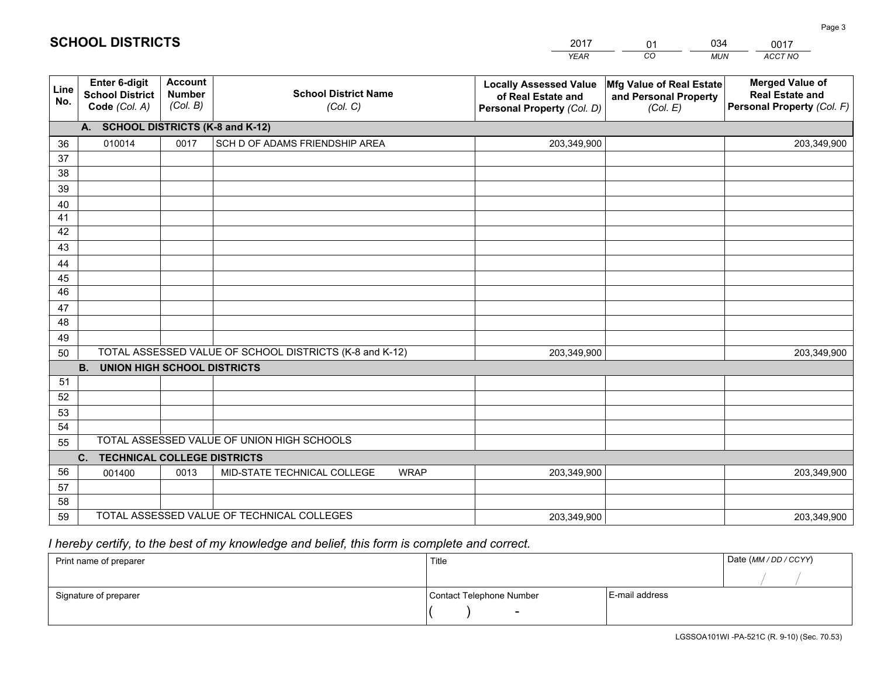|             |                                                          |                                             |                                                         | YEAR                                                                              | CO<br><b>MUN</b>                                              | ACCT NO                                                                        |
|-------------|----------------------------------------------------------|---------------------------------------------|---------------------------------------------------------|-----------------------------------------------------------------------------------|---------------------------------------------------------------|--------------------------------------------------------------------------------|
| Line<br>No. | Enter 6-digit<br><b>School District</b><br>Code (Col. A) | <b>Account</b><br><b>Number</b><br>(Col. B) | <b>School District Name</b><br>(Col. C)                 | <b>Locally Assessed Value</b><br>of Real Estate and<br>Personal Property (Col. D) | Mfg Value of Real Estate<br>and Personal Property<br>(Col. E) | <b>Merged Value of</b><br><b>Real Estate and</b><br>Personal Property (Col. F) |
|             | A.                                                       |                                             | <b>SCHOOL DISTRICTS (K-8 and K-12)</b>                  |                                                                                   |                                                               |                                                                                |
| 36          | 010014                                                   | 0017                                        | SCH D OF ADAMS FRIENDSHIP AREA                          | 203,349,900                                                                       |                                                               | 203,349,900                                                                    |
| 37          |                                                          |                                             |                                                         |                                                                                   |                                                               |                                                                                |
| 38          |                                                          |                                             |                                                         |                                                                                   |                                                               |                                                                                |
| 39          |                                                          |                                             |                                                         |                                                                                   |                                                               |                                                                                |
| 40          |                                                          |                                             |                                                         |                                                                                   |                                                               |                                                                                |
| 41<br>42    |                                                          |                                             |                                                         |                                                                                   |                                                               |                                                                                |
| 43          |                                                          |                                             |                                                         |                                                                                   |                                                               |                                                                                |
| 44          |                                                          |                                             |                                                         |                                                                                   |                                                               |                                                                                |
| 45          |                                                          |                                             |                                                         |                                                                                   |                                                               |                                                                                |
| 46          |                                                          |                                             |                                                         |                                                                                   |                                                               |                                                                                |
| 47          |                                                          |                                             |                                                         |                                                                                   |                                                               |                                                                                |
| 48          |                                                          |                                             |                                                         |                                                                                   |                                                               |                                                                                |
| 49          |                                                          |                                             |                                                         |                                                                                   |                                                               |                                                                                |
| 50          |                                                          |                                             | TOTAL ASSESSED VALUE OF SCHOOL DISTRICTS (K-8 and K-12) | 203,349,900                                                                       |                                                               | 203,349,900                                                                    |
|             | <b>B.</b><br><b>UNION HIGH SCHOOL DISTRICTS</b>          |                                             |                                                         |                                                                                   |                                                               |                                                                                |
| 51          |                                                          |                                             |                                                         |                                                                                   |                                                               |                                                                                |
| 52          |                                                          |                                             |                                                         |                                                                                   |                                                               |                                                                                |
| 53<br>54    |                                                          |                                             |                                                         |                                                                                   |                                                               |                                                                                |
| 55          |                                                          |                                             | TOTAL ASSESSED VALUE OF UNION HIGH SCHOOLS              |                                                                                   |                                                               |                                                                                |
|             | $C_{1}$<br><b>TECHNICAL COLLEGE DISTRICTS</b>            |                                             |                                                         |                                                                                   |                                                               |                                                                                |
| 56          | 001400                                                   | 0013                                        | MID-STATE TECHNICAL COLLEGE<br><b>WRAP</b>              | 203,349,900                                                                       |                                                               | 203,349,900                                                                    |
| 57          |                                                          |                                             |                                                         |                                                                                   |                                                               |                                                                                |
| 58          |                                                          |                                             |                                                         |                                                                                   |                                                               |                                                                                |
| 59          |                                                          |                                             | TOTAL ASSESSED VALUE OF TECHNICAL COLLEGES              | 203,349,900                                                                       |                                                               | 203,349,900                                                                    |

01

034

## *I hereby certify, to the best of my knowledge and belief, this form is complete and correct.*

**SCHOOL DISTRICTS**

| Print name of preparer | Title                    |                | Date (MM / DD / CCYY) |  |
|------------------------|--------------------------|----------------|-----------------------|--|
|                        |                          |                |                       |  |
| Signature of preparer  | Contact Telephone Number | E-mail address |                       |  |
|                        | $\overline{\phantom{0}}$ |                |                       |  |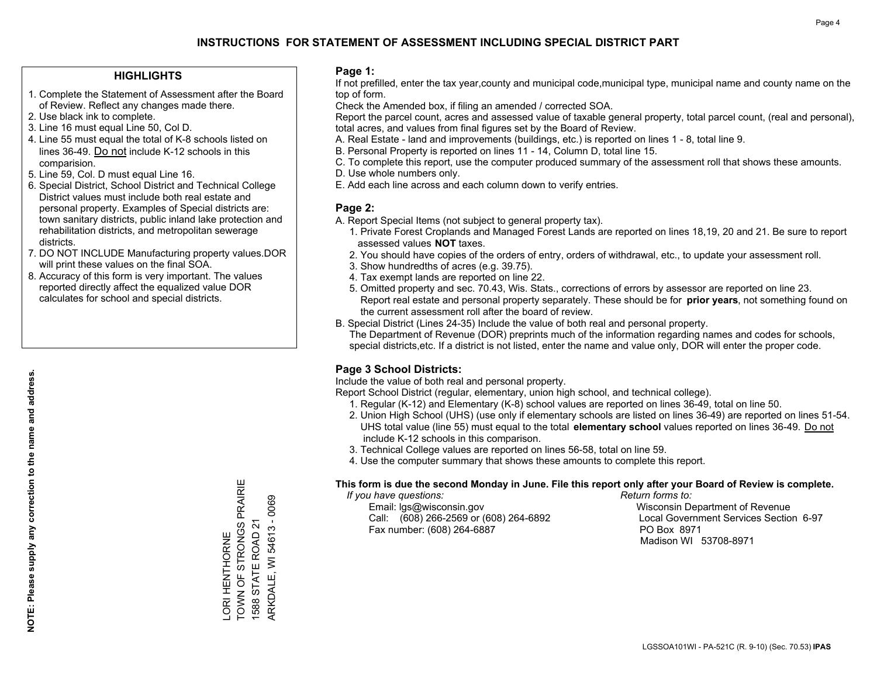#### **HIGHLIGHTS**

- 1. Complete the Statement of Assessment after the Board of Review. Reflect any changes made there.
- 2. Use black ink to complete.
- 3. Line 16 must equal Line 50, Col D.
- 4. Line 55 must equal the total of K-8 schools listed on lines 36-49. Do not include K-12 schools in this comparision.
- 5. Line 59, Col. D must equal Line 16.
- 6. Special District, School District and Technical College District values must include both real estate and personal property. Examples of Special districts are: town sanitary districts, public inland lake protection and rehabilitation districts, and metropolitan sewerage districts.
- 7. DO NOT INCLUDE Manufacturing property values.DOR will print these values on the final SOA.
- 8. Accuracy of this form is very important. The values reported directly affect the equalized value DOR calculates for school and special districts.

#### **Page 1:**

 If not prefilled, enter the tax year,county and municipal code,municipal type, municipal name and county name on the top of form.

Check the Amended box, if filing an amended / corrected SOA.

 Report the parcel count, acres and assessed value of taxable general property, total parcel count, (real and personal), total acres, and values from final figures set by the Board of Review.

- A. Real Estate land and improvements (buildings, etc.) is reported on lines 1 8, total line 9.
- B. Personal Property is reported on lines 11 14, Column D, total line 15.
- C. To complete this report, use the computer produced summary of the assessment roll that shows these amounts.
- D. Use whole numbers only.
- E. Add each line across and each column down to verify entries.

#### **Page 2:**

- A. Report Special Items (not subject to general property tax).
- 1. Private Forest Croplands and Managed Forest Lands are reported on lines 18,19, 20 and 21. Be sure to report assessed values **NOT** taxes.
- 2. You should have copies of the orders of entry, orders of withdrawal, etc., to update your assessment roll.
	- 3. Show hundredths of acres (e.g. 39.75).
- 4. Tax exempt lands are reported on line 22.
- 5. Omitted property and sec. 70.43, Wis. Stats., corrections of errors by assessor are reported on line 23. Report real estate and personal property separately. These should be for **prior years**, not something found on the current assessment roll after the board of review.
- B. Special District (Lines 24-35) Include the value of both real and personal property.

 The Department of Revenue (DOR) preprints much of the information regarding names and codes for schools, special districts,etc. If a district is not listed, enter the name and value only, DOR will enter the proper code.

### **Page 3 School Districts:**

Include the value of both real and personal property.

Report School District (regular, elementary, union high school, and technical college).

- 1. Regular (K-12) and Elementary (K-8) school values are reported on lines 36-49, total on line 50.
- 2. Union High School (UHS) (use only if elementary schools are listed on lines 36-49) are reported on lines 51-54. UHS total value (line 55) must equal to the total **elementary school** values reported on lines 36-49. Do notinclude K-12 schools in this comparison.
- 3. Technical College values are reported on lines 56-58, total on line 59.
- 4. Use the computer summary that shows these amounts to complete this report.

#### **This form is due the second Monday in June. File this report only after your Board of Review is complete.**

 *If you have questions: Return forms to:*

 Email: lgs@wisconsin.gov Wisconsin Department of RevenueCall:  $(608)$  266-2569 or  $(608)$  264-6892 Fax number: (608) 264-6887 PO Box 8971

Local Government Services Section 6-97 Madison WI 53708-8971

TOWN OF STRONGS PRAIRIE -ORI HENTHORNE<br>TOWN OF STRONGS PRAIRIE ARKDALE, WI 54613 - 0069 ARKDALE, WI 54613 - 0069 1588 STATE ROAD 21 1588 STATE ROAD 21 LORI HENTHORNE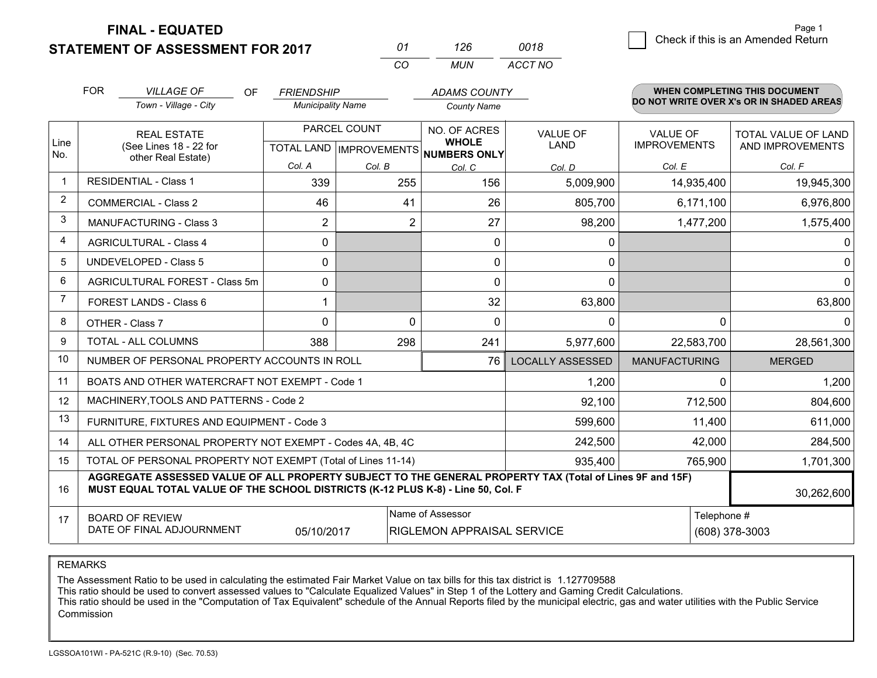**FINAL - EQUATED**

**STATEMENT OF ASSESSMENT FOR 2017** 

| Ω1  | 126 | 0018    |
|-----|-----|---------|
| CO. | MUN | ACCT NO |

|                | <b>FOR</b><br><b>VILLAGE OF</b><br><b>OF</b><br>Town - Village - City                                                                                                                                      | <b>FRIENDSHIP</b><br><b>Municipality Name</b> |                | <b>ADAMS COUNTY</b><br><b>County Name</b>           |                                | <b>WHEN COMPLETING THIS DOCUMENT</b><br>DO NOT WRITE OVER X's OR IN SHADED AREAS |                                         |
|----------------|------------------------------------------------------------------------------------------------------------------------------------------------------------------------------------------------------------|-----------------------------------------------|----------------|-----------------------------------------------------|--------------------------------|----------------------------------------------------------------------------------|-----------------------------------------|
| Line<br>No.    | <b>REAL ESTATE</b><br>(See Lines 18 - 22 for<br>other Real Estate)                                                                                                                                         | PARCEL COUNT<br>TOTAL LAND   IMPROVEMENTS     |                | NO. OF ACRES<br><b>WHOLE</b><br><b>NUMBERS ONLY</b> | <b>VALUE OF</b><br><b>LAND</b> | <b>VALUE OF</b><br><b>IMPROVEMENTS</b>                                           | TOTAL VALUE OF LAND<br>AND IMPROVEMENTS |
|                |                                                                                                                                                                                                            | Col. A                                        | Col. B         | Col. C                                              | Col. D                         | Col. E                                                                           | Col. F                                  |
| $\mathbf 1$    | <b>RESIDENTIAL - Class 1</b>                                                                                                                                                                               | 339                                           | 255            | 156                                                 | 5,009,900                      | 14,935,400                                                                       | 19,945,300                              |
| $\overline{2}$ | <b>COMMERCIAL - Class 2</b>                                                                                                                                                                                | 46                                            | 41             | 26                                                  | 805,700                        | 6,171,100                                                                        | 6,976,800                               |
| 3              | MANUFACTURING - Class 3                                                                                                                                                                                    | $\overline{2}$                                | $\overline{2}$ | 27                                                  | 98,200                         | 1,477,200                                                                        | 1,575,400                               |
| $\overline{4}$ | <b>AGRICULTURAL - Class 4</b>                                                                                                                                                                              | $\mathbf{0}$                                  |                | 0                                                   | 0                              |                                                                                  | 0                                       |
| 5              | <b>UNDEVELOPED - Class 5</b>                                                                                                                                                                               | $\Omega$                                      |                | $\mathbf 0$                                         | $\mathbf{0}$                   |                                                                                  | $\Omega$                                |
| 6              | AGRICULTURAL FOREST - Class 5m                                                                                                                                                                             | 0                                             |                | $\mathbf{0}$                                        | $\mathbf{0}$                   |                                                                                  | 0                                       |
| $\overline{7}$ | FOREST LANDS - Class 6                                                                                                                                                                                     |                                               |                | 32                                                  | 63,800                         |                                                                                  | 63,800                                  |
| 8              | OTHER - Class 7                                                                                                                                                                                            | $\Omega$                                      | $\Omega$       | $\Omega$                                            | 0                              | $\Omega$                                                                         | 0                                       |
| 9              | <b>TOTAL - ALL COLUMNS</b>                                                                                                                                                                                 | 388                                           | 298            | 241                                                 | 5,977,600                      | 22,583,700                                                                       | 28,561,300                              |
| 10             | NUMBER OF PERSONAL PROPERTY ACCOUNTS IN ROLL                                                                                                                                                               |                                               |                | 76                                                  | <b>LOCALLY ASSESSED</b>        | <b>MANUFACTURING</b>                                                             | <b>MERGED</b>                           |
| 11             | BOATS AND OTHER WATERCRAFT NOT EXEMPT - Code 1                                                                                                                                                             |                                               |                |                                                     | 1,200                          | 0                                                                                | 1,200                                   |
| 12             | MACHINERY, TOOLS AND PATTERNS - Code 2                                                                                                                                                                     |                                               |                |                                                     | 92,100                         | 712,500                                                                          | 804,600                                 |
| 13             | FURNITURE, FIXTURES AND EQUIPMENT - Code 3                                                                                                                                                                 |                                               |                | 599,600                                             | 11,400                         | 611,000                                                                          |                                         |
| 14             | ALL OTHER PERSONAL PROPERTY NOT EXEMPT - Codes 4A, 4B, 4C                                                                                                                                                  |                                               |                | 242,500                                             | 42,000                         | 284,500                                                                          |                                         |
| 15             | TOTAL OF PERSONAL PROPERTY NOT EXEMPT (Total of Lines 11-14)                                                                                                                                               |                                               |                | 935,400                                             | 765,900                        | 1,701,300                                                                        |                                         |
| 16             | AGGREGATE ASSESSED VALUE OF ALL PROPERTY SUBJECT TO THE GENERAL PROPERTY TAX (Total of Lines 9F and 15F)<br>MUST EQUAL TOTAL VALUE OF THE SCHOOL DISTRICTS (K-12 PLUS K-8) - Line 50, Col. F<br>30,262,600 |                                               |                |                                                     |                                |                                                                                  |                                         |
| 17             | Name of Assessor<br><b>BOARD OF REVIEW</b><br>DATE OF FINAL ADJOURNMENT<br>05/10/2017<br><b>RIGLEMON APPRAISAL SERVICE</b>                                                                                 |                                               |                |                                                     |                                | Telephone #                                                                      | (608) 378-3003                          |

REMARKS

The Assessment Ratio to be used in calculating the estimated Fair Market Value on tax bills for this tax district is 1.127709588<br>This ratio should be used to convert assessed values to "Calculate Equalized Values" in Step **Commission**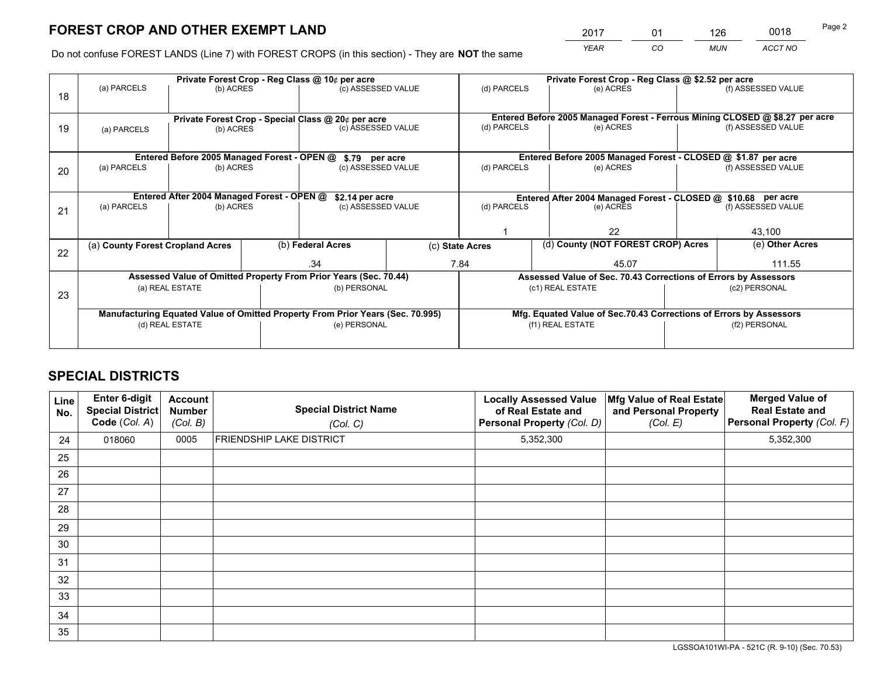*YEAR CO MUN ACCT NO* <sup>2017</sup> <sup>01</sup> <sup>126</sup> <sup>0018</sup>

Do not confuse FOREST LANDS (Line 7) with FOREST CROPS (in this section) - They are **NOT** the same

|    | Private Forest Crop - Reg Class @ 10¢ per acre                                 |                                                                 |  |                    |  | Private Forest Crop - Reg Class @ \$2.52 per acre                            |               |        |                    |  |
|----|--------------------------------------------------------------------------------|-----------------------------------------------------------------|--|--------------------|--|------------------------------------------------------------------------------|---------------|--------|--------------------|--|
| 18 | (a) PARCELS                                                                    | (b) ACRES                                                       |  | (c) ASSESSED VALUE |  | (d) PARCELS                                                                  | (e) ACRES     |        | (f) ASSESSED VALUE |  |
|    |                                                                                |                                                                 |  |                    |  | Entered Before 2005 Managed Forest - Ferrous Mining CLOSED @ \$8.27 per acre |               |        |                    |  |
| 19 | (a) PARCELS                                                                    | Private Forest Crop - Special Class @ 20¢ per acre<br>(b) ACRES |  | (c) ASSESSED VALUE |  | (d) PARCELS                                                                  | (e) ACRES     |        | (f) ASSESSED VALUE |  |
|    |                                                                                |                                                                 |  |                    |  | Entered Before 2005 Managed Forest - CLOSED @ \$1.87 per acre                |               |        |                    |  |
|    |                                                                                | Entered Before 2005 Managed Forest - OPEN @                     |  | \$.79 per acre     |  |                                                                              |               |        |                    |  |
| 20 |                                                                                | (a) PARCELS<br>(b) ACRES                                        |  | (c) ASSESSED VALUE |  | (d) PARCELS                                                                  | (e) ACRES     |        | (f) ASSESSED VALUE |  |
|    |                                                                                | Entered After 2004 Managed Forest - OPEN @                      |  | \$2.14 per acre    |  | Entered After 2004 Managed Forest - CLOSED @ \$10.68 per acre                |               |        |                    |  |
|    |                                                                                | (a) PARCELS<br>(b) ACRES                                        |  | (c) ASSESSED VALUE |  | (d) PARCELS                                                                  | (e) ACRES     |        | (f) ASSESSED VALUE |  |
| 21 |                                                                                |                                                                 |  |                    |  |                                                                              |               |        |                    |  |
|    |                                                                                |                                                                 |  |                    |  |                                                                              | 22            |        | 43,100             |  |
| 22 | (a) County Forest Cropland Acres                                               |                                                                 |  | (b) Federal Acres  |  | (d) County (NOT FOREST CROP) Acres<br>(c) State Acres                        |               |        | (e) Other Acres    |  |
|    |                                                                                |                                                                 |  | .34                |  | 7.84<br>45.07                                                                |               | 111.55 |                    |  |
|    | Assessed Value of Omitted Property From Prior Years (Sec. 70.44)               |                                                                 |  |                    |  | Assessed Value of Sec. 70.43 Corrections of Errors by Assessors              |               |        |                    |  |
|    | (b) PERSONAL<br>(a) REAL ESTATE                                                |                                                                 |  | (c1) REAL ESTATE   |  |                                                                              | (c2) PERSONAL |        |                    |  |
| 23 |                                                                                |                                                                 |  |                    |  |                                                                              |               |        |                    |  |
|    | Manufacturing Equated Value of Omitted Property From Prior Years (Sec. 70.995) |                                                                 |  |                    |  | Mfg. Equated Value of Sec.70.43 Corrections of Errors by Assessors           |               |        |                    |  |
|    | (d) REAL ESTATE                                                                |                                                                 |  | (e) PERSONAL       |  | (f1) REAL ESTATE                                                             |               |        | (f2) PERSONAL      |  |
|    |                                                                                |                                                                 |  |                    |  |                                                                              |               |        |                    |  |

## **SPECIAL DISTRICTS**

| Line<br>No. | <b>Enter 6-digit</b><br><b>Special District</b><br>Code (Col. A) | <b>Account</b><br>Number<br>(Col. B) | <b>Special District Name</b><br>(Col. C) | <b>Locally Assessed Value</b><br>of Real Estate and<br>Personal Property (Col. D) | Mfg Value of Real Estate<br>and Personal Property<br>(Col. E) | <b>Merged Value of</b><br><b>Real Estate and</b><br>Personal Property (Col. F) |
|-------------|------------------------------------------------------------------|--------------------------------------|------------------------------------------|-----------------------------------------------------------------------------------|---------------------------------------------------------------|--------------------------------------------------------------------------------|
| 24          | 018060                                                           | 0005                                 | <b>FRIENDSHIP LAKE DISTRICT</b>          | 5,352,300                                                                         |                                                               | 5,352,300                                                                      |
| 25          |                                                                  |                                      |                                          |                                                                                   |                                                               |                                                                                |
| 26          |                                                                  |                                      |                                          |                                                                                   |                                                               |                                                                                |
| 27          |                                                                  |                                      |                                          |                                                                                   |                                                               |                                                                                |
| 28          |                                                                  |                                      |                                          |                                                                                   |                                                               |                                                                                |
| 29          |                                                                  |                                      |                                          |                                                                                   |                                                               |                                                                                |
| 30          |                                                                  |                                      |                                          |                                                                                   |                                                               |                                                                                |
| 31          |                                                                  |                                      |                                          |                                                                                   |                                                               |                                                                                |
| 32          |                                                                  |                                      |                                          |                                                                                   |                                                               |                                                                                |
| 33          |                                                                  |                                      |                                          |                                                                                   |                                                               |                                                                                |
| 34          |                                                                  |                                      |                                          |                                                                                   |                                                               |                                                                                |
| 35          |                                                                  |                                      |                                          |                                                                                   |                                                               |                                                                                |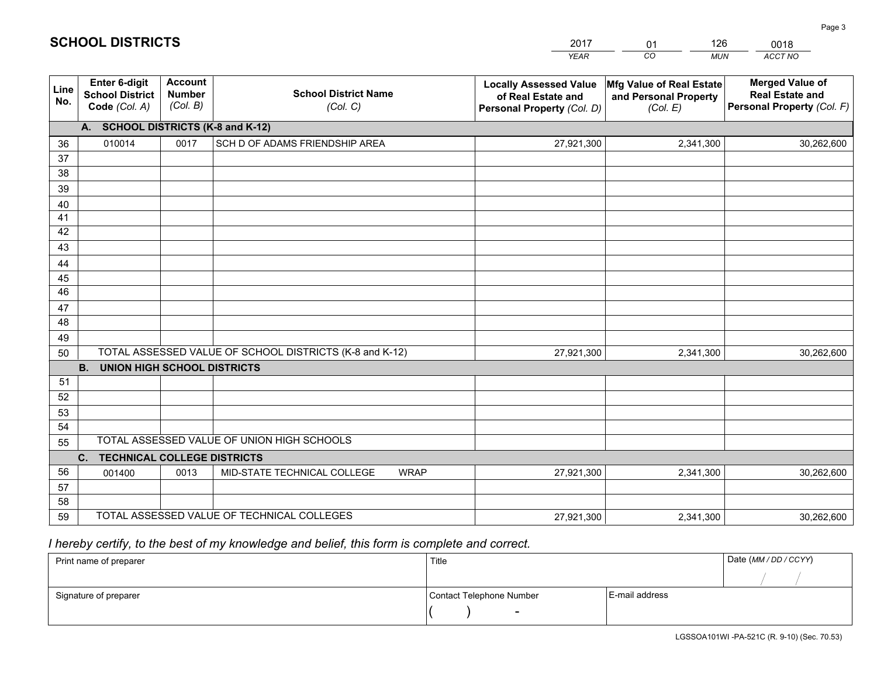|             |                                                                                        |                                             |                                                         | <b>YEAR</b>                                                                       | CO<br><b>MUN</b>                                              | ACCT NO                                                                        |  |  |
|-------------|----------------------------------------------------------------------------------------|---------------------------------------------|---------------------------------------------------------|-----------------------------------------------------------------------------------|---------------------------------------------------------------|--------------------------------------------------------------------------------|--|--|
| Line<br>No. | Enter 6-digit<br><b>School District</b><br>Code (Col. A)                               | <b>Account</b><br><b>Number</b><br>(Col. B) | <b>School District Name</b><br>(Col. C)                 | <b>Locally Assessed Value</b><br>of Real Estate and<br>Personal Property (Col. D) | Mfg Value of Real Estate<br>and Personal Property<br>(Col. E) | <b>Merged Value of</b><br><b>Real Estate and</b><br>Personal Property (Col. F) |  |  |
|             | <b>SCHOOL DISTRICTS (K-8 and K-12)</b><br>A.                                           |                                             |                                                         |                                                                                   |                                                               |                                                                                |  |  |
| 36          | 010014                                                                                 | 0017                                        | SCH D OF ADAMS FRIENDSHIP AREA                          | 27,921,300                                                                        | 2,341,300                                                     | 30,262,600                                                                     |  |  |
| 37          |                                                                                        |                                             |                                                         |                                                                                   |                                                               |                                                                                |  |  |
| 38          |                                                                                        |                                             |                                                         |                                                                                   |                                                               |                                                                                |  |  |
| 39          |                                                                                        |                                             |                                                         |                                                                                   |                                                               |                                                                                |  |  |
| 40          |                                                                                        |                                             |                                                         |                                                                                   |                                                               |                                                                                |  |  |
| 41<br>42    |                                                                                        |                                             |                                                         |                                                                                   |                                                               |                                                                                |  |  |
| 43          |                                                                                        |                                             |                                                         |                                                                                   |                                                               |                                                                                |  |  |
| 44          |                                                                                        |                                             |                                                         |                                                                                   |                                                               |                                                                                |  |  |
| 45          |                                                                                        |                                             |                                                         |                                                                                   |                                                               |                                                                                |  |  |
| 46          |                                                                                        |                                             |                                                         |                                                                                   |                                                               |                                                                                |  |  |
| 47          |                                                                                        |                                             |                                                         |                                                                                   |                                                               |                                                                                |  |  |
| 48          |                                                                                        |                                             |                                                         |                                                                                   |                                                               |                                                                                |  |  |
| 49          |                                                                                        |                                             |                                                         |                                                                                   |                                                               |                                                                                |  |  |
| 50          |                                                                                        |                                             | TOTAL ASSESSED VALUE OF SCHOOL DISTRICTS (K-8 and K-12) | 27,921,300                                                                        | 2,341,300                                                     | 30,262,600                                                                     |  |  |
|             | <b>B.</b><br><b>UNION HIGH SCHOOL DISTRICTS</b>                                        |                                             |                                                         |                                                                                   |                                                               |                                                                                |  |  |
| 51          |                                                                                        |                                             |                                                         |                                                                                   |                                                               |                                                                                |  |  |
| 52          |                                                                                        |                                             |                                                         |                                                                                   |                                                               |                                                                                |  |  |
| 53          |                                                                                        |                                             |                                                         |                                                                                   |                                                               |                                                                                |  |  |
| 54          |                                                                                        |                                             |                                                         |                                                                                   |                                                               |                                                                                |  |  |
| 55          | TOTAL ASSESSED VALUE OF UNION HIGH SCHOOLS<br>C.<br><b>TECHNICAL COLLEGE DISTRICTS</b> |                                             |                                                         |                                                                                   |                                                               |                                                                                |  |  |
| 56          | 001400                                                                                 | 0013                                        | MID-STATE TECHNICAL COLLEGE<br><b>WRAP</b>              | 27,921,300                                                                        | 2,341,300                                                     | 30,262,600                                                                     |  |  |
| 57          |                                                                                        |                                             |                                                         |                                                                                   |                                                               |                                                                                |  |  |
| 58          |                                                                                        |                                             |                                                         |                                                                                   |                                                               |                                                                                |  |  |
| 59          |                                                                                        |                                             | TOTAL ASSESSED VALUE OF TECHNICAL COLLEGES              | 27,921,300                                                                        | 2,341,300                                                     | 30,262,600                                                                     |  |  |

01

126

 *I hereby certify, to the best of my knowledge and belief, this form is complete and correct.*

**SCHOOL DISTRICTS**

| Print name of preparer | Title                    | Date (MM / DD / CCYY) |  |
|------------------------|--------------------------|-----------------------|--|
|                        |                          |                       |  |
| Signature of preparer  | Contact Telephone Number | E-mail address        |  |
|                        | -                        |                       |  |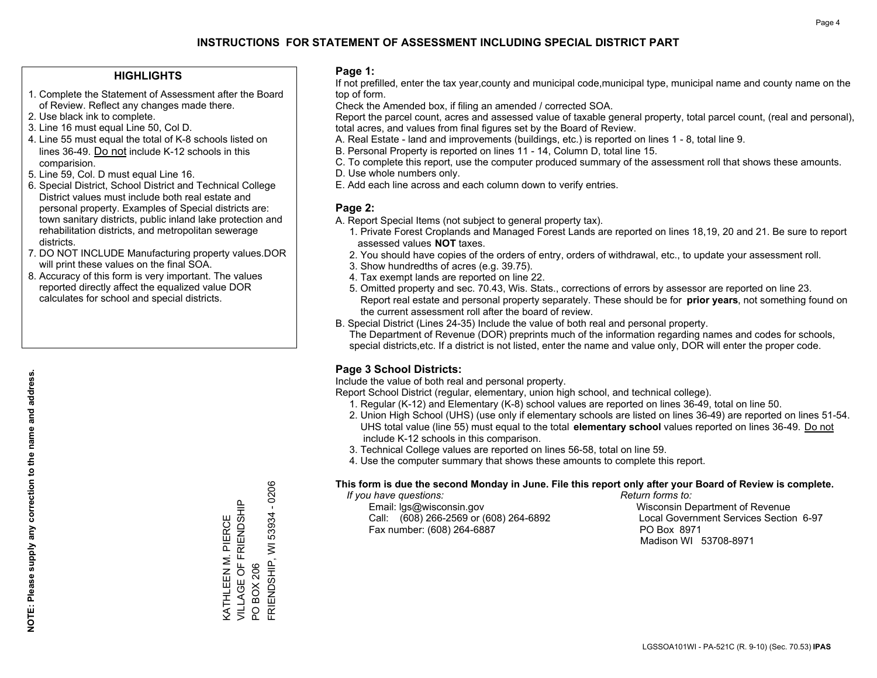#### **HIGHLIGHTS**

- 1. Complete the Statement of Assessment after the Board of Review. Reflect any changes made there.
- 2. Use black ink to complete.
- 3. Line 16 must equal Line 50, Col D.
- 4. Line 55 must equal the total of K-8 schools listed on lines 36-49. Do not include K-12 schools in this comparision.
- 5. Line 59, Col. D must equal Line 16.
- 6. Special District, School District and Technical College District values must include both real estate and personal property. Examples of Special districts are: town sanitary districts, public inland lake protection and rehabilitation districts, and metropolitan sewerage districts.
- 7. DO NOT INCLUDE Manufacturing property values.DOR will print these values on the final SOA.
- 8. Accuracy of this form is very important. The values reported directly affect the equalized value DOR calculates for school and special districts.

#### **Page 1:**

 If not prefilled, enter the tax year,county and municipal code,municipal type, municipal name and county name on the top of form.

Check the Amended box, if filing an amended / corrected SOA.

 Report the parcel count, acres and assessed value of taxable general property, total parcel count, (real and personal), total acres, and values from final figures set by the Board of Review.

- A. Real Estate land and improvements (buildings, etc.) is reported on lines 1 8, total line 9.
- B. Personal Property is reported on lines 11 14, Column D, total line 15.
- C. To complete this report, use the computer produced summary of the assessment roll that shows these amounts.
- D. Use whole numbers only.
- E. Add each line across and each column down to verify entries.

#### **Page 2:**

- A. Report Special Items (not subject to general property tax).
- 1. Private Forest Croplands and Managed Forest Lands are reported on lines 18,19, 20 and 21. Be sure to report assessed values **NOT** taxes.
- 2. You should have copies of the orders of entry, orders of withdrawal, etc., to update your assessment roll.
	- 3. Show hundredths of acres (e.g. 39.75).
- 4. Tax exempt lands are reported on line 22.
- 5. Omitted property and sec. 70.43, Wis. Stats., corrections of errors by assessor are reported on line 23. Report real estate and personal property separately. These should be for **prior years**, not something found on the current assessment roll after the board of review.
- B. Special District (Lines 24-35) Include the value of both real and personal property.

 The Department of Revenue (DOR) preprints much of the information regarding names and codes for schools, special districts,etc. If a district is not listed, enter the name and value only, DOR will enter the proper code.

### **Page 3 School Districts:**

Include the value of both real and personal property.

Report School District (regular, elementary, union high school, and technical college).

- 1. Regular (K-12) and Elementary (K-8) school values are reported on lines 36-49, total on line 50.
- 2. Union High School (UHS) (use only if elementary schools are listed on lines 36-49) are reported on lines 51-54. UHS total value (line 55) must equal to the total **elementary school** values reported on lines 36-49. Do notinclude K-12 schools in this comparison.
- 3. Technical College values are reported on lines 56-58, total on line 59.
- 4. Use the computer summary that shows these amounts to complete this report.

#### **This form is due the second Monday in June. File this report only after your Board of Review is complete.**

 *If you have questions: Return forms to:*

 Email: lgs@wisconsin.gov Wisconsin Department of RevenueCall:  $(608)$  266-2569 or  $(608)$  264-6892 Fax number: (608) 264-6887 PO Box 8971

Local Government Services Section 6-97 Madison WI 53708-8971

 $-0206$ FRIENDSHIP, WI 53934 - 0206 VILLAGE OF FRIENDSHIP KATHLEEN M. PIERCE<br>VILLAGE OF FRIENDSHIP FRIENDSHIP, WI 53934 KATHLEEN M. PIERCE **BOX 206** PO BOX 206  $\overline{S}$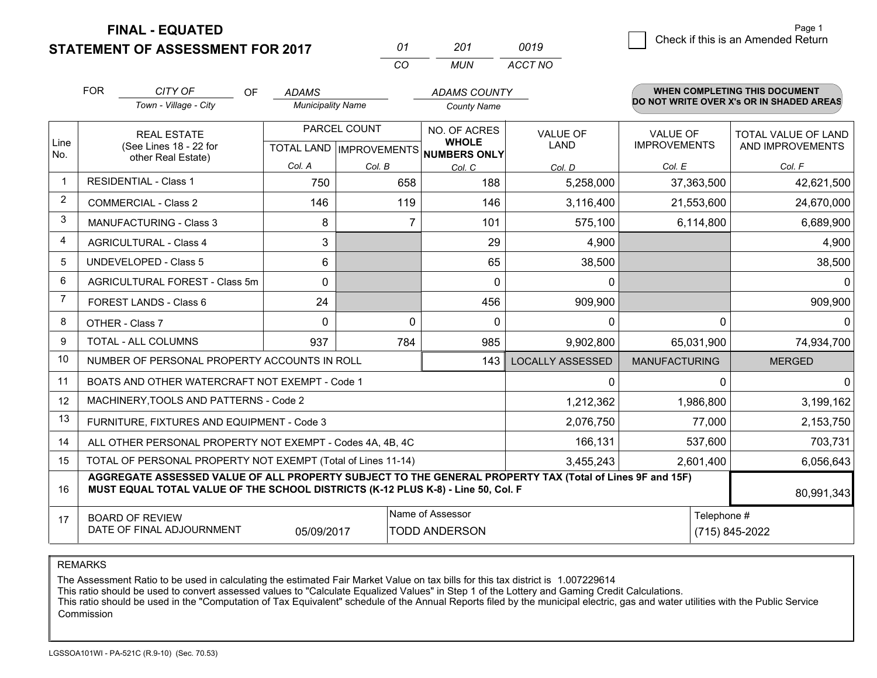**FINAL - EQUATED**

**STATEMENT OF ASSESSMENT FOR 2017** 

| 01 | 201 | 0019    |
|----|-----|---------|
| CO | MUN | ACCT NO |

|                | <b>FOR</b>                                                                                                                                     | CITY OF<br>OF                                                                                                                                                                                | <b>ADAMS</b>             |              | <b>ADAMS COUNTY</b>                                                  |                         |                                        | WHEN COMPLETING THIS DOCUMENT            |
|----------------|------------------------------------------------------------------------------------------------------------------------------------------------|----------------------------------------------------------------------------------------------------------------------------------------------------------------------------------------------|--------------------------|--------------|----------------------------------------------------------------------|-------------------------|----------------------------------------|------------------------------------------|
|                |                                                                                                                                                | Town - Village - City                                                                                                                                                                        | <b>Municipality Name</b> |              | <b>County Name</b>                                                   |                         |                                        | DO NOT WRITE OVER X's OR IN SHADED AREAS |
| Line           |                                                                                                                                                | <b>REAL ESTATE</b><br>(See Lines 18 - 22 for                                                                                                                                                 |                          | PARCEL COUNT | NO. OF ACRES<br><b>WHOLE</b><br>TOTAL LAND IMPROVEMENTS NUMBERS ONLY | VALUE OF<br><b>LAND</b> | <b>VALUE OF</b><br><b>IMPROVEMENTS</b> | TOTAL VALUE OF LAND<br>AND IMPROVEMENTS  |
| No.            | other Real Estate)                                                                                                                             | Col. A                                                                                                                                                                                       | Col. B                   | Col. C       | Col. D                                                               | Col. E                  | Col. F                                 |                                          |
| $\mathbf{1}$   |                                                                                                                                                | <b>RESIDENTIAL - Class 1</b>                                                                                                                                                                 | 750                      | 658          | 188                                                                  | 5,258,000               | 37,363,500                             | 42,621,500                               |
| 2              |                                                                                                                                                | <b>COMMERCIAL - Class 2</b>                                                                                                                                                                  | 146                      | 119          | 146                                                                  | 3,116,400               | 21,553,600                             | 24,670,000                               |
| 3              |                                                                                                                                                | <b>MANUFACTURING - Class 3</b>                                                                                                                                                               | 8                        |              | $\overline{7}$<br>101                                                | 575,100                 | 6,114,800                              | 6,689,900                                |
| 4              |                                                                                                                                                | <b>AGRICULTURAL - Class 4</b>                                                                                                                                                                | 3                        |              | 29                                                                   | 4,900                   |                                        | 4,900                                    |
| 5              |                                                                                                                                                | <b>UNDEVELOPED - Class 5</b>                                                                                                                                                                 | 6                        |              | 65                                                                   | 38,500                  |                                        | 38,500                                   |
| 6              |                                                                                                                                                | <b>AGRICULTURAL FOREST - Class 5m</b>                                                                                                                                                        | $\Omega$                 |              | $\Omega$                                                             | $\mathbf 0$             |                                        |                                          |
| $\overline{7}$ |                                                                                                                                                | FOREST LANDS - Class 6                                                                                                                                                                       | 24                       |              | 456                                                                  | 909,900                 |                                        | 909,900                                  |
| 8              |                                                                                                                                                | OTHER - Class 7                                                                                                                                                                              | $\Omega$                 |              | $\Omega$<br>$\Omega$                                                 | $\Omega$                | 0                                      |                                          |
| 9              |                                                                                                                                                | TOTAL - ALL COLUMNS                                                                                                                                                                          | 937                      | 784          | 985                                                                  | 9,902,800               | 65,031,900                             | 74,934,700                               |
| 10             |                                                                                                                                                | NUMBER OF PERSONAL PROPERTY ACCOUNTS IN ROLL                                                                                                                                                 |                          |              | 143                                                                  | <b>LOCALLY ASSESSED</b> | <b>MANUFACTURING</b>                   | <b>MERGED</b>                            |
| 11             |                                                                                                                                                | BOATS AND OTHER WATERCRAFT NOT EXEMPT - Code 1                                                                                                                                               |                          |              |                                                                      | $\Omega$                | O                                      |                                          |
| 12             |                                                                                                                                                | MACHINERY, TOOLS AND PATTERNS - Code 2                                                                                                                                                       |                          |              |                                                                      | 1,212,362               | 1,986,800                              | 3,199,162                                |
| 13             |                                                                                                                                                | FURNITURE, FIXTURES AND EQUIPMENT - Code 3                                                                                                                                                   |                          |              |                                                                      | 2,076,750               | 77,000                                 | 2,153,750                                |
| 14             |                                                                                                                                                | ALL OTHER PERSONAL PROPERTY NOT EXEMPT - Codes 4A, 4B, 4C                                                                                                                                    |                          |              |                                                                      | 166,131                 | 537,600                                | 703,731                                  |
| 15             | TOTAL OF PERSONAL PROPERTY NOT EXEMPT (Total of Lines 11-14)<br>3,455,243                                                                      |                                                                                                                                                                                              |                          |              |                                                                      |                         | 2,601,400                              | 6,056,643                                |
| 16             |                                                                                                                                                | AGGREGATE ASSESSED VALUE OF ALL PROPERTY SUBJECT TO THE GENERAL PROPERTY TAX (Total of Lines 9F and 15F)<br>MUST EQUAL TOTAL VALUE OF THE SCHOOL DISTRICTS (K-12 PLUS K-8) - Line 50, Col. F |                          |              |                                                                      |                         |                                        | 80,991,343                               |
| 17             | Name of Assessor<br>Telephone #<br><b>BOARD OF REVIEW</b><br>DATE OF FINAL ADJOURNMENT<br><b>TODD ANDERSON</b><br>(715) 845-2022<br>05/09/2017 |                                                                                                                                                                                              |                          |              |                                                                      |                         |                                        |                                          |

REMARKS

The Assessment Ratio to be used in calculating the estimated Fair Market Value on tax bills for this tax district is 1.007229614<br>This ratio should be used to convert assessed values to "Calculate Equalized Values" in Step Commission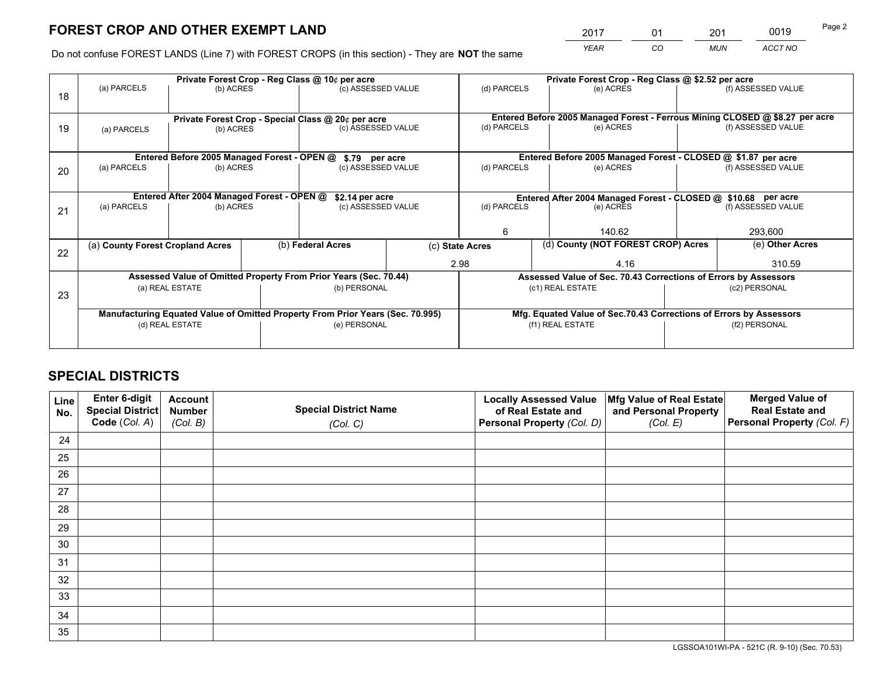# **FOREST CROP AND OTHER EXEMPT LAND**

 *YEAR CO MUN ACCT NO* <sup>2017</sup> <sup>01</sup> <sup>201</sup> <sup>0019</sup> Page 2

Do not confuse FOREST LANDS (Line 7) with FOREST CROPS (in this section) - They are **NOT** the same

|    | Private Forest Crop - Reg Class @ 10¢ per acre                                 |                                                                 |  |                                                                  |                                                               |                                                                    | Private Forest Crop - Reg Class @ \$2.52 per acre                            |                    |                    |  |
|----|--------------------------------------------------------------------------------|-----------------------------------------------------------------|--|------------------------------------------------------------------|---------------------------------------------------------------|--------------------------------------------------------------------|------------------------------------------------------------------------------|--------------------|--------------------|--|
| 18 | (a) PARCELS                                                                    | (b) ACRES                                                       |  | (c) ASSESSED VALUE                                               |                                                               | (d) PARCELS                                                        | (e) ACRES                                                                    |                    | (f) ASSESSED VALUE |  |
|    |                                                                                |                                                                 |  |                                                                  |                                                               |                                                                    | Entered Before 2005 Managed Forest - Ferrous Mining CLOSED @ \$8.27 per acre |                    |                    |  |
| 19 | (a) PARCELS                                                                    | Private Forest Crop - Special Class @ 20¢ per acre<br>(b) ACRES |  | (c) ASSESSED VALUE                                               |                                                               | (d) PARCELS                                                        | (e) ACRES                                                                    |                    | (f) ASSESSED VALUE |  |
|    |                                                                                |                                                                 |  |                                                                  |                                                               |                                                                    |                                                                              |                    |                    |  |
|    |                                                                                | Entered Before 2005 Managed Forest - OPEN @                     |  | \$.79 per acre                                                   |                                                               |                                                                    | Entered Before 2005 Managed Forest - CLOSED @ \$1.87 per acre                |                    |                    |  |
| 20 | (a) PARCELS<br>(b) ACRES                                                       |                                                                 |  | (c) ASSESSED VALUE<br>(d) PARCELS                                |                                                               | (e) ACRES                                                          |                                                                              | (f) ASSESSED VALUE |                    |  |
|    | Entered After 2004 Managed Forest - OPEN @<br>\$2.14 per acre                  |                                                                 |  |                                                                  | Entered After 2004 Managed Forest - CLOSED @ \$10.68 per acre |                                                                    |                                                                              |                    |                    |  |
| 21 | (a) PARCELS                                                                    | (b) ACRES                                                       |  | (c) ASSESSED VALUE                                               |                                                               | (d) PARCELS                                                        |                                                                              | (e) ACRES          |                    |  |
|    |                                                                                |                                                                 |  |                                                                  |                                                               |                                                                    |                                                                              |                    |                    |  |
|    |                                                                                |                                                                 |  |                                                                  |                                                               | 6                                                                  | 140.62                                                                       |                    | 293,600            |  |
|    | (a) County Forest Cropland Acres                                               |                                                                 |  | (b) Federal Acres                                                |                                                               | (c) State Acres                                                    | (d) County (NOT FOREST CROP) Acres                                           |                    | (e) Other Acres    |  |
| 22 |                                                                                |                                                                 |  |                                                                  | 2.98                                                          |                                                                    | 4.16                                                                         |                    | 310.59             |  |
|    |                                                                                |                                                                 |  | Assessed Value of Omitted Property From Prior Years (Sec. 70.44) |                                                               |                                                                    | Assessed Value of Sec. 70.43 Corrections of Errors by Assessors              |                    |                    |  |
|    |                                                                                | (a) REAL ESTATE                                                 |  | (b) PERSONAL                                                     |                                                               |                                                                    | (c1) REAL ESTATE                                                             |                    | (c2) PERSONAL      |  |
| 23 |                                                                                |                                                                 |  |                                                                  |                                                               |                                                                    |                                                                              |                    |                    |  |
|    | Manufacturing Equated Value of Omitted Property From Prior Years (Sec. 70.995) |                                                                 |  |                                                                  |                                                               | Mfg. Equated Value of Sec.70.43 Corrections of Errors by Assessors |                                                                              |                    |                    |  |
|    | (d) REAL ESTATE                                                                |                                                                 |  | (e) PERSONAL                                                     |                                                               | (f1) REAL ESTATE                                                   |                                                                              | (f2) PERSONAL      |                    |  |
|    |                                                                                |                                                                 |  |                                                                  |                                                               |                                                                    |                                                                              |                    |                    |  |

# **SPECIAL DISTRICTS**

| Line<br>No. | Enter 6-digit<br><b>Special District</b><br>Code (Col. A) | <b>Account</b><br><b>Number</b><br>(Col. B) | <b>Special District Name</b> | <b>Locally Assessed Value</b><br>of Real Estate and<br>Personal Property (Col. D) | Mfg Value of Real Estate<br>and Personal Property<br>(Col. E) | <b>Merged Value of</b><br><b>Real Estate and</b><br>Personal Property (Col. F) |
|-------------|-----------------------------------------------------------|---------------------------------------------|------------------------------|-----------------------------------------------------------------------------------|---------------------------------------------------------------|--------------------------------------------------------------------------------|
|             |                                                           |                                             | (Col. C)                     |                                                                                   |                                                               |                                                                                |
| 24          |                                                           |                                             |                              |                                                                                   |                                                               |                                                                                |
| 25          |                                                           |                                             |                              |                                                                                   |                                                               |                                                                                |
| 26          |                                                           |                                             |                              |                                                                                   |                                                               |                                                                                |
| 27          |                                                           |                                             |                              |                                                                                   |                                                               |                                                                                |
| 28          |                                                           |                                             |                              |                                                                                   |                                                               |                                                                                |
| 29          |                                                           |                                             |                              |                                                                                   |                                                               |                                                                                |
| 30          |                                                           |                                             |                              |                                                                                   |                                                               |                                                                                |
| 31          |                                                           |                                             |                              |                                                                                   |                                                               |                                                                                |
| 32          |                                                           |                                             |                              |                                                                                   |                                                               |                                                                                |
| 33          |                                                           |                                             |                              |                                                                                   |                                                               |                                                                                |
| 34          |                                                           |                                             |                              |                                                                                   |                                                               |                                                                                |
| 35          |                                                           |                                             |                              |                                                                                   |                                                               |                                                                                |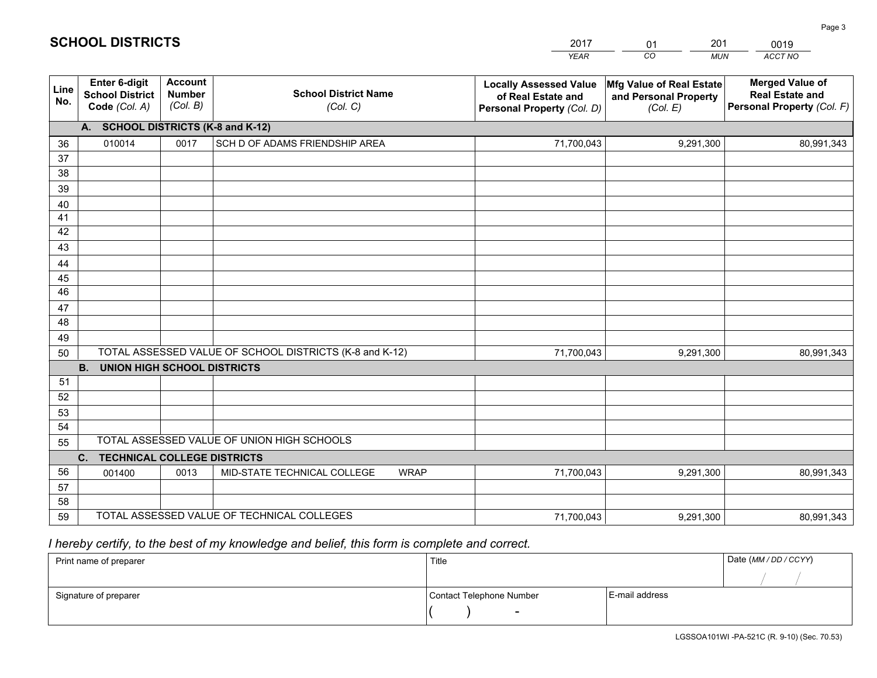|             |                                                                 |                                             |                                                         | <b>YEAR</b>                                                                       | CO<br><b>MUN</b>                                              | ACCT NO                                                                        |
|-------------|-----------------------------------------------------------------|---------------------------------------------|---------------------------------------------------------|-----------------------------------------------------------------------------------|---------------------------------------------------------------|--------------------------------------------------------------------------------|
| Line<br>No. | <b>Enter 6-digit</b><br><b>School District</b><br>Code (Col. A) | <b>Account</b><br><b>Number</b><br>(Col. B) | <b>School District Name</b><br>(Col. C)                 | <b>Locally Assessed Value</b><br>of Real Estate and<br>Personal Property (Col. D) | Mfg Value of Real Estate<br>and Personal Property<br>(Col. E) | <b>Merged Value of</b><br><b>Real Estate and</b><br>Personal Property (Col. F) |
|             | <b>SCHOOL DISTRICTS (K-8 and K-12)</b><br>А.                    |                                             |                                                         |                                                                                   |                                                               |                                                                                |
| 36          | 010014                                                          | 0017                                        | SCH D OF ADAMS FRIENDSHIP AREA                          | 71,700,043                                                                        | 9,291,300                                                     | 80,991,343                                                                     |
| 37          |                                                                 |                                             |                                                         |                                                                                   |                                                               |                                                                                |
| 38          |                                                                 |                                             |                                                         |                                                                                   |                                                               |                                                                                |
| 39          |                                                                 |                                             |                                                         |                                                                                   |                                                               |                                                                                |
| 40          |                                                                 |                                             |                                                         |                                                                                   |                                                               |                                                                                |
| 41<br>42    |                                                                 |                                             |                                                         |                                                                                   |                                                               |                                                                                |
| 43          |                                                                 |                                             |                                                         |                                                                                   |                                                               |                                                                                |
| 44          |                                                                 |                                             |                                                         |                                                                                   |                                                               |                                                                                |
| 45          |                                                                 |                                             |                                                         |                                                                                   |                                                               |                                                                                |
| 46          |                                                                 |                                             |                                                         |                                                                                   |                                                               |                                                                                |
| 47          |                                                                 |                                             |                                                         |                                                                                   |                                                               |                                                                                |
| 48          |                                                                 |                                             |                                                         |                                                                                   |                                                               |                                                                                |
| 49          |                                                                 |                                             |                                                         |                                                                                   |                                                               |                                                                                |
| 50          |                                                                 |                                             | TOTAL ASSESSED VALUE OF SCHOOL DISTRICTS (K-8 and K-12) | 71,700,043                                                                        | 9,291,300                                                     | 80,991,343                                                                     |
|             | <b>B.</b><br><b>UNION HIGH SCHOOL DISTRICTS</b>                 |                                             |                                                         |                                                                                   |                                                               |                                                                                |
| 51          |                                                                 |                                             |                                                         |                                                                                   |                                                               |                                                                                |
| 52          |                                                                 |                                             |                                                         |                                                                                   |                                                               |                                                                                |
| 53          |                                                                 |                                             |                                                         |                                                                                   |                                                               |                                                                                |
| 54          |                                                                 |                                             | TOTAL ASSESSED VALUE OF UNION HIGH SCHOOLS              |                                                                                   |                                                               |                                                                                |
| 55          |                                                                 |                                             |                                                         |                                                                                   |                                                               |                                                                                |
| 56          | $C_{1}$<br><b>TECHNICAL COLLEGE DISTRICTS</b><br>001400         | 0013                                        | MID-STATE TECHNICAL COLLEGE<br><b>WRAP</b>              | 71,700,043                                                                        | 9,291,300                                                     | 80,991,343                                                                     |
| 57          |                                                                 |                                             |                                                         |                                                                                   |                                                               |                                                                                |
| 58          |                                                                 |                                             |                                                         |                                                                                   |                                                               |                                                                                |
| 59          |                                                                 |                                             | TOTAL ASSESSED VALUE OF TECHNICAL COLLEGES              | 71,700,043                                                                        | 9,291,300                                                     | 80,991,343                                                                     |

2017

01

201

# *I hereby certify, to the best of my knowledge and belief, this form is complete and correct.*

**SCHOOL DISTRICTS**

| Print name of preparer | Title                    |                | Date (MM / DD / CCYY) |  |
|------------------------|--------------------------|----------------|-----------------------|--|
|                        |                          |                |                       |  |
| Signature of preparer  | Contact Telephone Number | E-mail address |                       |  |
|                        | $\overline{\phantom{0}}$ |                |                       |  |

0019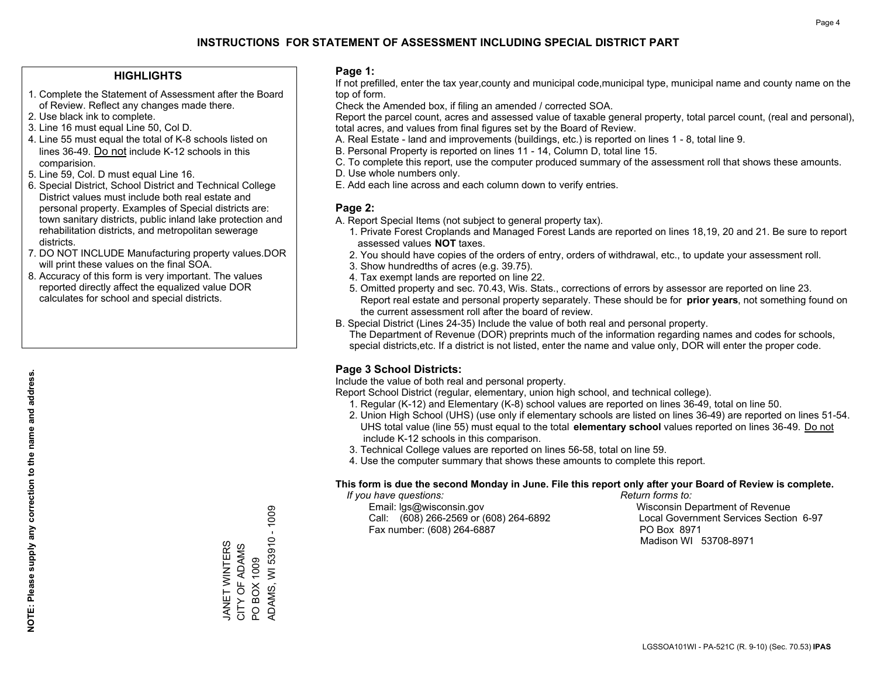## **INSTRUCTIONS FOR STATEMENT OF ASSESSMENT INCLUDING SPECIAL DISTRICT PART**

### **HIGHLIGHTS**

- 1. Complete the Statement of Assessment after the Board of Review. Reflect any changes made there.
- 2. Use black ink to complete.
- 3. Line 16 must equal Line 50, Col D.
- 4. Line 55 must equal the total of K-8 schools listed on lines 36-49. Do not include K-12 schools in this comparision.
- 5. Line 59, Col. D must equal Line 16.
- 6. Special District, School District and Technical College District values must include both real estate and personal property. Examples of Special districts are: town sanitary districts, public inland lake protection and rehabilitation districts, and metropolitan sewerage districts.
- 7. DO NOT INCLUDE Manufacturing property values.DOR will print these values on the final SOA.

JANET WINTERS CITY OF ADAMS PO BOX 1009

JANET WINTERS<br>CITY OF ADAMS

ADAMS, WI 53910 - 1009

**ADAMS, WI 53910** 

PO BOX 1009

 $-1009$ 

 8. Accuracy of this form is very important. The values reported directly affect the equalized value DOR calculates for school and special districts.

### **Page 1:**

 If not prefilled, enter the tax year,county and municipal code,municipal type, municipal name and county name on the top of form.

Check the Amended box, if filing an amended / corrected SOA.

 Report the parcel count, acres and assessed value of taxable general property, total parcel count, (real and personal), total acres, and values from final figures set by the Board of Review.

- A. Real Estate land and improvements (buildings, etc.) is reported on lines 1 8, total line 9.
- B. Personal Property is reported on lines 11 14, Column D, total line 15.
- C. To complete this report, use the computer produced summary of the assessment roll that shows these amounts.
- D. Use whole numbers only.
- E. Add each line across and each column down to verify entries.

### **Page 2:**

- A. Report Special Items (not subject to general property tax).
- 1. Private Forest Croplands and Managed Forest Lands are reported on lines 18,19, 20 and 21. Be sure to report assessed values **NOT** taxes.
- 2. You should have copies of the orders of entry, orders of withdrawal, etc., to update your assessment roll.
	- 3. Show hundredths of acres (e.g. 39.75).
- 4. Tax exempt lands are reported on line 22.
- 5. Omitted property and sec. 70.43, Wis. Stats., corrections of errors by assessor are reported on line 23. Report real estate and personal property separately. These should be for **prior years**, not something found on the current assessment roll after the board of review.
- B. Special District (Lines 24-35) Include the value of both real and personal property.
- The Department of Revenue (DOR) preprints much of the information regarding names and codes for schools, special districts,etc. If a district is not listed, enter the name and value only, DOR will enter the proper code.

## **Page 3 School Districts:**

Include the value of both real and personal property.

Report School District (regular, elementary, union high school, and technical college).

- 1. Regular (K-12) and Elementary (K-8) school values are reported on lines 36-49, total on line 50.
- 2. Union High School (UHS) (use only if elementary schools are listed on lines 36-49) are reported on lines 51-54. UHS total value (line 55) must equal to the total **elementary school** values reported on lines 36-49. Do notinclude K-12 schools in this comparison.
- 3. Technical College values are reported on lines 56-58, total on line 59.
- 4. Use the computer summary that shows these amounts to complete this report.

#### **This form is due the second Monday in June. File this report only after your Board of Review is complete.**

 *If you have questions: Return forms to:*

 Email: lgs@wisconsin.gov Wisconsin Department of RevenueCall:  $(608)$  266-2569 or  $(608)$  264-6892 Fax number: (608) 264-6887 PO Box 8971

Local Government Services Section 6-97 Madison WI 53708-8971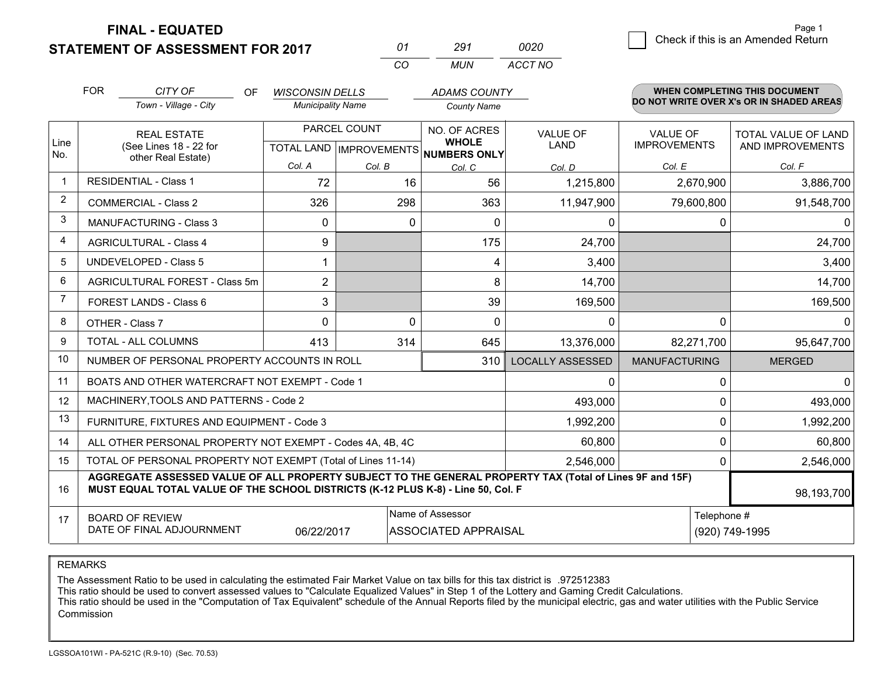**STATEMENT OF ASSESSMENT FOR 2017 FINAL - EQUATED**

|                | <b>FOR</b>                                                   | CITY OF<br>OF.                                                                                                                                                                               | <b>WISCONSIN DELLS</b>   |                                | <b>ADAMS COUNTY</b>                 |                         |                      | WHEN COMPLETING THIS DOCUMENT            |  |  |
|----------------|--------------------------------------------------------------|----------------------------------------------------------------------------------------------------------------------------------------------------------------------------------------------|--------------------------|--------------------------------|-------------------------------------|-------------------------|----------------------|------------------------------------------|--|--|
|                |                                                              | Town - Village - City                                                                                                                                                                        | <b>Municipality Name</b> |                                | <b>County Name</b>                  |                         |                      | DO NOT WRITE OVER X's OR IN SHADED AREAS |  |  |
|                |                                                              | <b>REAL ESTATE</b>                                                                                                                                                                           |                          | PARCEL COUNT                   | NO. OF ACRES                        | <b>VALUE OF</b>         | <b>VALUE OF</b>      | TOTAL VALUE OF LAND                      |  |  |
| Line<br>No.    |                                                              | (See Lines 18 - 22 for<br>other Real Estate)                                                                                                                                                 |                          | <b>TOTAL LAND IMPROVEMENTS</b> | <b>WHOLE</b><br><b>NUMBERS ONLY</b> | LAND                    | <b>IMPROVEMENTS</b>  | AND IMPROVEMENTS                         |  |  |
|                |                                                              |                                                                                                                                                                                              | Col. A                   | Col. B                         | Col. C                              | Col. D                  | Col. E               | Col. F                                   |  |  |
|                |                                                              | <b>RESIDENTIAL - Class 1</b>                                                                                                                                                                 | 72                       | 16                             | 56                                  | 1,215,800               | 2,670,900            | 3,886,700                                |  |  |
| $\overline{2}$ |                                                              | <b>COMMERCIAL - Class 2</b>                                                                                                                                                                  | 326                      | 298                            | 363                                 | 11,947,900              | 79,600,800           | 91,548,700                               |  |  |
| 3              |                                                              | <b>MANUFACTURING - Class 3</b>                                                                                                                                                               | 0                        |                                | 0<br>0                              | 0                       | 0                    | $\Omega$                                 |  |  |
| 4              |                                                              | <b>AGRICULTURAL - Class 4</b>                                                                                                                                                                | 9                        |                                | 175                                 | 24,700                  |                      | 24,700                                   |  |  |
| 5              | <b>UNDEVELOPED - Class 5</b>                                 |                                                                                                                                                                                              | 1                        |                                | 4                                   | 3,400                   |                      | 3,400                                    |  |  |
| 6              | AGRICULTURAL FOREST - Class 5m                               |                                                                                                                                                                                              | $\overline{2}$           |                                | 8                                   | 14,700                  |                      | 14,700                                   |  |  |
| $\overline{7}$ | FOREST LANDS - Class 6                                       |                                                                                                                                                                                              | 3                        |                                | 39                                  | 169,500                 |                      | 169,500                                  |  |  |
| 8              |                                                              | OTHER - Class 7                                                                                                                                                                              | $\mathbf 0$              |                                | 0<br>$\mathbf{0}$                   | 0                       | $\Omega$             | $\Omega$                                 |  |  |
| 9              |                                                              | TOTAL - ALL COLUMNS                                                                                                                                                                          | 413                      | 314                            | 645                                 | 13,376,000              | 82,271,700           | 95,647,700                               |  |  |
| 10             |                                                              | NUMBER OF PERSONAL PROPERTY ACCOUNTS IN ROLL                                                                                                                                                 |                          |                                | 310                                 | <b>LOCALLY ASSESSED</b> | <b>MANUFACTURING</b> | <b>MERGED</b>                            |  |  |
| 11             |                                                              | BOATS AND OTHER WATERCRAFT NOT EXEMPT - Code 1                                                                                                                                               |                          |                                |                                     | $\Omega$                | 0                    | $\Omega$                                 |  |  |
| 12             |                                                              | MACHINERY, TOOLS AND PATTERNS - Code 2                                                                                                                                                       |                          |                                |                                     | 493,000                 | $\Omega$             | 493,000                                  |  |  |
| 13             |                                                              | FURNITURE, FIXTURES AND EQUIPMENT - Code 3                                                                                                                                                   |                          |                                |                                     | 1,992,200               | 0                    | 1,992,200                                |  |  |
| 14             |                                                              | ALL OTHER PERSONAL PROPERTY NOT EXEMPT - Codes 4A, 4B, 4C                                                                                                                                    |                          |                                |                                     | 60,800                  | 0                    | 60,800                                   |  |  |
| 15             | TOTAL OF PERSONAL PROPERTY NOT EXEMPT (Total of Lines 11-14) |                                                                                                                                                                                              |                          |                                |                                     | 2,546,000               | $\Omega$             | 2,546,000                                |  |  |
| 16             |                                                              | AGGREGATE ASSESSED VALUE OF ALL PROPERTY SUBJECT TO THE GENERAL PROPERTY TAX (Total of Lines 9F and 15F)<br>MUST EQUAL TOTAL VALUE OF THE SCHOOL DISTRICTS (K-12 PLUS K-8) - Line 50, Col. F |                          |                                |                                     |                         |                      | 98,193,700                               |  |  |
| 17             |                                                              | <b>BOARD OF REVIEW</b>                                                                                                                                                                       |                          |                                | Name of Assessor                    |                         | Telephone #          |                                          |  |  |
|                |                                                              | DATE OF FINAL ADJOURNMENT                                                                                                                                                                    | 06/22/2017               |                                | ASSOCIATED APPRAISAL                |                         |                      | (920) 749-1995                           |  |  |

*CO*

*MUN*

*ACCT NO0020*

*<sup>01</sup> <sup>291</sup>*

REMARKS

The Assessment Ratio to be used in calculating the estimated Fair Market Value on tax bills for this tax district is .972512383<br>This ratio should be used to convert assessed values to "Calculate Equalized Values" in Step 1 Commission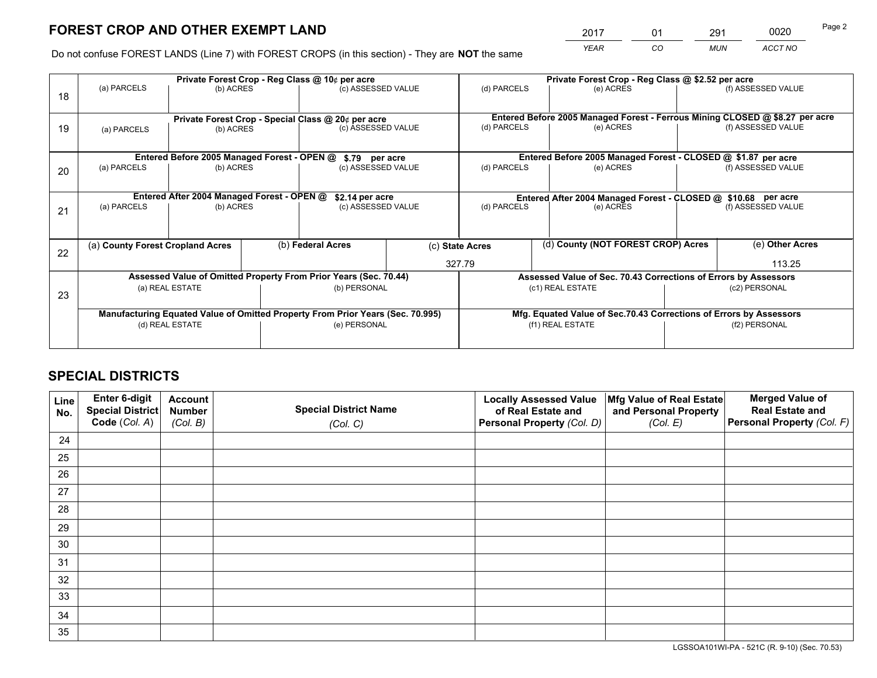# **FOREST CROP AND OTHER EXEMPT LAND**

 *YEAR CO MUN ACCT NO* 2017 01 291 0020 Page 2

Do not confuse FOREST LANDS (Line 7) with FOREST CROPS (in this section) - They are **NOT** the same

|    |                                                                                |                                             |  | Private Forest Crop - Reg Class @ 10¢ per acre                   |                 |                                                                    | Private Forest Crop - Reg Class @ \$2.52 per acre                            |               |                    |  |
|----|--------------------------------------------------------------------------------|---------------------------------------------|--|------------------------------------------------------------------|-----------------|--------------------------------------------------------------------|------------------------------------------------------------------------------|---------------|--------------------|--|
| 18 | (a) PARCELS                                                                    | (b) ACRES                                   |  | (c) ASSESSED VALUE                                               |                 | (d) PARCELS                                                        | (e) ACRES                                                                    |               | (f) ASSESSED VALUE |  |
|    |                                                                                |                                             |  |                                                                  |                 |                                                                    |                                                                              |               |                    |  |
|    |                                                                                |                                             |  | Private Forest Crop - Special Class @ 20¢ per acre               |                 |                                                                    | Entered Before 2005 Managed Forest - Ferrous Mining CLOSED @ \$8.27 per acre |               |                    |  |
| 19 | (a) PARCELS                                                                    | (b) ACRES                                   |  | (c) ASSESSED VALUE                                               |                 | (d) PARCELS                                                        | (e) ACRES                                                                    |               | (f) ASSESSED VALUE |  |
|    |                                                                                |                                             |  |                                                                  |                 |                                                                    |                                                                              |               |                    |  |
|    |                                                                                | Entered Before 2005 Managed Forest - OPEN @ |  | \$.79 per acre                                                   |                 |                                                                    | Entered Before 2005 Managed Forest - CLOSED @ \$1.87 per acre                |               |                    |  |
| 20 | (a) PARCELS                                                                    | (b) ACRES                                   |  | (c) ASSESSED VALUE                                               |                 | (d) PARCELS                                                        | (e) ACRES                                                                    |               | (f) ASSESSED VALUE |  |
|    |                                                                                |                                             |  |                                                                  |                 |                                                                    |                                                                              |               |                    |  |
|    | Entered After 2004 Managed Forest - OPEN @                                     |                                             |  |                                                                  | \$2.14 per acre |                                                                    | Entered After 2004 Managed Forest - CLOSED @ \$10.68 per acre                |               |                    |  |
| 21 | (a) PARCELS                                                                    | (b) ACRES                                   |  | (c) ASSESSED VALUE                                               |                 | (d) PARCELS<br>(e) ACRES                                           |                                                                              |               | (f) ASSESSED VALUE |  |
|    |                                                                                |                                             |  |                                                                  |                 |                                                                    |                                                                              |               |                    |  |
|    |                                                                                |                                             |  |                                                                  |                 |                                                                    |                                                                              |               |                    |  |
| 22 | (a) County Forest Cropland Acres                                               |                                             |  | (b) Federal Acres                                                |                 | (d) County (NOT FOREST CROP) Acres<br>(c) State Acres              |                                                                              |               | (e) Other Acres    |  |
|    |                                                                                |                                             |  |                                                                  |                 | 327.79                                                             |                                                                              |               | 113.25             |  |
|    |                                                                                |                                             |  | Assessed Value of Omitted Property From Prior Years (Sec. 70.44) |                 |                                                                    | Assessed Value of Sec. 70.43 Corrections of Errors by Assessors              |               |                    |  |
| 23 |                                                                                | (a) REAL ESTATE                             |  | (b) PERSONAL                                                     |                 |                                                                    | (c1) REAL ESTATE                                                             |               | (c2) PERSONAL      |  |
|    |                                                                                |                                             |  |                                                                  |                 |                                                                    |                                                                              |               |                    |  |
|    | Manufacturing Equated Value of Omitted Property From Prior Years (Sec. 70.995) |                                             |  |                                                                  |                 | Mfg. Equated Value of Sec.70.43 Corrections of Errors by Assessors |                                                                              |               |                    |  |
|    | (d) REAL ESTATE                                                                |                                             |  | (e) PERSONAL                                                     |                 |                                                                    | (f1) REAL ESTATE                                                             | (f2) PERSONAL |                    |  |
|    |                                                                                |                                             |  |                                                                  |                 |                                                                    |                                                                              |               |                    |  |

# **SPECIAL DISTRICTS**

| Line<br>No. | Enter 6-digit<br>Special District<br>Code (Col. A) | <b>Account</b><br><b>Number</b> | <b>Special District Name</b> | <b>Locally Assessed Value</b><br>of Real Estate and | Mfg Value of Real Estate<br>and Personal Property | <b>Merged Value of</b><br><b>Real Estate and</b><br>Personal Property (Col. F) |
|-------------|----------------------------------------------------|---------------------------------|------------------------------|-----------------------------------------------------|---------------------------------------------------|--------------------------------------------------------------------------------|
|             |                                                    | (Col. B)                        | (Col. C)                     | Personal Property (Col. D)                          | (Col. E)                                          |                                                                                |
| 24          |                                                    |                                 |                              |                                                     |                                                   |                                                                                |
| 25          |                                                    |                                 |                              |                                                     |                                                   |                                                                                |
| 26          |                                                    |                                 |                              |                                                     |                                                   |                                                                                |
| 27          |                                                    |                                 |                              |                                                     |                                                   |                                                                                |
| 28          |                                                    |                                 |                              |                                                     |                                                   |                                                                                |
| 29          |                                                    |                                 |                              |                                                     |                                                   |                                                                                |
| 30          |                                                    |                                 |                              |                                                     |                                                   |                                                                                |
| 31          |                                                    |                                 |                              |                                                     |                                                   |                                                                                |
| 32          |                                                    |                                 |                              |                                                     |                                                   |                                                                                |
| 33          |                                                    |                                 |                              |                                                     |                                                   |                                                                                |
| 34          |                                                    |                                 |                              |                                                     |                                                   |                                                                                |
| 35          |                                                    |                                 |                              |                                                     |                                                   |                                                                                |

LGSSOA101WI-PA - 521C (R. 9-10) (Sec. 70.53)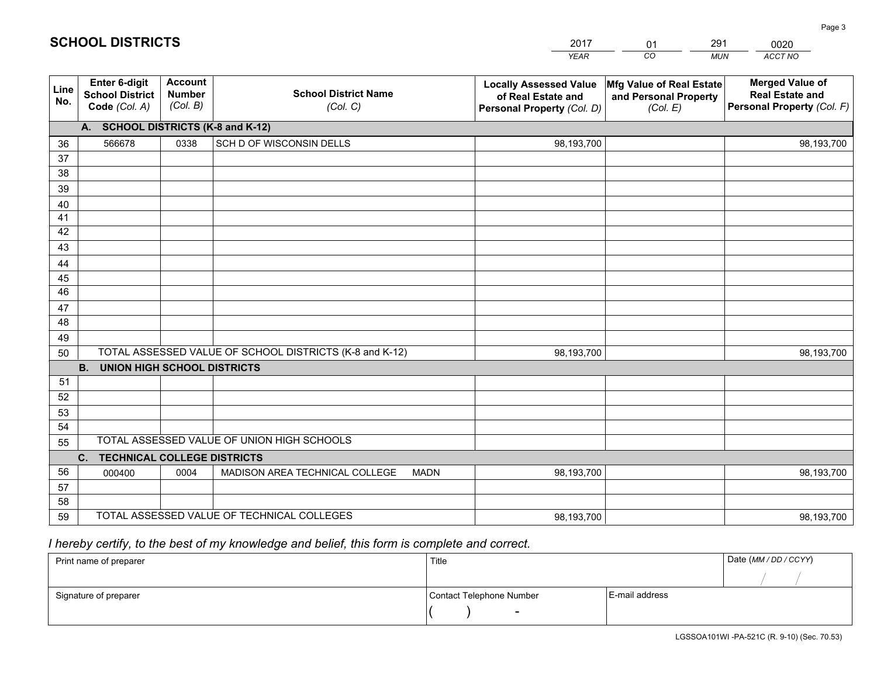|             |                                                          |                                             |                                                         | <b>YEAR</b>                                                                       | CO<br><b>MUN</b>                                              | ACCT NO                                                                        |
|-------------|----------------------------------------------------------|---------------------------------------------|---------------------------------------------------------|-----------------------------------------------------------------------------------|---------------------------------------------------------------|--------------------------------------------------------------------------------|
| Line<br>No. | Enter 6-digit<br><b>School District</b><br>Code (Col. A) | <b>Account</b><br><b>Number</b><br>(Col. B) | <b>School District Name</b><br>(Col. C)                 | <b>Locally Assessed Value</b><br>of Real Estate and<br>Personal Property (Col. D) | Mfg Value of Real Estate<br>and Personal Property<br>(Col. E) | <b>Merged Value of</b><br><b>Real Estate and</b><br>Personal Property (Col. F) |
|             | A. SCHOOL DISTRICTS (K-8 and K-12)                       |                                             |                                                         |                                                                                   |                                                               |                                                                                |
| 36          | 566678                                                   | 0338                                        | SCH D OF WISCONSIN DELLS                                | 98,193,700                                                                        |                                                               | 98,193,700                                                                     |
| 37          |                                                          |                                             |                                                         |                                                                                   |                                                               |                                                                                |
| 38          |                                                          |                                             |                                                         |                                                                                   |                                                               |                                                                                |
| 39          |                                                          |                                             |                                                         |                                                                                   |                                                               |                                                                                |
| 40          |                                                          |                                             |                                                         |                                                                                   |                                                               |                                                                                |
| 41<br>42    |                                                          |                                             |                                                         |                                                                                   |                                                               |                                                                                |
| 43          |                                                          |                                             |                                                         |                                                                                   |                                                               |                                                                                |
| 44          |                                                          |                                             |                                                         |                                                                                   |                                                               |                                                                                |
| 45          |                                                          |                                             |                                                         |                                                                                   |                                                               |                                                                                |
| 46          |                                                          |                                             |                                                         |                                                                                   |                                                               |                                                                                |
| 47          |                                                          |                                             |                                                         |                                                                                   |                                                               |                                                                                |
| 48          |                                                          |                                             |                                                         |                                                                                   |                                                               |                                                                                |
| 49          |                                                          |                                             |                                                         |                                                                                   |                                                               |                                                                                |
| 50          |                                                          |                                             | TOTAL ASSESSED VALUE OF SCHOOL DISTRICTS (K-8 and K-12) | 98,193,700                                                                        |                                                               | 98,193,700                                                                     |
|             | <b>B.</b><br><b>UNION HIGH SCHOOL DISTRICTS</b>          |                                             |                                                         |                                                                                   |                                                               |                                                                                |
| 51          |                                                          |                                             |                                                         |                                                                                   |                                                               |                                                                                |
| 52          |                                                          |                                             |                                                         |                                                                                   |                                                               |                                                                                |
| 53          |                                                          |                                             |                                                         |                                                                                   |                                                               |                                                                                |
| 54          |                                                          |                                             | TOTAL ASSESSED VALUE OF UNION HIGH SCHOOLS              |                                                                                   |                                                               |                                                                                |
| 55          |                                                          |                                             |                                                         |                                                                                   |                                                               |                                                                                |
|             | C. TECHNICAL COLLEGE DISTRICTS                           |                                             |                                                         |                                                                                   |                                                               |                                                                                |
| 56<br>57    | 000400                                                   | 0004                                        | MADISON AREA TECHNICAL COLLEGE<br><b>MADN</b>           | 98,193,700                                                                        |                                                               | 98,193,700                                                                     |
| 58          |                                                          |                                             |                                                         |                                                                                   |                                                               |                                                                                |
| 59          |                                                          |                                             | TOTAL ASSESSED VALUE OF TECHNICAL COLLEGES              | 98,193,700                                                                        |                                                               | 98,193,700                                                                     |
|             |                                                          |                                             |                                                         |                                                                                   |                                                               |                                                                                |

2017

01

291

 *I hereby certify, to the best of my knowledge and belief, this form is complete and correct.*

**SCHOOL DISTRICTS**

| Print name of preparer | Title                    |                | Date (MM / DD / CCYY) |
|------------------------|--------------------------|----------------|-----------------------|
|                        |                          |                |                       |
| Signature of preparer  | Contact Telephone Number | E-mail address |                       |
|                        | $\sim$                   |                |                       |

0020